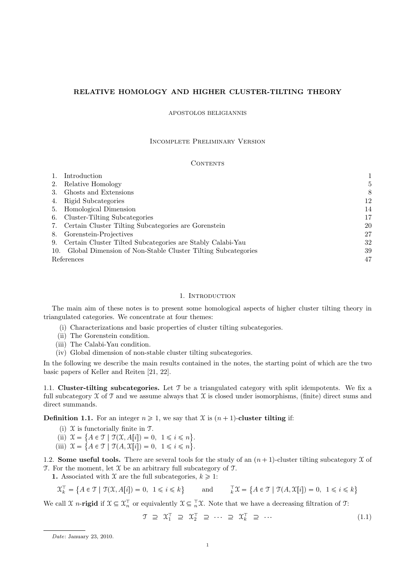## RELATIVE HOMOLOGY AND HIGHER CLUSTER-TILTING THEORY

#### APOSTOLOS BELIGIANNIS

# Incomplete Preliminary Version

### CONTENTS

|            | Introduction                                                 |    |
|------------|--------------------------------------------------------------|----|
| 2.         | Relative Homology                                            | 5  |
| 3.         | Ghosts and Extensions                                        | 8  |
| 4.         | Rigid Subcategories                                          | 12 |
| 5.         | Homological Dimension                                        | 14 |
| 6.         | Cluster-Tilting Subcategories                                | 17 |
| 7.         | Certain Cluster Tilting Subcategories are Gorenstein         | 20 |
| 8.         | Gorenstein-Projectives                                       | 27 |
| 9.         | Certain Cluster Tilted Subcategories are Stably Calabi-Yau   | 32 |
| 10.        | Global Dimension of Non-Stable Cluster Tilting Subcategories | 39 |
| References |                                                              | 47 |

#### 1. INTRODUCTION

The main aim of these notes is to present some homological aspects of higher cluster tilting theory in triangulated categories. We concentrate at four themes:

- (i) Characterizations and basic properties of cluster tilting subcategories.
- (ii) The Gorenstein condition.
- (iii) The Calabi-Yau condition.
- (iv) Global dimension of non-stable cluster tilting subcategories.

In the following we describe the main results contained in the notes, the starting point of which are the two basic papers of Keller and Reiten [21, 22].

1.1. Cluster-tilting subcategories. Let  $\mathcal T$  be a triangulated category with split idempotents. We fix a full subcategory  $\mathfrak X$  of  $\mathfrak T$  and we assume always that  $\mathfrak X$  is closed under isomorphisms, (finite) direct sums and direct summands.

**Definition 1.1.** For an integer  $n \ge 1$ , we say that X is  $(n + 1)$ -cluster tilting if:

- (i)  $\mathfrak X$  is functorially finite in  $\mathfrak T$ .
- (ii)  $\mathcal{X} = \{ A \in \mathcal{T} \mid \mathcal{T}(\mathcal{X}, A[i]) = 0, 1 \leq i \leq n \}.$
- (iii)  $\mathcal{X} = \{ A \in \mathcal{T} \mid \mathcal{T}(A, \mathcal{X}[i]) = 0, 1 \leq i \leq n \}.$

1.2. Some useful tools. There are several tools for the study of an  $(n + 1)$ -cluster tilting subcategory X of  $T$ . For the moment, let  $\mathfrak X$  be an arbitrary full subcategory of  $T$ .

1. Associated with X are the full subcategories,  $k \geq 1$ :

$$
\mathcal{X}_k^{\top} = \{ A \in \mathcal{T} \mid \mathcal{T}(\mathcal{X}, A[i]) = 0, 1 \le i \le k \} \quad \text{and} \quad \mathcal{X}_k^{\top} \mathcal{X} = \{ A \in \mathcal{T} \mid \mathcal{T}(A, \mathcal{X}[i]) = 0, 1 \le i \le k \}
$$

We call  $\mathcal{X}$  n-rigid if  $\mathcal{X} \subseteq \mathcal{X}_n^{\top}$  or equivalently  $\mathcal{X} \subseteq \top_n \mathcal{X}$ . Note that we have a decreasing filtration of  $\mathcal{T}$ :

$$
\mathcal{T} \supseteq \mathcal{X}_1^{\top} \supseteq \mathcal{X}_2^{\top} \supseteq \cdots \supseteq \mathcal{X}_k^{\top} \supseteq \cdots \tag{1.1}
$$

Date: January 23, 2010.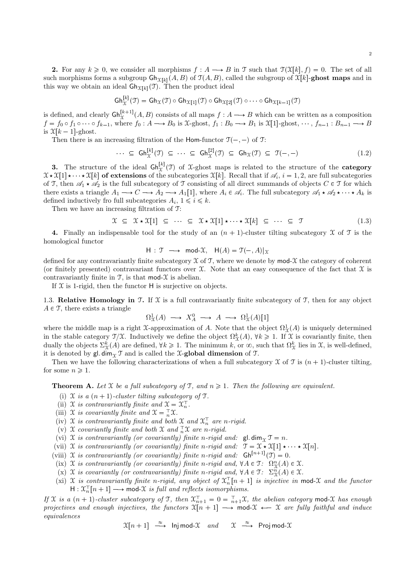2

2. For any  $k \geq 0$ , we consider all morphisms  $f : A \longrightarrow B$  in T such that  $\mathcal{T}(\mathcal{X}[k], f) = 0$ . The set of all such morphisms forms a subgroup  $\mathsf{Gh}_{\mathfrak{X}[k]}(A, B)$  of  $\mathfrak{T}(A, B)$ , called the subgroup of  $\mathfrak{X}[k]$ -ghost maps and in this way we obtain an ideal  $\mathsf{G}\mathsf{h}_{\mathfrak{X}[k]}(\mathfrak{T})$ . Then the product ideal

$$
\mathsf{Gh}^{[k]}_{\mathfrak{X}}(\mathfrak{I}) = \mathsf{Gh}_{\mathfrak{X}}(\mathfrak{I}) \circ \mathsf{Gh}_{\mathfrak{X}[1]}(\mathfrak{I}) \circ \mathsf{Gh}_{\mathfrak{X}[2]}(\mathfrak{I}) \circ \cdots \circ \mathsf{Gh}_{\mathfrak{X}[k-1]}(\mathfrak{I})
$$

is defined, and clearly  $\mathsf{Gh}^{[k+1]}_{\mathfrak{X}}(A, B)$  consists of all maps  $f : A \longrightarrow B$  which can be written as a composition  $f = f_0 \circ f_1 \circ \cdots \circ f_{k-1}$ , where  $f_0 : A \longrightarrow B_0$  is  $\mathfrak{X}\text{-ghost}, f_1 : B_0 \longrightarrow B_1$  is  $\mathfrak{X}[1]$ -ghost,  $\cdots, f_{n-1} : B_{n-1} \longrightarrow B$ is  $\mathfrak{X}[k-1]$ -ghost.

Then there is an increasing filtration of the Hom-functor  $\mathfrak{T}(-, -)$  of T:

$$
\cdots \subseteq \mathrm{Gh}_{\mathcal{X}}^{[k]}(\mathcal{T}) \subseteq \cdots \subseteq \mathrm{Gh}_{\mathcal{X}}^{[2]}(\mathcal{T}) \subseteq \mathrm{Gh}_{\mathcal{X}}(\mathcal{T}) \subseteq \mathcal{T}(-,-) \tag{1.2}
$$

**3.** The structure of the ideal  $\mathsf{Gh}^{[k]}_{\mathfrak{X}}(\mathfrak{T})$  of X-ghost maps is related to the structure of the **category**  $\mathfrak{X} \star \mathfrak{X}[1] \star \cdots \star \mathfrak{X}[k]$  of extensions of the subcategories  $\mathfrak{X}[k]$ . Recall that if  $\mathscr{A}_i$ ,  $i = 1, 2$ , are full subcategories of T, then  $\mathscr{A}_1 \star \mathscr{A}_2$  is the full subcategory of T consisting of all direct summands of objects  $C \in \mathcal{T}$  for which there exists a triangle  $A_1 \longrightarrow C \longrightarrow A_2 \longrightarrow A_1[1]$ , where  $A_i \in \mathscr{A}_i$ . The full subcategory  $\mathscr{A}_1 \star \mathscr{A}_2 \star \cdots \star A_k$  is defined inductively fro full subcategories  $A_i$ ,  $1 \leq i \leq k$ .

Then we have an increasing filtration of T:

$$
\mathcal{X} \subseteq \mathcal{X} \star \mathcal{X}[1] \subseteq \cdots \subseteq \mathcal{X} \star \mathcal{X}[1] \star \cdots \star \mathcal{X}[k] \subseteq \cdots \subseteq \mathcal{T}
$$
\n
$$
(1.3)
$$

4. Finally an indispensable tool for the study of an  $(n + 1)$ -cluster tilting subcategory X of T is the homological functor

 $H : \mathfrak{T} \longrightarrow \text{mod-}\mathfrak{X}, H(A) = \mathfrak{T}(-, A)|_{\mathfrak{T}}$ 

defined for any contravariantly finite subcategory  $\mathfrak X$  of  $\mathfrak T$ , where we denote by mod-X the category of coherent (or finitely presented) contravariant functors over  $\mathfrak{X}$ . Note that an easy consequence of the fact that  $\mathfrak{X}$  is contravariantly finite in  $\mathcal{T}$ , is that mod- $\mathcal{X}$  is abelian.

If  $X$  is 1-rigid, then the functor  $H$  is surjective on objects.

1.3. Relative Homology in T. If  $X$  is a full contravariantly finite subcategory of T, then for any object  $A \in \mathcal{T}$ , there exists a triangle

$$
\Omega^1_X(A) \longrightarrow X^0_A \longrightarrow A \longrightarrow \Omega^1_X(A)[1]
$$

where the middle map is a right X-approximation of A. Note that the object  $\Omega^1_{\mathfrak{X}}(A)$  is uniquely determined in the stable category  $\mathcal{T}/\mathcal{X}$ . Inductively we define the object  $\Omega^k_{\mathcal{X}}(A)$ ,  $\forall k \geq 1$ . If  $\mathcal{X}$  is covariantly finite, then dually the objects  $\Sigma^k_{\mathfrak{X}}(A)$  are defined,  $\forall k \geq 1$ . The minimum k, or  $\infty$ , such that  $\Omega^k_{\mathfrak{X}}$  lies in X, is well-defined, it is denoted by gl. dim<sub> $\Upsilon$ </sub> T and is called the X-global dimension of T.

Then we have the following characterizations of when a full subcategory  $\mathfrak X$  of  $\mathfrak T$  is  $(n + 1)$ -cluster tilting, for some  $n \geqslant 1$ .

**Theorem A.** Let X be a full subcategory of T, and  $n \geq 1$ . Then the following are equivalent.

- (i)  $\mathfrak X$  is a  $(n + 1)$ -cluster tilting subcategory of  $\mathfrak T$ .
- (ii) X is contravariantly finite and  $\mathfrak{X} = \mathfrak{X}_n^{\top}$ .
- (iii) X is covariantly finite and  $\mathfrak{X} = \overline{n} \mathfrak{X}$ .
- (iv) X is contravariantly finite and both X and  $\mathfrak{X}_n^{\top}$  are n-rigid.
- (v) X covariantly finite and both X and  $\frac{1}{n}\mathfrak{X}$  are n-rigid.
- (vi) X is contravariantly (or covariantly) finite n-rigid and:  $\mathsf{gl.dim}_\mathfrak{T} \mathfrak{T} = n$ .
- (vii) X is contravariantly (or covariantly) finite n-rigid and:  $\mathcal{T} = \mathcal{X} \star \mathcal{X}[1] \star \cdots \star \mathcal{X}[n].$
- (viii) X is contravariantly (or covariantly) finite n-rigid and:  $\mathsf{Gh}^{[n+1]}(\mathfrak{T}) = 0$ .
	- (ix)  $\mathfrak X$  is contravariantly (or covariantly) finite n-rigid and,  $\forall A \in \mathfrak T$ :  $\Omega^n_{\mathfrak X}(A) \in \mathfrak X$ .
- (x)  $\mathfrak X$  is covariantly (or contravariantly) finite n-rigid and,  $\forall A \in \mathfrak T$ :  $\Sigma_X^n(A) \in \mathfrak X$ .
- (xi) X is contravariantly finite n-rigid, any object of  $\mathfrak{X}_n^{\top}[n+1]$  is injective in mod-X and the functor  $H: \mathfrak{X}_n^{\top}[n+1] \longrightarrow \text{mod-}\mathfrak{X}$  is full and reflects isomorphisms.

If X is a  $(n + 1)$ -cluster subcategory of T, then  $\mathfrak{X}_{n+1}^{\top} = 0 = \frac{1}{n+1}\mathfrak{X}$ , the abelian category mod-X has enough projectives and enough injectives, the functors  $\mathfrak{X}[n+1] \longrightarrow \text{mod-}\mathfrak{X} \longleftarrow \mathfrak{X}$  are fully faithful and induce equivalences

$$
\mathfrak{X}[n+1] \stackrel{\approx}{\longrightarrow} \text{Inj mod-}\mathfrak{X} \text{ and } \mathfrak{X} \stackrel{\approx}{\longrightarrow} \text{Proj mod-}\mathfrak{X}
$$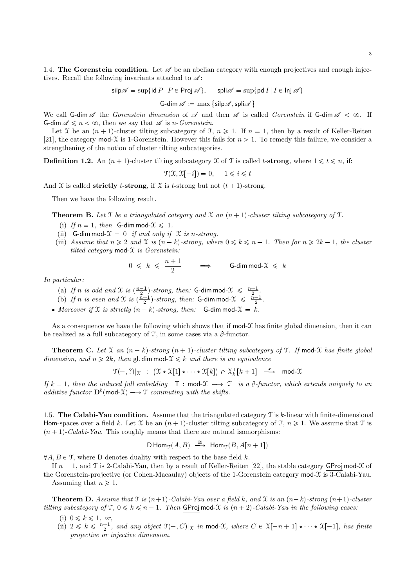1.4. The Gorenstein condition. Let  $\mathscr A$  be an abelian category with enough projectives and enough injectives. Recall the following invariants attached to  $\mathscr{A}$ :

 $\text{silp}\mathscr{A} = \sup\{\text{id} P \mid P \in \text{Proj }\mathscr{A}\}, \quad \text{spli}\mathscr{A} = \sup\{\text{pd }I \mid I \in \text{Inj }\mathscr{A}\}$ 

G-dim  $\mathscr{A} := \max \left\{ \mathsf{silp}\mathscr{A}, \mathsf{spli}\mathscr{A} \right\}$ 

We call G-dim  $\mathscr A$  the Gorenstein dimension of  $\mathscr A$  and then  $\mathscr A$  is called Gorenstein if G-dim  $\mathscr A$  <  $\infty$ . If **G-dim**  $\mathscr{A} \leq n < \infty$ , then we say that  $\mathscr{A}$  is *n*-Gorenstein.

Let X be an  $(n + 1)$ -cluster tilting subcategory of T,  $n \ge 1$ . If  $n = 1$ , then by a result of Keller-Reiten [21], the category mod-X is 1-Gorenstein. However this fails for  $n > 1$ . To remedy this failure, we consider a strengthening of the notion of cluster tilting subcategories.

**Definition 1.2.** An  $(n + 1)$ -cluster tilting subcategory X of T is called t-strong, where  $1 \le t \le n$ , if:

 $\mathcal{T}(\mathcal{X}, \mathcal{X}[-i]) = 0, \quad 1 \leq i \leq t$ 

And X is called **strictly** t-strong, if X is t-strong but not  $(t + 1)$ -strong.

Then we have the following result.

**Theorem B.** Let  $\mathcal T$  be a triangulated category and  $\mathcal X$  an  $(n + 1)$ -cluster tilting subcategory of  $\mathcal T$ .

- (i) If  $n = 1$ , then G-dim mod- $\mathcal{X} \leq 1$ .
- (ii) G-dim mod- $\mathcal{X} = 0$  if and only if  $\mathcal X$  is n-strong.
- (iii) Assume that  $n \geqslant 2$  and X is  $(n-k)$ -strong, where  $0 \leqslant k \leqslant n-1$ . Then for  $n \geqslant 2k-1$ , the cluster tilted category mod- $\mathfrak X$  is Gorenstein:

$$
0 \; \leqslant \; k \; \leqslant \; \frac{n+1}{2} \qquad \Longrightarrow \qquad \text{$\mathsf{G$-dim}\, \mathsf{mod}\text{-}\mathcal{X} \; \leqslant \; k$}
$$

In particular:

- (a) If n is odd and X is  $\left(\frac{n-1}{2}\right)$ -strong, then: **G-dim mod-** $\mathcal{X} \leq \frac{n+1}{2}$ .
- (b) If n is even and X is  $\left(\frac{n+1}{2}\right)$ -strong, then: **G-dim mod-** $\mathcal{X} \leq \frac{n-1}{2}$ .
- Moreover if X is strictly  $(n k)$ -strong, then: G-dim mod- $\mathfrak{X} = k$ .

As a consequence we have the following which shows that if  $\text{mod-}\mathfrak{X}$  has finite global dimension, then it can be realized as a full subcategory of  $\mathcal{T}$ , in some cases via a  $\partial$ -functor.

**Theorem C.** Let  $\mathfrak{X}$  an  $(n - k)$ -strong  $(n + 1)$ -cluster tilting subcategory of T. If mod-X has finite global dimension, and  $n \geq 2k$ , then gl. dim mod- $\mathcal{X} \leq k$  and there is an equivalence

$$
\mathfrak{T}(-,?)|_{\mathfrak{X}} \ : \ (\mathfrak{X} \star \mathfrak{X}[1] \star \cdots \star \mathfrak{X}[k]) \cap \mathfrak{X}_{k}^{\top}[k+1] \ \stackrel{\approx}{\longrightarrow} \ \text{mod-}\mathfrak{X}
$$

If  $k = 1$ , then the induced full embedding  $\top : \text{mod-}\mathcal{X} \longrightarrow \mathcal{T}$  is a  $\partial$ -functor, which extends uniquely to an additive functor  $\mathbf{D}^b(\text{mod-}\mathfrak{X}) \longrightarrow \mathfrak{T}$  commuting with the shifts.

1.5. The Calabi-Yau condition. Assume that the triangulated category  $\mathcal T$  is k-linear with finite-dimensional Hom-spaces over a field k. Let X be an  $(n + 1)$ -cluster tilting subcategory of T,  $n \ge 1$ . We assume that T is  $(n + 1)$ -Calabi-Yau. This roughly means that there are natural isomorphisms:

$$
\mathsf{D}\operatorname{Hom}_{\mathfrak{T}}(A,B) \stackrel{\cong}{\longrightarrow} \operatorname{Hom}_{\mathfrak{T}}(B,A[n+1])
$$

 $\forall A, B \in \mathcal{T}$ , where D denotes duality with respect to the base field k.

If  $n = 1$ , and T is 2-Calabi-Yau, then by a result of Keller-Reiten [22], the stable category GProj mod-X of the Gorenstein-projective (or Cohen-Macaulay) objects of the 1-Gorenstein category mod-X is 3-Calabi-Yau. Assuming that  $n \geq 1$ .

**Theorem D.** Assume that  $\mathcal{T}$  is  $(n+1)$ -Calabi-Yau over a field k, and  $\mathcal{X}$  is an  $(n-k)$ -strong  $(n+1)$ -cluster

tilting subcategory of  $\mathfrak{T}$ ,  $0 \leq k \leq n-1$ . Then GProj mod-X is  $(n+2)$ -Calabi-Yau in the following cases:

- (i)  $0 \leq k \leq 1$ , or,
- (ii)  $2 \leq k \leq \frac{n+1}{2}$ , and any object  $\mathfrak{T}(-, C)|_{\mathfrak{X}}$  in mod-X, where  $C \in \mathfrak{X}[-n+1] \star \cdots \star \mathfrak{X}[-1]$ , has finite projective or injective dimension.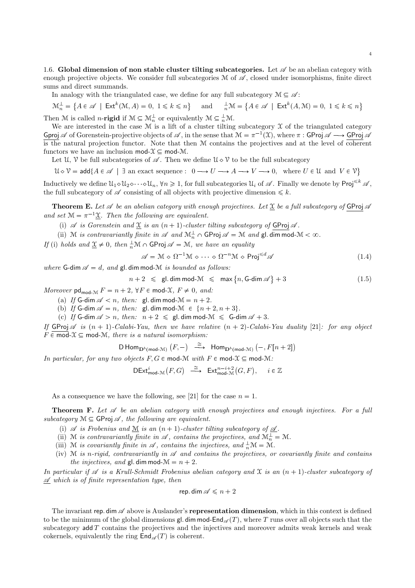1.6. Global dimension of non stable cluster tilting subcategories. Let  $\mathscr A$  be an abelian category with enough projective objects. We consider full subcategories  $\mathcal M$  of  $\mathscr A$ , closed under isomorphisms, finite direct sums and direct summands.

In analogy with the triangulated case, we define for any full subcategory  $\mathcal{M} \subseteq \mathcal{A}$ :

 $\mathcal{M}_n^{\perp} = \{ A \in \mathcal{A} \mid \text{Ext}^k(\mathcal{M}, A) = 0, 1 \leq k \leq n \}$  and  $\frac{1}{n}\mathcal{M} = \{ A \in \mathcal{A} \mid \text{Ext}^k(A, \mathcal{M}) = 0, 1 \leq k \leq n \}$ 

Then M is called *n*-rigid if  $M \subseteq \mathcal{M}_n^{\perp}$  or equivalently  $M \subseteq \frac{1}{n}\mathcal{M}$ .

We are interested in the case  $M$  is a lift of a cluster tilting subcategory  $\mathcal X$  of the triangulated category Gproj  $\mathscr A$  of Gorenstein-projective objects of  $\mathscr A$ , in the sense that  $\mathcal M=\pi^{-1}(\mathfrak X)$ , where  $\pi:$  GProj  $\mathscr A\longrightarrow$  GProj  $\mathscr A$ is the natural projection functor. Note that then M contains the projectives and at the level of coherent functors we have an inclusion  $\text{mod-}\mathcal{X} \subseteq \text{mod-}\mathcal{M}$ .

Let  $\mathcal{U}, \mathcal{V}$  be full subcategories of  $\mathscr{A}$ . Then we define  $\mathcal{U} \diamond \mathcal{V}$  to be the full subcategory

 $\mathcal{U} \diamond \mathcal{V} = \mathsf{add}\{A \in \mathscr{A} \mid \exists \text{ an exact sequence} : 0 \longrightarrow U \longrightarrow A \longrightarrow V \longrightarrow 0, \text{ where } U \in \mathcal{U} \text{ and } V \in \mathcal{V}\}\$ 

Inductively we define  $\mathcal{U}_1 \circ \mathcal{U}_2 \circ \cdots \circ \mathcal{U}_n$ ,  $\forall n \geq 1$ , for full subcategories  $\mathcal{U}_i$  of  $\mathcal{A}$ . Finally we denote by Proj<sup> $\leq k$ </sup>  $\mathcal{A}$ . the full subcategory of  $\mathscr A$  consisting of all objects with projective dimension  $\leq k$ .

**Theorem E.** Let  $\mathscr A$  be an abelian category with enough projectives. Let  $\mathscr X$  be a full subcategory of GProj  $\mathscr A$ and set  $\mathcal{M} = \pi^{-1} \underline{\mathcal{X}}$ . Then the following are equivalent.

(i)  $\mathscr A$  is Gorenstein and  $\mathfrak X$  is an  $(n + 1)$ -cluster tilting subcategory of GProj  $\mathscr A$ .

(ii) M is contravariantly finite in  $\mathscr A$  and  $\mathcal M_n^{\perp} \cap \mathsf{GProj} \mathscr A = \mathcal M$  and  $\mathsf{gl.dim} \operatorname{mod-} \mathcal M < \infty$ .

If (i) holds and  $\underline{\mathfrak{X}} \neq 0$ , then  $\frac{1}{n}\mathfrak{M} \cap \mathsf{GProj} \mathscr{A} = \mathfrak{M}$ , we have an equality

$$
\mathscr{A} = \mathcal{M} \diamond \Omega^{-1} \mathcal{M} \diamond \cdots \diamond \Omega^{-n} \mathcal{M} \diamond \mathsf{Proj}^{\leq d} \mathscr{A}
$$
(1.4)

where G-dim  $\mathscr{A} = d$ , and gl. dim mod-M is bounded as follows:

 $n+2 \leqslant \mathsf{gl.\,dim\,mod\,}\mathcal{M} \ \leqslant \ \mathsf{max}\,\{n,\mathsf{G\text{-dim}}\,\mathscr{A}\}$  $(1.5)$ 

Moreover  $\mathsf{pd}_{\mathsf{mod-} \mathcal{M}} F = n + 2$ ,  $\forall F \in \mathsf{mod-} \mathcal{X}, F \neq 0, \text{ and:}$ 

(a) If G-dim  $\mathscr{A}$  < n, then: gl. dim mod- $\mathscr{M}$  =  $n + 2$ .

(b) If G-dim  $\mathscr{A} = n$ , then: gl. dim mod- $\mathscr{M} \in \{n + 2, n + 3\}.$ 

(c) If G-dim  $\mathscr{A} > n$ , then:  $n + 2 \leq \mathsf{gl}$ . dim mod- $\mathcal{M} \leq \mathsf{G}$ -dim  $\mathscr{A} + 3$ .

If GProj  $\mathscr A$  is  $(n + 1)$ -Calabi-Yau, then we have relative  $(n + 2)$ -Calabi-Yau duality [21]: for any object  $F \in \text{mod-}\mathcal{X} \subseteq \text{mod-}\mathcal{M}$ , there is a natural isomorphism:

 $\mathsf{D}\operatorname{\mathsf{Hom}}_{\mathbf{D}^b(\operatorname{\mathsf{mod-}}\mathcal{M})}\left(F,-\right)\;\;\stackrel{\cong}{\longrightarrow}\;\; \mathsf{Hom}_{\mathbf{D}^b(\operatorname{\mathsf{mod-}}\mathcal{M})}\left(-,F[n+2]\right)$ 

In particular, for any two objects  $F, G \in \text{mod-}M$  with  $F \in \text{mod-}X \subseteq \text{mod-}M$ :

 $\mathsf{DExt}^i_{\mathsf{mod-}\mathcal{M}}(F,G) \stackrel{\cong}{\longrightarrow} \mathsf{Ext}^{n-i+2}_{\mathsf{mod-}\mathcal{M}}(G,F), \quad i \in \mathbb{Z}$ 

As a consequence we have the following, see [21] for the case  $n = 1$ .

**Theorem F.** Let  $\mathcal A$  be an abelian category with enough projectives and enough injectives. For a full subcategory  $\mathcal{M} \subseteq \mathsf{GProj} \mathscr{A}$ , the following are equivalent.

- (i)  $\mathscr A$  is Frobenius and M is an  $(n+1)$ -cluster tilting subcategory of  $\mathscr A$ .
- (ii) M is contravariantly finite in  $\mathscr A$ , contains the projectives, and  $\mathcal M_n^{\perp} = \mathcal M$ .
- (iii) M is covariantly finite in  $\mathscr A$ , contains the injectives, and  $\frac{1}{n}\mathcal M = \mathcal M$ .
- (iv) M is n-rigid, contravariantly in  $\mathscr A$  and contains the projectives, or covariantly finite and contains the injectives, and gl. dim mod- $\mathcal{M} = n + 2$ .

In particular if  $\mathscr A$  is a Krull-Schmidt Frobenius abelian category and  $\mathfrak X$  is an  $(n + 1)$ -cluster subcategory of  $\mathscr A$  which is of finite representation type, then

$$
\mathsf{rep.dim}\,\mathscr{A}\leqslant n+2
$$

The invariant rep. dim  $\mathscr A$  above is Auslander's representation dimension, which in this context is defined to be the minimum of the global dimensions gl. dim mod-End<sub> $\mathscr{A}(T)$ </sub>, where T runs over all objects such that the subcategory  $\text{add } T$  contains the projectives and the injectives and moreover admits weak kernels and weak cokernels, equivalently the ring  $\mathsf{End}_{\mathscr{A}}(T)$  is coherent.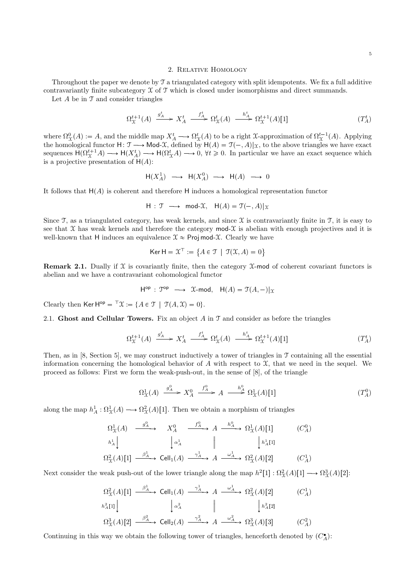#### 2. Relative Homology

Throughout the paper we denote by T a triangulated category with split idempotents. We fix a full additive contravariantly finite subcategory  $\mathfrak X$  of  $\mathfrak T$  which is closed under isomorphisms and direct summands.

Let  $A$  be in  $\mathfrak T$  and consider triangles

$$
\Omega_{\mathfrak{X}}^{t+1}(A) \xrightarrow{g_A^t} X_A^t \xrightarrow{f_A^t} \Omega_{\mathfrak{X}}^t(A) \xrightarrow{h_A^t} \Omega_{\mathfrak{X}}^{t+1}(A)[1] \tag{T_A^t}
$$

where  $\Omega^0_{\mathfrak{X}}(A) := A$ , and the middle map  $X^t_A \longrightarrow \Omega^t_{\mathfrak{X}}(A)$  to be a right X-approximation of  $\Omega^{t-1}_{\mathfrak{X}}(A)$ . Applying the homological functor  $H: \mathcal{T} \longrightarrow \text{Mod-}\mathcal{X}$ , defined by  $H(A) = \mathcal{T}(-, A)|_{\mathcal{X}}$ , to the above triangles we have exact sequences  $H(\Omega^{t+1}_{\mathcal{X}}A) \longrightarrow H(X_A^t) \longrightarrow H(\Omega^{t}_{\mathcal{X}}A) \longrightarrow 0, \forall t \geq 0$ . In particular we have an exact sequence which is a projective presentation of  $H(A)$ :

$$
\mathsf{H}(X_A^1) \longrightarrow \mathsf{H}(X_A^0) \longrightarrow \mathsf{H}(A) \longrightarrow 0
$$

It follows that  $H(A)$  is coherent and therefore H induces a homological representation functor

$$
H: \mathcal{T} \longrightarrow \text{mod-}\mathcal{X}, H(A) = \mathcal{T}(-, A)|_{\mathcal{X}}
$$

Since  $\mathfrak T$ , as a triangulated category, has weak kernels, and since  $\mathfrak X$  is contravariantly finite in  $\mathfrak T$ , it is easy to see that  $\mathfrak X$  has weak kernels and therefore the category mod- $\mathfrak X$  is abelian with enough projectives and it is well-known that H induces an equivalence  $\mathcal{X} \approx$  Proj mod- $\mathcal{X}$ . Clearly we have

$$
\mathsf{Ker}\,\mathsf{H}=\mathfrak{X}^{\top}:=\big\{A\in\mathfrak{T}\;\,|\;\, \mathfrak{T}(\mathfrak{X},A)=0\big\}
$$

**Remark 2.1.** Dually if  $\mathcal X$  is covariantly finite, then the category  $\mathcal X$ -mod of coherent covariant functors is abelian and we have a contravariant cohomological functor

$$
\mathsf{H}^{\mathsf{op}}\,:\,\mathfrak{T}^{\mathsf{op}}\,\,\longrightarrow\,\, \mathfrak{X}\text{-}\mathsf{mod},\quad \mathsf{H}(A)=\mathfrak{T}(A,-)|_{\mathfrak{X}}
$$

Clearly then Ker H<sup>op</sup> =  $^{\top} \mathfrak{X} := \{A \in \mathfrak{I} \mid \mathfrak{I}(A, \mathfrak{X}) = 0\}.$ 

2.1. Ghost and Cellular Towers. Fix an object  $A$  in  $\mathcal T$  and consider as before the triangles

$$
\Omega_{\mathfrak{X}}^{t+1}(A) \xrightarrow{g_A^t} X_A^t \xrightarrow{f_A^t} \Omega_{\mathfrak{X}}^t(A) \xrightarrow{h_A^t} \Omega_{\mathfrak{X}}^{t+1}(A)[1] \tag{T_A^t}
$$

Then, as in [8, Section 5], we may construct inductively a tower of triangles in  $\mathcal T$  containing all the essential information concerning the homological behavior of A with respect to  $\mathfrak{X}$ , that we need in the sequel. We proceed as follows: First we form the weak-push-out, in the sense of [8], of the triangle

$$
\Omega^1_X(A) \xrightarrow{g^0_A} X^0_A \xrightarrow{f^0_A} A \xrightarrow{h^0_A} \Omega^1_X(A)[1] \tag{T_A^0}
$$

along the map  $h_A^1: \Omega^1_{\mathfrak{X}}(A) \longrightarrow \Omega^2_{\mathfrak{X}}(A)[1]$ . Then we obtain a morphism of triangles

$$
\Omega_{\mathfrak{X}}^{1}(A) \xrightarrow{\begin{array}{c} g_{A}^{0} \end{array}} X_{A}^{0} \xrightarrow{\begin{array}{c} f_{A}^{0} \end{array}} A \xrightarrow{h_{A}^{0} \end{array}} \Omega_{\mathfrak{X}}^{1}(A)[1] \qquad (C_{A}^{0})
$$

$$
\begin{array}{c} h_{A}^{1} \end{array} \qquad \begin{array}{c} \downarrow \alpha_{A}^{1} \end{array} \qquad \qquad \downarrow \qquad \qquad \downarrow h_{A}^{1}[1]
$$

$$
\Omega_{\mathfrak{X}}^{2}(A)[1] \xrightarrow{\begin{array}{c} \beta_{A}^{1} \end{array}} \text{Cell}_{1}(A) \xrightarrow{\begin{array}{c} \gamma_{A}^{1} \end{array}} A \xrightarrow{\begin{array}{c} \omega_{A}^{1} \end{array}} \Omega_{\mathfrak{X}}^{2}(A)[2] \qquad (C_{A}^{1})
$$

Next consider the weak push-out of the lower triangle along the map  $h^2[1]: \Omega^2_{\mathcal{X}}(A)[1] \longrightarrow \Omega^3_{\mathcal{X}}(A)[2]$ :

Ω 2 <sup>X</sup>pAqr1s β 1 <sup>A</sup> ÝÝÝÝÑ Cell1pAq γ 1 <sup>A</sup> ÝÝÝÝÑ A ω 1 <sup>A</sup> ÝÝÝÝÑ Ω 2 <sup>X</sup>pAqr2s pC 1 <sup>A</sup>q h 2 <sup>A</sup>r1s α 2 A h 2 <sup>A</sup>r2s Ω 3 <sup>X</sup>pAqr2s β 2 <sup>A</sup> ÝÝÝÝÑ Cell2pAq γ 2 <sup>A</sup> ÝÝÝÝÑ A ω 2 <sup>A</sup> ÝÝÝÝÑ Ω 3 <sup>X</sup>pAqr3s pC 2 <sup>A</sup>q

Continuing in this way we obtain the following tower of triangles, henceforth denoted by  $(C_A^{\bullet})$ :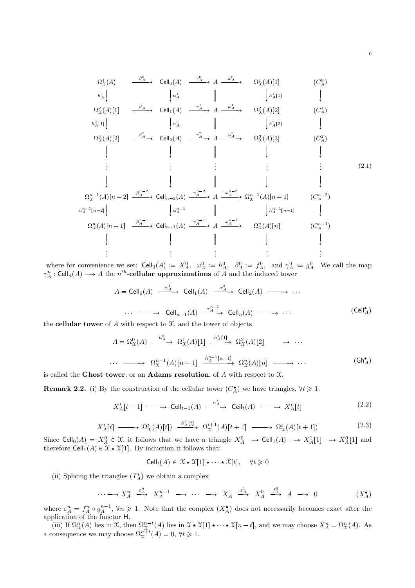$$
\Omega_{\mathfrak{X}}^{1}(A) \longrightarrow^{\beta_{A}^{0}} \text{Cell}_{0}(A) \longrightarrow^{\gamma_{A}^{0}} A \longrightarrow^{\alpha_{A}^{0}} \Omega_{\mathfrak{X}}^{1}(A)[1] \qquad (C_{A}^{0})
$$
\n
$$
\begin{array}{ccc}\n\Omega_{\mathfrak{X}}^{1}(A)[1] & \downarrow & \downarrow & \downarrow \\
\Omega_{\mathfrak{X}}^{2}(A)[1] & \xrightarrow{\beta_{A}^{1}} & \text{Cell}_{1}(A) \longrightarrow^{\gamma_{A}^{1}} A \longrightarrow^{\alpha_{A}^{1}} \Omega_{\mathfrak{X}}^{2}(A)[2] & (C_{A}^{1}) \\
\downarrow & \downarrow & \downarrow & \downarrow \\
\Omega_{\mathfrak{X}}^{3}(A)[2] & \xrightarrow{\beta_{A}^{2}} & \text{Cell}_{2}(A) \longrightarrow^{\gamma_{A}^{2}} A \longrightarrow^{\alpha_{A}^{2}} \Omega_{\mathfrak{X}}^{3}(A)[3] & (C_{A}^{2}) \\
\downarrow & \downarrow & \downarrow & \downarrow & \downarrow \\
\vdots & \vdots & \vdots & \vdots & \vdots\n\end{array}
$$
\n(2.1)

$$
\begin{array}{ccccccc}\n & & & & & \downarrow & & & \downarrow & & \downarrow & & \downarrow & & \downarrow & & \downarrow \\
\Omega_X^{n-1}(A)[n-2] & \xrightarrow{\beta_A^{n-2}} \text{Cell}_{n-2}(A) & \xrightarrow{\gamma_A^{n-2}} A & \xrightarrow{\omega_A^{n-2}} \Omega_X^{n-1}(A)[n-1] & & & (C_A^{n-2}) \\
 & & & & \downarrow^{\alpha_n^{n-1}} & & & \downarrow^{\alpha_n^{n-1}} & & \downarrow^{\alpha_n^{n-1}[n-1]} & & \downarrow \\
\Omega_X^n(A)[n-1] & \xrightarrow{\beta_A^{n-1}} \text{Cell}_{n-1}(A) & \xrightarrow{\gamma_A^{n-1}} A & \xrightarrow{\omega_A^{n-1}} \Omega_X^n(A)[n] & & & & (C_A^{n-1}) \\
 & & & & \downarrow & & \downarrow & & \downarrow & & \downarrow \\
 & & & \vdots & & & \vdots & & \vdots & & \vdots\n\end{array}
$$

where for convenience we set:  $\text{Cell}_0(A) := X_A^0$ ,  $\omega_A^0 := h_A^0$ ,  $\beta_A^0 := f_A^0$ , and  $\gamma_A^0 := g_A^0$ . We call the map  $\gamma_A^n : \operatorname{Cell}_n(A) \longrightarrow A$  the  $n^{th}$ -cellular approximations of A and the induced tower

$$
A = \text{Cell}_0(A) \xrightarrow{\alpha_A^1} \text{Cell}_1(A) \xrightarrow{\alpha_A^2} \text{Cell}_2(A) \longrightarrow \cdots
$$
  
\n
$$
\cdots \longrightarrow \text{Cell}_{n-1}(A) \xrightarrow{\alpha_A^{n-1}} \text{Cell}_n(A) \longrightarrow \cdots
$$
  
\n
$$
\cdots \longrightarrow \text{Cell}_{n-1}(A) \xrightarrow{\alpha_A^{n-1}} \text{Cell}_n(A) \longrightarrow \cdots
$$
  
\n(Cell<sub>A</sub>)

the **cellular tower** of  $A$  with respect to  $\mathfrak{X}$ , and the tower of objects

$$
A = \Omega_{\mathcal{X}}^0(A) \xrightarrow{h_A^0} \Omega_{\mathcal{X}}^1(A)[1] \xrightarrow{h_A^1[1]} \Omega_{\mathcal{X}}^2(A)[2] \longrightarrow \cdots
$$
  

$$
\cdots \longrightarrow \Omega_{\mathcal{X}}^{n-1}(A)[n-1] \xrightarrow{h_A^{n-1}[n-1]} \Omega_{\mathcal{X}}^n(A)[n] \longrightarrow \cdots
$$
 (Gh<sub>A</sub><sup>\*</sup>)

is called the Ghost tower, or an Adams resolution, of  $A$  with respect to  $\mathfrak X$ .

**Remark 2.2.** (i) By the construction of the cellular tower  $(C_A^{\bullet})$  we have triangles,  $\forall t \geq 1$ :

$$
X_A^t[t-1] \longrightarrow \text{Cell}_{t-1}(A) \xrightarrow{\alpha_A^t} \text{Cell}_t(A) \longrightarrow X_A^t[t] \tag{2.2}
$$

$$
X_A^t[t] \longrightarrow \Omega^t_{\mathcal{X}}(A)[t]) \xrightarrow{h_A^t[t]} \Omega^{t+1}_{\mathcal{X}}(A)[t+1] \longrightarrow \Omega^t_{\mathcal{X}}(A)[t+1]) \tag{2.3}
$$

Since  $\text{Cell}_0(A) = X_A^0 \in \mathfrak{X}$ , it follows that we have a triangle  $X_A^0 \longrightarrow \text{Cell}_1(A) \longrightarrow X_A^1[1] \longrightarrow X_A^0[1]$  and therefore  $\operatorname{Cell}_1(A) \in \mathcal{X} \star \mathcal{X}[1]$ . By induction it follows that:

$$
\mathsf{Cell}_t(A) \in \mathfrak{X} \star \mathfrak{X}[1] \star \cdots \star \mathfrak{X}[t], \quad \forall t \geq 0
$$

(ii) Splicing the triangles  $(T_A^t)$  we obtain a complex

$$
\cdots \longrightarrow X_A^n \stackrel{\varepsilon_A^n}{\longrightarrow} X_A^{n-1} \longrightarrow \cdots \longrightarrow X_A^1 \stackrel{\varepsilon_A^1}{\longrightarrow} X_A^0 \stackrel{f_A^0}{\longrightarrow} A \longrightarrow 0 \qquad (X_A^{\bullet})
$$

where  $\varepsilon_A^n = f_A^n \circ g_A^{n-1}$ ,  $\forall n \geq 1$ . Note that the complex  $(X_A^{\bullet})$  does not necessarily becomes exact after the application of the functor H.

(iii) If  $\Omega_{\mathcal{X}}^n(A)$  lies in X, then  $\Omega_{\mathcal{X}}^{n-t}(A)$  lies in  $\mathcal{X} \star \mathcal{X}[1] \star \cdots \star \mathcal{X}[n-t]$ , and we may choose  $X_A^n = \Omega_{\mathcal{X}}^n(A)$ . As a consequence we may choose  $\Omega_{\mathcal{X}}^{n+t}(A) = 0, \forall t \geq 1$ .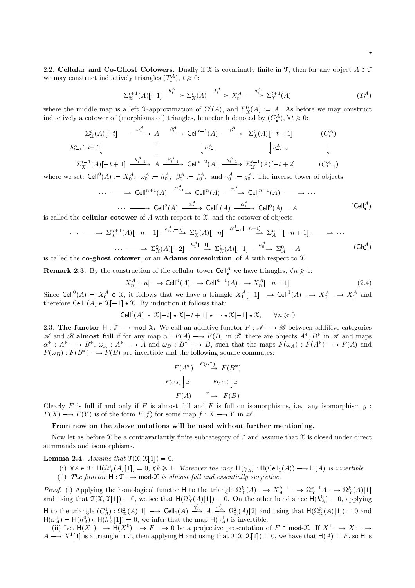2.2. Cellular and Co-Ghost Cotowers. Dually if X is covariantly finite in T, then for any object  $A \in \mathcal{T}$ we may construct inductively triangles  $(T_t^A)$ ,  $t \geq 0$ :

$$
\Sigma_{\mathfrak{X}}^{t+1}(A)[-1] \xrightarrow{h_t^A} \Sigma_{\mathfrak{X}}^t(A) \xrightarrow{f_t^A} X_t^A \xrightarrow{g_t^A} \Sigma_{\mathfrak{X}}^{t+1}(A) \tag{T_t^A}
$$

where the middle map is a left X-approximation of  $\Sigma^t(A)$ , and  $\Sigma^0_{\mathfrak{X}}(A) := A$ . As before we may construct inductively a cotower of (morphisms of) triangles, henceforth denoted by  $(C^A_\bullet)$  $\mathcal{F}_{\bullet}^{(A)}$ ,  $\forall t \geq 0$ :

$$
\Sigma_{\mathcal{X}}^{t}(A)[-t] \xrightarrow{\omega_{t}^{A}} A \xrightarrow{\beta_{t}^{A}} \text{Cell}^{t-1}(A) \xrightarrow{\gamma_{t}^{A}} \Sigma_{\mathcal{X}}^{t}(A)[-t+1] \qquad (C_{t}^{A})
$$
\n
$$
h_{t-1}^{A}[-t+1] \downarrow \qquad \qquad \downarrow \qquad \qquad \downarrow \qquad \qquad \downarrow \qquad \qquad \downarrow \qquad \qquad \downarrow \qquad \qquad \downarrow \qquad \qquad \downarrow \qquad \qquad \downarrow \qquad \qquad \downarrow \qquad \qquad \downarrow \qquad \qquad \downarrow \qquad \qquad \downarrow \qquad \qquad \downarrow \qquad \qquad \downarrow \qquad \qquad \downarrow \qquad \qquad \downarrow \qquad \qquad \downarrow \qquad \qquad \downarrow \qquad \qquad \downarrow \qquad \qquad \downarrow \qquad \qquad \downarrow \qquad \qquad \downarrow \qquad \qquad \downarrow \qquad \qquad \downarrow \qquad \qquad \downarrow \qquad \qquad \downarrow \qquad \qquad \downarrow \qquad \qquad \downarrow \qquad \qquad \downarrow \qquad \qquad \downarrow \qquad \qquad \downarrow \qquad \qquad \downarrow \qquad \qquad \downarrow \qquad \qquad \downarrow \qquad \qquad \downarrow \qquad \qquad \downarrow \qquad \qquad \downarrow \qquad \qquad \downarrow \qquad \qquad \downarrow \qquad \qquad \downarrow \qquad \qquad \downarrow \qquad \qquad \downarrow \qquad \qquad \downarrow \qquad \qquad \downarrow \qquad \qquad \downarrow \qquad \qquad \downarrow \qquad \qquad \downarrow \qquad \qquad \downarrow \qquad \qquad \downarrow \qquad \qquad \downarrow \qquad \qquad \downarrow \qquad \qquad \downarrow \qquad \qquad \downarrow \qquad \qquad \downarrow \qquad \qquad \downarrow \qquad \qquad \downarrow \qquad \qquad \downarrow \qquad \qquad \downarrow \qquad \qquad \downarrow \qquad \qquad \downarrow \qquad \qquad \downarrow \qquad \qquad \downarrow \qquad \qquad \downarrow \qquad \qquad \downarrow \qquad \qquad \downarrow \qquad \qquad \downarrow \qquad \qquad \downarrow \qquad \qquad \downarrow \qquad \qquad \downarrow \qquad \qquad \downarrow \qquad \qquad \downarrow \qquad
$$

 $\Sigma^{t-1}_\mathfrak{X}(A)[-t+1] \xrightarrow{h_{t-1}^A} A \xrightarrow{\beta_{t-1}^A} \mathsf{Cell}^{t-2}(A) \xrightarrow{\gamma_{t-1}^A} \Sigma^{t-1}_\mathfrak{X}(A)[-t+2]$  (C  $_{t-1}^{(A)}$ 

where we set:  $\text{Cell}^0(A) := X_0^A$ ,  $\omega_0^A := h_0^A$ ,  $\beta_0^A := f_0^A$ , and  $\gamma_0^A := g_0^A$ . The inverse tower of objects

$$
\cdots \longrightarrow \text{Cell}^{n+1}(A) \xrightarrow{\alpha_{n+1}^A} \text{Cell}^n(A) \xrightarrow{\alpha_n^A} \text{Cell}^{n-1}(A) \longrightarrow \cdots
$$

 $\cdots \longrightarrow \text{Cell}^2(A) \stackrel{\alpha_2^A}{\longrightarrow} \text{Cell}^1(A) \stackrel{\alpha_1^A}{\longrightarrow} \text{Cell}^0(A) = A$  (Cell<sup>A</sup>) is called the **cellular cotower** of A with respect to  $\mathcal{X}$ , and the cotower of objects

$$
\cdots \longrightarrow \Sigma_{\mathfrak{X}}^{n+1}(A)[-n-1] \xrightarrow{h_n^A[-n]} \Sigma_{\mathfrak{X}}^n(A)[-n] \xrightarrow{h_{n-1}^A[-n+1]} \Sigma_A^{n-1}[-n+1] \longrightarrow \cdots
$$
\n
$$
\cdots \longrightarrow \Sigma_{\mathfrak{X}}^2(A)[-2] \xrightarrow{h_1^A[-1]} \Sigma_{\mathfrak{X}}^1(A)[-1] \xrightarrow{h_0^A} \Sigma_A^0 = A
$$
\n(sh<sup>A</sup>)\nis called the **co-ghost cotower**, or an **Adams crossolution**, of *A* with respect to  $\mathfrak{X}$ .

**Remark 2.3.** By the construction of the cellular tower  $\text{Cell}^A_\bullet$  we have triangles,  $\forall n \geq 1$ :

$$
X_n^A[-n] \longrightarrow \text{Cell}^n(A) \longrightarrow \text{Cell}^{n-1}(A) \longrightarrow X_n^A[-n+1]
$$
\n(2.4)

Since Cell<sup>0</sup> $(A) = X_0^A \in \mathfrak{X}$ , it follows that we have a triangle  $X_1^A[-1] \longrightarrow$  Cell<sup>1</sup> $(A) \longrightarrow X_0^A \longrightarrow X_1^A$  and therefore  $\text{Cell}^1(A) \in \mathfrak{X}[-1] \star \mathfrak{X}$ . By induction it follows that:

$$
\mathsf{Cell}^t(A) \in \mathfrak{X}[-t] \star \mathfrak{X}[-t+1] \star \cdots \star \mathfrak{X}[-1] \star \mathfrak{X}, \qquad \forall n \geq 0
$$

2.3. The functor  $H : \mathcal{T} \longrightarrow \text{mod-}\mathcal{X}$ . We call an additive functor  $F : \mathcal{A} \longrightarrow \mathcal{B}$  between additive categories  $\mathscr A$  and  $\mathscr B$  almost full if for any map  $\alpha : F(A) \longrightarrow F(B)$  in  $\mathscr B$ , there are objects  $A^*, B^*$  in  $\mathscr A$  and maps  $\alpha^*: A^* \longrightarrow B^*, \ \omega_A: A^* \longrightarrow A$  and  $\omega_B: B^* \longrightarrow B$ , such that the maps  $F(\omega_A): F(A^*) \longrightarrow F(A)$  and  $F(\omega_B): F(B^*) \longrightarrow F(B)$  are invertible and the following square commutes:

$$
F(A^*) \xrightarrow{F(\alpha^*)} F(B^*)
$$

$$
F(\omega_A) \downarrow \cong F(\omega_B) \downarrow \cong
$$

$$
F(A) \xrightarrow{\alpha} F(B)
$$

Clearly F is full if and only if F is almost full and F is full on isomorphisms, i.e. any isomorphism  $g$ :  $F(X) \longrightarrow F(Y)$  is of the form  $F(f)$  for some map  $f : X \longrightarrow Y$  in  $\mathscr{A}$ .

### From now on the above notations will be used without further mentioning.

Now let as before  $\mathfrak X$  be a contravariantly finite subcategory of  $\mathfrak T$  and assume that  $\mathfrak X$  is closed under direct summands and isomorphisms.

## **Lemma 2.4.** Assume that  $\mathcal{T}(\mathcal{X}, \mathcal{X}[1]) = 0$ .

- (i)  $\forall A \in \mathcal{T}$ :  $\mathsf{H}(\Omega^k_{\mathcal{X}}(A)[1]) = 0$ ,  $\forall k \geq 1$ . Moreover the map  $\mathsf{H}(\gamma^1_A)$ :  $\mathsf{H}(\mathsf{Cell}_1(A)) \longrightarrow \mathsf{H}(A)$  is invertible.
- (ii) The functor  $H : \mathcal{T} \longrightarrow \text{mod-}\mathcal{X}$  is almost full and essentially surjective.

*Proof.* (i) Applying the homological functor H to the triangle  $\Omega^k_{\mathfrak{X}}(A) \longrightarrow X^{k-1}_A \longrightarrow \Omega^{k-1}_{\mathfrak{X}}(A)$   $[1]$ and using that  $\mathcal{T}(\mathcal{X}, \mathcal{X}[1]) = 0$ , we see that  $H(\Omega_{\mathcal{X}}^k(A)[1]) = 0$ . On the other hand since  $H(h_A^0) = 0$ , applying H to the triangle  $(C_A^1) : \Omega^2_{\mathcal{X}}(A)[1] \longrightarrow \text{Cell}_1(A) \stackrel{\gamma_A^1}{\longrightarrow} A \stackrel{\omega_A^1}{\longrightarrow} \Omega^2_{\mathcal{X}}(A)[2]$  and using that  $H(\Omega^k_{\mathcal{X}}(A)[1]) = 0$  and  $H(\omega_A^1) = H(h_A^0) \circ H(h_A^1[1]) = 0$ , we infer that the map  $H(\gamma_A^1)$  is invertible.

(ii) Let  $H(X^1) \longrightarrow H(X^0) \longrightarrow F \longrightarrow 0$  be a projective presentation of  $F \in \text{mod-}\mathfrak{X}$ . If  $X^1 \longrightarrow X^0 \longrightarrow$  $A \longrightarrow X^1[1]$  is a triangle in T, then applying H and using that  $\mathcal{T}(\mathcal{X}, \mathcal{X}[1]) = 0$ , we have that  $H(A) = F$ , so H is

 $\cdot$  )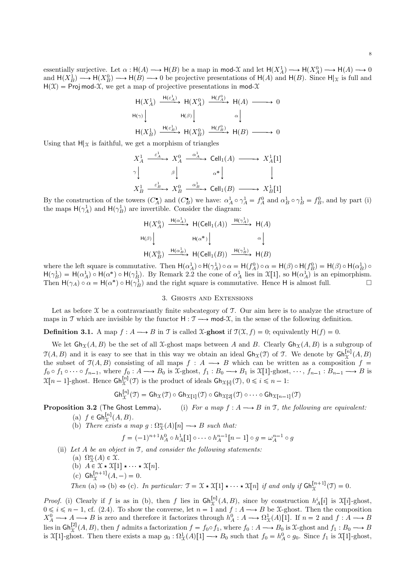essentially surjective. Let  $\alpha : H(A) \longrightarrow H(B)$  be a map in mod-X and let  $H(X_A^1) \longrightarrow H(X_A^0) \longrightarrow H(A) \longrightarrow 0$ and  $H(X_B^1) \longrightarrow H(X_B^0) \longrightarrow H(B) \longrightarrow 0$  be projective presentations of  $H(A)$  and  $H(B)$ . Since  $H|_X$  is full and  $H(\mathcal{X})$  = Proj mod-X, we get a map of projective presentations in mod-X

$$
\begin{array}{ccc}\n\mathsf{H}(X_A^1) & \xrightarrow{\mathsf{H}(\varepsilon_A^1)} \mathsf{H}(X_A^0) & \xrightarrow{\mathsf{H}(f_A^0)} \mathsf{H}(A) & \longrightarrow & 0 \\
\mathsf{H}(\gamma) & & \mathsf{H}(\beta) & & \alpha \downarrow \\
\mathsf{H}(X_B^1) & \xrightarrow{\mathsf{H}(\varepsilon_B^1)} \mathsf{H}(X_B^0) & \xrightarrow{\mathsf{H}(f_B^0)} \mathsf{H}(B) & \longrightarrow & 0\n\end{array}
$$

Using that  $H|\chi$  is faithful, we get a morphism of triangles

$$
X_A^1 \xrightarrow{\varepsilon_A^1} X_A^0 \xrightarrow{\alpha_A^1} \text{Cell}_1(A) \longrightarrow X_A^1[1]
$$
  
\n
$$
\gamma \downarrow \qquad \beta \downarrow \qquad \qquad \alpha^* \downarrow \qquad \qquad \downarrow
$$
  
\n
$$
X_B^1 \xrightarrow{\varepsilon_B^1} X_B^0 \xrightarrow{\alpha_B^1} \text{Cell}_1(B) \longrightarrow X_B^1[1]
$$

By the construction of the towers  $(C_A^{\bullet})$  and  $(C_B^{\bullet})$  we have:  $\alpha_A^1 \circ \gamma_A^1 = f_A^0$  and  $\alpha_B^1 \circ \gamma_B^1 = f_B^0$ , and by part (i) the maps  $H(\gamma_A^1)$  and  $H(\gamma_B^1)$  are invertible. Consider the diagram:

$$
\begin{array}{ccc}\n\mathsf{H}(X_A^0) & \xrightarrow{\mathsf{H}(\alpha_A^1)} \mathsf{H}(\mathsf{Cell}_1(A)) & \xrightarrow{\mathsf{H}(\gamma_A^1)} \mathsf{H}(A) \\
\mathsf{H}(\beta) & & \mathsf{H}(\alpha^*) & \alpha \n\end{array}
$$
\n
$$
\begin{array}{ccc}\n\mathsf{H}(X_B^0) & \xrightarrow{\mathsf{H}(\alpha_B^1)} \mathsf{H}(\mathsf{Cell}_1(B)) & \xrightarrow{\mathsf{H}(\gamma_B^1)} \mathsf{H}(B)\n\end{array}
$$

where the left square is commutative. Then  $H(\alpha_A^1) \circ H(\gamma_A^1) \circ \alpha = H(f_A^0) \circ \alpha = H(\beta) \circ H(f_B^0) = H(\beta) \circ H(\alpha_B^1) \circ$  $H(\gamma_B^1) = H(\alpha_A^1) \circ H(\alpha^*) \circ H(\gamma_B^1)$ . By Remark 2.2 the cone of  $\alpha_A^1$  lies in  $\mathfrak{X}[1]$ , so  $H(\alpha_A^1)$  is an epimorphism. Then  $H(\gamma_A) \circ \alpha = H(\alpha^*) \circ H(\gamma_B^1)$  and the right square is commutative. Hence H is almost full.  $\square$ 

### 3. Ghosts and Extensions

Let as before  $\mathfrak X$  be a contravariantly finite subcategory of  $\mathfrak T$ . Our aim here is to analyze the structure of maps in T which are invisible by the functor  $H : \mathcal{T} \longrightarrow \text{mod-}\mathcal{X}$ , in the sense of the following definition.

**Definition 3.1.** A map  $f : A \longrightarrow B$  in T is called X-ghost if  $\mathcal{T}(\mathcal{X}, f) = 0$ ; equivalently  $H(f) = 0$ .

We let  $\mathsf{Gh}_{\mathfrak{X}}(A, B)$  be the set of all X-ghost maps between A and B. Clearly  $\mathsf{Gh}_{\mathfrak{X}}(A, B)$  is a subgroup of  $\mathfrak{T}(A, B)$  and it is easy to see that in this way we obtain an ideal  $\mathsf{Gh}_{\mathfrak{X}}(\mathfrak{I})$  of T. We denote by  $\mathsf{Gh}_{\mathfrak{X}}^{[n]}(A, B)$ the subset of  $\mathcal{T}(A, B)$  consisting of all maps  $f : A \longrightarrow B$  which can be written as a composition  $f =$  $f_0 \circ f_1 \circ \cdots \circ f_{n-1}$ , where  $f_0 : A \longrightarrow B_0$  is  $\mathfrak{X}\text{-ghost}, f_1 : B_0 \longrightarrow B_1$  is  $\mathfrak{X}[1]\text{-ghost}, \cdots, f_{n-1} : B_{n-1} \longrightarrow B$  is  $\mathfrak{X}[n-1]$ -ghost. Hence  $\mathsf{Gh}_{\mathfrak{X}}^{[n]}(\mathfrak{I})$  is the product of ideals  $\mathsf{Gh}_{\mathfrak{X}[i]}(\mathfrak{I}), 0 \leqslant i \leqslant n-1$ :

$$
\mathsf{Gh}^{[n]}_{\mathfrak{X}}(\mathfrak{I}) = \mathsf{Gh}_{\mathfrak{X}}(\mathfrak{I}) \circ \mathsf{Gh}_{\mathfrak{X}[1]}(\mathfrak{I}) \circ \mathsf{Gh}_{\mathfrak{X}[2]}(\mathfrak{I}) \circ \cdots \circ \mathsf{Gh}_{\mathfrak{X}[n-1]}(\mathfrak{I})
$$

**Proposition 3.2** (The Ghost Lemma). (i) For a map  $f : A \longrightarrow B$  in T, the following are equivalent:

- (a)  $f \in \mathsf{Gh}_{\mathfrak{X}}^{[n]}(A, B).$
- (b) There exists a map  $g : \Omega^n_{\mathfrak{X}}(A)[n] \longrightarrow B$  such that:

$$
f = (-1)^{n+1} h_A^0 \circ h_A^1[1] \circ \cdots \circ h_A^{n-1}[n-1] \circ g = \omega_A^{n-1} \circ g
$$

- (ii) Let  $A$  be an object in  $\mathfrak{I}$ , and consider the following statements:
	- (a)  $\Omega_{\mathfrak{X}}^n(A) \in \mathfrak{X}.$
	- (b)  $A \in \mathcal{X} \star \mathcal{X}[1] \star \cdots \star \mathcal{X}[n].$
	- (c)  $\mathsf{Gh}_{\mathfrak{X}}^{[n+1]}(A,-) = 0.$

Then (a)  $\Rightarrow$  (b)  $\Rightarrow$  (c). In particular:  $\mathfrak{T} = \mathfrak{X} \star \mathfrak{X}[1] \star \cdots \star \mathfrak{X}[n]$  if and only if  $\mathsf{Gh}_{\mathfrak{X}}^{[n+1]}(\mathfrak{T}) = 0$ .

*Proof.* (i) Clearly if f is as in (b), then f lies in  $\mathsf{Gh}^{[n]}_{\mathcal{X}}(A, B)$ , since by construction  $h_A^i[i]$  is  $\mathcal{X}[i]$ -ghost, *N* root. (1) Creatly if f is as in (b), then f lies in Git<sub>X</sub> (A, D), since by construction  $n_A[t]$  is  $x[t]$ -ghost.<br> $0 \le i \le n-1$ , cf. (2.4). To show the converse, let  $n = 1$  and  $f : A \longrightarrow B$  be X-ghost. Then the composition  $X_A^0 \longrightarrow A \longrightarrow B$  is zero and therefore it factorizes through  $h_A^0 : A \longrightarrow \Omega^1_{\mathcal{X}}(A)[1]$ . If  $n = 2$  and  $f : A \longrightarrow B$ lies in  $\mathsf{Gh}^{[2]}_{\mathfrak{X}}(A,B)$ , then f admits a factorization  $f = f_0 \circ f_1$ , where  $f_0 : A \longrightarrow B_0$  is  $\mathfrak{X}$ -ghost and  $f_1 : B_0 \longrightarrow B$ is  $\mathfrak{X}[1]$ -ghost. Then there exists a map  $g_0: \Omega^1_{\mathfrak{X}}(A)[1] \longrightarrow B_0$  such that  $f_0 = h_A^0 \circ g_0$ . Since  $f_1$  is  $\mathfrak{X}[1]$ -ghost,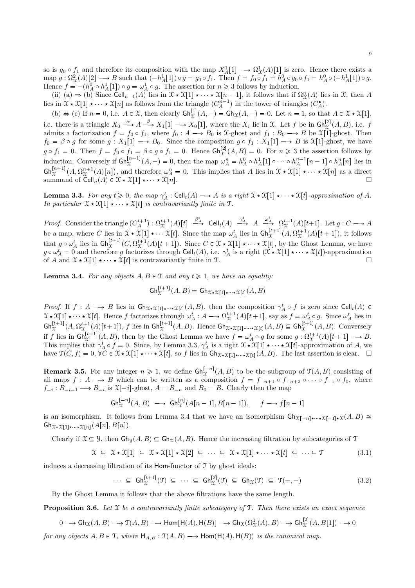so is  $g_0 \circ f_1$  and therefore its composition with the map  $X^1_A[1] \longrightarrow \Omega^1_{\mathfrak{X}}(A)[1]$  is zero. Hence there exists a  $\text{map } g: \Omega^2_{\mathcal{X}}(A)[2] \longrightarrow B \text{ such that } (-h^1_A[1]) \circ g = g_0 \circ f_1. \text{ Then } f = f_0 \circ f_1 = h^0_A \circ g_0 \circ f_1 = h^0_A \circ (-h^1_A[1]) \circ g.$ Hence  $f = -(h_A^0 \circ h_A^1[1]) \circ g = \omega_A^1 \circ g$ . The assertion for  $n \ge 3$  follows by induction.

(ii) (a)  $\Rightarrow$  (b) Since Cell<sub>n-1</sub>(A) lies in  $\mathfrak{X} \star \mathfrak{X}[1] \star \cdots \star \mathfrak{X}[n-1]$ , it follows that if  $\Omega_{\mathfrak{X}}^n(A)$  lies in X, then A lies in  $\mathfrak{X} \star \mathfrak{X}[1] \star \cdots \star \mathfrak{X}[n]$  as follows from the triangle  $(C_A^{n-1})$  in the tower of triangles  $(C_A^{\bullet})$ .

(b)  $\Leftrightarrow$  (c) If  $n = 0$ , i.e.  $A \in \mathcal{X}$ , then clearly  $\mathsf{Gh}_{\mathcal{X}}^{[1]}(A, -) = \mathsf{Gh}_{\mathcal{X}}(A, -) = 0$ . Let  $n = 1$ , so that  $A \in \mathcal{X} \star \mathcal{X}[1]$ , i.e. there is a triangle  $X_0 \xrightarrow{\alpha} A \xrightarrow{\beta} X_1[1] \longrightarrow X_0[1]$ , where the  $X_i$  lie in X. Let f be in  $\mathsf{G}\mathsf{h}^{[2]}_X(A,B)$ , i.e. f admits a factorization  $f = f_0 \circ f_1$ , where  $f_0 : A \longrightarrow B_0$  is  $\mathcal{X}$ -ghost and  $f_1 : B_0 \longrightarrow B$  be  $\mathcal{X}[1]$ -ghost. Then  $f_0 = \beta \circ g$  for some  $g : X_1[1] \longrightarrow B_0$ . Since the composition  $g \circ f_1 : X_1[1] \longrightarrow B$  is  $\mathfrak{X}[1]$ -ghost, we have  $g \circ f_1 = 0$ . Then  $f = f_0 \circ f_1 = \beta \circ g \circ f_1 = 0$ . Hence  $\mathsf{Gh}^{[2]}_{\mathcal{X}}(A, B) = 0$ . For  $n \geq 3$  the assertion follows by induction. Conversely if  $\mathsf{Gh}^{[n+1]}_{\mathcal{X}}(A,-) = 0$ , then the map  $\omega_A^n = h_A^0 \circ h_A^1[1] \circ \cdots \circ h_A^{n-1}[n-1] \circ h_A^n[n]$  lies in  $\mathsf{Gh}^{[n+1]}_{\mathfrak{X}}(A,\Omega^{n+1}_{\mathfrak{X}}(A)[n]),$  and therefore  $\omega^n_A = 0$ . This implies that A lies in  $\mathfrak{X} \star \mathfrak{X}[1] \star \cdots \star \mathfrak{X}[n]$  as a direct summand of  $\operatorname{Cell}_n(A) \in \mathfrak{X} \star \mathfrak{X}[1] \star \cdots \star \mathfrak{X}[n].$ 

**Lemma 3.3.** For any  $t \ge 0$ , the map  $\gamma_A^t : \text{Cell}_t(A) \longrightarrow A$  is a right  $\mathfrak{X} \star \mathfrak{X}[1] \star \cdots \star \mathfrak{X}[t]$ -approximation of A. In particular  $\mathfrak{X} \star \mathfrak{X}[1] \star \cdots \star \mathfrak{X}[t]$  is contravariantly finite in T.

Proof. Consider the triangle  $(C_A^{t+1}): \Omega_X^{t+1}(A)[t] \stackrel{\beta_A^t}{\longrightarrow}$  Cell $_t(A) \stackrel{\gamma_A^t}{\longrightarrow} A \stackrel{\omega_A^t}{\longrightarrow} \Omega_X^{t+1}(A)[t+1]$ . Let  $g: C \longrightarrow A$ be a map, where C lies in  $\mathfrak{X} \star \mathfrak{X}[1] \star \cdots \mathfrak{X}[t]$ . Since the map  $\omega_A^t$  lies in  $\mathsf{Gh}_{\mathfrak{X}}^{[t+1]}(A,\Omega_{\mathfrak{X}}^{t+1}(A)[t+1])$ , it follows that  $g \circ \omega_A^t$  lies in  $\mathsf{Gh}^{[t+1]}_{\mathcal{X}}(C, \Omega_{\mathcal{X}}^{t+1}(A)[t+1])$ . Since  $C \in \mathcal{X} \star \mathcal{X}[1] \star \cdots \star \mathcal{X}[t]$ , by the Ghost Lemma, we have  $g \circ \omega_A^t = 0$  and therefore g factorizes through  $\text{Cell}_t(A)$ , i.e.  $\gamma_A^t$  is a right  $(\mathfrak{X} \star \mathfrak{X}[1] \star \cdots \star \mathfrak{X}[t])$ -approximation of A and  $\mathcal{X} \star \mathcal{X}[1] \star \cdots \star \mathcal{X}[t]$  is contravariantly finite in T.

**Lemma 3.4.** For any objects  $A, B \in \mathcal{T}$  and any  $t \geq 1$ , we have an equality:

$$
\mathsf{Gh}_{\mathfrak{X}}^{[t+1]}(A,B) = \mathsf{Gh}_{\mathfrak{X}\star\mathfrak{X}[1]\star\cdots\star\mathfrak{X}[t]}(A,B)
$$

Proof. If  $f: A \longrightarrow B$  lies in  $\mathsf{G}h_{\mathfrak{X}\star\mathfrak{X}[1]\star\cdots\star\mathfrak{X}[t]}(A,B)$ , then the composition  $\gamma_A^t \circ f$  is zero since  $\mathsf{Cell}_t(A) \in$  $\mathfrak{X} \star \mathfrak{X}[1] \star \cdots \star \mathfrak{X}[t]$ . Hence f factorizes through  $\omega_A^t : A \longrightarrow \Omega_{\mathfrak{X}}^{t+1}(A)[t+1]$ , say as  $f = \omega_A^t \circ g$ . Since  $\omega_A^t$  lies in  $\mathsf{Gh}^{[t+1]}_{\mathfrak{X}}(A,\Omega^{t+1}_{\mathfrak{X}}(A)[t+1]),$  f lies in  $\mathsf{Gh}^{[t+1]}_{\mathfrak{X}}(A,B)$ . Hence  $\mathsf{Gh}_{\mathfrak{X}\star\mathfrak{X}}[1]\star\cdots\star\mathfrak{X}[t]}(A,B)\subseteq\mathsf{Gh}^{[t+1]}_{\mathfrak{X}}(A,B)$ . Conversely if f lies in  $\mathsf{Gh}^{[t+1]}_{\mathfrak{X}}(A, B)$ , then by the Ghost Lemma we have  $f = \omega^t_A \circ g$  for some  $g : \Omega^{t+1}_{\mathfrak{X}}(A)[t+1] \longrightarrow B$ . This implies that  $\gamma_A^t \circ f = 0$ . Since, by Lemma 3.3,  $\gamma_A^t$  is a right  $\mathfrak{X} \star \mathfrak{X}[1] \star \cdots \star \mathfrak{X}[t]$ -approximation of A, we have  $\mathfrak{T}(C, f) = 0$ ,  $\forall C \in \mathfrak{X} \star \mathfrak{X}[1] \star \cdots \star \mathfrak{X}[t]$ , so f lies in  $\mathsf{G} \mathsf{h}_{\mathfrak{X} \star \mathfrak{X}[1] \star \cdots \star \mathfrak{X}[t]}(A, B)$ . The last assertion is clear.  $\Box$ 

**Remark 3.5.** For any integer  $n \ge 1$ , we define  $\mathsf{Gh}_{\mathcal{X}}^{[-n]}(A, B)$  to be the subgroup of  $\mathcal{T}(A, B)$  consisting of all maps  $f : A \longrightarrow B$  which can be written as a composition  $f = f_{-n+1} \circ f_{-n+2} \circ \cdots \circ f_{-1} \circ f_0$ , where  $f_{-i}: B_{-i-1} \longrightarrow B_{-i}$  is  $\mathfrak{X}[-i]$ -ghost,  $A = B_{-n}$  and  $B_0 = B$ . Clearly then the map

$$
\mathsf{Gh}_{\mathfrak{X}}^{[-n]}(A,B) \longrightarrow \mathsf{Gh}_{\mathfrak{X}}^{[n]}(A[n-1],B[n-1]), \quad f \longrightarrow f[n-1]
$$

is an isomorphism. It follows from Lemma 3.4 that we have an isomorphism  $\mathsf{G}h_{\mathfrak{X}[-n]*\cdots*\mathfrak{X}[-1]*\mathfrak{X}}(A, B) \cong$  $\mathsf{G}\mathsf{h}_{\mathfrak{X}\star\mathfrak{X}[1]\star\cdots\star\mathfrak{X}[n]}(A[n],B[n]).$ 

Clearly if  $\mathcal{X} \subseteq \mathcal{Y}$ , then  $\mathsf{G}\mathsf{h}_{\mathcal{X}}(A, B) \subseteq \mathsf{G}\mathsf{h}_{\mathcal{X}}(A, B)$ . Hence the increasing filtration by subcategories of  $\mathcal T$ 

$$
\mathcal{X} \subseteq \mathcal{X} \star \mathcal{X}[1] \subseteq \mathcal{X} \star \mathcal{X}[1] \star \mathcal{X}[2] \subseteq \cdots \subseteq \mathcal{X} \star \mathcal{X}[1] \star \cdots \star \mathcal{X}[t] \subseteq \cdots \subseteq \mathcal{T}
$$
\n(3.1)

induces a decreasing filtration of its Hom-functor of T by ghost ideals:

$$
\cdots \subseteq \mathrm{Gh}_{\mathcal{X}}^{[t+1]}(\mathcal{I}) \subseteq \cdots \subseteq \mathrm{Gh}_{\mathcal{X}}^{[2]}(\mathcal{I}) \subseteq \mathrm{Gh}_{\mathcal{X}}(\mathcal{I}) \subseteq \mathcal{I}(-,-) \tag{3.2}
$$

By the Ghost Lemma it follows that the above filtrations have the same length.

**Proposition 3.6.** Let  $\mathcal{X}$  be a contravariantly finite subcategory of  $\mathcal{T}$ . Then there exists an exact sequence

$$
0\longrightarrow \text{Gh}_{\mathfrak{X}}(A,B)\longrightarrow \mathfrak{T}(A,B)\longrightarrow \text{Hom}\big[\text{H}(A),\text{H}(B)\big]\longrightarrow \text{Gh}_{\mathfrak{X}}(\Omega_{\mathfrak{X}}^1(A),B)\longrightarrow \text{Gh}_{\mathfrak{X}}^{[2]}(A,B[1])\longrightarrow 0
$$

for any objects  $A, B \in \mathcal{T}$ , where  $H_{A,B} : \mathcal{T}(A, B) \longrightarrow \text{Hom}(\mathcal{H}(A), \mathcal{H}(B))$  is the canonical map.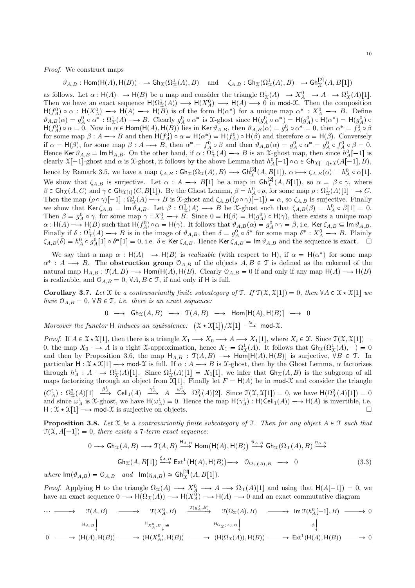Proof. We construct maps

 $\vartheta_{A,B} : \mathsf{Hom}(\mathsf{H}(A),\mathsf{H}(B)) \longrightarrow \mathsf{Gh}_{\mathfrak{X}}(\Omega^1_{\mathfrak{X}}(A), B) \quad \text{ and } \quad \zeta_{A,B} : \mathsf{Gh}_{\mathfrak{X}}(\Omega^1_{\mathfrak{X}}(A), B) \longrightarrow \mathsf{Gh}^{[2]}_{\mathfrak{X}}(A, B[1])$ 

as follows. Let  $\alpha : \mathsf{H}(A) \longrightarrow \mathsf{H}(B)$  be a map and consider the triangle  $\Omega^1_{\mathfrak{X}}(A) \longrightarrow X^0_A \longrightarrow A \longrightarrow \Omega^1_{\mathfrak{X}}(A)[1]$ . Then we have an exact sequence  $H(\Omega^1_{\mathfrak{X}}(A)) \longrightarrow H(X^0_A) \longrightarrow H(A) \longrightarrow 0$  in mod-X. Then the composition  $H(f_A^0) \circ \alpha : H(X_A^0) \longrightarrow H(A) \longrightarrow H(B)$  is of the form  $H(\alpha^*)$  for a unique map  $\alpha^* : X_A^0 \longrightarrow B$ . Define  $\vartheta_{A,B}(\alpha) = g_A^0 \circ \alpha^* : \Omega^1_{\mathfrak{X}}(A) \longrightarrow B$ . Clearly  $g_A^0 \circ \alpha^*$  is X-ghost since  $H(g_A^0 \circ \alpha^*) = H(g_A^0) \circ H(\alpha^*) = H(g_A^0) \circ$  $H(f_A^0) \circ \alpha = 0$ . Now in  $\alpha \in \text{Hom}(H(A), H(B))$  lies in Ker  $\vartheta_{A,B}$ , then  $\vartheta_{A,B}(\alpha) = g_A^0 \circ \alpha^* = 0$ , then  $\alpha^* = f_A^0 \circ \beta$ for some map  $\beta : A \longrightarrow B$  and then  $H(f_A^0) \circ \alpha = H(\alpha^*) = H(f_A^0) \circ H(\beta)$  and therefore  $\alpha = H(\beta)$ . Conversely if  $\alpha = H(\beta)$ , for some map  $\beta : A \longrightarrow B$ , then  $\alpha^* = f_A^0 \circ \beta$  and then  $\vartheta_{A,B}(\alpha) = g_A^0 \circ \alpha^* = g_A^0 \circ f_A^0 \circ \beta = 0$ . Hence Ker  $\vartheta_{A,B} = \text{Im } H_{A,B}$ . On the other hand, if  $\alpha : \Omega^1_{\mathfrak{X}}(A) \longrightarrow B$  is an  $\mathfrak{X}$ -ghost map, then since  $h^0_A[-1]$  is clearly  $X[-1]$ -ghost and  $\alpha$  is  $\mathcal X$ -ghost, it follows by the above Lemma that  $h_A^0[-1] \circ \alpha \in \mathsf{G} \mathsf{h}_{\mathcal X[-1]\star \mathcal X}(A[-1], B)$ , hence by Remark 3.5, we have a map  $\zeta_{A,B} : \mathsf{Gh}_{\mathfrak{X}}(\Omega_{\mathfrak{X}}(A), B) \longrightarrow \mathsf{Gh}_{\mathfrak{X}}^{[2]}(A, B[1]), \alpha \longmapsto \zeta_{A,B}(\alpha) = h_A^0 \circ \alpha[1].$ We show that  $\zeta_{A,B}$  is surjective. Let  $\alpha : A \longrightarrow B[1]$  be a map in  $\mathsf{Gh}^{[2]}_{\mathfrak{X}}(A,B[1])$ , so  $\alpha = \beta \circ \gamma$ , where  $\beta \in \mathsf{Gh}_{\mathfrak{X}}(A, C)$  and  $\gamma \in \mathsf{Gh}_{\mathfrak{X}[1]}(C, B[1])$ . By the Ghost Lemma,  $\beta = h_A^0 \circ \rho$ , for some map  $\rho : \Omega^1_{\mathfrak{X}}(A)[1] \longrightarrow C$ . Then the map  $(\rho \circ \gamma)[-1] : \Omega^1_{\mathfrak{X}}(A) \longrightarrow B$  is  $\mathfrak{X}$ -ghost and  $\zeta_{A,B}((\rho \circ \gamma)[-1]) = \alpha$ , so  $\zeta_{A,B}$  is surjective. Finally we show that  $\text{Ker }\zeta_{A,B} = \text{Im }\vartheta_{A,B}.$  Let  $\beta : \Omega^1_{\mathfrak{X}}(A) \longrightarrow B$  be X-ghost such that  $\zeta_{A,B}(\beta) = h^0_A \circ \beta[1] = 0.$ Then  $\beta = g_A^0 \circ \gamma$ , for some map  $\gamma : X_A^0 \longrightarrow B$ . Since  $0 = H(\beta) = H(g_A^0) \circ H(\gamma)$ , there exists a unique map  $\alpha: \mathsf{H}(A) \longrightarrow \mathsf{H}(B)$  such that  $\mathsf{H}(f_A^0) \circ \alpha = \mathsf{H}(\gamma)$ . It follows that  $\vartheta_{A,B}(\alpha) = g_A^0 \circ \gamma = \beta$ , i.e. Ker  $\zeta_{A,B} \subseteq \mathsf{Im} \,\vartheta_{A,B}$ . Finally if  $\delta : \Omega^1_{\mathfrak{X}}(A) \longrightarrow B$  is in the image of  $\vartheta_{A,B}$ , then  $\delta = g_A^0 \circ \delta^*$  for some map  $\delta^* : X_A^0 \longrightarrow B$ . Plainly  $\zeta_{A,B}(\delta) = h_A^0 \circ g_A^0[1] \circ \delta^*[1] = 0$ , i.e.  $\delta \in \text{Ker } \zeta_{A,B}$ . Hence  $\text{Ker } \zeta_{A,B} = \text{Im } \vartheta_{A,B}$  and the sequence is exact.  $\Box$ 

We say that a map  $\alpha : H(A) \longrightarrow H(B)$  is *realizable* (with respect to H), if  $\alpha = H(\alpha^*)$  for some map  $\alpha^*: A \longrightarrow B$ . The **obstruction group**  $\mathcal{O}_{A,B}$  of the objects  $A, B \in \mathcal{T}$  is defined as the cokernel of the natural map  $H_{A,B} : \mathcal{T}(A, B) \longrightarrow \text{Hom}(\mathcal{H}(A), \mathcal{H}(B))$ . Clearly  $\mathcal{O}_{A,B} = 0$  if and only if any map  $\mathcal{H}(A) \longrightarrow \mathcal{H}(B)$ is realizable, and  $\mathcal{O}_{A,B} = 0$ ,  $\forall A, B \in \mathcal{T}$ , if and only if H is full.

**Corollary 3.7.** Let X be a contravariantly finite subcategory of T. If  $\mathcal{T}(\mathcal{X}, \mathcal{X}[1]) = 0$ , then  $\forall A \in \mathcal{X} \star \mathcal{X}[1]$  we have  $\mathcal{O}_{A,B} = 0$ ,  $\forall B \in \mathcal{T}$ , *i.e.* there is an exact sequence:

$$
0 \longrightarrow \mathsf{Gh}_{\mathfrak{X}}(A,B) \longrightarrow \mathfrak{T}(A,B) \longrightarrow \mathsf{Hom}[\mathsf{H}(A),\mathsf{H}(B)] \longrightarrow 0
$$

Moreover the functor H induces an equivalence:  $(\mathfrak{X} \star \mathfrak{X}[1]) / \mathfrak{X}[1] \stackrel{\approx}{\longrightarrow} \text{mod-}\mathfrak{X}$ .

*Proof.* If  $A \in \mathfrak{X} \star \mathfrak{X}[1]$ , then there is a triangle  $X_1 \longrightarrow X_0 \longrightarrow A \longrightarrow X_1[1]$ , where  $X_i \in \mathfrak{X}$ . Since  $\mathfrak{X}(\mathfrak{X}[1]) =$ 0, the map  $X_0 \longrightarrow A$  is a right X-approximation, hence  $X_1 = \Omega^1_{\mathcal{X}}(A)$ . It follows that  $\mathsf{G}\mathsf{h}_{\mathcal{X}}(\Omega^1_{\mathcal{X}}(A),-) = 0$ and then by Proposition 3.6, the map  $H_{A,B} : \mathcal{T}(A, B) \longrightarrow \text{Hom}[H(A), H(B)]$  is surjective,  $\forall B \in \mathcal{T}$ . In particular  $H: \mathfrak{X} \star \mathfrak{X}[1] \longrightarrow \text{mod-}\mathfrak{X}$  is full. If  $\alpha: A \longrightarrow B$  is X-ghost, then by the Ghost Lemma,  $\alpha$  factorizes through  $h_A^1: A \longrightarrow \Omega^1_{\mathfrak{X}}(A)[1]$ . Since  $\Omega^1_{\mathfrak{X}}(A)[1] = X_1[1]$ , we infer that  $\mathsf{Gh}_{\mathfrak{X}}(A, B)$  is the subgroup of all maps factorizing through an object from  $\mathfrak{X}[1]$ . Finally let  $F = H(A)$  be in mod-X and consider the triangle  $(C_A^1): \Omega^2_{\mathcal{X}}(A)[1] \stackrel{\beta^1_A}{\longrightarrow} \text{Cell}_1(A) \stackrel{\gamma^1_A}{\longrightarrow} A \stackrel{\omega^1_A}{\longrightarrow} \Omega^2_{\mathcal{X}}(A)[2].$  Since  $\mathcal{T}(\mathcal{X}, \mathcal{X}[1]) = 0$ , we have  $\mathcal{H}(\Omega^2_{\mathcal{X}}(A)[1]) = 0$ and since  $\omega_A^1$  is X-ghost, we have  $H(\omega_A^1) = 0$ . Hence the map  $H(\gamma_A^1) : H(\text{Cell}_1(A)) \longrightarrow H(A)$  is invertible, i.e.  $H : \mathcal{X} \star \mathcal{X}[1] \longrightarrow \text{mod-}\mathcal{X}$  is surjective on objects.

**Proposition 3.8.** Let X be a contravariantly finite subcategory of T. Then for any object  $A \in \mathcal{T}$  such that  $\mathfrak{T}(\mathfrak{X}, A[-1]) = 0$ , there exists a 7-term exact sequence:

$$
0 \longrightarrow \text{Gh}_{\mathcal{X}}(A, B) \longrightarrow \mathcal{T}(A, B) \xrightarrow{\text{H}_{A, B}} \text{Hom}(\text{H}(A), \text{H}(B)) \xrightarrow{\vartheta_{A, B}} \text{Gh}_{\mathcal{X}}(\Omega_{\mathcal{X}}(A), B) \xrightarrow{\eta_{A, B}} \text{Gh}_{\mathcal{X}}(A, B[1]) \xrightarrow{\xi_{A, B}} \text{Ext}^{1}(\text{H}(A), \text{H}(B)) \longrightarrow 0_{\Omega_{\mathcal{X}}(A), B} \longrightarrow 0
$$
\n(3.3)

where  $\text{Im}(\vartheta_{A,B}) = \mathcal{O}_{A,B}$  and  $\text{Im}(\eta_{A,B}) \cong \text{Gh}_{\mathcal{X}}^{[2]}(A,B[1]).$ 

*Proof.* Applying H to the triangle  $\Omega_{\mathfrak{X}}(A) \longrightarrow X^0_A \longrightarrow A \longrightarrow \Omega_{\mathfrak{X}}(A)[1]$  and using that  $H(A[-1]) = 0$ , we have an exact sequence  $0 \longrightarrow H(\Omega_X(A)) \longrightarrow H(X_A^0) \longrightarrow H(A) \longrightarrow 0$  and an exact commutative diagram

$$
\begin{array}{ccccccc}\n & \xrightarrow{\hspace{15mm}} & \mathfrak{T}(A,B) & \xrightarrow{\hspace{15mm}} & \mathfrak{T}(X_A^0,B) & \xrightarrow{\hspace{15mm}} & \mathfrak{T}(\Omega_{\mathfrak{X}}(A),B) & \xrightarrow{\hspace{15mm}} & \operatorname{Im} \mathfrak{T}(h_A^0[-1],B) & \xrightarrow{\hspace{15mm}} & 0 \\
 & & \xrightarrow{\hspace{15mm}} & \mathfrak{H}_{A,B} & \xrightarrow{\hspace{15mm}} & \mathfrak{H}_{A,B} & \xrightarrow{\hspace{15mm}} & \mathfrak{H}_{B,B} & \xrightarrow{\hspace{15mm}} & \mathfrak{H}_{B,B} & \xrightarrow{\hspace{15mm}} & 0 \\
 & & & \xrightarrow{\hspace{15mm}} & \mathfrak{H}_{A,B} & \xrightarrow{\hspace{15mm}} & \mathfrak{H}_{B,B} & \xrightarrow{\hspace{15mm}} & \mathfrak{H}_{B,B} & \xrightarrow{\hspace{15mm}} & 0 \\
 & & & \xrightarrow{\hspace{15mm}} & \mathfrak{H}_{B,B} & \xrightarrow{\hspace{15mm}} & \mathfrak{H}_{B,B} & \xrightarrow{\hspace{15mm}} & \mathfrak{H}_{B,B} & \xrightarrow{\hspace{15mm}} & 0 \\
 & & & & \xrightarrow{\hspace{15mm}} & \mathfrak{H}_{B,B} & \xrightarrow{\hspace{15mm}} & \mathfrak{H}_{B,B} & \xrightarrow{\hspace{15mm}} & 0 \\
 & & & & \xrightarrow{\hspace{15mm}} & \mathfrak{H}_{B,B} & \xrightarrow{\hspace{15mm}} & \mathfrak{H}_{B,B} & \xrightarrow{\hspace{15mm}} & 0 \\
 & & & & \xrightarrow{\hspace{15mm}} & \mathfrak{H}_{B,B} & \xrightarrow{\hspace{15mm}} & \mathfrak{H}_{B,B} & \xrightarrow{\hspace{15mm}} & 0 \\
 & & & & \xrightarrow{\hspace{15mm}} & \mathfrak{H}_{B,B} & \xrightarrow{\hspace{15mm}} & 0 & \xrightarrow{\hspace{15mm}} & 0 \\
 & & & & \xrightarrow{\hspace{15mm}} & \mathfrak{H}_{B,B} & \xrightarrow{\hspace{15mm}} & 0 & \xrightarrow{\hspace{15mm}} & 0 & \xrightarrow{\hspace{15mm}} & 0 \\
 & & & & \xrightarrow{\hspace{15
$$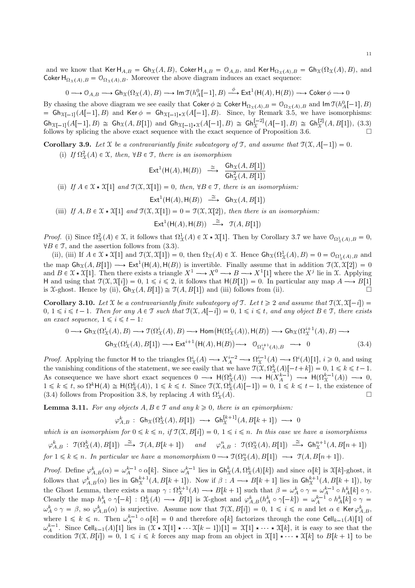and we know that Ker  $H_{A,B} = Gh_{\mathfrak{X}}(A,B)$ , Coker  $H_{A,B} = \mathcal{O}_{A,B}$ , and Ker  $H_{\Omega_{\mathfrak{X}}(A),B} = Gh_{\mathfrak{X}}(\Omega_{\mathfrak{X}}(A), B)$ , and Coker  $H_{\Omega_X(A),B} = \mathcal{O}_{\Omega_X(A),B}$ . Moreover the above diagram induces an exact sequence:

$$
0\longrightarrow \mathcal O_{A,B}\longrightarrow \mathop{\rm Gh}\nolimits_{\mathfrak X}(\Omega_{\mathfrak X}(A),B)\longrightarrow \text{Im\,} \mathfrak T(h_A^0[-1],B)\stackrel{\phi}{\longrightarrow} \text{\rm Ext}^1(\mathsf H(A),\mathsf H(B))\longrightarrow \text{\rm Coker}\,\phi\longrightarrow 0
$$

By chasing the above diagram we see easily that Coker  $\phi \cong \text{Coker } H_{\Omega_{\mathfrak{X}}(A),B} = \mathcal{O}_{\Omega_{\mathfrak{X}}(A),B}$  and  $\text{Im } \mathfrak{I}(h_A^0[-1],B)$  $G = Gh_{\mathfrak{X}[-1]}(A[-1], B)$  and Ker  $\phi = Gh_{\mathfrak{X}[-1]*\mathfrak{X}}(A[-1], B)$ . Since, by Remark 3.5, we have isomorphisms:  $\mathsf{G}h_{\mathfrak{X}[-1]}(A[-1],B) \cong \mathsf{G}h_{\mathfrak{X}}(A,B[1])$  and  $\mathsf{G}h_{\mathfrak{X}[-1]\star \mathfrak{X}}(A[-1],B) \cong \mathsf{G}h_{\mathfrak{X}}^{[-2]}(A[-1],B) \cong \mathsf{G}h_{\mathfrak{X}}^{[2]}(A,B[1]),$  (3.3) follows by splicing the above exact sequence with the exact sequence of Proposition 3.6.  $\Box$ 

**Corollary 3.9.** Let X be a contravariantly finite subcategory of T, and assume that  $\mathcal{T}(\mathcal{X}, A[-1]) = 0$ .

(i) If  $\Omega^2_{\mathcal{X}}(A) \in \mathcal{X}$ , then,  $\forall B \in \mathcal{T}$ , there is an isomorphism

$$
\mathsf{Ext}^1(\mathsf{H}(A),\mathsf{H}(B)) \xrightarrow{\cong} \frac{\mathsf{Gh}_{\mathfrak{X}}(A,B[1])}{\mathsf{Gh}_{\mathfrak{X}}^2(A,B[1])}
$$

(ii) If  $A \in \mathcal{X} \star \mathcal{X}[1]$  and  $\mathcal{T}(\mathcal{X}, \mathcal{X}[1]) = 0$ , then,  $\forall B \in \mathcal{T}$ , there is an isomorphism:

$$
\mathsf{Ext}^1(\mathsf{H}(A), \mathsf{H}(B)) \stackrel{\cong}{\longrightarrow} \mathsf{Gh}_{\mathfrak{X}}(A, B[1])
$$

(iii) If  $A, B \in \mathcal{X} \times \mathcal{X}[1]$  and  $\mathcal{T}(\mathcal{X}, \mathcal{X}[1]) = 0 = \mathcal{T}(\mathcal{X}, \mathcal{X}[2])$ , then there is an isomorphism:

 $\mathsf{Ext}^1(\mathsf{H}(A),\mathsf{H}(B)) \stackrel{\cong}{\longrightarrow} \mathfrak{T}(A,B[1])$ 

*Proof.* (i) Since  $\Omega^2_{\mathcal{X}}(A) \in \mathcal{X}$ , it follows that  $\Omega^1_{\mathcal{X}}(A) \in \mathcal{X} \times \mathcal{X}[1]$ . Then by Corollary 3.7 we have  $\mathcal{O}_{\Omega^1_{\mathcal{X}}(A),B} = 0$ ,  $\forall B \in \mathcal{T}$ , and the assertion follows from (3.3).

(ii), (iii) If  $A \in \mathcal{X} \star \mathcal{X}[1]$  and  $\mathcal{T}(\mathcal{X}, \mathcal{X}[1]) = 0$ , then  $\Omega_{\mathcal{X}}(A) \in \mathcal{X}$ . Hence  $\mathsf{Gh}_{\mathcal{X}}(\Omega_{\mathcal{X}}^1(A), B) = 0 = \mathcal{O}_{\Omega_{\mathcal{X}}^1(A), B}$  and the map  $\textsf{Gh}_{\mathfrak{X}}(A, B[1]) \longrightarrow \textsf{Ext}^1(\mathsf{H}(A), \mathsf{H}(B))$  is invertible. Finally assume that in addition  $\mathfrak{T}(\mathfrak{X}, \mathfrak{X}[2]) = 0$ and  $B \in \mathfrak{X} \star \mathfrak{X}[1]$ . Then there exists a triangle  $X^1 \longrightarrow X^0 \longrightarrow B \longrightarrow X^1[1]$  where the  $X^j$  lie in X. Applying H and using that  $\mathcal{T}(\mathcal{X}, \mathcal{X}[i]) = 0, 1 \leq i \leq 2$ , it follows that  $H(B[1]) = 0$ . In particular any map  $A \longrightarrow B[1]$ is X-ghost. Hence by (ii),  $\mathsf{Gh}_{\mathfrak{X}}(A, B[1]) \cong \mathfrak{I}(A, B[1])$  and (iii) follows from (ii).

**Corollary 3.10.** Let X be a contravariantly finite subcategory of T. Let  $t \geq 2$  and assume that  $\mathcal{T}(\mathcal{X}, \mathcal{X}[-i]) =$  $0, 1 \leq i \leq t-1$ . Then for any  $A \in \mathcal{T}$  such that  $\mathcal{T}(\mathcal{X}, A[-i]) = 0, 1 \leq i \leq t$ , and any object  $B \in \mathcal{T}$ , there exists an exact sequence,  $1 \leq i \leq t - 1$ :

$$
0 \longrightarrow \text{Gh}_{\mathcal{X}}(\Omega_{\mathcal{X}}^{i}(A), B) \longrightarrow \mathcal{T}(\Omega_{\mathcal{X}}^{i}(A), B) \longrightarrow \text{Hom}(\text{H}(\Omega_{\mathcal{X}}^{i}(A)), \text{H}(B)) \longrightarrow \text{Gh}_{\mathcal{X}}(\Omega_{\mathcal{X}}^{i+1}(A), B) \longrightarrow \text{Gh}_{\mathcal{X}}(\Omega_{\mathcal{X}}^{i}(A), B[1]) \longrightarrow \text{Ext}^{i+1}(\text{H}(A), \text{H}(B)) \longrightarrow 0_{\Omega_{\mathcal{X}}^{i+1}(A), B} \longrightarrow 0
$$
\n(3.4)

*Proof.* Applying the functor H to the triangles  $\Omega^i_{\mathcal{X}}(A) \longrightarrow X^{i-2}_A \longrightarrow \Omega^{i-1}_{\mathcal{X}}(A) \longrightarrow \Omega^i(A)[1], i \geq 0$ , and using the vanishing conditions of the statement, we see easily that we have  $\mathcal{T}(\mathcal{X}, \Omega^k_{\mathcal{X}}(A)[-t+k]) = 0, 1 \leq k \leq t-1$ . As consequence we have short exact sequences  $0 \longrightarrow H(\Omega_{\mathfrak{X}}^k(A)) \longrightarrow H(X_A^{k-1}) \longrightarrow H(\Omega_{\mathfrak{X}}^{k-1}(A)) \longrightarrow 0$ ,  $1 \leq k \leq t$ , so  $\Omega^k \mathsf{H}(A) \cong \mathsf{H}(\Omega^k_{\mathfrak{X}}(A)), 1 \leq k \leq t$ . Since  $\mathfrak{T}(\mathfrak{X}, \Omega^k_{\mathfrak{X}}(A)[-1]) = 0, 1 \leq k \leq t-1$ , the existence of (3.4) follows from Proposition 3.8, by replacing A with  $\Omega^i_{\Upsilon}(A)$ .  $\frac{i}{\chi}(A)$ .

**Lemma 3.11.** For any objects  $A, B \in \mathcal{T}$  and any  $k \geq 0$ , there is an epimorphism:

$$
\varphi_{A,B}^k : \; \mathsf{Gh}_{\mathfrak{X}}(\Omega_\mathfrak{X}^k(A), B[1]) \; \longrightarrow \; \mathsf{Gh}_{\mathfrak{X}}^{[k+1]}(A, B[k+1]) \; \longrightarrow \; 0
$$

which is an isomorphism for  $0 \leq k \leq n$ , if  $\mathcal{T}(\mathcal{X}, B[i]) = 0$ ,  $1 \leq i \leq n$ . In this case we have a isomorphisms

$$
\varphi_{A,B}^k : \mathfrak{T}(\Omega_X^k(A), B[1]) \xrightarrow{\cong} \mathfrak{T}(A, B[k+1]) \quad \text{and} \quad \varphi_{A,B}^n : \mathfrak{T}(\Omega_X^n(A), B[1]) \xrightarrow{\cong} \mathsf{G}\mathsf{h}_X^{n+1}(A, B[n+1])
$$
  
for  $1 \leq k \leq n$ . In particular we have a monomorphism  $0 \longrightarrow \mathfrak{T}(\Omega_X^n(A), B[1]) \longrightarrow \mathfrak{T}(A, B[n+1])$ .

Proof. Define  $\varphi_{A,B}^k(\alpha) = \omega_A^{k-1} \circ \alpha[k]$ . Since  $\omega_A^{k-1}$  lies in  $\mathsf{Gh}_\mathfrak{X}^k(A,\Omega_\mathfrak{X}^k(A)[k])$  and since  $\alpha[k]$  is  $\mathfrak{X}[k]$ -ghost, it follows that  $\varphi_{A,B}^k(\alpha)$  lies in  $\mathsf{Gh}^{k+1}_\mathfrak{X}(A,B[k+1])$ . Now if  $\beta: A \longrightarrow B[k+1]$  lies in  $\mathsf{Gh}^{k+1}_\mathfrak{X}(A,B[k+1])$ , by the Ghost Lemma, there exists a map  $\gamma : \Omega_{\mathcal{X}}^{k+1}(A) \longrightarrow B[k+1]$  such that  $\beta = \omega_A^k \circ \gamma = \omega_A^{k-1} \circ h_A^k[k] \circ \gamma$ . Clearly the map  $h_A^k \circ \gamma[-k] : \Omega^k_{\mathfrak{X}}(A) \longrightarrow B[1]$  is X-ghost and  $\varphi_{A,B}^k(h_A^k \circ \gamma[-k]) = \omega_A^{k-1} \circ h_A^k[k] \circ \gamma =$  $\omega_A^k \circ \gamma = \beta$ , so  $\varphi_{A,B}^k(\alpha)$  is surjective. Assume now that  $\mathcal{T}(\mathcal{X}, B[i]) = 0, 1 \leq i \leq n$  and let  $\alpha \in \text{Ker } \varphi_{A,B}^k$ , where  $1 \leq k \leq n$ . Then  $\omega_A^{k-1} \circ \alpha[k] = 0$  and therefore  $\alpha[k]$  factorizes through the cone Cell<sub>k-1</sub>(A)[1] of  $\omega_A^{k-1}$ . Since Cell<sub>k-1</sub>(A)[1] lies in  $(\mathfrak{X} \star \mathfrak{X}[1] \star \cdots \mathfrak{X}[k-1])[1] = \mathfrak{X}[1] \star \cdots \star \mathfrak{X}[k]$ , it is easy to see that the condition  $\mathfrak{T}(\mathfrak{X}, B[i]) = 0, 1 \leq i \leq k$  forces any map from an object in  $\mathfrak{X}[1] \star \cdots \star \mathfrak{X}[k]$  to  $B[k+1]$  to be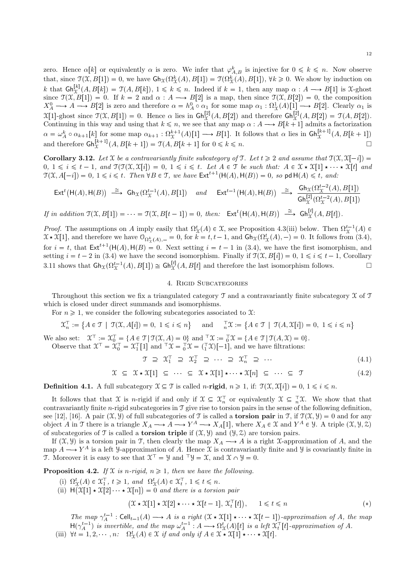zero. Hence  $\alpha[k]$  or equivalently  $\alpha$  is zero. We infer that  $\varphi_{A,B}^k$  is injective for  $0 \leq k \leq n$ . Now observe that, since  $\mathcal{T}(\mathcal{X}, B[1]) = 0$ , we have  $\mathsf{Gh}_{\mathcal{X}}(\Omega_{\mathcal{X}}^k(A), B[1]) = \mathcal{T}(\Omega_{\mathcal{X}}^k(A), B[1])$ ,  $\forall k \geq 0$ . We show by induction on k that  $\mathsf{Gh}^{[k]}_{\Upsilon}(A, B[k]) = \mathcal{T}(A, B[k])$ ,  $1 \le k \le n$ . Indeed if  $k = 1$ , then any map  $\alpha : A \longrightarrow B[1]$  is *X*-ghost  $\mathcal{X}_{\mathcal{X}_{\mathcal{X}_{\mathcal{X}}}}^{[k]}(A, B[k]) = \mathcal{Y}(A, B[k]), 1 \leq k \leq n.$  Indeed if  $k = 1$ , then any map  $\alpha : A \longrightarrow B[1]$  is X-ghost since  $\mathcal{T}(\mathcal{X}, B[1]) = 0$ . If  $k = 2$  and  $\alpha : A \longrightarrow B[2]$  is a map, then since  $\mathcal{T}(\mathcal{X}, B[2]) = 0$ , the composition  $X_A^0 \longrightarrow A \longrightarrow B[2]$  is zero and therefore  $\alpha = h_A^0 \circ \alpha_1$  for some map  $\alpha_1 : \Omega^1_{\mathfrak{X}}(A)[1] \longrightarrow B[2]$ . Clearly  $\alpha_1$  is  $\mathfrak{X}[1]$ -ghost since  $\mathfrak{I}(\mathfrak{X}, B[1]) = 0$ . Hence  $\alpha$  lies in  $\mathsf{Gh}_{\mathfrak{X}}^{[2]}(A, B[2])$  and therefore  $\mathsf{Gh}_{\mathfrak{X}}^{[2]}(A, B[2]) = \mathfrak{I}(A, B[2])$ . Continuing in this way and using that  $k \leq n$ , we see that any map  $\alpha : A \longrightarrow B[k+1]$  admits a factorization  $\alpha = \omega_A^k \circ \alpha_{k+1}[k]$  for some map  $\alpha_{k+1} : \Omega_X^{k+1}(A)[1] \longrightarrow B[1]$ . It follows that  $\alpha$  lies in  $\mathsf{Gh}_X^{[k+1]}(A, B[k+1])$ and therefore  $\mathsf{Gh}^{[k+1]}_{\mathfrak{X}}(A, B[k+1]) = \mathfrak{I}(A, B[k+1])$  for  $0 \leq k \leq n$ .

Corollary 3.12. Let X be a contravariantly finite subcategory of T. Let  $t \geq 2$  and assume that  $\mathcal{T}(\mathcal{X}, \mathcal{X}[-i]) =$  $0, 1 \leq i \leq t-1, \text{ and } \mathfrak{I}(\mathfrak{I}(\mathfrak{X}, \mathfrak{X}[i]) = 0, 1 \leq i \leq t. \text{ Let } A \in \mathfrak{I} \text{ be such that: } A \in \mathfrak{X} \star \mathfrak{X}[1] \star \cdots \star \mathfrak{X}[t] \text{ and }$  $\mathfrak{T}(\mathfrak{X}, A[-i]) = 0, 1 \leq i \leq t$ . Then  $\forall B \in \mathfrak{T}$ , we have  $\mathsf{Ext}^{t+1}(\mathsf{H}(A), \mathsf{H}(B)) = 0$ , so pd  $\mathsf{H}(A) \leq t$ , and:

$$
\mathsf{Ext}^t\big(\mathsf{H}(A),\mathsf{H}(B)\big) \xrightarrow{\cong} \mathsf{Gh}_{\mathfrak{X}}(\Omega_{\mathfrak{X}}^{t-1}(A),B[1]) \quad \text{and} \quad \mathsf{Ext}^{t-1}\big(\mathsf{H}(A),\mathsf{H}(B)\big) \xrightarrow{\cong} \frac{\mathsf{Gh}_{\mathfrak{X}}(\Omega_{\mathfrak{X}}^{t-2}(A),B[1])}{\mathsf{Gh}_{\mathfrak{X}}^{[2]}(\Omega_{\mathfrak{X}}^{t-2}(A),B[1])}
$$
\n
$$
\text{If in addition } \mathfrak{I}(\mathfrak{X},B[1]) = \cdots = \mathfrak{I}(\mathfrak{X},B[t-1]) = 0, \text{ then: } \quad \mathsf{Ext}^t\big(\mathsf{H}(A),\mathsf{H}(B)\big) \xrightarrow{\cong} \mathsf{Gh}_{\mathfrak{X}}^{[t]}(A,B[t]).
$$

*Proof.* The assumptions on A imply easily that  $\Omega_{\mathcal{X}}^{t}(A) \in \mathcal{X}$ , see Proposition 4.3(iii) below. Then  $\Omega_{\mathcal{X}}^{t-1}(A) \in$  $\mathfrak{X} \star \mathfrak{X}[1]$ , and therefore we have  $\mathcal{O}_{\Omega^k_{\mathfrak{X}}(A), -} = 0$ , for  $k = t, t - 1$ , and  $\mathsf{Gh}_{\mathfrak{X}}(\Omega^t_{\mathfrak{X}}(A), -) = 0$ . It follows from (3.4), for  $i = t$ , that  $\mathsf{Ext}^{t+1}(\mathsf{H}(A), \mathsf{H}(B) = 0$ . Next setting  $i = t - 1$  in (3.4), we have the first isomorphism, and setting  $i = t - 2$  in (3.4) we have the second isomorphism. Finally if  $\mathcal{T}(\mathcal{X}, B[i]) = 0, 1 \leq i \leq t - 1$ , Corollary 3.11 shows that  $\mathsf{Gh}_{\mathfrak{X}}(\Omega_{\mathfrak{X}}^{t-1}(A), B[1]) \cong \mathsf{Gh}_{\mathfrak{X}}^{[t]}(A, B[t]$  and therefore the last isomorphism follows.

### 4. Rigid Subcategories

Throughout this section we fix a triangulated category  $\mathcal T$  and a contravariantly finite subcategory  $\mathcal X$  of  $\mathcal T$ which is closed under direct summands and isomorphisms.

For  $n \geq 1$ , we consider the following subcategories associated to X:

$$
\mathcal{X}_n^{\top} := \{ A \in \mathcal{T} \mid \mathcal{T}(\mathcal{X}, A[i]) = 0, 1 \leq i \leq n \} \quad \text{and} \quad \frac{\top}{n}\mathcal{X} := \{ A \in \mathcal{T} \mid \mathcal{T}(A, \mathcal{X}[i]) = 0, 1 \leq i \leq n \}
$$

We also set:  $\mathcal{X}^{\top} := \mathcal{X}_0^{\top} = \{A \in \mathcal{T} | \mathcal{T}(\mathcal{X}, A) = 0\}$  and  $\mathcal{T}\mathcal{X} := \{A \in \mathcal{T} | \mathcal{T}(A, \mathcal{X}) = 0\}.$ Observe that  $\mathfrak{X}^{\top} = \mathfrak{X}_{0}^{\top} = \mathfrak{X}_{1}^{\top}[1]$  and  $\top \mathfrak{X} = \top \mathfrak{X} = (\top \mathfrak{X})[-1]$ , and we have filtrations:

 $\mathcal{T} \supseteq \mathcal{X}_1^{\perp} \supseteq \mathcal{X}_2^{\perp} \supseteq \cdots \supseteq \mathcal{X}_n^{\perp} \supseteq \cdots$  (4.1)

$$
\mathcal{X} \subseteq \mathcal{X} \star \mathcal{X}[1] \subseteq \cdots \subseteq \mathcal{X} \star \mathcal{X}[1] \star \cdots \star \mathcal{X}[n] \subseteq \cdots \subseteq \mathcal{T}
$$
\n
$$
(4.2)
$$

**Definition 4.1.** A full subcategory  $\mathcal{X} \subseteq \mathcal{T}$  is called *n*-rigid,  $n \geq 1$ , if:  $\mathcal{T}(\mathcal{X}, \mathcal{X}[i]) = 0, 1 \leq i \leq n$ .

It follows that that X is *n*-rigid if and only if  $X \subseteq \mathfrak{X}_n^{\top}$  or equivalently  $\mathfrak{X} \subseteq \overline{X}_n^{\top}$ . We show that that contravariantly finite *n*-rigid subcategories in  $\mathcal T$  give rise to torsion pairs in the sense of the following definition, see [12], [16]. A pair  $(\mathfrak{X}, \mathfrak{Y})$  of full subcategories of T is called a **torsion pair** in T, if  $\mathfrak{T}(\mathfrak{X}, \mathfrak{Y}) = 0$  and for any object A in T there is a triangle  $X_A \longrightarrow A \longrightarrow Y^A \longrightarrow X_A[1]$ , where  $X_A \in \mathfrak{X}$  and  $Y^A \in \mathcal{Y}$ . A triple  $(\mathfrak{X}, \mathcal{Y}, \mathcal{Z})$ of subcategories of  $\mathcal T$  is called a **torsion triple** if  $(\mathfrak X, \mathcal Y)$  and  $(\mathcal Y, \mathcal Z)$  are torsion pairs.

If  $(\mathfrak{X}, \mathfrak{Y})$  is a torsion pair in T, then clearly the map  $X_A \longrightarrow A$  is a right X-approximation of A, and the map  $A \longrightarrow Y^A$  is a left Y-approximation of A. Hence X is contravariantly finite and Y is covariantly finite in T. Moreover it is easy to see that  $\mathfrak{X}^{\top} = \mathfrak{Y}$  and  $\mathfrak{Y} = \mathfrak{X}$ , and  $\mathfrak{X} \cap \mathfrak{Y} = 0$ .

**Proposition 4.2.** If X is n-rigid,  $n \geq 1$ , then we have the following.

- (i)  $\Omega^t_{\mathcal{X}}(A) \in \mathfrak{X}_1^{\top}, t \geq 1$ , and  $\Omega^t_{\mathcal{X}}(A) \in \mathfrak{X}_t^{\top}, 1 \leq t \leq n$ .
- (ii)  $H(X[1] \star X[2] \cdots \star X[n]) = 0$  and there is a torsion pair

$$
(\mathcal{X} \star \mathcal{X}[1] \star \mathcal{X}[2] \star \cdots \star \mathcal{X}[t-1], \mathcal{X}_t^{\top}[t]), \quad 1 \leq t \leq n
$$
 (\*)

The map  $\gamma_A^{t-1}$ : Cell<sub>t-1</sub>(A)  $\longrightarrow$  A is a right  $(\mathfrak{X} \star \mathfrak{X}[1] \star \cdots \star \mathfrak{X}[t-1])$ -approximation of A, the map  $H(\gamma_A^{t-1})$  is invertible, and the map  $\omega_A^{t-1}: A \longrightarrow \Omega_X^t(A)[t]$  is a left  $\mathfrak{X}_t^{\top}[t]$ -approximation of A. (iii)  $\forall t = 1, 2, \cdots, n: \quad \Omega^t_{\mathcal{X}}(A) \in \mathcal{X}$  if and only if  $A \in \mathcal{X} \star \mathcal{X}[1] \star \cdots \star \mathcal{X}[t]$ .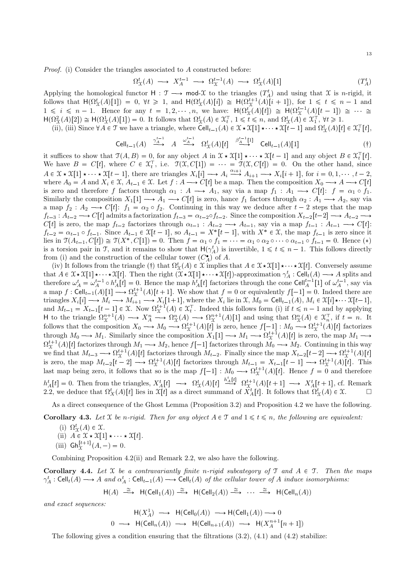*Proof.* (i) Consider the triangles associated to A constructed before:

$$
\Omega^t_{\mathfrak{X}}(A) \longrightarrow X_A^{t-1} \longrightarrow \Omega^{t-1}_{\mathfrak{X}}(A) \longrightarrow \Omega^t_{\mathfrak{X}}(A)[1] \tag{T_A^t}
$$

Applying the homological functor  $H : \mathcal{T} \longrightarrow \text{mod-}\mathcal{X}$  to the triangles  $(T_A^t)$  and using that  $\mathcal{X}$  is *n*-rigid, it follows that  $H(\Omega^t_X(A)[1]) = 0$ ,  $\forall t \ge 1$ , and  $H(\Omega^t_X(A)[i]) \cong H(\Omega^{t+1}_X(A)[i+1])$ , for  $1 \le t \le n-1$  and  $1 \leq i \leq n-1$ . Hence for any  $t = 1, 2, \dots, n$ , we have:  $H(\Omega^t_{\mathcal{X}}(A)[t]) \cong H(\Omega^{t-1}_{\mathcal{X}}(A)[t-1]) \cong \cdots \cong$  $H(\Omega^2_X(A)[2]) \cong H(\Omega^1_X(A)[1]) = 0$ . It follows that  $\Omega^t_X(A) \in \mathfrak{X}_t^{\top}$ ,  $1 \le t \le n$ , and  $\Omega^t_X(A) \in \mathfrak{X}_1^{\top}$ ,  $\forall t \ge 1$ .

(ii), (iii) Since  $\forall A \in \mathcal{T}$  we have a triangle, where  $\text{Cell}_{t-1}(A) \in \mathcal{X} \star \mathcal{X}[1] \star \cdots \star \mathcal{X}[t-1]$  and  $\Omega^t_{\Upsilon}(A)[t] \in \mathcal{X}_t^{\top}[t]$ ,

$$
\text{Cell}_{t-1}(A) \xrightarrow{\gamma_A^{t-1}} A \xrightarrow{\omega_A^{t-1}} \Omega^t_{\mathcal{X}}(A)[t] \xrightarrow{\beta_A^{t-1}[1]} \text{Cell}_{t-1}(A)[1] \tag{\dagger}
$$

it suffices to show that  $\mathfrak{T}(A, B) = 0$ , for any object A in  $\mathfrak{X} \star \mathfrak{X}[1] \star \cdots \star \mathfrak{X}[t-1]$  and any object  $B \in \mathfrak{X}_t^{\top}[t]$ . We have  $B = C[t]$ , where  $C \in \mathfrak{X}_t^{\top}$ , i.e.  $\mathfrak{T}(\mathfrak{X}, C[1]) = \mathfrak{T}(\mathfrak{X}, C[t]) = 0$ . On the other hand, since  $A \in \mathcal{X} \star \mathcal{X}[1] \star \cdots \star \mathcal{X}[t-1]$ , there are triangles  $X_i[i] \longrightarrow A_i \stackrel{\alpha_{i+1}}{\longrightarrow} A_{i+1} \longrightarrow X_i[i+1]$ , for  $i = 0, 1, \ldots, t-2$ , where  $A_0 = A$  and  $X_i \in \mathcal{X}$ ,  $A_{t-1} \in \mathcal{X}$ . Let  $f : A \longrightarrow C[t]$  be a map. Then the composition  $X_$ is zero and therefore f factors through  $\alpha_1 : A \longrightarrow A_1$ , say via a map  $f_1 : A_1 \longrightarrow C[t] : f = \alpha_1 \circ f_1$ . Similarly the composition  $X_1[1] \longrightarrow A_1 \longrightarrow C[t]$  is zero, hance  $f_1$  factors through  $\alpha_2 : A_1 \longrightarrow A_2$ , say via a map  $f_2: A_2 \longrightarrow C[t]$ :  $f_1 = \alpha_2 \circ f_2$ . Continuing in this way we deduce after  $t-2$  steps that the map  $f_{t-3}: A_{t-2} \longrightarrow C[t]$  admits a factorization  $f_{t-3} = \alpha_{t-2} \circ f_{t-2}$ . Since the composition  $X_{t-2}[t-2] \longrightarrow A_{t-2} \longrightarrow$  $C[t]$  is zero, the map  $f_{t-2}$  factorizes through  $\alpha_{t-1}: A_{t-2} \longrightarrow A_{t-1}$ , say via a map  $f_{t-1}: A_{t-1} \longrightarrow C[t]$ :  $f_{t-2} = \alpha_{t-1} \circ f_{t-1}$ . Since  $A_{t-1} \in \mathfrak{X}[t-1]$ , so  $A_{t-1} = X^*[t-1]$ , with  $X^* \in \mathfrak{X}$ , the map  $f_{t-1}$  is zero since it lies in  $\mathcal{T}(A_{t-1}, C[t]) \cong \mathcal{T}(X^*, C[1]) = 0$ . Then  $f = \alpha_1 \circ f_1 = \cdots = \alpha_1 \circ \alpha_2 \circ \cdots \circ \alpha_{t-1} \circ f_{t-1} = 0$ . Hence (\*) is a torsion pair in T, and it remains to show that  $H(\gamma_A^t)$  is invertible,  $1 \le t \le n-1$ . This follows directly from (i) and the construction of the cellular tower  $(C_A^{\bullet})$  of A.

(iv) It follows from the triangle (†) that  $\Omega^t_{\mathcal{X}}(A) \in \mathcal{X}$  implies that  $A \in \mathcal{X} \star \mathcal{X}[1] \star \cdots \star \mathcal{X}[t]$ . Conversely assume that  $A \in \mathfrak{X} \star \mathfrak{X}[1] \star \cdots \star \mathfrak{X}[t]$ . Then the right  $(\mathfrak{X} \star \mathfrak{X}[1] \star \cdots \star \mathfrak{X}[t])$ -approximation  $\gamma_A^t : \text{Cell}_t(A) \longrightarrow A$  splits and therefore  $\omega_A^t = \omega_A^{t-1} \circ h_A^t[t] = 0$ . Hence the map  $h_A^t[t]$  factorizes through the cone Cell<sup>t<sub>A</sub></sub><sup>1</sup>[1] of  $\omega_A^{t-1}$ , say via</sup> a map  $f: \text{Cell}_{t-1}(A)[1] \longrightarrow \Omega_{\mathfrak{X}}^{t+1}(A)[t+1]$ . We show that  $f = 0$  or equivalently  $f[-1] = 0$ . Indeed there are triangles  $X_i[i] \longrightarrow M_i \longrightarrow M_{i+1} \longrightarrow X_i[1+1]$ , where the  $X_i$  lie in  $\mathfrak{X}, M_0 = \text{Cell}_{t-1}(A), M_i \in \mathfrak{X}[i] \star \cdots \mathfrak{X}[t-1]$ , and  $M_{t-1} = X_{t-1}[t-1] \in \mathfrak{X}$ . Now  $\Omega_{\mathfrak{X}}^{t+1}(A) \in \mathfrak{X}_t^{\top}$ . Indeed this follows form (i) if H to the triangle  $\Omega_X^{n+1}(A) \longrightarrow X_A^n \longrightarrow \Omega_X^n(A) \longrightarrow \Omega_X^{n+1}(A)[1]$  and using that  $\Omega_X^n(A) \in \mathfrak{X}_n^{\top}$ , if  $t = n$ . It<br>follows that the composition  $X_0 \longrightarrow M_0 \longrightarrow \Omega_X^{t+1}(A)[t]$  is zero, hence  $f[-1]: M_0 \longrightarrow \Omega_X^{t+1}(A)[t]$  factorizes through  $M_0 \longrightarrow M_1$ . Similarly since the composition  $X_1[1] \longrightarrow M_1 \longrightarrow \Omega_X^{t+1}(A)[t]$  is zero, the map  $M_1 \longrightarrow \Omega_X^{t+1}(A)[t]$  factorizes through  $M_1 \longrightarrow M_2$ , hence  $f[-1]$  factorizes through  $M_0 \longrightarrow M_2$ . Continuing in this way we find that  $M_{t-3} \longrightarrow \Omega^{t+1}_X(A)[t]$  factorizes through  $M_{t-2}$ . Finally since the map  $X_{t-2}[t-2] \longrightarrow \Omega^{t+1}_X(A)[t]$ is zero, the map  $M_{t-2}[t-2] \longrightarrow \Omega_{\mathcal{X}}^{t+1}(A)[t]$  factorizes through  $M_{t-1} = X_{t-1}[t-1] \longrightarrow \Omega_{\mathcal{X}}^{t+1}(A)[t]$ . This last map being zero, it follows that so is the map  $f[-1] : M_0 \longrightarrow \Omega_{\mathcal{X}}^{t+1}(A)[t]$ . Hence  $f = 0$  and theref  $h_A^t[t] = 0$ . Then from the triangles,  $X_A^t[t] \longrightarrow \Omega_X^t(A)[t] \stackrel{h_A^t[t]}{\longrightarrow} \Omega_X^{t+1}(A)[t+1] \longrightarrow X_A^t[t+1]$ , cf. Remark 2.2, we deduce that  $\Omega_X^t(A)[t]$  lies in  $\mathcal{X}[t]$  as a direct summand of  $X_A^t[t]$ . It follows that  $\Omega_X^t(A) \in \mathcal{$ 

As a direct consequence of the Ghost Lemma (Proposition 3.2) and Proposition 4.2 we have the following.

**Corollary 4.3.** Let X be n-rigid. Then for any object  $A \in \mathcal{T}$  and  $1 \leq t \leq n$ , the following are equivalent:

- (i)  $\Omega^t_{\mathcal{X}}(A) \in \mathcal{X}$ .<br>
(ii)  $A \in \mathcal{X} \star \mathcal{X}[1] \star \cdots \star \mathcal{X}[t]$ .<br>
(iii)  $\mathsf{Gh}^{[t+1]}_{\mathcal{X}}(A, -) = 0$ .
- 

Combining Proposition 4.2(ii) and Remark 2.2, we also have the following.

**Corollary 4.4.** Let  $X$  be a contravariantly finite n-rigid subcategory of  $\mathcal{T}$  and  $A \in \mathcal{T}$ . Then the maps  $\gamma_A^t : \text{Cell}_t(A) \longrightarrow A$  and  $\alpha_A^t : \text{Cell}_{t-1}(A) \longrightarrow \text{Cell}_t(A)$  of the cellular tower of A induce isomorphisms:

$$
\mathsf{H}(A) \xrightarrow{\cong} \mathsf{H}(\mathsf{Cell}_1(A)) \xrightarrow{\cong} \mathsf{H}(\mathsf{Cell}_2(A)) \xrightarrow{\cong} \cdots \xrightarrow{\cong} \mathsf{H}(\mathsf{Cell}_n(A))
$$

and exact sequences:

$$
\mathsf{H}(X_A^1) \longrightarrow \mathsf{H}(\mathsf{Cell}_0(A)) \longrightarrow \mathsf{H}(\mathsf{Cell}_1(A)) \longrightarrow 0
$$
  

$$
0 \longrightarrow \mathsf{H}(\mathsf{Cell}_n(A)) \longrightarrow \mathsf{H}(\mathsf{Cell}_{n+1}(A)) \longrightarrow \mathsf{H}(X_A^{n+1}[n+1])
$$

The following gives a condition ensuring that the filtrations  $(3.2)$ ,  $(4.1)$  and  $(4.2)$  stabilize: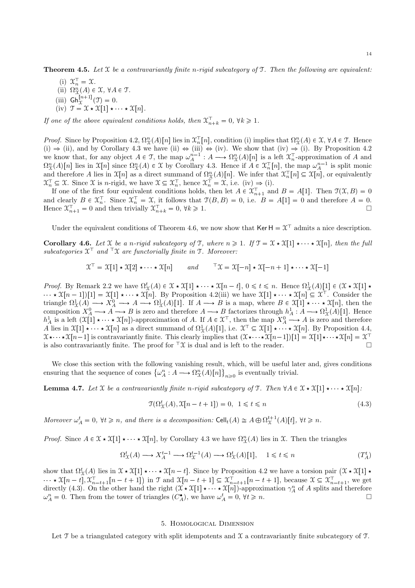**Theorem 4.5.** Let  $X$  be a contravariantly finite n-rigid subcategory of  $T$ . Then the following are equivalent:

(i)  $\mathfrak{X}_n^{\mathsf{T}} = \mathfrak{X}.$ (ii)  $\Omega_{\mathfrak{X}}^n(A) \in \mathfrak{X}, \ \forall A \in \mathfrak{I}.$ (iii)  $\mathsf{Gh}^{[n+1]}_{\mathfrak{X}}(\mathfrak{I}) = 0.$ (iv)  $\mathcal{T} = \mathcal{X} \star \mathcal{X}[1] \star \cdots \star \mathcal{X}[n].$ 

If one of the above equivalent conditions holds, then  $\mathfrak{X}_{n+k}^{\top} = 0$ ,  $\forall k \geq 1$ .

*Proof.* Since by Proposition 4.2,  $\Omega_{\mathcal{X}}^n(A)[n]$  lies in  $\mathcal{X}_n^{\top}[n]$ , condition (i) implies that  $\Omega_{\mathcal{X}}^n(A) \in \mathcal{X}$ ,  $\forall A \in \mathcal{T}$ . Hence  $(i) \Rightarrow (ii)$ , and by Corollary 4.3 we have  $(ii) \Leftrightarrow (iii) \Leftrightarrow (iv)$ . We show that  $(iv) \Rightarrow (i)$ . By Proposition 4.2 we know that, for any object  $A \in \mathcal{T}$ , the map  $\omega_A^{n-1} : A \longrightarrow \Omega_{\mathcal{X}}^n(A)[n]$  is a left  $\mathcal{X}_n^{\top}$ -approximation of A and  $\Omega_{\mathfrak{X}}^n(A)[n]$  lies in  $\mathfrak{X}[n]$  since  $\Omega_{\mathfrak{X}}^n(A) \in \mathfrak{X}$  by Corollary 4.3. Hence if  $A \in \mathfrak{X}_n^{\top}[n]$ , the map  $\omega_A^{n-1}$  is split monic and therefore A lies in  $\mathfrak{X}[n]$  as a direct summand of  $\Omega_{\mathfrak{X}}^n(A)[n]$ . We infer that  $\mathfrak{X}_n^{\top}[n] \subseteq \mathfrak{X}[n]$ , or equivalently  $\mathcal{X}_n^{\top} \subseteq \mathcal{X}$ . Since  $\mathcal{X}$  is *n*-rigid, we have  $\mathcal{X} \subseteq \mathcal{X}_n^{\top}$ , hence  $\mathcal{X}_n^{\top} = \mathcal{X}$ , i.e. (iv)  $\Rightarrow$  (i).

If one of the first four equivalent conditions holds, then let  $A \in \mathfrak{X}_{n+1}^{\top}$  and  $B = A[1]$ . Then  $\mathfrak{I}(\mathfrak{X}, B) = 0$ and clearly  $B \in \mathfrak{X}_n^{\mathsf{T}}$ . Since  $\mathfrak{X}_n^{\mathsf{T}} = \mathfrak{X}$ , it follows that  $\mathfrak{T}(B, B) = 0$ , i.e.  $B = A[1] = 0$  and therefore  $A = 0$ . Hence  $\mathfrak{X}_{n+1}^{\top} = 0$  and then trivially  $\mathfrak{X}_{n+k}^{\top} = 0, \forall k \geq 1.$ 

Under the equivalent conditions of Theorem 4.6, we now show that  $\text{Ker } H = \mathcal{X}^{\top}$  admits a nice description.

**Corollary 4.6.** Let X be a n-rigid subcategory of T, where  $n \geq 1$ . If  $\mathcal{T} = \mathcal{X} \star \mathcal{X}[1] \star \cdots \star \mathcal{X}[n]$ , then the full subcategories  $\mathfrak{X}^{\top}$  and  $\lceil \mathfrak{X} \rceil$  are functorially finite in T. Moreover:

$$
\mathfrak{X}^{\top} = \mathfrak{X}[1] \star \mathfrak{X}[2] \star \cdots \star \mathfrak{X}[n] \quad and \quad {}^{\top} \mathfrak{X} = \mathfrak{X}[-n] \star \mathfrak{X}[-n+1] \star \cdots \star \mathfrak{X}[-1]
$$

*Proof.* By Remark 2.2 we have  $\Omega^t_{\mathfrak{X}}(A) \in \mathfrak{X} \times \mathfrak{X}[1] \times \cdots \times \mathfrak{X}[n-t]$ ,  $0 \leq t \leq n$ . Hence  $\Omega^1_{\mathfrak{X}}(A)[1] \in (\mathfrak{X} \times \mathfrak{X}[1] \times \mathfrak{X}[1]$  $\mathfrak{X}[n-1][1] = \mathfrak{X}[1] \star \cdots \star \mathfrak{X}[n]$ . By Proposition 4.2(iii) we have  $\mathfrak{X}[1] \star \cdots \star \mathfrak{X}[n] \subseteq \mathfrak{X}^{\top}$ . Consider the triangle  $\Omega^1_{\mathfrak{X}}(A) \longrightarrow X^0_A \longrightarrow A \longrightarrow \Omega^1_{\mathfrak{X}}(A)[1]$ . If  $A \longrightarrow B$  is a map, where  $B \in \mathfrak{X}[1] \longrightarrow \mathfrak{X}[n]$ , then the composition  $X_A^0 \longrightarrow A \longrightarrow B$  is zero and therefore  $A \longrightarrow B$  factorizes through  $h_A^1 : A \longrightarrow \Omega^1_{\mathcal{X}}(A)[1]$ . Hence  $h_A^1$  is a left  $(\mathfrak{X}[1] \star \cdots \star \mathfrak{X}[n])$ -approximation of A. If  $A \in \mathfrak{X}^{\top}$ , then the map  $X_A^0 \longrightarrow A$  is zero and therefore A lies in  $\mathfrak{X}[1] \star \cdots \star \mathfrak{X}[n]$  as a direct summand of  $\Omega^1_{\mathfrak{X}}(A)[1]$ , i.e.  $\mathfrak{X}^{\top} \subseteq \mathfrak{X}[1] \star \cdots \star \mathfrak{X}[n]$ . By Proposition 4.4,  $\mathfrak{X} \star \cdots \star \mathfrak{X}[n-1]$  is contravariantly finite. This clearly implies that  $(\mathfrak{X} \star \cdots \star \mathfrak{X}[n-1])[1] = \mathfrak{X}[1] \star \cdots \star \mathfrak{X}[n] = \mathfrak{X}$ is also contravariantly finite. The proof for  ${}^{\top}\mathfrak{X}$  is dual and is left to the reader.

We close this section with the following vanishing result, which, will be useful later and, gives conditions ensuring that the sequence of cones  $\{\omega_A^n : A \longrightarrow \Omega_X^n(A)[n]\}$  $n \geq 0$  is eventually trivial.

**Lemma 4.7.** Let X be a contravariantly finite n-rigid subcategory of T. Then  $\forall A \in \mathcal{X} \star \mathcal{X}[1] \star \cdots \star \mathcal{X}[n]$ :

$$
\mathcal{T}(\Omega^t_{\mathcal{X}}(A), \mathcal{X}[n-t+1]) = 0, \ \ 1 \leq t \leq n \tag{4.3}
$$

Moreover  $\omega_A^t = 0$ ,  $\forall t \geq n$ , and there is a decomposition:  $\text{Cell}_t(A) \cong A \oplus \Omega_{\mathcal{X}}^{t+1}(A)[t]$ ,  $\forall t \geq n$ .

*Proof.* Since  $A \in \mathcal{X} \times \mathcal{X}[1] \times \cdots \times \mathcal{X}[n]$ , by Corollary 4.3 we have  $\Omega_{\mathcal{X}}^n(A)$  lies in X. Then the triangles

$$
\Omega^t_{\mathcal{X}}(A) \longrightarrow X_A^{t-1} \longrightarrow \Omega^{t-1}_{\mathcal{X}}(A) \longrightarrow \Omega^t_{\mathcal{X}}(A)[1], \quad 1 \leq t \leq n \tag{T_A^t}
$$

show that  $\Omega^t_{\mathfrak{X}}(A)$  lies in  $\mathfrak{X} \star \mathfrak{X}[1] \star \cdots \star \mathfrak{X}[n-t]$ . Since by Proposition 4.2 we have a torsion pair  $(\mathfrak{X} \star \mathfrak{X}[1] \star$  $\mathfrak{X}[n-t], \mathfrak{X}_{n-t+1}^{\dagger}[n-t+1]$  in  $\mathfrak{I}$  and  $\mathfrak{X}[n-t+1] \subseteq \mathfrak{X}_{n-t+1}^{\dagger}[n-t+1]$ , because  $\mathfrak{X} \subseteq \mathfrak{X}_{n-t+1}^{\dagger}$ , we get directly (4.3). On the other hand the right  $(\mathcal{X} \star \mathcal{X}[1] \star \cdots \star \mathcal{X}[n])$ -approximation  $\gamma_A^n$  of A splits and therefore  $\omega_A^n = 0$ . Then from the tower of triangles  $(C_A^{\bullet})$ , we have  $\omega_A^t = 0$ ,  $\forall t \geq n$ .

# 5. Homological Dimension

Let  $\mathcal T$  be a triangulated category with split idempotents and  $\mathcal X$  a contravariantly finite subcategory of  $\mathcal T$ .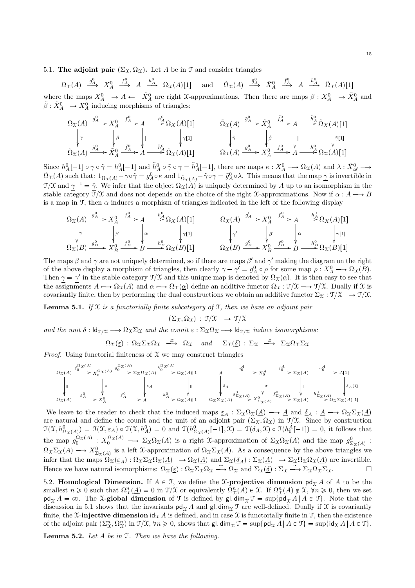# 5.1. The adjoint pair  $(\Sigma_{\Upsilon}, \Omega_{\Upsilon})$ . Let A be in T and consider triangles

 $\Omega_{\mathfrak{X}}(A) \stackrel{g_A^0}{\longrightarrow} X_A^0$  $f^0 \to A \xrightarrow{h^0_A} \Omega_{\mathfrak{X}}(A)[1]$  and  $\tilde{\Omega}_{\mathfrak{X}}(A) \xrightarrow{\tilde{g}^0_A} \tilde{X}^0_A$  $\stackrel{\tilde{f}_A^0}{\longrightarrow} A \stackrel{\tilde{h}_A^0}{\longrightarrow} \tilde{\Omega}_\mathfrak{X}(A)[1]$ where the maps  $X_A^0 \longrightarrow A \longleftarrow \tilde{X}_A^0$  are right X-approximations. Then there are maps  $\beta: X_A^0 \longrightarrow \tilde{X}_A^0$  and  $\tilde{\beta}: \tilde{X}^0_A \longrightarrow X^0_A$  inducing morphisms of triangles:

$$
\Omega_{\mathfrak{X}}(A) \xrightarrow{\hat{g}_{A}^{0}} X_{A}^{0} \xrightarrow{\hat{f}_{A}^{0}} A \xrightarrow{\hat{h}_{A}^{0}} \Omega_{X}(A)[1] \qquad \qquad \tilde{\Omega}_{\mathfrak{X}}(A) \xrightarrow{\tilde{g}_{A}^{0}} \tilde{X}_{A}^{0} \xrightarrow{\tilde{h}_{A}^{0}} A \xrightarrow{\tilde{h}_{A}^{0}} \tilde{\Omega}_{X}(A)[1]
$$
\n
$$
\tilde{\Omega}_{\mathfrak{X}}(A) \xrightarrow{\tilde{g}_{A}^{0}} \tilde{X}_{A}^{0} \xrightarrow{\tilde{f}_{A}^{0}} \tilde{\Lambda}_{X}^{0} (A)[1] \qquad \qquad \begin{array}{c} \tilde{\Omega}_{\mathfrak{X}}(A) \xrightarrow{\tilde{g}_{A}^{0}} \tilde{X}_{A}^{0} \xrightarrow{\tilde{f}_{A}^{0}} A \xrightarrow{\tilde{h}_{A}^{0}} \tilde{\Omega}_{X}(A)[1] \\ \tilde{\Omega}_{\mathfrak{X}}(A) \xrightarrow{\hat{g}_{A}^{0}} \tilde{X}_{A}^{0} \xrightarrow{\hat{f}_{A}^{0}} A \xrightarrow{\hat{h}_{A}^{0}} \Omega_{\mathfrak{X}}(A)[1] \end{array}
$$

Since  $h_A^0[-1] \circ \gamma \circ \tilde{\gamma} = h_A^0[-1]$  and  $\tilde{h}_A^0 \circ \tilde{\gamma} \circ \gamma = \tilde{h}_A^0[-1]$ , there are maps  $\kappa : X_A^0 \longrightarrow \Omega_{\mathfrak{X}}(A)$  and  $\lambda : \tilde{X}_{\mathscr{A}}^0 \longrightarrow \tilde{\Omega}_{\mathfrak{X}}(A)$  such that:  $1_{\Omega_{\mathfrak{X}}(A)} - \gamma \circ \tilde{\gamma} = g_A^0 \circ \kappa$  and  $1_{\tilde$  $\mathcal{T}/\mathcal{X}$  and  $\gamma^{-1} = \tilde{\gamma}$ . We infer that the object  $\Omega_{\mathcal{X}}(A)$  is uniquely determined by A up to an isomorphism in the stable category  $\overline{\mathcal{I}}/\mathcal{X}$  and does not depends on the choice of the right X-approximations. Now if  $\alpha : A \longrightarrow B$ is a map in T, then  $\alpha$  induces a morphism of triangles indicated in the left of the following display

$$
\Omega_{\mathfrak{X}}(A) \xrightarrow{g_A^0} X_A^0 \xrightarrow{f_A^0} A \xrightarrow{h_A^0} \Omega_X(A)[1] \qquad \qquad \Omega_{\mathfrak{X}}(A) \xrightarrow{g_A^0} X_A^0 \xrightarrow{h_A^0} \Omega_X(A)[1]
$$
\n
$$
\downarrow \gamma \qquad \qquad \downarrow \qquad \qquad \downarrow \gamma
$$
\n
$$
\Omega_{\mathfrak{X}}(B) \xrightarrow{g_B^0} X_B^0 \xrightarrow{f_B^0} \Omega_{\mathfrak{X}}(B)[1] \qquad \qquad \Omega_{\mathfrak{X}}(B) \xrightarrow{g_B^0} \Omega_X(B)[1]
$$
\n
$$
\Omega_{\mathfrak{X}}(B) \xrightarrow{g_B^0} X_B^0 \xrightarrow{f_B^0} \Omega_{\mathfrak{X}}(B)[1]
$$

The maps  $\beta$  and  $\gamma$  are not uniquely determined, so if there are maps  $\beta'$  and  $\gamma'$  making the diagram on the right of the above display a morphism of triangles, then clearly  $\gamma - \gamma' = g_A^0 \circ \rho$  for some map  $\rho : X_A^0 \longrightarrow \Omega_X(B)$ . Then  $\gamma = \gamma'$  in the stable category  $\gamma/\mathfrak{X}$  and this unique map is denoted by  $\Omega_{\mathfrak{X}}(\underline{\alpha})$ . It is then easy to see that the assignments  $A \mapsto \Omega_{\mathfrak{X}}(A)$  and  $\alpha \mapsto \Omega_{\mathfrak{X}}(\alpha)$  define an additive functor  $\Omega_{\mathfrak{X}} : \mathfrak{I}/\mathfrak{X} \longrightarrow \mathfrak{I}/\mathfrak{X}$ . Dually if X is covariantly finite, then by performing the dual constructions we obtain an additive functor  $\Sigma_{\mathfrak{X}} : \mathfrak{I}/\mathfrak{X} \longrightarrow \mathfrak{I}/\mathfrak{X}$ .

**Lemma 5.1.** If  $X$  is a functorially finite subcategory of  $T$ , then we have an adjoint pair

$$
(\Sigma_{\mathfrak{X}}, \Omega_{\mathfrak{X}}) : \mathfrak{I}/\mathfrak{X} \longrightarrow \mathfrak{I}/\mathfrak{X}
$$

and the unit  $\delta : \mathsf{Id}_{\mathcal{T}/\mathfrak{X}} \longrightarrow \Omega_{\mathfrak{X}}\Sigma_{\mathfrak{X}}$  and the counit  $\varepsilon : \Sigma_{\mathfrak{X}}\Omega_{\mathfrak{X}} \longrightarrow \mathsf{Id}_{\mathcal{T}/\mathfrak{X}}$  induce isomorphisms:

$$
\Omega_{\mathfrak{X}}(\underline{\varepsilon}) : \Omega_{\mathfrak{X}} \Sigma_{\mathfrak{X}} \Omega_{\mathfrak{X}} \xrightarrow{\cong} \Omega_{\mathfrak{X}} \quad \text{and} \quad \Sigma_{\mathfrak{X}}(\underline{\delta}) : \Sigma_{\mathfrak{X}} \xrightarrow{\cong} \Sigma_{\mathfrak{X}} \Omega_{\mathfrak{X}} \Sigma_{\mathfrak{X}}
$$

*Proof.* Using functorial finiteness of  $X$  we may construct triangles

ΩXpAq f ΩXpAq <sup>0</sup> / } ²² X ΩXpAq 0 g ΩXpAq <sup>0</sup> / ρ ²² ΣXΩXpAq εA ²² h ΩXpAq <sup>0</sup> /<sup>Ω</sup>XpAqr1<sup>s</sup> ²² ΩXpAq g 0 <sup>A</sup> /X<sup>0</sup> A f 0 <sup>A</sup> /<sup>A</sup> h0 <sup>A</sup> /<sup>Ω</sup>XpAqr1<sup>s</sup> A gA <sup>0</sup> / δA ²² X<sup>A</sup> 0 fA <sup>0</sup> / σ ²² ΣXpAq } ²² hA <sup>0</sup> /<sup>A</sup>r1<sup>s</sup> δAr1s ²² ΩXΣXpAq g 0 ΣXpAq /X<sup>0</sup> ΣXpAq f 0 ΣXpAq /<sup>Σ</sup>XpA<sup>q</sup> h0 ΣXpAq /<sup>Ω</sup>XΣXpAqr1<sup>s</sup>

We leave to the reader to check that the induced maps  $\underline{\varepsilon}_A : \Sigma_{\mathfrak{X}}\Omega_{\mathfrak{X}}(\underline{A}) \longrightarrow \underline{A}$  and  $\underline{\delta}_A : \underline{A} \longrightarrow \Omega_{\mathfrak{X}}\Sigma_{\mathfrak{X}}(\underline{A})$ are natural and define the counit and the unit of an adjoint pair  $(\Sigma_{\mathfrak{X}}, \Omega_{\mathfrak{X}})$  in  $\mathfrak{I}/\mathfrak{X}$ . Since by construction  $\mathcal{T}(\mathcal{X}, h_{\Omega_{\mathcal{X}}(A)}^0) = \mathcal{T}(\mathcal{X}, \varepsilon_A) \circ \mathcal{T}(\mathcal{X}, h_A^0) = 0$  and  $\mathcal{T}(h_{\Sigma_{\mathcal{X}}(A)}^0[-1], \mathcal{X}) = \mathcal{T}(\delta_A, \mathcal{X}) \circ \mathcal{T}(h_0^A[-1]) = 0$ , it follows that the map  $g_0^{\Omega_{\mathfrak{X}}(A)}$ :  $X_0^{\Omega_{\mathfrak{X}}(A)} \longrightarrow \Sigma_{\mathfrak{X}}\Omega_{\mathfrak{X}}(A)$  is a right X-approximation of  $\Sigma_{\mathfrak{X}}\Omega_{\mathfrak{X}}(A)$  and the map  $g_{\Sigma_{\mathfrak{X}}(A)}^0$ :  $\Omega_{\mathfrak{X}}\Sigma_{\mathfrak{X}}(A) \longrightarrow X^0_{\Sigma_{\mathfrak{X}}(A)}$  is a left X-approximation of  $\Omega_{\mathfrak{X}}\Sigma_{\mathfrak{X}}(A)$ . As a consequence by the above triangles we infer that the maps  $\Omega_{\mathfrak{X}}(\underline{\varepsilon}_A): \Omega_{\mathfrak{X}}\Sigma_{\mathfrak{X}}\Omega_{\mathfrak{X}}(\underline{A}) \longrightarrow \Omega_{\mathfrak{X}}(\underline{A})$  and  $\Sigma_{\mathfrak{X}}(\underline{\delta}_A): \Sigma_{\mathfrak{X}}(\underline{A}) \longrightarrow \Sigma_{\mathfrak{X}}\Omega_{\mathfrak{X}}\Omega_{\mathfrak{X}}(\underline{A})$  are invertible. Hence we have natural isomorphisms:  $\Omega_{\mathfrak{X}}(\underline{\varepsilon}) : \Omega_{\mathfrak{X}} \Sigma_{\mathfrak{X}} \Omega_{\mathfrak{X}} \xrightarrow{\cong} \Omega_{\mathfrak{X}}$  and  $\Sigma_{\mathfrak{X}}(\underline{\delta}) : \Sigma_{\mathfrak{X}} \xrightarrow{\cong} \Sigma_{\mathfrak{X}} \Omega_{\mathfrak{X}} \Sigma_{\mathfrak{X}}.$ 

5.2. Homological Dimension. If  $A \in \mathcal{T}$ , we define the X-projective dimension pd<sub>x</sub> A of A to be the smallest  $n \geq 0$  such that  $\Omega_{\mathfrak{X}}^n(\underline{A}) = 0$  in  $\mathfrak{I}/\mathfrak{X}$  or equivalently  $\Omega_{\mathfrak{X}}^n(A) \in \mathfrak{X}$ . If  $\Omega_{\mathfrak{X}}^n(A) \notin \mathfrak{X}$ ,  $\forall n \geq 0$ , then we set  $\mathsf{pd}_{\mathfrak{X}} A = \infty$ . The X-global dimension of T is defined by gl.  $\dim_{\mathfrak{X}} \mathfrak{T} = \sup \{ \mathsf{pd}_{\mathfrak{X}} A \mid A \in \mathfrak{T} \}$ . Note that the discussion in 5.1 shows that the invariants  $pd_{\mathfrak{X}} A$  and gl. dim<sub>X</sub> T are well-defined. Dually if X is covariantly finite, the X-injective dimension  $\mathrm{id}_{\mathcal{X}} A$  is defined, and in case X is functorially finite in T, then the existence of the adjoint pair  $(\Sigma^n_{\mathcal{X}}, \Omega^n_{\mathcal{X}})$  in  $\mathcal{T}/\mathcal{X}, \forall n \geq 0$ , shows that  $\mathsf{gl.dim}_\mathcal{X} \mathcal{T} = \sup\{\mathsf{pd}_\mathcal{X} A \mid A \in \mathcal{T}\}\$ .

**Lemma 5.2.** Let  $A$  be in  $I$ . Then we have the following.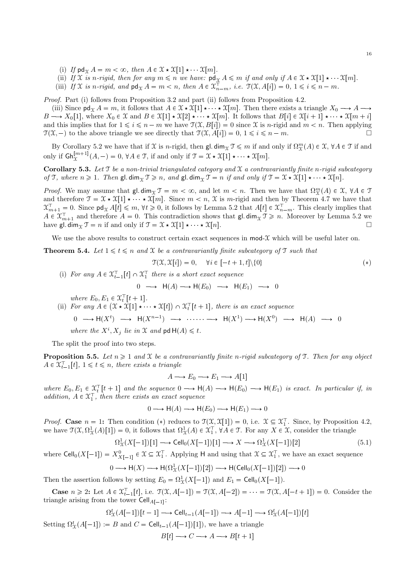- (i) If  $\mathsf{pd}_{\mathfrak{X}} A = m < \infty$ , then  $A \in \mathfrak{X} \star \mathfrak{X}[1] \star \cdots \mathfrak{X}[m]$ .
- (ii) If X is n-rigid, then for any  $m \le n$  we have:  $\mathsf{pd}_{\mathfrak{X}} A \le m$  if and only if  $A \in \mathfrak{X} \star \mathfrak{X}[1] \star \cdots \mathfrak{X}[m]$ .
- (iii) If X is n-rigid, and  $\mathsf{pd}_{\mathfrak{X}} A = m < n$ , then  $A \in \mathfrak{X}_{n-m}^{\top}$ , i.e.  $\mathfrak{I}(\mathfrak{X}, A[i]) = 0, 1 \leq i \leq n-m$ .

Proof. Part (i) follows from Proposition 3.2 and part (ii) follows from Proposition 4.2.

(iii) Since  $\mathsf{pd}_{\mathfrak{X}} A = m$ , it follows that  $A \in \mathfrak{X} \star \mathfrak{X}[1] \star \cdots \star \mathfrak{X}[m]$ . Then there exists a triangle  $X_0 \longrightarrow A \longrightarrow$  $B \longrightarrow X_0[1]$ , where  $X_0 \in \mathfrak{X}$  and  $B \in \mathfrak{X}[1] \star \mathfrak{X}[2] \star \cdots \star \mathfrak{X}[m]$ . It follows that  $B[i] \in \mathfrak{X}[i+1] \star \cdots \star \mathfrak{X}[m+i]$ and this implies that for  $1 \leq i \leq n-m$  we have  $\mathfrak{T}(\mathfrak{X}, B[i]) = 0$  since X is n-rigid and  $m < n$ . Then applying  $\mathfrak{T}(\mathfrak{X}, -)$  to the above triangle we see directly that  $\mathfrak{T}(\mathfrak{X}, A[i]) = 0, 1 \leq i \leq n - m$ .

By Corollary 5.2 we have that if  $\mathfrak X$  is n-rigid, then  $\mathsf g l$  dim<sub> $\mathfrak X \mathfrak I \leq m$  if and only if  $\Omega^m_{\mathfrak X}(A) \in \mathfrak X$ ,  $\forall A \in \mathfrak I$  if and</sub> only if  $\mathsf{Gh}_{\mathfrak{X}}^{[m+1]}(A,-) = 0, \forall A \in \mathfrak{T}$ , if and only if  $\mathfrak{T} = \mathfrak{X} \star \mathfrak{X}[1] \star \cdots \star \mathfrak{X}[m]$ .

Corollary 5.3. Let  $\mathcal T$  be a non-trivial triangulated category and  $\mathcal X$  a contravariantly finite n-rigid subcategory of T, where  $n \geq 1$ . Then  $\mathsf{gl.dim}_\mathfrak{T} \mathfrak{T} \geq n$ , and  $\mathsf{gl.dim}_\mathfrak{T} \mathfrak{T} = n$  if and only if  $\mathfrak{T} = \mathfrak{X} \star \mathfrak{X}[1] \star \cdots \star \mathfrak{X}[n]$ .

*Proof.* We may assume that  $\text{gl.dim}_{\mathfrak{X}} \mathfrak{T} = m < \infty$ , and let  $m < n$ . Then we have that  $\Omega_{\mathfrak{X}}^m(A) \in \mathfrak{X}$ ,  $\forall A \in \mathfrak{T}$ and therefore  $\mathfrak{T} = \mathfrak{X} \star \mathfrak{X}[1] \star \cdots \star \mathfrak{X}[m]$ . Since  $m < n$ , X is m-rigid and then by Theorem 4.7 we have that  $\mathfrak{X}_{m+1}^{\top} = 0$ . Since  $\mathsf{pd}_{\mathfrak{X}} A[t] \leq m$ ,  $\forall t \geq 0$ , it follows by Lemma 5.2 that  $A[t] \in \mathfrak{X}_{n-m}^{\top}$ . This clearly implies that  $A \in \mathfrak{X}_{m+1}^{\top}$  and therefore  $A = 0$ . This contradiction shows that gl. dim<sub>X</sub>  $\mathfrak{X} \geq n$ . Moreover by Lemma 5.2 we have gl. dim<sub> $\mathcal{X}$ </sub>  $\mathcal{T} = n$  if and only if  $\mathcal{T} = \mathcal{X} \star \mathcal{X}[1] \star \cdots \star \mathcal{X}[n]$ .

We use the above results to construct certain exact sequences in  $\text{mod-}\mathcal{X}$  which will be useful later on.

**Theorem 5.4.** Let  $1 \leq t \leq n$  and X be a contravariantly finite subcategory of T such that

$$
\mathcal{T}(\mathcal{X}, \mathcal{X}[i]) = 0, \quad \forall i \in [-t+1, t] \setminus \{0\} \tag{*}
$$

(i) For any  $A \in \mathfrak{X}_{t-1}^{\top}[t] \cap \mathfrak{X}_1^{\top}$  there is a short exact sequence  $0 \longrightarrow H(A) \longrightarrow H(E_0) \longrightarrow H(E_1) \longrightarrow 0$ where  $E_0, E_1 \in \mathfrak{X}_t^{\top}[t+1].$ (ii) For any  $A \in (\mathfrak{X} \star \mathfrak{X}[1] \star \cdots \star \mathfrak{X}[t]) \cap \mathfrak{X}_t^{\top}[t+1]$ , there is an exact sequence  $0 \longrightarrow H(X^t) \longrightarrow H(X^{n-1}) \longrightarrow \cdots \longrightarrow H(X^1) \longrightarrow H(X^0) \longrightarrow H(A) \longrightarrow 0$ where the  $X^i, X_j$  lie in X and  $\mathsf{pd} \, \mathsf{H}(A) \leq t$ .

The split the proof into two steps.

 $\Omega_2^t$ 

**Proposition 5.5.** Let  $n \geq 1$  and X be a contravariantly finite n-rigid subcategory of T. Then for any object  $A \in \mathfrak{X}_{t-1}^{\top}[t], 1 \leq t \leq n$ , there exists a triangle

$$
A \longrightarrow E_0 \longrightarrow E_1 \longrightarrow A[1]
$$

where  $E_0, E_1 \in \mathfrak{X}_t^{\top}[t+1]$  and the sequence  $0 \longrightarrow \mathsf{H}(A) \longrightarrow \mathsf{H}(E_0) \longrightarrow \mathsf{H}(E_1)$  is exact. In particular if, in addition,  $A \in \mathfrak{X}_1^{\top}$ , then there exists an exact sequence

$$
0 \longrightarrow H(A) \longrightarrow H(E_0) \longrightarrow H(E_1) \longrightarrow 0
$$

*Proof.* Case  $n = 1$ : Then condition (\*) reduces to  $\mathcal{T}(\mathcal{X}, \mathcal{X}[1]) = 0$ , i.e.  $\mathcal{X} \subseteq \mathcal{X}_1^{\top}$ . Since, by Proposition 4.2, we have  $\mathcal{T}(\mathcal{X}, \Omega^1_{\mathcal{X}}(A)[1]) = 0$ , it follows that  $\Omega^1_{\mathcal{X}}(A) \in \mathcal{X}_1^{\top}$ ,  $\forall A \in \mathcal{T}$ . For any  $X \in \mathcal{X}$ , consider the triangle

$$
\Omega^1_{\mathcal{X}}(X[-1])[1] \longrightarrow \text{Cell}_0(X[-1])[1] \longrightarrow X \longrightarrow \Omega^1_{\mathcal{X}}(X[-1])[2] \tag{5.1}
$$

where  $\text{Cell}_0(X[-1]) = X^0_{X[-1]} \in \mathcal{X} \subseteq \mathcal{X}_1^{\top}$ . Applying H and using that  $\mathcal{X} \subseteq \mathcal{X}_1^{\top}$ , we have an exact sequence

$$
0 \longrightarrow H(X) \longrightarrow H(\Omega^1_X(X[-1])[2]) \longrightarrow H(\text{Cell}_0(X[-1])[2]) \longrightarrow 0
$$

Then the assertion follows by setting  $E_0 = \Omega^1_X(X[-1])$  and  $E_1 = \text{Cell}_0(X[-1])$ .

**Case**  $n \geq 2$ : Let  $A \in \mathfrak{X}_{t-1}^{\top}[t]$ , i.e.  $\mathfrak{T}(\mathfrak{X}, A[-1]) = \mathfrak{T}(\mathfrak{X}, A[-2]) = \cdots = \mathfrak{T}(\mathfrak{X}, A[-t+1]) = 0$ . Consider the triangle arising from the tower  $\mathsf{Cell}_{A[-1]}\colon$ 

$$
{}_{\mathcal{X}}^{t}(A[-1])[t-1] \longrightarrow \text{Cell}_{t-1}(A[-1]) \longrightarrow A[-1] \longrightarrow \Omega_{\mathcal{X}}^{t}(A[-1])[t]
$$

Setting  $\Omega^t_{\mathfrak{X}}(A[-1]) := B$  and  $C = \text{Cell}_{t-1}(A[-1])[1])$ , we have a triangle  $B[t] \longrightarrow C \longrightarrow A \longrightarrow B[t+1]$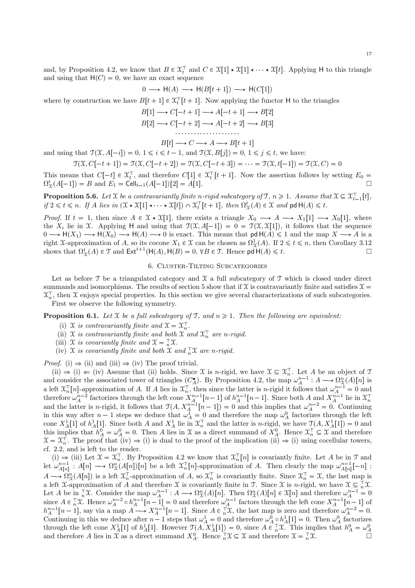and, by Proposition 4.2, we know that  $B \in \mathfrak{X}_t^{\top}$  and  $C \in \mathfrak{X}[1] \star \mathfrak{X}[1] \star \cdots \star \mathfrak{X}[t]$ . Applying H to this triangle and using that  $H(C) = 0$ , we have an exact sequence

$$
0 \longrightarrow H(A) \longrightarrow H(B[t+1]) \longrightarrow H(C[1])
$$

where by construction we have  $B[t+1] \in \mathfrak{X}_t^{\top}[t+1]$ . Now applying the functor H to the triangles

$$
B[1] \longrightarrow C[-t+1] \longrightarrow A[-t+1] \longrightarrow B[2]
$$

$$
B[2] \longrightarrow C[-t+2] \longrightarrow A[-t+2] \longrightarrow B[3]
$$

$$
B[t] \longrightarrow C \longrightarrow A \longrightarrow B[t+1]
$$

 $B[t] \longrightarrow C \longrightarrow A \longrightarrow B[t+1]$ <br>and using that  $\mathcal{T}(\mathcal{X}, A[-i]) = 0, 1 \le i \le t-1$ , and  $\mathcal{T}(\mathcal{X}, B[j]) = 0, 1 \le j \le t$ , we have:

$$
\mathfrak{T}(\mathfrak{X}, C[-t+1]) = \mathfrak{T}(\mathfrak{X}, C[-t+2]) = \mathfrak{T}(\mathfrak{X}, C[-t+3]) = \cdots = \mathfrak{T}(\mathfrak{X}, t[-1]) = \mathfrak{T}(\mathfrak{X}, C) = 0
$$

This means that  $C[-t] \in \mathfrak{X}_t^{\top}$ , and therefore  $C[1] \in \mathfrak{X}_t^{\top}[t+1]$ . Now the assertion follows by setting  $E_0 =$  $\Omega^t_{\Upsilon}(A[-1]) = B$  and  $E_1 = \text{Cell}_{t-1}(A[-1])[2] = A[1].$ 

**Proposition 5.6.** Let X be a contravariantly finite n-rigid subcategory of  $\mathcal{T}, n \geq 1$ . Assume that  $\mathcal{X} \subseteq \mathcal{X}_{t-1}^{\top}[t]$ , if  $2 \leq t \leq n$ . If A lies in  $(\mathfrak{X} \star \mathfrak{X}[1] \star \cdots \star \mathfrak{X}[t]) \cap \mathfrak{X}_t^{\top}[t+1]$ , then  $\Omega_{\Upsilon}^t(A) \in \mathfrak{X}$  and pd  $H(A) \leq t$ .

*Proof.* If  $t = 1$ , then since  $A \in \mathcal{X} \star \mathcal{X}[1]$ , there exists a triangle  $X_0 \longrightarrow A \longrightarrow X_1[1] \longrightarrow X_0[1]$ , where the  $X_i$  lie in X. Applying H and using that  $\mathcal{T}(\mathcal{X}, A[-1]) = 0 = \mathcal{T}(\mathcal{X}, \mathcal{X}[1])$ , it follows that the sequence  $0 \longrightarrow H(X_1) \longrightarrow H(X_0) \longrightarrow H(A) \longrightarrow 0$  is exact. This means that  $\mathsf{pd} H(A) \leq 1$  and the map  $X \longrightarrow A$  is a right X-approximation of A, so its cocone  $X_1 \in \mathcal{X}$  can be chosen as  $\Omega^1_{\mathcal{X}}(A)$ . If  $2 \le t \le n$ , then Corollary 3.12 shows that  $\Omega^t_{\mathfrak{X}}(A) \in \mathfrak{T}$  and  $\mathsf{Ext}^{t+1}(\mathsf{H}(A), \mathsf{H}(B) = 0, \forall B \in \mathfrak{T}$ . Hence  $\mathsf{pd} \, \mathsf{H}(A) \leq t$ .  $\Box$ 

### 6. CLUSTER-TILTING SUBCATEGORIES

Let as before  $\mathcal T$  be a triangulated category and  $\mathcal X$  a full subcategory of  $\mathcal T$  which is closed under direct summands and isomorphisms. The results of section 5 show that if X is contravariantly finite and satisfies  $\mathcal{X} =$  $\mathfrak{X}_{n}^{\dagger}$ , then X enjoys special properties. In this section we give several characterizations of such subcategories.

First we observe the following symmetry.

# **Proposition 6.1.** Let X be a full subcategory of T, and  $n \ge 1$ . Then the following are equivalent:

- (i)  $\mathfrak{X}$  is contravariantly finite and  $\mathfrak{X} = \mathfrak{X}_n^{\top}$ .
- (ii) X is contravariantly finite and both X and  $\mathfrak{X}_n^{\top}$  are n-rigid.
- (iii) X is covariantly finite and  $\mathfrak{X} = \mathfrak{X} \mathfrak{X}$ .
- (iv)  $\mathfrak X$  is covariantly finite and both  $\mathfrak X$  and  $\mathfrak X$  are n-rigid.

*Proof.* (i)  $\Rightarrow$  (ii) and (iii)  $\Rightarrow$  (iv) The proof trivial.

(ii)  $\Rightarrow$  (i)  $\Leftarrow$  (iv) Assume that (ii) holds. Since X is *n*-rigid, we have  $\mathfrak{X} \subseteq \mathfrak{X}_n^{\top}$ . Let A be an object of T and consider the associated tower of triangles  $(C_A^{\bullet})$ . By Proposition 4.2, the map  $\omega_A^{n-1}: A \longrightarrow \Omega_{\mathfrak{X}}^n(A)[n]$  is a left  $\mathcal{X}_n^{\top}[n]$ -approximation of A. If A lies in  $\mathcal{X}_n^{\top}$ , then since the latter is *n*-rigid it follows that  $\omega_A^{n-1} = 0$  and<br>therefore  $\omega_A^{n-2}$  factorizes through the left cone  $X_A^{n-1}[n-1]$  of  $h_A^{n-1}[n$ cone  $X_A^1[1]$  of  $h_A^1[1]$ . Since both A and  $X_A^1$  lie in  $\mathfrak{X}_n^{\top}$  and the latter is n-rigid, we have  $\mathfrak{T}(A, X_A^1[1]) = 0$  and this implies that  $h_A^0 = \omega_A^0 = 0$ . Then A lies in X as a direct summand of  $X_A^0$ . Hence  $\mathfrak{X}_n^{\top} \subseteq \mathfrak{X}$  and therefore  $\mathfrak{X} = \mathfrak{X}_n^{\top}$ . The proof that (iv)  $\Rightarrow$  (i) is dual to the proof of the implication (ii)  $\Rightarrow$  (i) using cocellular towers, cf. 2.2, and is left to the reader.

(i)  $\Rightarrow$  (iii) Let  $\mathfrak{X} = \mathfrak{X}_n^{\top}$ . By Proposition 4.2 we know that  $\mathfrak{X}_n^{\top}[n]$  is covariantly finite. Let A be in  $\mathfrak{T}$  and let  $\omega_{A[n]}^{n-1}$ :  $A[n] \longrightarrow \Omega_X^n(A[n])[n]$  be a left  $\mathfrak{X}_n^{\top}[n]$ -approximation of A. Then clearly the map  $\omega_{A[n]}^{n-1}[-n]$ :  $A \longrightarrow \Omega_{\mathfrak{X}}^n(A[n])$  is a left  $\mathfrak{X}_n^{\top}$ -approximation of A, so  $\mathfrak{X}_n^{\top}$  is covariantly finite. Since  $\mathfrak{X}_n^{\top} = \mathfrak{X}$ , the last map is a left X-approximation of A and therefore X is covariantly finite in T. Since X is n-rigid, we have  $\mathfrak{X} \subseteq \mathfrak{X} \mathfrak{X}$ . a left X-approximation of A and therefore  $\lambda$  is covariantly inite in  $\lambda$ . Since  $\lambda$  is n-rigid, we have  $\lambda \leq n\lambda$ .<br>Let A be in  $\frac{1}{n}\chi$ . Consider the map  $\omega_A^{n-1}: A \longrightarrow \Omega_{\chi}^n(A)[n]$ . Then  $\Omega_{\chi}^n(A)[n] \in \mathcal{X}[n]$  and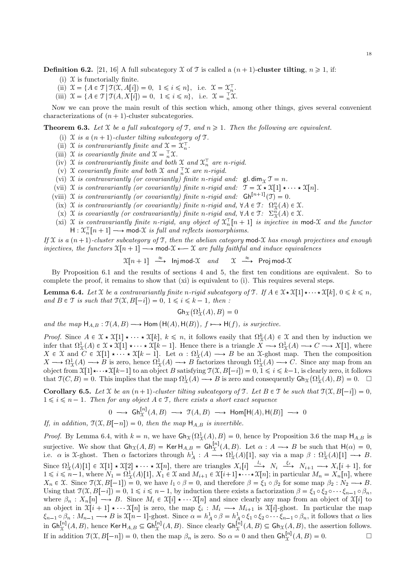**Definition 6.2.** [21, 16] A full subcategory X of T is called a  $(n + 1)$ -cluster tilting,  $n \ge 1$ , if:

- (i)  $\mathfrak X$  is functorially finite.
- (ii)  $\mathcal{X} = \{ A \in \mathcal{T} | \mathcal{T}(\mathcal{X}, A[i]) = 0, 1 \leq i \leq n \}, \text{ i.e. } \mathcal{X} = \mathcal{X}_n^{\mathcal{T}}.$
- (iii)  $\mathcal{X} = \{ A \in \mathcal{T} | \mathcal{T}(A, X[i]) = 0, 1 \leq i \leq n \}, \text{ i.e. } \mathcal{X} = \mathcal{T} \mathcal{X}.$

Now we can prove the main result of this section which, among other things, gives several convenient characterizations of  $(n + 1)$ -cluster subcategories.

**Theorem 6.3.** Let X be a full subcategory of T, and  $n \geq 1$ . Then the following are equivalent.

- (i)  $\mathfrak X$  is a  $(n + 1)$ -cluster tilting subcategory of  $\mathfrak T$ .
- (ii) X is contravariantly finite and  $\mathfrak{X} = \mathfrak{X}_n^{\top}$ .
- (iii) X is covariantly finite and  $\mathfrak{X} = \overline{n} \mathfrak{X}$ .
- (iv) X is contravariantly finite and both X and  $\mathfrak{X}_n^{\top}$  are n-rigid.
- (v) X covariantly finite and both X and  $\frac{1}{n}\mathfrak{X}$  are n-rigid.
- (vi) X is contravariantly (or covariantly) finite n-rigid and:  $\mathsf{gl.dim}_\mathfrak{T} \mathfrak{T} = n$ .
- (vii) X is contravariantly (or covariantly) finite n-rigid and:  $\mathcal{T} = \mathcal{X} \star \mathcal{X}[1] \star \cdots \star \mathcal{X}[n].$
- (viii) X is contravariantly (or covariantly) finite n-rigid and:  $\mathsf{Gh}^{[n+1]}(\mathfrak{T}) = 0$ .
- (ix)  $\mathfrak X$  is contravariantly (or covariantly) finite n-rigid and,  $\forall A \in \mathfrak T$ :  $\Omega^n_{\mathfrak X}(A) \in \mathfrak X$ .
- (x)  $\mathfrak X$  is covariantly (or contravariantly) finite n-rigid and,  $\forall A \in \mathfrak T$ :  $\Sigma_X^n(A) \in \mathfrak X$ .
- (xi) X is contravariantly finite n-rigid, any object of  $\mathfrak{X}_n^{\top}[n+1]$  is injective in mod-X and the functor  $H: \mathfrak{X}_n^{\top}[n+1] \longrightarrow \text{mod-}\mathfrak{X}$  is full and reflects isomorphisms.

If X is a  $(n+1)$ -cluster subcategory of T, then the abelian category mod-X has enough projectives and enough injectives, the functors  $\mathfrak{X}[n+1] \longrightarrow \text{mod-}\mathfrak{X} \longleftarrow \mathfrak{X}$  are fully faithful and induce equivalences

> $\mathfrak{X}[n+1] \stackrel{\approx}{\longrightarrow}$  Inj mod- $\mathfrak{X}$  and  $\mathfrak{X}$  $\mathfrak{X} \stackrel{\approx}{\longrightarrow}$  Proj mod- $\mathfrak{X}$

By Proposition 6.1 and the results of sections 4 and 5, the first ten conditions are equivalent. So to complete the proof, it remains to show that (xi) is equivalent to (i). This requires several steps.

**Lemma 6.4.** Let X be a contravariantly finite n-rigid subcategory of T. If  $A \in \mathcal{X} \times \mathcal{X}[1] \times \cdots \times \mathcal{X}[k], 0 \leq k \leq n$ , and  $B \in \mathcal{T}$  is such that  $\mathcal{T}(\mathcal{X}, B[-i]) = 0, 1 \leq i \leq k - 1$ , then :

$$
\operatorname{Gh}_{\mathfrak{X}}\bigl(\Omega^1_{\mathfrak{X}}(A),B\bigr)=0
$$

and the map  $H_{A,B} : \mathcal{T}(A, B) \longrightarrow \text{Hom}(\mathcal{H}(A), \mathcal{H}(B)),$   $f \longmapsto \mathcal{H}(f)$ , is surjective.

*Proof.* Since  $A \in \mathcal{X} \star \mathcal{X}[1] \star \cdots \star \mathcal{X}[k], k \leq n$ , it follows easily that  $\Omega^k_{\mathcal{X}}(A) \in \mathcal{X}$  and then by induction we infer that  $\Omega^1_{\mathfrak{X}}(A) \in \mathfrak{X} \star \mathfrak{X}[1] \star \cdots \star \mathfrak{X}[k-1]$ . Hence there is a triangle  $X \longrightarrow \Omega^1_{\mathfrak{X}}(A) \longrightarrow C \longrightarrow X[1]$ , where  $X \in \mathfrak{X}$  and  $C \in \mathfrak{X}[1] \star \cdots \star \mathfrak{X}[k-1]$ . Let  $\alpha : \Omega^1_{\mathfrak{X}}(A) \longrightarrow B$  be an  $\mathfrak{X}$ -ghost map. Then the composition  $X \longrightarrow \Omega^1_{\mathfrak{X}}(A) \longrightarrow B$  is zero, hence  $\Omega^1_{\mathfrak{X}}(A) \longrightarrow B$  factorizes through  $\Omega^1_{\mathfrak{X}}(A) \longrightarrow C$ . Since any map from an object from  $\mathfrak{X}[1] \star \cdots \star \mathfrak{X}[k-1]$  to an object B satisfying  $\mathfrak{X}(\mathfrak{X}, B[-i]) = 0, 1 \leq i \leq k-1$ , is clearly zero, it follows that  $\mathfrak{T}(C, B) = 0$ . This implies that the map  $\Omega^1_{\mathfrak{X}}(A) \longrightarrow B$  is zero and consequently  $\mathsf{Gh}_{\mathfrak{X}}(\Omega^1_{\mathfrak{X}}(A), B) = 0$ .  $\Box$ 

**Corollary 6.5.** Let X be an  $(n + 1)$ -cluster tilting subcategory of T. Let  $B \in \mathcal{T}$  be such that  $\mathcal{T}(\mathcal{X}, B[-i]) = 0$ ,  $1 \leq i \leq n-1$ . Then for any object  $A \in \mathcal{T}$ , there exists a short exact sequence

$$
0 \longrightarrow \text{Gh}_{\mathfrak{X}}^{[n]}(A, B) \longrightarrow \mathfrak{T}(A, B) \longrightarrow \text{Hom}[\text{H}(A), \text{H}(B)] \longrightarrow 0
$$

If, in addition,  $\mathfrak{T}(\mathfrak{X}, B[-n]) = 0$ , then the map  $\mathsf{H}_{A,B}$  is invertible.

*Proof.* By Lemma 6.4, with  $k = n$ , we have  $\text{Gh}_{\mathcal{X}}(\Omega_{\mathcal{X}}^1(A), B) = 0$ , hence by Proposition 3.6 the map  $\text{H}_{A,B}$  is surjective. We show that  $\mathsf{Gh}_{\mathfrak{X}}(A, B) = \mathsf{Ker} \, \mathsf{H}_{A,B} = \mathsf{Gh}_{\mathfrak{X}}^{[n]}(A, B)$ . Let  $\alpha : A \longrightarrow B$  be such that  $\mathsf{H}(\alpha) = 0$ , i.e.  $\alpha$  is X-ghost. Then  $\alpha$  factorizes through  $h_A^1: A \longrightarrow \Omega^1_{\mathfrak{X}}(A)[1]$ , say via a map  $\beta: \Omega^1_{\mathfrak{X}}(A)[1] \longrightarrow B$ . Since  $\Omega^1_{\mathcal{X}}(A)[1] \in \mathcal{X}[1] \star \mathcal{X}[2] \star \cdots \star \mathcal{X}[n]$ , there are triangles  $X_i[i] \xrightarrow{l_i} N_i \xrightarrow{\xi_i} N_{i+1} \longrightarrow X_i[i+1]$ , for  $1 \leq i \leq n-1$ , where  $N_1 = \Omega^1_{\mathcal{X}}(A)[1]$ ,  $X_1 \in \mathcal{X}$  and  $M_{i+1} \in \mathcal{X}[i+1] \times \cdots \times \mathcal{X}[n]$ ; in particular  $M_n = X_n[n]$ , where  $X_n \in \mathfrak{X}$ . Since  $\mathfrak{T}(\mathfrak{X}, B[-1]) = 0$ , we have  $l_1 \circ \beta = 0$ , and therefore  $\beta = \xi_1 \circ \beta_2$  for some map  $\beta_2 : N_2 \longrightarrow B$ . Using that  $\mathcal{T}(\mathcal{X}, B[-i]) = 0, 1 \leq i \leq n-1$ , by induction there exists a factorization  $\beta = \xi_1 \circ \xi_2 \circ \cdots \xi_{n-1} \circ \beta_n$ , where  $\beta_n : X_n[n] \longrightarrow B$ . Since  $M_i \in \mathfrak{X}[i] \star \cdots \mathfrak{X}[n]$  and since clearly any map from an object of  $\mathfrak{X}[i]$  to an object in  $\mathfrak{X}[i+1] \star \mathfrak{X}[n]$  is zero, the map  $\xi_i : M_i \longrightarrow M_{i+1}$  is  $\mathfrak{X}[i]$ -ghost. In particular the map  $\xi_{n-1} \circ \beta_n : M_{n-1} \longrightarrow B$  is  $\mathfrak{X}[n-1]$ -ghost. Since  $\alpha = h_A^1 \circ \beta = h_A^1 \circ \xi_1 \circ \xi_2 \circ \cdots \xi_{n-1} \circ \beta_n$ , it follows that  $\alpha$  lies in  $\mathsf{Gh}^{[n]}_{\mathfrak{X}}(A,B)$ , hence Ker  $\mathsf{H}_{A,B}\subseteq\mathsf{Gh}^{[n]}_{\mathfrak{X}}(A,B)$ . Since clearly  $\mathsf{Gh}^{[n]}_{\mathfrak{X}}(A,B)\subseteq\mathsf{Gh}_{\mathfrak{X}}(A,B)$ , the assertion follows. If in addition  $\mathcal{T}(\mathcal{X}, B[-n]) = 0$ , then the map  $\beta_n$  is zero. So  $\alpha = 0$  and then  $\mathsf{Gh}_{\mathcal{X}}^{[n]}(A, B) = 0$ .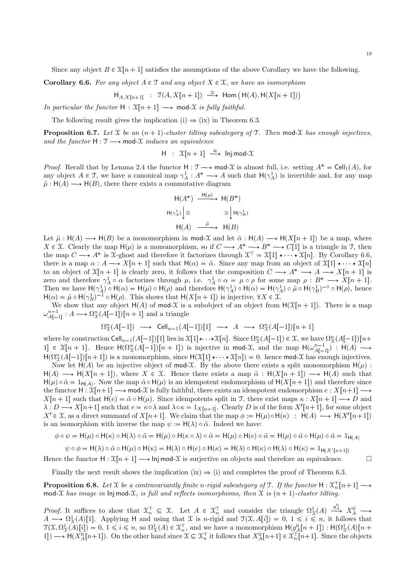Since any object  $B \in \mathcal{X}[n+1]$  satisfies the assumptions of the above Corollary we have the following.

**Corollary 6.6.** For any object  $A \in \mathcal{T}$  and any object  $X \in \mathcal{X}$ , we have an isomorphism

$$
\mathsf{H}_{A,X[n+1]} \ : \ \mathfrak{T}(A,X[n+1]) \ \stackrel{\cong}{\longrightarrow} \ \mathsf{Hom} \left(\,\mathsf{H}(A),\mathsf{H}(X[n+1])\right)
$$

In particular the functor  $H : \mathfrak{X}[n+1] \longrightarrow \text{mod-}\mathfrak{X}$  is fully faithful.

The following result gives the implication (i)  $\Rightarrow$  (ix) in Theorem 6.3.

**Proposition 6.7.** Let X be an  $(n + 1)$ -cluster tilting subcategory of T. Then mod-X has enough injectives, and the functor  $H : \mathcal{T} \longrightarrow \text{mod-}\mathcal{X}$  induces an equivalence

$$
H : \mathfrak{X}[n+1] \stackrel{\approx}{\longrightarrow} Inj\,mod-\mathfrak{X}
$$

*Proof.* Recall that by Lemma 2.4 the functor  $H : \mathcal{T} \longrightarrow \text{mod-}\mathcal{X}$  is almost full, i.e. setting  $A^* = \text{Cell}_1(A)$ , for any object  $A \in \mathcal{T}$ , we have a canonical map  $\gamma_A^1 : A^* \longrightarrow A$  such that  $H(\gamma_A^1)$  is invertible and, for any map  $\tilde{\mu}$ : H(A)  $\longrightarrow$  H(B), there there exists a commutative diagram

$$
\begin{aligned}\n\mathsf{H}(A^*) \xrightarrow{\mathsf{H}(\mu)} \mathsf{H}(B^*) \\
\mathsf{H}(\gamma_A^1) \Big| &\cong \qquad \qquad \cong \Big| \mathsf{H}(\gamma_B^1) \\
\mathsf{H}(A) \xrightarrow{\tilde{\mu}} \mathsf{H}(B)\n\end{aligned}
$$

Let  $\tilde{\mu}$  : H(A)  $\longrightarrow$  H(B) be a monomorphism in mod-X and let  $\tilde{\alpha}$  : H(A)  $\longrightarrow$  H(X[n + 1]) be a map, where  $X \in \mathfrak{X}$ . Clearly the map  $H(\mu)$  is a monomorphism, so if  $C \longrightarrow A^* \longrightarrow B^* \longrightarrow C[1]$  is a triangle in T, then the map  $C \longrightarrow A^*$  is X-ghost and therefore it factorizes through  $\mathfrak{X}^{\top} = \mathfrak{X}[1] \star \cdots \star \mathfrak{X}[n]$ . By Corollary 6.6, there is a map  $\alpha : A \longrightarrow X[n+1]$  such that  $H(\alpha) = \tilde{\alpha}$ . Since any map from an object of  $\mathfrak{X}[1] \star \cdots \star \mathfrak{X}[n]$ to an object of  $X[n+1]$  is clearly zero, it follows that the composition  $C \longrightarrow A^* \longrightarrow A \longrightarrow X[n+1]$  is zero and therefore  $\gamma_A^1 \circ \alpha$  factorizes through  $\mu$ , i.e.  $\gamma_A^1 \circ \alpha = \mu \circ \rho$  for some map  $\rho : B^* \longrightarrow X[n+1]$ . Then we have  $H(\gamma_A^1) \circ H(\alpha) = H(\mu) \circ H(\rho)$  and therefore  $H(\gamma_A^1) \circ H(\alpha) = H(\gamma_A^1) \circ \tilde{\mu} \circ H(\gamma_B^1)^{-1} \circ H(\rho)$ , hence  $H(\alpha) = \tilde{\mu} \circ H(\gamma_B^1)^{-1} \circ H(\rho)$ . This shows that  $H(X[n+1])$  is injective,  $\forall X \in \mathcal{X}$ .

We show that any object  $H(A)$  of mod-X is a subobject of an object from  $H(\mathfrak{X}[n+1])$ . There is a map  $\omega_{A[-1]}^{n-1}: A \longrightarrow \Omega_X^n(A[-1])[n+1]$  and a triangle

$$
\Omega^n_{\mathfrak{X}}(A[-1]) \ \longrightarrow \ \mathrm{Cell}_{n-1}(A[-1])[1] \ \longrightarrow \ A \ \longrightarrow \ \Omega^n_{\mathfrak{X}}(A[-1])[n+1]
$$

where by construction  $\text{Cell}_{n-1}(A[-1])[1]$  lies in  $\mathfrak{X}[1]\star\cdots\star \mathfrak{X}[n]$ . Since  $\Omega_{\mathfrak{X}}^n(A[-1]) \in \mathfrak{X}$ , we have  $\Omega_{\mathfrak{X}}^n(A[-1])[n+\mathfrak{X}[n]$ 1]  $\in \mathfrak{X}[n+1]$ . Hence  $\mathsf{H}(\Omega^n_{\mathfrak{X}}(A[-1])[n+1])$  is injective in mod-X, and the map  $\mathsf{H}(\omega^{n-1}_{A[-1]})$ :  $\mathsf{H}(A)$  →  $H(\Omega^n_{\mathcal{X}}(A[-1])[n+1])$  is a monomorphism, since  $H(\mathcal{X}[1] \star \cdots \star \mathcal{X}[n]) = 0$ . hence mod-X has enough injectives.

Now let  $H(A)$  be an injective object of mod-X. By the above there exists a split monomorphism  $H(\mu)$ :  $H(A) \longrightarrow H(X[n+1])$ , where  $X \in \mathcal{X}$ . Hence there exists a map  $\tilde{\alpha}$  :  $H(X[n+1]) \longrightarrow H(A)$  such that  $H(\mu) \circ \tilde{\alpha} = 1_{H(A)}$ . Now the map  $\tilde{\alpha} \circ H(\mu)$  is an idempotent endomorphism of  $H(X[n+1])$  and therefore since the functor  $H : \mathfrak{X}[n+1] \longrightarrow \text{mod-}\mathfrak{X}$  is fully faithful, there exists an idempotent endomorphism  $e : X[n+1] \longrightarrow$  $X[n+1]$  such that  $H(e) = \tilde{\alpha} \circ H(\mu)$ . Since idempotents split in T, there exist maps  $\kappa : X[n+1] \longrightarrow D$  and  $\lambda: D \longrightarrow X[n+1]$  such that  $e = \kappa \circ \lambda$  and  $\lambda \circ \kappa = 1_{X[n+1]}$ . Clearly D is of the form  $X'[n+1]$ , for some object  $X' \in \mathfrak{X}$ , as a direct summand of  $X[n+1]$ . We claim that the map  $\phi := \mathsf{H}(\mu) \circ \mathsf{H}(\kappa) : \mathsf{H}(A) \longrightarrow \mathsf{H}(X'[n+1])$ is an isomorphism with inverse the map  $\psi := H(\lambda) \circ \tilde{\alpha}$ . Indeed we have:

$$
\phi \circ \psi = \mathsf{H}(\mu) \circ \mathsf{H}(\kappa) \circ \mathsf{H}(\lambda) \circ \tilde{\alpha} = \mathsf{H}(\mu) \circ \mathsf{H}(\kappa \circ \lambda) \circ \tilde{\alpha} = \mathsf{H}(\mu) \circ \mathsf{H}(e) \circ \tilde{\alpha} = \mathsf{H}(\mu) \circ \tilde{\alpha} \circ \mathsf{H}(\mu) \circ \tilde{\alpha} = 1_{\mathsf{H}(A)}
$$

$$
\psi \circ \phi = H(\lambda) \circ \tilde{\alpha} \circ H(\mu) \circ H(\kappa) = H(\lambda) \circ H(\kappa) = H(\lambda) \circ H(\kappa) = H(\lambda) \circ H(\kappa) \circ H(\lambda) \circ H(\kappa) = 1_{H(X'[n+1])}
$$

Hence the functor  $H : \mathfrak{X}[n+1] \longrightarrow \mathsf{Injmod-}\mathfrak{X}$  is surjective on objects and therefore an equivalence.

Finally the next result shows the implication (ix)  $\Rightarrow$  (i) and completes the proof of Theorem 6.3.

**Proposition 6.8.** Let X be a contravariantly finite n-rigid subcategory of T. If the functor  $H: \mathfrak{X}_n^{\top}[n+1] \longrightarrow$ mod-X has image in  $\text{Inj mod-}X$ , is full and reflects isomorphisms, then X is  $(n + 1)$ -cluster tilting.

Proof. It suffices to show that  $\mathfrak{X}_n^{\top} \subseteq \mathfrak{X}$ . Let  $A \in \mathfrak{X}_n^{\top}$  and consider the triangle  $\Omega^1_{\mathfrak{X}}(A) \xrightarrow{g_A^0} X_A^0 \longrightarrow$  $A \longrightarrow \Omega^1_{\mathfrak{X}}(A)[1]$ . Applying H and using that  $\mathfrak{X}$  is n-rigid and  $\mathfrak{T}(\mathfrak{X}, A[i]) = 0, 1 \leq i \leq n$ , it follows that  $\mathcal{T}(\mathcal{X}, \Omega^1_{\mathcal{X}}(A)[i]) = 0, 1 \leq i \leq n$ , so  $\Omega^1_{\mathcal{X}}(A) \in \mathcal{X}_n^{\top}$ , and we have a monomorphism  $\mathsf{H}(g_A^0[n+1]) : \mathsf{H}(\Omega^1_{\mathcal{X}}(A)[n+1])$ 1]  $\rightarrow$  H( $X_A^0[n+1]$ ). On the other hand since  $\mathfrak{X} \subseteq \mathfrak{X}_n^{\top}$  it follows that  $X_A^0[n+1] \in \mathfrak{X}_n^{\top}[n+1]$ . Since the objects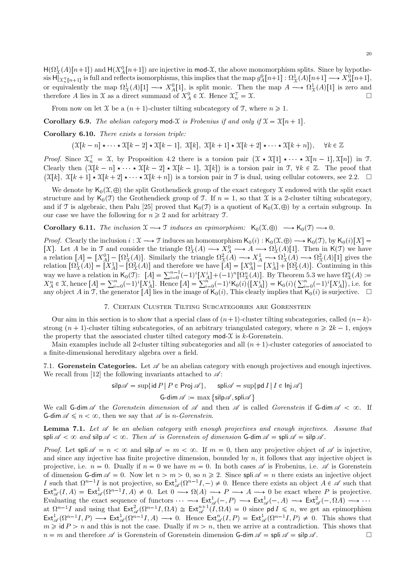$H(\Omega_X^1(A)[n+1])$  and  $H(X_A^0[n+1])$  are injective in mod-X, the above monomorphism splits. Since by hypothesis  $\text{H}[\chi_{n}^{-}[n+1]]$  is full and reflects isomorphisms, this implies that the map  $g_A^0[n+1] : \Omega_X^1(A)[n+1] \longrightarrow X_A^0[n+1]$ , or equivalently the map  $\Omega^1_{\mathfrak{X}}(A)[1] \longrightarrow X^0_A[1]$ , is split monic. Then the map  $A \longrightarrow \Omega^1_{\mathfrak{X}}(A)[1]$  is zero and therefore A lies in X as a direct summand of  $X_A^0 \in \mathfrak{X}$ . Hence  $\mathfrak{X}_n^{\top} = \mathfrak{X}$ .

From now on let X be a  $(n + 1)$ -cluster tilting subcategory of T, where  $n \ge 1$ .

**Corollary 6.9.** The abelian category mod-X is Frobenius if and only if  $\mathfrak{X} = \mathfrak{X}[n + 1]$ .

Corollary 6.10. There exists a torsion triple:

$$
(\mathfrak{X}[k-n] \star \cdots \star \mathfrak{X}[k-2] \star \mathfrak{X}[k-1], \mathfrak{X}[k], \mathfrak{X}[k+1] \star \mathfrak{X}[k+2] \star \cdots \star \mathfrak{X}[k+n]), \quad \forall k \in \mathbb{Z}
$$

*Proof.* Since  $\mathfrak{X}_n^{\top} = \mathfrak{X}$ , by Proposition 4.2 there is a torsion pair  $(\mathfrak{X} \star \mathfrak{X}[1] \star \cdots \star \mathfrak{X}[n-1], \mathfrak{X}[n])$  in  $\mathfrak{T}$ . Clearly then  $(\mathfrak{X}[k-n] \star \cdots \star \mathfrak{X}[k-2] \star \mathfrak{X}[k-1], \mathfrak{X}[k])$  is a torsion pair in  $\mathfrak{I}, \forall k \in \mathbb{Z}$ . The proof that  $(\mathfrak{X}[k], \mathfrak{X}[k+1] \star \mathfrak{X}[k+2] \star \cdots \star \mathfrak{X}[k+n])$  is a torsion pair in  $\mathfrak{T}$  is dual, using cellular cotowers, see 2.2.  $\Box$ 

We denote by  $\mathsf{K}_0(\mathfrak{X}, \oplus)$  the split Grothendieck group of the exact category X endowed with the split exact structure and by  $\mathsf{K}_0(\mathcal{T})$  the Grothendieck group of T. If  $n = 1$ , so that X is a 2-cluster tilting subcategory, and if T is algebraic, then Palu [25] proved that  $K_0(\mathcal{T})$  is a quotient of  $K_0(\mathcal{X}, \oplus)$  by a certain subgroup. In our case we have the following for  $n \geq 2$  and for arbitrary T.

**Corollary 6.11.** The inclusion  $\mathfrak{X} \longrightarrow \mathfrak{T}$  induces an epimorphism:  $\mathsf{K}_0(\mathfrak{X}, \oplus) \longrightarrow \mathsf{K}_0(\mathfrak{T}) \longrightarrow 0.$ 

*Proof.* Clearly the inclusion  $i : \mathfrak{X} \longrightarrow \mathfrak{T}$  induces an homomorphism  $\mathsf{K}_0(i) : \mathsf{K}_0(\mathfrak{X}, \oplus) \longrightarrow \mathsf{K}_0(\mathfrak{T})$ , by  $\mathsf{K}_0(i)[X] =$ [X]. Let A be in T and consider the triangle  $\Omega^1_{\mathfrak{X}}(A) \longrightarrow X^0_A \longrightarrow A \longrightarrow \Omega^1_{\mathfrak{X}}(A)[1]$ . Then in K(T) we have a relation  $[A] = [X_A^0] - [X_A^1(A)]$ . Similarly the triangle  $\Omega^2_{\mathcal{X}}(A) \longrightarrow X_A^1 \longrightarrow \Omega^1_{\mathcal{X}}(A) \longrightarrow \Omega^2_{\mathcal{X}}(A)[1]$  gives the relation  $[\Omega^1_{\mathfrak{X}}(A)] = [X_A^1] - [\Omega^2_{\mathfrak{X}}(A)]$  and therefore we have  $[A] = [X_A^0] - [X_A^1] + [\Omega^2_{\mathfrak{X}}(A)]$ . Continuing in this way we have a relation in  $K_0(T)$ :  $[A] = \sum_{i=0}^{n-1} (-1)^i [X_A^i] + (-1)^n [\Omega_A^n(A)]$ . By Theorem 5.3 we have  $\Omega_A^n(A)$ :  $X_A^n \in \mathcal{X}$ , hence  $[A] = \sum_{i=0}^n (-1)^i [X_A^i]$ . Hence  $[A] = \sum_{i=0}^n (-1)^i K_0(i) ([X_A^i]) = K_0(i) (\sum_{i=0}^n (-1)^i [X_A^i])$ , i.e. for any object A in T, the generator [A] lies in the image of  $K_0(i)$ , This clearly implies that  $K_0(i)$  is surjective.  $\Box$ 

### 7. Certain Cluster Tilting Subcategories are Gorenstein

Our aim in this section is to show that a special class of  $(n+1)$ -cluster tilting subcategories, called  $(n-k)$ strong  $(n + 1)$ -cluster tilting subcategories, of an arbitrary triangulated category, where  $n \ge 2k - 1$ , enjoys the property that the associated cluster tilted category  $\text{mod-}\mathcal{X}$  is k-Gorenstein.

Main examples include all 2-cluster tilting subcategories and all  $(n + 1)$ -cluster categories of associated to a finite-dimensional hereditary algebra over a field.

7.1. Gorenstein Categories. Let  $\mathscr A$  be an abelian category with enough projectives and enough injectives. We recall from [12] the following invariants attached to  $\mathscr{A}$ :

$$
\mathsf{silp}\mathscr{A} = \sup\{\mathsf{id}\,P\,|\,P\in\mathsf{Proj}\,\mathscr{A}\},\qquad \mathsf{spli}\mathscr{A} = \sup\{\mathsf{pd}\,I\,|\,I\in\mathsf{Inj}\,\mathscr{A}\}
$$

$$
\textsf{G-dim}\,\mathscr{A}:=\max\big\{\textsf{silp}\mathscr{A},\textsf{spli}\mathscr{A}\big\}
$$

We call G-dim  $\mathscr A$  the Gorenstein dimension of  $\mathscr A$  and then  $\mathscr A$  is called Gorenstein if G-dim  $\mathscr A$  <  $\infty$ . If G-dim  $\mathscr{A} \leq n < \infty$ , then we say that  $\mathscr{A}$  is *n*-Gorenstein.

**Lemma 7.1.** Let  $\mathscr A$  be an abelian category with enough projectives and enough injectives. Assume that spli  $\mathscr A$  <  $\infty$  and silp  $\mathscr A$  <  $\infty$ . Then  $\mathscr A$  is Gorenstein of dimension G-dim  $\mathscr A$  = spli  $\mathscr A$  = silp  $\mathscr A$ .

*Proof.* Let spli  $\mathscr{A} = n < \infty$  and silp  $\mathscr{A} = m < \infty$ . If  $m = 0$ , then any projective object of  $\mathscr{A}$  is injective, and since any injective has finite projective dimension, bounded by  $n$ , it follows that any injective object is projective, i.e.  $n = 0$ . Dually if  $n = 0$  we have  $m = 0$ . In both cases  $\mathscr A$  is Frobenius, i.e.  $\mathscr A$  is Gorenstein of dimension G-dim  $\mathscr{A} = 0$ . Now let  $n > m > 0$ , so  $n \ge 2$ . Since spli  $\mathscr{A} = n$  there exists an injective object I such that  $\Omega^{n-1}I$  is not projective, so  $\text{Ext}^1_{\mathscr{A}}(\Omega^{n-1}I,-)\neq 0$ . Hence there exists an object  $A\in\mathscr{A}$  such that  $\text{Ext}^n_{\mathscr{A}}(I, A) = \text{Ext}^1_{\mathscr{A}}(\Omega^{n-1}I, A) \neq 0$ . Let  $0 \longrightarrow \Omega(A) \longrightarrow P \longrightarrow A \longrightarrow 0$  be exact where P is projective. Evaluating the exact sequence of functors  $\longrightarrow \text{Ext}^1_{\mathscr{A}}(-, P) \longrightarrow \text{Ext}^1_{\mathscr{A}}(-, A) \longrightarrow \text{Ext}^2_{\mathscr{A}}(-, \Omega A) \longrightarrow \cdots$ at  $\Omega^{n-1}I$  and using that  $\text{Ext}_{\mathscr{A}}^2(\Omega^{n-1}I, \Omega A) \cong \text{Ext}_{\mathscr{A}}^{n+1}(I, \Omega A) = 0$  since pd  $I \leq n$ , we get an epimorphism  $\text{Ext}^1_{\mathscr{A}}(\Omega^{n-1}I, P) \longrightarrow \text{Ext}^1_{\mathscr{A}}(\Omega^{n-1}I, A) \longrightarrow 0.$  Hence  $\text{Ext}^n_{\mathscr{A}}(I, P) = \text{Ext}^1_{\mathscr{A}}(\Omega^{n-1}I, P) \neq 0.$  This shows that  $m \geq \mathsf{id} P > n$  and this is not the case. Dually if  $m > n$ , then we arrive at a contradiction. This shows that  $n = m$  and therefore  $\mathscr A$  is Gorenstein of Gorenstein dimension G-dim  $\mathscr A = \mathsf{snl} \mathscr A = \mathsf{sin} \mathscr A$  $n = m$  and therefore  $\mathscr A$  is Gorenstein of Gorenstein dimension G-dim  $\mathscr A = \mathsf{spli} \mathscr A = \mathsf{silp} \mathscr A$ .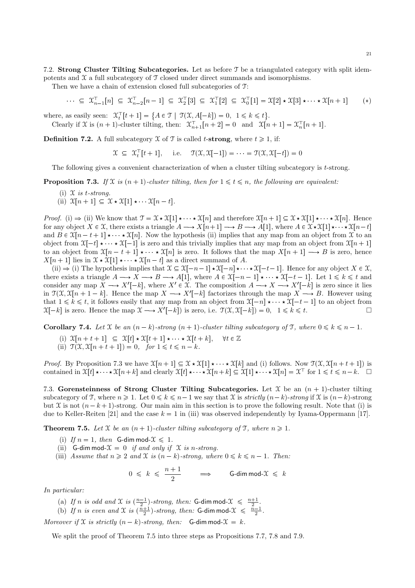7.2. Strong Cluster Tilting Subcategories. Let as before T be a triangulated category with split idempotents and  $\mathfrak X$  a full subcategory of  $\mathfrak T$  closed under direct summands and isomorphisms.

Then we have a chain of extension closed full subcategories of T:

$$
\cdots \subseteq \mathfrak{X}_{n-1}^{\top}[n] \subseteq \mathfrak{X}_{n-2}^{\top}[n-1] \subseteq \mathfrak{X}_{2}^{\top}[3] \subseteq \mathfrak{X}_{1}^{\top}[2] \subseteq \mathfrak{X}_{0}^{\top}[1] = \mathfrak{X}[2] \star \mathfrak{X}[3] \star \cdots \star \mathfrak{X}[n+1] \qquad (*)
$$

where, as easily seen:  $\mathcal{X}_t^{\top}[t+1] = \{ A \in \mathcal{T} \mid \mathcal{T}(\mathcal{X}, A[-k]) = 0, 1 \leq k \leq t \}.$ 

Clearly if X is  $(n + 1)$ -cluster tilting, then:  $\mathfrak{X}_{n+1}^{\top}[n+2] = 0$  and  $\mathfrak{X}[n+1] = \mathfrak{X}_{n}^{\top}[n+1]$ .

**Definition 7.2.** A full subcategory  $\mathcal X$  of  $\mathcal T$  is called *t*-strong, where  $t \geq 1$ , if:

$$
\mathfrak{X} \subseteq \mathfrak{X}_t^{\top}[t+1], \quad \text{i.e.} \quad \mathfrak{X}(\mathfrak{X}, \mathfrak{X}[-1]) = \cdots = \mathfrak{X}(\mathfrak{X}, \mathfrak{X}[-t]) = 0
$$

The following gives a convenient characterization of when a cluster tilting subcategory is t-strong.

**Proposition 7.3.** If X is  $(n + 1)$ -cluster tilting, then for  $1 \le t \le n$ , the following are equivalent:

- (i)  $\mathfrak X$  is t-strong. (ii)  $\mathfrak{X}[n+1] \subseteq \mathfrak{X} \star \mathfrak{X}[1] \star \cdots \mathfrak{X}[n-t].$
- *Proof.* (i)  $\Rightarrow$  (ii) We know that  $\mathcal{T} = \mathcal{X} \star \mathcal{X}[1] \star \cdots \star \mathcal{X}[n]$  and therefore  $\mathcal{X}[n+1] \subseteq \mathcal{X} \star \mathcal{X}[1] \star \cdots \star \mathcal{X}[n]$ . Hence for any object  $X \in \mathcal{X}$ , there exists a triangle  $A \longrightarrow X[n+1] \longrightarrow B \longrightarrow A[1]$ , where  $A \in \mathcal{X} \star \mathcal{X}[1] \star \cdots \star \mathcal{X}[n-t]$ and  $B \in \mathfrak{X}[n - t + 1] \star \cdots \star \mathfrak{X}[n]$ . Now the hypothesis (ii) implies that any map from an object from X to an

object from  $\mathfrak{X}[-t] \star \cdots \star \mathfrak{X}[-1]$  is zero and this trivially implies that any map from an object from  $\mathfrak{X}[n+1]$ to an object from  $\mathfrak{X}[n - t + 1] \star \cdots \star \mathfrak{X}[n]$  is zero. It follows that the map  $X[n + 1] \longrightarrow B$  is zero, hence  $X[n+1]$  lies in  $\mathfrak{X} \star \mathfrak{X}[1] \star \cdots \star \mathfrak{X}[n-t]$  as a direct summand of A.

(ii)  $\Rightarrow$  (i) The hypothesis implies that  $\mathfrak{X} \subseteq \mathfrak{X}[-n-1] \star \mathfrak{X}[-n] \star \cdots \star \mathfrak{X}[-t-1]$ . Hence for any object  $X \in \mathfrak{X}$ , there exists a triangle  $A \longrightarrow X \longrightarrow B \longrightarrow A[1]$ , where  $A \in \mathfrak{X}[-n-1] \star \cdots \star \mathfrak{X}[-t-1]$ . Let  $1 \leq k \leq t$  and consider any map  $X \longrightarrow X'[-k]$ , where  $X' \in \mathfrak{X}$ . The composition  $A \longrightarrow X \longrightarrow X'[-k]$  is zero since it lies in  $\mathcal{T}(\mathcal{X}, \mathcal{X}[n+1-k])$ . Hence the map  $X \longrightarrow X'[-k]$  factorizes through the map  $X \longrightarrow B$ . However using that  $1 \leq k \leq t$ , it follows easily that any map from an object from  $\mathfrak{X}[-n] \star \cdots \star \mathfrak{X}[-t-1]$  to an object from  $\mathfrak{X}[-k]$  is zero. Hence the map  $\mathfrak{X} \longrightarrow X'[-k]$  is zero, i.e.  $\mathfrak{X}(\mathfrak{X}, \mathfrak{X}[-k]) = 0, \quad 1 \le$  $\mathfrak{X}[-k]$  is zero. Hence the map  $\mathfrak{X} \longrightarrow X'[-k]$  is zero, i.e.  $\mathfrak{I}(\mathfrak{X}, \mathfrak{X}[-k]) = 0, \quad 1 \leq k \leq t.$ 

**Corollary 7.4.** Let X be an  $(n - k)$ -strong  $(n + 1)$ -cluster tilting subcategory of T, where  $0 \le k \le n - 1$ .

- (i)  $\mathfrak{X}[n + t + 1] \subseteq \mathfrak{X}[t] \star \mathfrak{X}[t + 1] \star \cdots \star \mathfrak{X}[t + k], \quad \forall t \in \mathbb{Z}$
- (ii)  $\mathfrak{T}(\mathfrak{X}, \mathfrak{X}[n + t + 1]) = 0$ , for  $1 \leq t \leq n k$ .

*Proof.* By Proposition 7.3 we have  $\mathfrak{X}[n+1] \subseteq \mathfrak{X} \star \mathfrak{X}[1] \star \cdots \star \mathfrak{X}[k]$  and (i) follows. Now  $\mathfrak{X}(\mathfrak{X}, \mathfrak{X}[n+t+1])$  is contained in  $\mathfrak{X}[t] \star \cdots \star \mathfrak{X}[n+k]$  and clearly  $\mathfrak{X}[t] \star \cdots \star \mathfrak{X}[n+k] \subseteq \mathfrak{X}[1] \star \cdots \star \mathfrak{X}[n] = \mathfrak{X}^{\top}$  for  $1 \leq t \leq n-k$ .  $\Box$ 

7.3. Gorensteinness of Strong Cluster Tilting Subcategories. Let X be an  $(n + 1)$ -cluster tilting subcategory of T, where  $n \geq 1$ . Let  $0 \leq k \leq n-1$  we say that X is strictly  $(n-k)$ -strong if X is  $(n-k)$ -strong but X is not  $(n - k + 1)$ -strong. Our main aim in this section is to prove the following result. Note that (i) is due to Keller-Reiten [21] and the case  $k = 1$  in (iii) was observed independently by Iyama-Oppermann [17].

**Theorem 7.5.** Let X be an  $(n + 1)$ -cluster tilting subcategory of T, where  $n \geq 1$ .

- (i) If  $n = 1$ , then G-dim mod- $\mathcal{X} \leq 1$ .
- (ii) G-dim mod- $\mathcal{X} = 0$  if and only if  $\mathcal X$  is n-strong.
- (iii) Assume that  $n \geq 2$  and X is  $(n k)$ -strong, where  $0 \leq k \leq n 1$ . Then:

$$
0 \leq k \leq \frac{n+1}{2} \qquad \Longrightarrow \qquad \text{G-dim mod-}\mathcal{X} \leq k
$$

In particular:

- (a) If n is odd and X is  $\left(\frac{n-1}{2}\right)$ -strong, then: **G-dim mod-** $\mathcal{X} \leq \frac{n+1}{2}$ .
- (b) If n is even and X is  $\left(\frac{n+1}{2}\right)$ -strong, then: **G-dim mod-** $\mathcal{X} \leq \frac{n-1}{2}$ .

Moreover if X is strictly  $(n - k)$ -strong, then: G-dim mod- $\mathcal{X} = k$ .

We split the proof of Theorem 7.5 into three steps as Propositions 7.7, 7.8 and 7.9.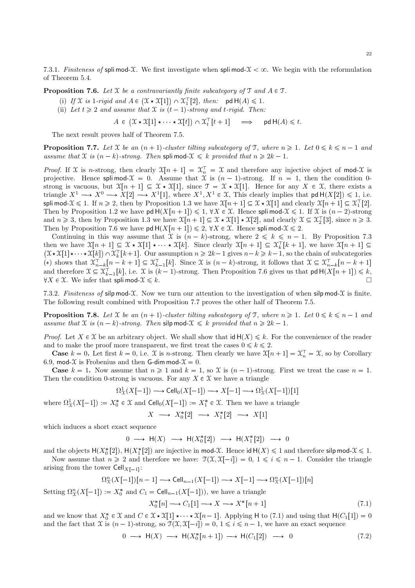7.3.1. Finiteness of splimod-X. We first investigate when splimod- $\mathcal{X} < \infty$ . We begin with the reformulation of Theorem 5.4.

**Proposition 7.6.** Let X be a contravariantly finite subcategory of  $\mathcal{T}$  and  $A \in \mathcal{T}$ .

- (i) If  $\mathfrak X$  is 1-rigid and  $A \in (\mathfrak X \star \mathfrak X[1]) \cap \mathfrak X_1^{\top}[2]$ , then: pd  $\mathsf H(A) \leq 1$ .
- (ii) Let  $t \geqslant 2$  and assume that  $\mathfrak X$  is  $(t 1)$ -strong and t-rigid. Then:

 $A \in (\mathfrak{X} \star \mathfrak{X}[1] \star \cdots \star \mathfrak{X}[t]) \cap \mathfrak{X}_t^{\top}[t+1] \implies \text{pd } \mathsf{H}(A) \leq t.$ 

The next result proves half of Theorem 7.5.

**Proposition 7.7.** Let X be an  $(n + 1)$ -cluster tilting subcategory of T, where  $n \geq 1$ . Let  $0 \leq k \leq n - 1$  and assume that X is  $(n - k)$ -strong. Then spli mod- $X \leq k$  provided that  $n \geq 2k - 1$ .

*Proof.* If X is n-strong, then clearly  $X[n+1] = X_n^T = X$  and therefore any injective object of mod-X is projective. Hence splimod- $\mathfrak{X} = 0$ . Assume that  $\mathfrak{X}$  is  $(n-1)$ -strong. If  $n = 1$ , then the condition 0strong is vacuous, but  $\mathfrak{X}[n+1] \subseteq \mathfrak{X} \star \mathfrak{X}[1]$ , since  $\mathfrak{T} = \mathfrak{X} \star \mathfrak{X}[1]$ . Hence for any  $X \in \mathfrak{X}$ , there exists a triangle  $X^1 \longrightarrow X^0 \longrightarrow X[2] \longrightarrow X^1[1]$ , where  $X^1, X^1 \in \mathfrak{X}$ , This clearly implies that  $\mathsf{pd} \, \mathsf{H}(X[2]) \leq 1$ , i.e. spli mod- $\mathcal{X} \leq 1$ . If  $n \geq 2$ , then by Proposition 1.3 we have  $\mathcal{X}[n+1] \subseteq \mathcal{X} \star \mathcal{X}[1]$  and clearly  $\mathcal{X}[n+1] \subseteq \mathcal{X}_1^{\top}[2]$ . Then by Proposition 1.2 we have  $\mathsf{pd} H(X[n+1]) \leq 1$ ,  $\forall X \in \mathcal{X}$ . Hence spli mod- $\mathcal{X} \leq 1$ . If  $\mathcal{X}$  is  $(n-2)$ -strong and  $n \geq 3$ , then by Proposition 1.3 we have  $\mathfrak{X}[n+1] \subseteq \mathfrak{X} \star \mathfrak{X}[1] \star \mathfrak{X}[2]$ , and clearly  $\mathfrak{X} \subseteq \mathfrak{X}$ [3], since  $n \geq 3$ . Then by Proposition 7.6 we have pd  $H(X[n + 1]) \le 2$ ,  $\forall X \in \mathcal{X}$ . Hence spli mod- $\mathcal{X} \le 2$ .

Continuing in this way assume that X is  $(n - k)$ -strong, where  $2 \leq k \leq n - 1$ . By Proposition 7.3 then we have  $\mathfrak{X}[n+1] \subseteq \mathfrak{X} \star \mathfrak{X}[1] \star \cdots \star \mathfrak{X}[k]$ . Since clearly  $\mathfrak{X}[n+1] \subseteq \mathfrak{X}_k^{\top}[k+1]$ , we have  $\mathfrak{X}[n+1] \subseteq$  $(\mathfrak{X} \star \mathfrak{X}[1] \star \cdots \star \mathfrak{X}[k]) \cap \mathfrak{X}_k^{\top}[k+1]$ . Our assumption  $n \geq 2k-1$  gives  $n-k \geq k-1$ , so the chain of subcategories (\*) shows that  $\mathfrak{X}_{n-k}^{\top}[n-k+1] \subseteq \mathfrak{X}_{k-1}^{\top}[k]$ . Since X is  $(n-k)$ -strong, it follows that  $\mathfrak{X} \subseteq \mathfrak{X}_{n-k}^{\top}[n-k+1]$ and therefore  $\mathcal{X} \subseteq \mathcal{X}_{k-1}^{\top}[k]$ , i.e.  $\mathcal{X}$  is  $(k-1)$ -strong. Then Proposition 7.6 gives us that  $\mathsf{pd} \mathsf{H}(X[n+1]) \leq k$ ,  $\forall X \in \mathcal{X}$ . We infer that spli mod- $\mathcal{X} \leq k$ .

7.3.2. Finiteness of silp mod- $\mathcal X$ . Now we turn our attention to the investigation of when silp mod- $\mathcal X$  is finite. The following result combined with Proposition 7.7 proves the other half of Theorem 7.5.

**Proposition 7.8.** Let X be an  $(n + 1)$ -cluster tilting subcategory of T, where  $n \geq 1$ . Let  $0 \leq k \leq n - 1$  and assume that X is  $(n - k)$ -strong. Then silp mod- $X \le k$  provided that  $n \ge 2k - 1$ .

*Proof.* Let  $X \in \mathcal{X}$  be an arbitrary object. We shall show that  $\mathsf{id} \, \mathsf{H}(X) \leq k$ . For the convenience of the reader and to make the proof more transparent, we first treat the cases  $0 \le k \le 2$ .

**Case**  $k = 0$ . Let first  $k = 0$ , i.e.  $\mathfrak{X}$  is *n*-strong. Then clearly we have  $\mathfrak{X}[n+1] = \mathfrak{X}_n^{\top} = \mathfrak{X}$ , so by Corollary 6.9, mod- $\mathfrak X$  is Frobenius and then G-dim mod- $\mathfrak X = 0$ .

**Case**  $k = 1$ . Now assume that  $n \ge 1$  and  $k = 1$ , so X is  $(n - 1)$ -strong. First we treat the case  $n = 1$ . Then the condition 0-strong is vacuous. For any  $X \in \mathcal{X}$  we have a triangle

$$
\Omega^1_{\mathfrak{X}}(X[-1]) \longrightarrow \text{Cell}_0(X[-1]) \longrightarrow X[-1] \longrightarrow \Omega^1_{\mathfrak{X}}(X[-1])[1]
$$

where  $\Omega^1_{\mathcal{X}}(X[-1]) := X_0^* \in \mathcal{X}$  and  $\text{Cell}_0(X[-1]) := X_1^* \in \mathcal{X}$ . Then we have a triangle

 $X \longrightarrow X_0^*[2] \longrightarrow X_1^*[2] \longrightarrow X[1]$ 

which induces a short exact sequence

$$
0 \longrightarrow \mathsf{H}(X) \longrightarrow \mathsf{H}(X_0^*[2]) \longrightarrow \mathsf{H}(X_1^*[2]) \longrightarrow 0
$$

and the objects  $H(X_0^*[2])$ ,  $H(X_1^*[2])$  are injective in mod-X. Hence id  $H(X) \leq 1$  and therefore silp mod- $X \leq 1$ . Now assume that  $n \geq 2$  and therefore we have:  $\mathcal{T}(\mathcal{X}, \mathcal{X}[-i]) = 0, 1 \leq i \leq n - 1$ . Consider the triangle

arising from the tower  $\mathsf{Cell}_{X[-1]}\colon$ 

$$
\Omega_X^n(X[-1])[n-1] \longrightarrow \text{Cell}_{n-1}(X[-1]) \longrightarrow X[-1] \longrightarrow \Omega_X^n(X[-1])[n]
$$

Setting  $\Omega_{\mathfrak{X}}^n(X[-1]) := X_0^*$  and  $C_1 = \text{Cell}_{n-1}(X[-1]),$  we have a triangle

$$
X_0^*[n] \longrightarrow C_1[1] \longrightarrow X \longrightarrow X^*[n+1] \tag{7.1}
$$

and we know that  $X_0^* \in \mathcal{X}$  and  $C \in \mathcal{X} \times \mathcal{X}[1] \times \cdots \times \mathcal{X}[n-1]$ . Applying H to (7.1) and using that  $H(C_1[1]) = 0$ and the fact that X is  $(n-1)$ -strong, so  $\mathcal{T}(\mathfrak{X}, \mathfrak{X}[-i]) = 0, 1 \leq i \leq n-1$ , we have an exact sequence

$$
0 \longrightarrow \mathsf{H}(X) \longrightarrow \mathsf{H}(X_0^*[n+1]) \longrightarrow \mathsf{H}(C_1[2]) \longrightarrow 0 \tag{7.2}
$$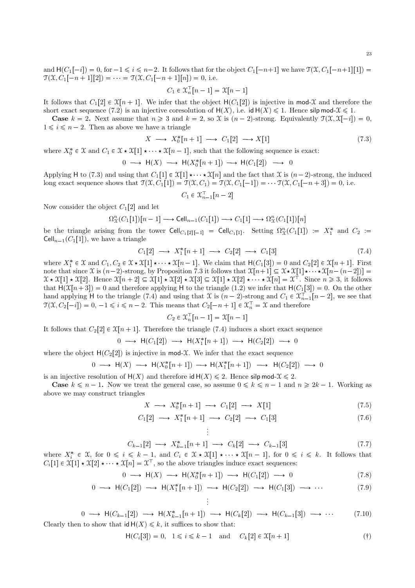$$
C_1 \in \mathfrak{X}_n^{\top}[n-1] = \mathfrak{X}[n-1]
$$

It follows that  $C_1[2] \in \mathfrak{X}[n+1]$ . We infer that the object  $H(C_1[2])$  is injective in mod-X and therefore the short exact sequence (7.2) is an injective coresolution of  $H(X)$ , i.e. id  $H(X) \le 1$ . Hence silp mod- $X \le 1$ .

**Case**  $k = 2$ . Next assume that  $n \ge 3$  and  $k = 2$ , so X is  $(n-2)$ -strong. Equivalently  $\mathcal{T}(\mathcal{X}, \mathcal{X}[-i]) = 0$ ,  $1 \leq i \leq n-2$ . Then as above we have a triangle

$$
X \longrightarrow X_0^*[n+1] \longrightarrow C_1[2] \longrightarrow X[1] \tag{7.3}
$$

where  $X_0^* \in \mathfrak{X}$  and  $C_1 \in \mathfrak{X} \star \mathfrak{X}[1] \star \cdots \star \mathfrak{X}[n-1]$ , such that the following sequence is exact:

$$
0 \longrightarrow H(X) \longrightarrow H(X_0^*[n+1]) \longrightarrow H(C_1[2]) \longrightarrow 0
$$

Applying H to (7.3) and using that  $C_1[1] \in \mathfrak{X}[1] \star \cdots \star \mathfrak{X}[n]$  and the fact that X is  $(n-2)$ -strong, the induced long exact sequence shows that  $\mathfrak{T}(\mathfrak{X}, C_1[1]) = \mathfrak{T}(\mathfrak{X}, C_1) = \mathfrak{T}(\mathfrak{X}, C_1[-1]) = \cdots \mathfrak{T}(\mathfrak{X}, C_1[-n+3]) = 0$ , i.e.

$$
C_1 \in \mathfrak{X}_{n-1}^{\top}[n-2]
$$

Now consider the object  $C_1[2]$  and let

$$
\Omega_X^n(C_1[1])[n-1] \longrightarrow \text{Cell}_{n-1}(C_1[1]) \longrightarrow C_1[1] \longrightarrow \Omega_X^n(C_1[1])[n]
$$

be the triangle arising from the tower  $\text{Cell}_{C_1[2]-1]}$  =  $\text{Cell}_{C_1[1]}$ . Setting  $\Omega^n_{\mathcal{X}}(C_1[1]) := X_1^*$  and  $C_2 :=$  $Cell_{n-1}(C_1[1])$ , we have a triangle

$$
C_1[2] \longrightarrow X_1^*[n+1] \longrightarrow C_2[2] \longrightarrow C_1[3] \tag{7.4}
$$

where  $X_1^* \in \mathfrak{X}$  and  $C_1, C_2 \in \mathfrak{X} \star \mathfrak{X}[1] \star \cdots \star \mathfrak{X}[n-1]$ . We claim that  $H(C_1[3]) = 0$  and  $C_2[2] \in \mathfrak{X}[n+1]$ . First note that since X is  $(n-2)$ -strong, by Proposition 7.3 it follows that  $\mathfrak{X}[n+1] \subseteq \mathfrak{X} \star \mathfrak{X}[1] \star \cdots \star \mathfrak{X}[n-(n-2])$  $\mathcal{X} \star \mathcal{X}[1] \star \mathcal{X}[2]$ . Hence  $\mathcal{X}[n+2] \subseteq \mathcal{X}[1] \star \mathcal{X}[2] \star \mathcal{X}[3] \subseteq \mathcal{X}[1] \star \mathcal{X}[2] \star \cdots \star \mathcal{X}[n] = \mathcal{X}^{\top}$ . Since  $n \geq 3$ , it follows that  $H(\mathcal{X}[n+3]) = 0$  and therefore applying H to the triangle (1.2) we infer that  $H(C_1[3]) = 0$ . On the other hand applying H to the triangle (7.4) and using that X is  $(n-2)$ -strong and  $C_1 \in \mathfrak{X}_{n-1}^{\top}[n-2]$ , we see that  $\mathfrak{T}(\mathfrak{X}, C_2[-i]) = 0, -1 \leq i \leq n-2$ . This means that  $C_2[-n+1] \in \mathfrak{X}_n^{\top} = \mathfrak{X}$  and therefore

$$
C_2 \in \mathfrak{X}_n^{\top}[n-1] = \mathfrak{X}[n-1]
$$

It follows that  $C_2[2] \in \mathfrak{X}[n+1]$ . Therefore the triangle (7.4) induces a short exact sequence

$$
0 \longrightarrow H(C_1[2]) \longrightarrow H(X_1^*[n+1]) \longrightarrow H(C_2[2]) \longrightarrow
$$

where the object  $H(C_2[2])$  is injective in mod-X. We infer that the exact sequence

$$
0 \longrightarrow H(X) \longrightarrow H(X_0^*[n+1]) \longrightarrow H(X_1^*[n+1]) \longrightarrow H(C_2[2]) \longrightarrow 0
$$

is an injective resolution of  $H(X)$  and therefore  $id H(X) \le 2$ . Hence  $silp \mod X \le 2$ .

 $\Omega$ 

 $\Omega$ 

**Case**  $k \leq n-1$ . Now we treat the general case, so assume  $0 \leq k \leq n-1$  and  $n \geq 2k-1$ . Working as above we may construct triangles

$$
X \longrightarrow X_0^*[n+1] \longrightarrow C_1[2] \longrightarrow X[1] \tag{7.5}
$$

 $\Omega$ 

$$
C_1[2] \longrightarrow X_1^*[n+1] \longrightarrow C_2[2] \longrightarrow C_1[3] \tag{7.6}
$$

$$
C_{k-1}[2] \longrightarrow X_{k-1}^*[n+1] \longrightarrow C_k[2] \longrightarrow C_{k-1}[3]
$$
\n
$$
(7.7)
$$

where  $X_i^* \in \mathfrak{X}$ , for  $0 \leq i \leq k-1$ , and  $C_i \in \mathfrak{X} \star \mathfrak{X}[1] \star \cdots \star \mathfrak{X}[n-1]$ , for  $0 \leq i \leq k$ . It follows that  $C_i[1] \in \mathfrak{X}[1] \star \mathfrak{X}[2] \star \cdots \star \mathfrak{X}[n] = \mathfrak{X}^\top$ , so the above triangles induce exact sequences:

 $\vdots$ 

 $\vdots$ 

$$
\longrightarrow \mathsf{H}(X) \longrightarrow \mathsf{H}(X_0^*[n+1]) \longrightarrow \mathsf{H}(C_1[2]) \longrightarrow 0 \tag{7.8}
$$

$$
0 \longrightarrow \mathsf{H}(C_1[2]) \longrightarrow \mathsf{H}(X_1^*[n+1]) \longrightarrow \mathsf{H}(C_2[2]) \longrightarrow \mathsf{H}(C_1[3]) \longrightarrow \cdots \tag{7.9}
$$

$$
0 \longrightarrow \mathsf{H}(C_{k-1}[2]) \longrightarrow \mathsf{H}(X_{k-1}^*[n+1]) \longrightarrow \mathsf{H}(C_k[2]) \longrightarrow \mathsf{H}(C_{k-1}[3]) \longrightarrow \cdots
$$
 (7.10)  
Clearly then to show that  $\mathsf{id} \mathsf{H}(X) \le k$ , it suffices to show that:

$$
\mathsf{H}(C_i[3]) = 0, \quad 1 \leq i \leq k - 1 \quad \text{and} \quad C_k[2] \in \mathfrak{X}[n+1] \tag{\dagger}
$$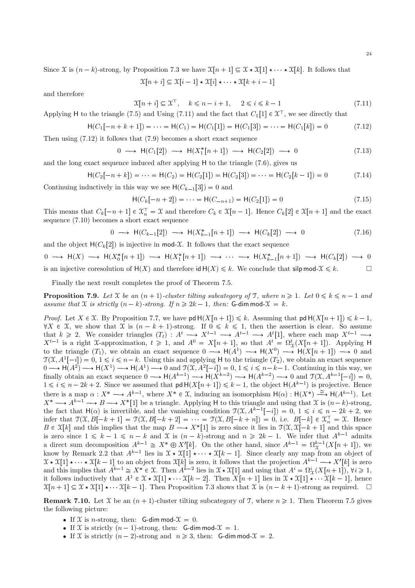Since X is  $(n-k)$ -strong, by Proposition 7.3 we have  $\mathfrak{X}[n+1] \subseteq \mathfrak{X} \star \mathfrak{X}[1] \star \cdots \star \mathfrak{X}[k]$ . It follows that

$$
\mathcal{X}[n+i] \subseteq \mathcal{X}[i-1] \star \mathcal{X}[i] \star \cdots \star \mathcal{X}[k+i-1]
$$

and therefore

$$
\mathfrak{X}[n+i] \subseteq \mathfrak{X}^{\top}, \quad k \leq n-i+1, \quad 2 \leq i \leq k-1 \tag{7.11}
$$

Applying H to the triangle (7.5) and Using (7.11) and the fact that  $C_1[1] \in \mathfrak{X}^{\mathsf{T}}$ , we see directly that

$$
\mathsf{H}(C_1[-n+k+1]) = \dots = \mathsf{H}(C_1) = \mathsf{H}(C_1[1]) = \mathsf{H}(C_1[3]) = \dots = \mathsf{H}(C_1[k]) = 0 \tag{7.12}
$$

Then using  $(7.12)$  it follows that  $(7.9)$  becomes a short exact sequence

$$
0 \longrightarrow \mathsf{H}(C_1[2]) \longrightarrow \mathsf{H}(X_1^*[n+1]) \longrightarrow \mathsf{H}(C_2[2]) \longrightarrow 0 \tag{7.13}
$$

and the long exact sequence induced after applying  $H$  to the triangle  $(7.6)$ , gives us

$$
\mathsf{H}(C_2[-n+k]) = \dots = \mathsf{H}(C_2) = \mathsf{H}(C_2[1]) = \mathsf{H}(C_2[3]) = \dots = \mathsf{H}(C_2[k-1]) = 0 \tag{7.14}
$$

Continuing inductively in this way we see  $H(C_{k-1}[3]) = 0$  and

$$
H(C_k[-n+2]) = \dots = H(C_{-n+1}) = H(C_2[1]) = 0 \tag{7.15}
$$

This means that  $C_k[-n+1] \in \mathfrak{X}_n^{\top} = \mathfrak{X}$  and therefore  $C_k \in \mathfrak{X}[n-1]$ . Hence  $C_k[2] \in \mathfrak{X}[n+1]$  and the exact sequence  $(7.10)$  becomes a short exact sequence

$$
0 \longrightarrow \mathsf{H}(C_{k-1}[2]) \longrightarrow \mathsf{H}(X_{k-1}^*[n+1]) \longrightarrow \mathsf{H}(C_k[2]) \longrightarrow 0 \tag{7.16}
$$

and the object  $H(C_k[2])$  is injective in mod-X. It follows that the exact sequence

 $0 \longrightarrow H(X) \longrightarrow H(X_0^*[n+1]) \longrightarrow H(X_1^*[n+1]) \longrightarrow \cdots \longrightarrow H(X_{k-1}^*[n+1]) \longrightarrow H(C_k[2]) \longrightarrow 0$ is an injective coresolution of  $H(X)$  and therefore  $id H(X) \le k$ . We conclude that silp mod- $X \le k$ .  $\Box$ 

Finally the next result completes the proof of Theorem 7.5.

**Proposition 7.9.** Let X be an  $(n + 1)$ -cluster tilting subcategory of T, where  $n \ge 1$ . Let  $0 \le k \le n - 1$  and assume that X is strictly  $(n - k)$ -strong. If  $n \ge 2k - 1$ , then: G-dim mod- $\mathcal{X} = k$ .

*Proof.* Let  $X \in \mathcal{X}$ . By Proposition 7.7, we have  $\mathsf{pd} H(X[n+1]) \leq k$ . Assuming that  $\mathsf{pd} H(X[n+1]) \leq k-1$ ,  $\forall X \in \mathcal{X}$ , we show that  $\mathcal{X}$  is  $(n - k + 1)$ -strong. If  $0 \le k \le 1$ , then the assertion is clear. So assume that  $k \ge 2$ . We consider triangles  $(T_t) : A^t \longrightarrow X^{t-1} \longrightarrow A^{t-1} \longrightarrow A^t[1]$ , where each map  $X^{t-1} \longrightarrow$  $X^{t-1}$  is a right X-approximation,  $t \ge 1$ , and  $A^0 = X[n+1]$ , so that  $A^t = \Omega_X^t(X[n+1])$ . Applying H to the triangle  $(T_1)$ , we obtain an exact sequence  $0 \longrightarrow H(A^1) \longrightarrow H(X^0) \longrightarrow H(X[n+1]) \longrightarrow 0$  and  $\mathcal{T}(\mathcal{X}, A^1[-i]) = 0, 1 \leq i \leq n-k$ . Using this and applying H to the triangle  $(T_2)$ , we obtain an exact sequence  $0 \longrightarrow H(A^2) \longrightarrow H(X^1) \longrightarrow H(A^1) \longrightarrow 0$  and  $\mathfrak{T}(\mathfrak{X}, A^2[-i]) = 0, 1 \le i \le n-k-1$ . Continuing in this way, we finally obtain an exact sequence  $0 \longrightarrow H(A^{k-1}) \longrightarrow H(X^{k-2}) \longrightarrow H(A^{k-2}) \longrightarrow 0$  and  $\mathfrak{T}(\mathfrak{X}, A^{k-1}[-i]) = 0$ ,  $1 \leq i \leq n-2k+2$ . Since we assumed that  $\mathsf{pd} H(X[n+1]) \leq k-1$ , the object  $\mathsf{H}(A^{k-1})$  is projective. Hence there is a map  $\alpha: X^* \longrightarrow A^{k-1}$ , where  $X^* \in \mathfrak{X}$ , inducing an isomorphism  $H(\alpha): H(X^*) \stackrel{\cong}{\longrightarrow} H(A^{k-1})$ . Let  $X^* \longrightarrow A^{k-1} \longrightarrow B \longrightarrow X^*$ [1] be a triangle. Applying H to this triangle and using that X is  $(n-k)$ -strong, the fact that  $H(\alpha)$  is invertible, and the vanishing condition  $\mathcal{T}(\mathcal{X}, A^{k-1}[-i]) = 0, 1 \leq i \leq n-2k+2$ , we infer that  $\mathfrak{T}(\mathfrak{X},B[-k+1]) = \mathfrak{T}(\mathfrak{X},B[-k+2]) = \mathfrak{T}(\mathfrak{X},B[-k+n]) = 0$ , i.e.  $B[-k] \in \mathfrak{X}_n^{\mathsf{T}} = \mathfrak{X}$ . Hence  $B \in \mathfrak{X}[k]$  and this implies that the map  $B \longrightarrow X^*[1]$  is zero since it lies in  $\mathfrak{T}(\mathfrak{X}, \mathfrak{X}[-k+1])$  and this space is zero since  $1 \le k - 1 \le n - k$  and  $\mathcal X$  is  $(n - k)$ -strong and  $n \ge 2k - 1$ . We infer that  $A^{k-1}$  admits a direct sum decomposition  $A^{k-1} \cong X^* \oplus X'[k]$ . On the other hand, since  $A^{k-1} = \Omega_{\mathcal X}^{k-1}(X[n+1])$ , we know by Remark 2.2 that  $A^{k-1}$  lies in  $\mathfrak{X} \star \mathfrak{X}[1] \star \cdots \star \mathfrak{X}[k-1]$ . Since clearly any map from an object of  $\mathcal{X} \star \mathcal{X}[1] \star \cdots \star \mathcal{X}[k-1]$  to an object from  $\mathcal{X}[k]$  is zero, it follows that the projection  $A^{k-1} \longrightarrow X'[k]$  is zero and this implies that  $A^{k-1} \cong X^* \in \mathcal{X}$ . Then  $A^{k-2}$  lies in  $\mathcal{X} \star \mathcal{X}[1]$  and us it follows inductively that  $A^1 \in \mathcal{X} \star \mathcal{X}[1] \star \cdots \mathcal{X}[k-2]$ . Then  $X[n+1]$  lies in  $\mathcal{X} \star \mathcal{X}[1] \star \cdots \mathcal{X}[k-1]$ , hence  $\mathfrak{X}[n+1] \subseteq \mathfrak{X} \star \mathfrak{X}[1] \star \cdots \mathfrak{X}[k-1]$ . Then Proposition 7.3 shows that  $\mathfrak{X}$  is  $(n-k+1)$ -strong as required.  $\square$ 

**Remark 7.10.** Let X be an  $(n + 1)$ -cluster tilting subcategory of T, where  $n \ge 1$ . Then Theorem 7.5 gives the following picture:

- If X is *n*-strong, then: **G-dim mod-** $\mathcal{X} = 0$ .
- If X is strictly  $(n-1)$ -strong, then: G-dim mod- $\mathcal{X} = 1$ .
- If X is strictly  $(n-2)$ -strong and  $n \ge 3$ , then: G-dim mod- $\mathcal{X} = 2$ .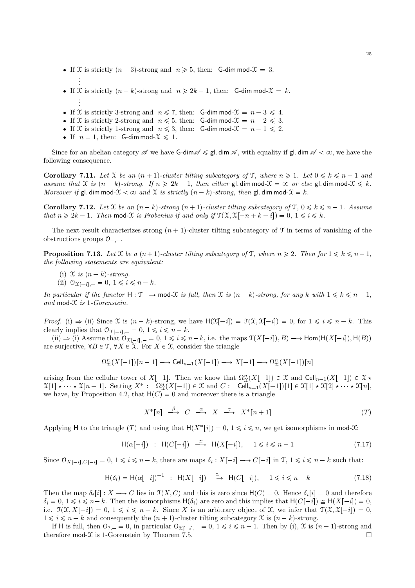- If X is strictly  $(n 3)$ -strong and  $n \ge 5$ , then: G-dim mod- $\mathcal{X} = 3$ .
- . If X is strictly  $(n - k)$ -strong and  $n \ge 2k - 1$ , then: G-dim mod- $\mathcal{X} = k$ . . . .
- If X is strictly 3-strong and  $n \leq 7$ , then: G-dim mod- $\mathcal{X} = n 3 \leq 4$ .
- If X is strictly 2-strong and  $n \leq 5$ , then: G-dim mod- $\mathcal{X} = n 2 \leq 3$ .
- If X is strictly 1-strong and  $n \leq 3$ , then: G-dim mod- $\mathcal{X} = n 1 \leq 2$ .
- If  $n = 1$ , then: G-dim mod- $\mathcal{X} \leq 1$ .

. .

Since for an abelian category  $\mathscr A$  we have G-dim  $\mathscr A \leq \mathsf g$ . dim  $\mathscr A$ , with equality if  $\mathsf g$ l. dim  $\mathscr A \leq \infty$ , we have the following consequence.

**Corollary 7.11.** Let X be an  $(n + 1)$ -cluster tilting subcategory of T, where  $n \geq 1$ . Let  $0 \leq k \leq n - 1$  and assume that X is  $(n - k)$ -strong. If  $n \geq 2k - 1$ , then either gl. dim mod- $\mathcal{X} = \infty$  or else gl. dim mod- $\mathcal{X} \leq k$ . Moreover if gl. dim mod- $\mathcal{X} < \infty$  and X is strictly  $(n - k)$ -strong, then gl. dim mod- $\mathcal{X} = k$ .

**Corollary 7.12.** Let X be an  $(n - k)$ -strong  $(n + 1)$ -cluster tilting subcategory of  $\mathcal{T}, 0 \leq k \leq n - 1$ . Assume that  $n \geq 2k - 1$ . Then mod-X is Frobenius if and only if  $\mathcal{T}(\mathcal{X}, \mathcal{X}[-n+k-i]) = 0, 1 \leq i \leq k$ .

The next result characterizes strong  $(n + 1)$ -cluster tilting subcategory of T in terms of vanishing of the obstructions groups  $0_{-,-}$ .

**Proposition 7.13.** Let X be a  $(n+1)$ -cluster tilting subcategory of T, where  $n \geq 2$ . Then for  $1 \leq k \leq n-1$ , the following statements are equivalent:

- (i)  $\mathfrak X$  is  $(n-k)$ -strong.
- (ii)  $\mathcal{O}_{\mathfrak{X}[-i],-} = 0, 1 \leq i \leq n k.$

In particular if the functor  $H : \mathcal{T} \longrightarrow \text{mod-}\mathcal{X}$  is full, then  $\mathcal{X}$  is  $(n-k)$ -strong, for any k with  $1 \leq k \leq n-1$ , and mod- $\mathfrak X$  is 1-Gorenstein.

*Proof.* (i)  $\Rightarrow$  (ii) Since X is  $(n - k)$ -strong, we have  $H(\mathfrak{X}[-i]) = \mathfrak{I}(\mathfrak{X}, \mathfrak{X}[-i]) = 0$ , for  $1 \leq i \leq n - k$ . This clearly implies that  $\mathcal{O}_{\mathfrak{X}[-i], -} = 0, 1 \leq i \leq n - k$ .

(ii)  $\Rightarrow$  (i) Assume that  $\mathcal{O}_{X[-i], -} = 0, 1 \leq i \leq n-k$ , i.e. the maps  $\mathcal{T}(X[-i]), B) \longrightarrow \text{Hom}(\mathcal{H}(X[-i]), \mathcal{H}(B))$ are surjective,  $\forall B \in \mathcal{T}, \forall X \in \mathcal{X}$ . For  $X \in \mathcal{X}$ , consider the triangle

$$
\Omega^n_{\mathfrak{X}}(X[-1])[n-1] \longrightarrow \mathrm{Cell}_{n-1}(X[-1]) \longrightarrow X[-1] \longrightarrow \Omega^n_{\mathfrak{X}}(X[-1])[n]
$$

arising from the cellular tower of  $X[-1]$ . Then we know that  $\Omega_{\mathcal{X}}^n(X[-1]) \in \mathcal{X}$  and Cell<sub>n-1</sub> $(X[-1]) \in \mathcal{X}$  \*  $\mathfrak{X}[1] \star \cdots \star \mathfrak{X}[n-1]$ . Setting  $X^* := \Omega_X^n(X[-1]) \in \mathfrak{X}$  and  $C := \text{Cell}_{n-1}(X[-1])[1] \in \mathfrak{X}[1] \star \mathfrak{X}[2] \star \cdots \star \mathfrak{X}[n]$ , we have, by Proposition 4.2, that  $H(C) = 0$  and moreover there is a triangle

$$
X^*[n] \stackrel{\beta}{\longrightarrow} C \stackrel{\alpha}{\longrightarrow} X \stackrel{\gamma}{\longrightarrow} X^*[n+1] \tag{T}
$$

Applying H to the triangle  $(T)$  and using that  $H(X^*[i]) = 0, 1 \leq i \leq n$ , we get isomorphisms in mod-X:

$$
\mathsf{H}(\alpha[-i]) \; : \; \mathsf{H}(C[-i]) \; \xrightarrow{\cong} \; \mathsf{H}(X[-i]), \quad 1 \leq i \leq n-1 \tag{7.17}
$$

Since  $\mathcal{O}_{X[-i], C[-i]} = 0, 1 \leq i \leq n-k$ , there are maps  $\delta_i : X[-i] \longrightarrow C[-i]$  in  $\mathcal{T}, 1 \leq i \leq n-k$  such that:

$$
\mathsf{H}(\delta_i) = \mathsf{H}(\alpha[-i])^{-1} \; : \; \mathsf{H}(X[-i]) \; \xrightarrow{\cong} \; \mathsf{H}(C[-i]), \quad 1 \leq i \leq n-k \tag{7.18}
$$

Then the map  $\delta_i[i]: X \longrightarrow C$  lies in  $\mathcal{T}(X, C)$  and this is zero since  $H(C) = 0$ . Hence  $\delta_i[i] = 0$  and therefore  $\delta_i = 0, 1 \leq i \leq n-k$ . Then the isomorphisms  $H(\delta_i)$  are zero and this implies that  $H(C[-i]) \cong H(X[-i]) = 0$ , i.e.  $\mathcal{T}(\mathcal{X}, X[-i]) = 0, 1 \leq i \leq n - k$ . Since X is an arbitrary object of X, we infer that  $\mathcal{T}(\mathcal{X}, \mathcal{X}[-i]) = 0$ ,  $1 \leq i \leq n-k$  and consequently the  $(n + 1)$ -cluster tilting subcategory X is  $(n - k)$ -strong.

If H is full, then  $\mathcal{O}_{7,-} = 0$ , in particular  $\mathcal{O}_{\mathcal{X}[-i],-} = 0, 1 \leq i \leq n-1$ . Then by (i),  $\mathcal{X}$  is  $(n-1)$ -strong and erefore mod- $\mathcal{X}$  is 1-Gorenstein by Theorem 7.5. therefore  $mod-\mathcal{X}$  is 1-Gorenstein by Theorem 7.5.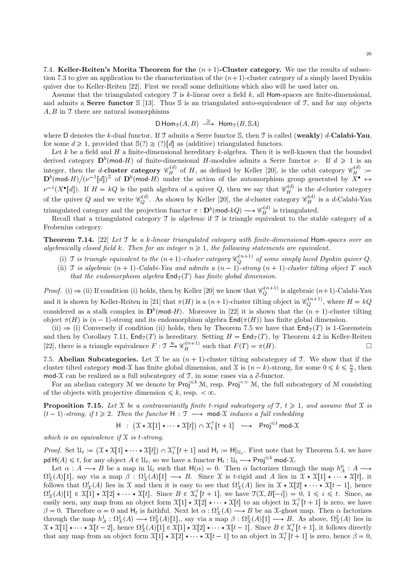7.4. Keller-Reiten's Morita Theorem for the  $(n + 1)$ -Cluster category. We use the results of subsection 7.3 to give an application to the characterization of the  $(n+1)$ -cluster category of a simply laced Dynkin quiver due to Keller-Reiten [22]. First we recall some definitions which also will be used later on.

Assume that the triangulated category  $\mathcal T$  is k-linear over a field k, all Hom-spaces are finite-dimensional, and admits a **Serre functor**  $\{5\}$  [13]. Thus  $\{5\}$  is an triangulated auto-equivalence of  $\mathcal{T}$ , and for any objects  $A, B$  in  $\mathcal T$  there are natural isomorphisms

$$
\mathsf{D}\operatorname{Hom}_{\mathfrak{T}}(A,B) \stackrel{\cong}{\longrightarrow} \operatorname{Hom}_{\mathfrak{T}}(B,\mathbb{S}A)
$$

where D denotes the k-dual functor. If  $\mathcal T$  admits a Serre functor S, then  $\mathcal T$  is called (weakly) d-Calabi-Yau, for some  $d \geq 1$ , provided that  $\mathbb{S}(?)\cong (?)[d]$  as (additive) triangulated functors.

Let k be a field and H a finite-dimensional hereditary k-algebra. Then it is well-known that the bounded derived category  $\mathbf{D}^b(\text{mod-}H)$  of finite-dimensional H-modules admits a Serre functor  $\nu$ . If  $d \geq 1$  is an integer, then the *d*-cluster category  $\mathscr{C}_H^{(d)}$  of H, as defined by Keller [20], is the orbit category  $\mathscr{C}_H^{(d)}$  :=  $\mathbf{D}^b(\text{mod-}H)/(\nu^{-1}[d])^{\mathbb{Z}}$  of  $\mathbf{D}^b(\text{mod-}H)$  under the action of the automorphism group generated by  $X^{\bullet} \mapsto$  $\nu^{-1}(X^{\bullet}[d])$ . If  $H = kQ$  is the path algebra of a quiver Q, then we say that  $\mathscr{C}_H^{(d)}$  is the d-cluster category of the quiver Q and we write  $\mathscr{C}_Q^{(d)}$ . As shown by Keller [20], the d-cluster category  $\mathscr{C}_H^{(d)}$  is a d-Calabi-Yau triangulated category and the projection functor  $\pi : \mathbf{D}^b(\text{mod-}kQ) \longrightarrow \mathscr{C}_H^{(d)}$  is triangulated.

Recall that a triangulated category  $\mathcal T$  is algebraic if  $\mathcal T$  is triangle equivalent to the stable category of a Frobenius category.

**Theorem 7.14.** [22] Let  $\mathcal T$  be a k-linear triangulated category with finite-dimensional Hom-spaces over an algebraically closed field k. Then for an integer  $n \geq 1$ , the following statements are equivalent.

- (i)  $\Im$  is triangle equivalent to the  $(n+1)$ -cluster category  $\mathcal{C}_Q^{(n+1)}$  of some simply laced Dynkin quiver Q.
- (ii)  $\mathcal{T}$  is algebraic  $(n + 1)$ -Calabi-Yau and admits a  $(n 1)$ -strong  $(n + 1)$ -cluster tilting object  $T$  such that the endomorphism algebra  $\text{End}_{\mathfrak{T}}(T)$  has finite global dimension.

*Proof.* (i)  $\Rightarrow$  (ii) If condition (i) holds, then by Keller [20] we know that  $\mathcal{C}_Q^{(n+1)}$  is algebraic  $(n+1)$ -Calabi-Yau and it is shown by Keller-Reiten in [21] that  $\pi(H)$  is a  $(n+1)$ -cluster tilting object in  $\mathscr{C}_Q^{(n+1)}$ , where  $H = kQ$ considered as a stalk complex in  $\mathbf{D}^b(\text{mod-}H)$ . Moreover in [22] it is shown that the  $(n + 1)$ -cluster tilting object  $\pi(H)$  is  $(n-1)$ -strong and its endomorphism algebra  $\text{End}(\pi(H))$  has finite global dimension.

(ii)  $\Rightarrow$  (i) Conversely if condition (ii) holds, then by Theorem 7.5 we have that  $\text{End}_{\mathcal{T}}(T)$  is 1-Gorenstein and then by Corollary 7.11,  $\text{End}_{\mathcal{T}}(T)$  is hereditary. Setting  $H = \text{End}_{\mathcal{T}}(T)$ , by Theorem 4.2 in Keller-Reiten [22], there is a triangle equivalence  $F : \mathfrak{T} \xrightarrow{\approx} \mathscr{C}_H^{(n+1)}$  such that  $F(T) = \pi(H)$ .

7.5. Abelian Subcategories. Let  $X$  be an  $(n + 1)$ -cluster tilting subcategory of T. We show that if the cluster tilted category mod-X has finite global dimension, and X is  $(n-k)$ -strong, for some  $0 \le k \le \frac{n}{2}$ , then mod-X can be realized as a full subcategory of  $\mathcal{T}$ , in some cases via a  $\partial$ -functor.

For an abelian category M we denote by  $\text{Proj}^{\leq k} \mathcal{M}$ , resp. Proj<sup>< $\infty$ </sup> M, the full subcategory of M consisting of the objects with projective dimension  $\leq k$ , resp.  $\lt \infty$ .

**Proposition 7.15.** Let X be a contravariantly finite t-rigid subcategory of  $\mathcal{T}, t \geq 1$ , and assume that X is  $(t-1)$ -strong, if  $t \geq 2$ . Then the functor  $H : \mathcal{T} \longrightarrow \text{mod-}\mathcal{X}$  induces a full embedding

$$
\mathsf{H} \ : \ \bigl(\mathfrak{X} \star \mathfrak{X}[1] \star \cdots \star \mathfrak{X}[t] \bigr) \, \cap \, \mathfrak{X}_t^\top[t+1] \ \ \longrightarrow \ \ \mathsf{Proj}^{\leqslant t} \, \mathsf{mod}\text{-}\mathfrak{X}
$$

which is an equivalence if  $X$  is t-strong.

*Proof.* Set  $\mathcal{U}_t := (\mathcal{X} \star \mathcal{X}[1] \star \cdots \star \mathcal{X}[t]) \cap \mathcal{X}_t^{\top}[t+1]$  and  $H_t := H|_{\mathcal{U}_t}$ . First note that by Theorem 5.4, we have  $\mathsf{pd}\,\mathsf{H}(A)\leq t$ , for any object  $A\in\mathcal{U}_t$ , so we have a functor  $\mathsf{H}_t : \mathcal{U}_t\longrightarrow \mathsf{Proj}^{\leq k}$  mod-X.

Let  $\alpha : A \longrightarrow B$  be a map in  $\mathcal{U}_t$  such that  $H(\alpha) = 0$ . Then  $\alpha$  factorizes through the map  $h_A^0 : A \longrightarrow$  $\Omega^1_{\mathfrak{X}}(A)[1]$ , say via a map  $\beta : \Omega^1_{\mathfrak{X}}(A)[1] \longrightarrow B$ . Since X is t-rigid and A lies in  $\mathfrak{X} \star \mathfrak{X}[1] \star \cdots \star \mathfrak{X}[t]$ , it follows that  $\Omega^t_{\mathfrak{X}}(A)$  lies in X and then it is easy to see that  $\Omega^1_{\mathfrak{X}}(A)$  lies in  $\mathfrak{X} \star \mathfrak{X}[2] \star \cdots \star \mathfrak{X}[t-1]$ , hence  $\Omega^t_{\mathfrak{X}}(A)[1] \in \mathfrak{X}[1] \star \mathfrak{X}[2] \star \cdots \star \mathfrak{X}[t].$  Since  $B \in \mathfrak{X}_t^{\top}[t+1]$ , we have  $\mathfrak{I}(\mathfrak{X},B[-i]) = 0, 1 \leq i \leq t$ . Since, as easily seen, any map from an object form  $\mathfrak{X}[1] \star \mathfrak{X}[2] \star \cdots \star \mathfrak{X}[t]$  to an object in  $\mathfrak{X}_t^{\top}[t+1]$  is zero, we have  $\beta = 0$ . Therefore  $\alpha = 0$  and  $H_t$  is faithful. Next let  $\alpha : \Omega^1_{\mathfrak{X}}(A) \longrightarrow B$  be an X-ghost map. Then  $\alpha$  factorizes through the map  $h_A^1: \Omega^1_{\mathfrak{X}}(A) \longrightarrow \Omega^2_{\mathfrak{X}}(A)[1],$  say via a map  $\beta: \Omega^2_{\mathfrak{X}}(A)[1] \longrightarrow B$ . As above,  $\Omega^2_{\mathfrak{X}}(A)$  lies in  $\mathfrak{X} \star \mathfrak{X}[1] \star \cdots \star \mathfrak{X}[t-2]$ , hence  $\Omega^2_{\mathfrak{X}}(A)[1] \in \mathfrak{X}[1] \star \mathfrak{X}[2] \star \cdots \star \mathfrak{X}[t-1]$ . Since  $B \in \mathfrak{X}_t^{\top}[t+1]$ , it follows directly that any map from an object form  $\mathfrak{X}[1] \star \mathfrak{X}[2] \star \cdots \star \mathfrak{X}[t-1]$  to an object in  $\mathfrak{X}_t^{\top}[t+1]$  is zero, hence  $\beta = 0$ ,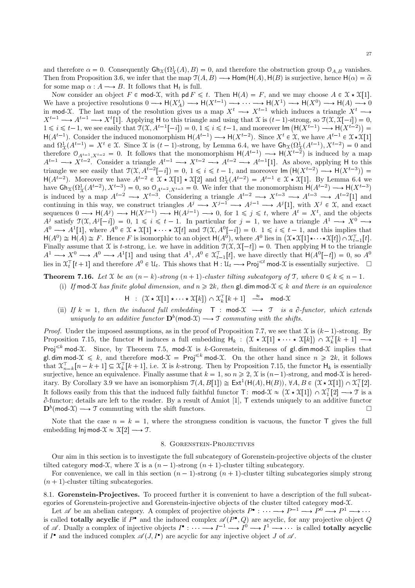and therefore  $\alpha = 0$ . Consequently  $\mathsf{Gh}_{\mathfrak{X}}(\Omega^1_{\Upsilon}(A), B) = 0$ , and therefore the obstruction group  $\mathcal{O}_{A,B}$  vanishes. Then from Proposition 3.6, we infer that the map  $\mathcal{T}(A, B) \longrightarrow \text{Hom}(\mathcal{H}(A), \mathcal{H}(B))$  is surjective, hence  $\mathcal{H}(\alpha) = \tilde{\alpha}$ for some map  $\alpha : A \longrightarrow B$ . It follows that  $H_t$  is full.

Now consider an object  $F \in \text{mod-}\mathfrak{X}$ , with  $\text{pd } F \leq t$ . Then  $H(A) = F$ , and we may choose  $A \in \mathfrak{X} \times \mathfrak{X}[1]$ . We have a projective resolutions  $0 \longrightarrow H(X_A^t) \longrightarrow H(X^{t-1}) \longrightarrow \cdots \longrightarrow H(X^1) \longrightarrow H(X^0) \longrightarrow H(A) \longrightarrow 0$ in mod-X. The last map of the resolution gives us a map  $X^t \longrightarrow X^{t-1}$  which induces a triangle  $X^t \longrightarrow$  $X^{t-1} \longrightarrow A^{t-1} \longrightarrow X^t[1]$ . Applying H to this triangle and using that X is  $(t-1)$ -strong, so  $\mathfrak{T}(\mathfrak{X}, \mathfrak{X}[-i]) = 0$ ,  $1 \leq i \leq t-1$ , we see easily that  $\mathcal{T}(\mathcal{X}, A^{t-1}[-i]) = 0, 1 \leq i \leq t-1$ , and moreover  $\text{Im}(\mathsf{H}(X^{t-1}) \longrightarrow \mathsf{H}(X^{t-2})) =$  $1 \le i \le t-1$ , we see easily that  $J(x, A^{-1}[-i]) = 0, 1 \le i \le t-1$ , and indicate in  $\prod_{i=1}^t (A^{t-1}) \rightarrow H(A^{t-1})$ . Consider the induced monomorphism  $H(A^{t-1}) \rightarrow H(X^{t-2})$ . Since  $X^t \in \mathcal{X}$ , we have  $A^{t-1} \in \mathcal{X} \star \mathcal{X}[1]$  and  $\$ triangle we see easily that  $\mathcal{T}(\mathcal{X}, A^{i-2}[-i]) = 0, 1 \leq i \leq t-1$ , and moreover  $\text{Im}(\mathsf{H}(X^{t-2}) \longrightarrow \mathsf{H}(X^{t-3})) =$  $H(A^{t-2})$ . Moreover we have  $A^{t-2} \in \mathcal{X} \star \mathcal{X}[1] \star \mathcal{X}[2]$  and  $\Omega^1_{\Upsilon}(A^{t-2}) = A^{t-1} \in \mathcal{X} \star \mathcal{X}[1]$ . By Lemma 6.4 we have  $\text{Gh}_{\mathfrak{X}}(\Omega^1_{\mathfrak{X}}(A^{t-2}), X^{t-3}) = 0$ , so  $\mathfrak{O}_{A^{t-2}, X^{t-3}} = 0$ . We infer that the monomorphism  $H(A^{t-2}) \longrightarrow H(X^{t-3})$ <br>is induced by a map  $A^{t-2} \longrightarrow X^{t-3}$ . Considering a triangle  $A^{t-2} \longrightarrow X^{t-3} \longrightarrow A^{t-3} \longrightarrow A^{t-2}[$ sequences  $0 \longrightarrow H(A^{j}) \longrightarrow H(X^{j-1}) \longrightarrow H(A^{j-1}) \longrightarrow 0$ , for  $1 \leq j \leq t$ , where  $A^{t} = X^{t}$ , and the objects  $A^j$  satisfy  $\mathfrak{T}(\mathfrak{X}, A^j[-i]) = 0, 1 \leq i \leq t-1$ . In particular for  $j = 1$ , we have a triangle  $A^1 \longrightarrow X^0 \longrightarrow$  $A^0 \longrightarrow A^1[1]$ , where  $A^0 \in \mathcal{X} \star \mathcal{X}[1] \star \cdots \star \mathcal{X}[t]$  and  $\mathcal{T}(\mathcal{X}, A^0[-i]) = 0$ .  $1 \leq i \leq t-1$ , and this implies that  $H(A^0) \cong H(A) \cong F$ . Hence F is isomorphic to an object  $H(A^0)$ , where  $A^0$  lies in  $(\mathfrak{X} \star \mathfrak{X}[1] \star \cdots \star \mathfrak{X}[t]) \cap \mathfrak{X}_{t-1}^{\top}[t]$ . Finally assume that X is t-strong, i.e. we have in addition  $\mathcal{T}(\mathcal{X}, \mathcal{X}[-t]) = 0$ . Then applying H to the triangle  $A^1 \longrightarrow X^0 \longrightarrow A^0 \longrightarrow A^1[1]$  and using that  $A^1, A^0 \in \mathfrak{X}_{t-1}^{\mathsf{T}}[t]$ , we have directly that  $\mathsf{H}(A^0[-t]) = 0$ , so  $A^0$ lies in  $\mathfrak{X}_t^{\top} [t+1]$  and therefore  $A^0 \in \mathcal{U}_t$ . This shows that  $H: \mathcal{U}_t \longrightarrow \text{Proj}^{\leq t}$  mod- $\mathfrak{X}$  is essentially surjective.

**Theorem 7.16.** Let X be an  $(n-k)$ -strong  $(n+1)$ -cluster tilting subcategory of T, where  $0 \le k \le n-1$ .

(i) If mod-X has finite global dimension, and  $n \geq 2k$ , then gl. dim mod- $\mathcal{X} \leq k$  and there is an equivalence

$$
H: (\mathfrak{X} \star \mathfrak{X}[1] \star \cdots \star \mathfrak{X}[k]) \cap \mathfrak{X}_k^{\perp}[k+1] \stackrel{\approx}{\longrightarrow} \text{mod-}\mathfrak{X}
$$

(ii) If  $k = 1$ , then the induced full embedding  $\top$ : mod- $\mathcal{X} \longrightarrow \mathcal{T}$  is a  $\partial$ -functor, which extends uniquely to an additive functor  $\mathbf{D}^b(\text{mod-}\mathfrak{X}) \longrightarrow \mathfrak{T}$  commuting with the shifts.

*Proof.* Under the imposed assumptions, as in the proof of Proposition 7.7, we see that  $\mathfrak X$  is  $(k-1)$ -strong. By Proposition 7.15, the functor H induces a full embedding  $H_k$ :  $(\mathfrak{X} \star \mathfrak{X}[1] \star \cdots \star \mathfrak{X}[k]) \cap \mathfrak{X}_k^{\top}[k+1] \longrightarrow$ Proj<sup> $\leq k$ </sup> mod-X. Since, by Theorem 7.5, mod-X is k-Gorenstein, finiteness of gl. dim mod-X implies that gl. dim mod-X  $\leq k$ , and therefore mod-X = Proj $\leq k$  mod-X. On the other hand since  $n \geq 2k$ , it follows that  $\mathfrak{X}_{n-k}^{\top}[n-k+1] \subseteq \mathfrak{X}_{k}^{\top}[k+1]$ , i.e. X is k-strong. Then by Proposition 7.15, the functor  $\mathsf{H}_{k}$  is essentially surjective, hence an equivalence. Finally assume that  $k = 1$ , so  $n \ge 2$ ,  $\mathfrak{X}$  is  $(n-1)$ -strong, and mod- $\mathfrak{X}$  is hereditary. By Corollary 3.9 we have an isomorphism  $\mathfrak{T}(A, B[1]) \cong \text{Ext}^1(\mathsf{H}(A), \mathsf{H}(B)), \forall A, B \in (\mathfrak{X} \star \mathfrak{X}[1]) \cap \mathfrak{X}_1^{\top}[2].$ It follows easily from this that the induced fully faithful functor  $T: \text{ mod-}\mathcal{X} \approx (\mathcal{X} \star \mathcal{X}[1]) \cap \mathcal{X}_1^T[2] \longrightarrow \mathcal{T}$  is a  $\partial$ -functor; details are left to the reader. By a result of Amiot [1], T extends uniquely to an additive functor  $\mathbf{D}^{b}(\text{mod-}\mathfrak{X})\longrightarrow \mathfrak{T}$  commuting with the shift functors.  $\Box$ 

Note that the case  $n = k = 1$ , where the strongness condition is vacuous, the functor T gives the full embedding Inj mod- $\mathfrak{X} \approx \mathfrak{X}[2] \longrightarrow \mathfrak{I}.$ 

#### 8. GORENSTEIN-PROJECTIVES

Our aim in this section is to investigate the full subcategory of Gorenstein-projective objects of the cluster tilted category mod-X, where X is a  $(n-1)$ -strong  $(n+1)$ -cluster tilting subcategory.

For convenience, we call in this section  $(n-1)$ -strong  $(n+1)$ -cluster tilting subcategories simply strong  $(n + 1)$ -cluster tilting subcategories.

8.1. Gorenstein-Projectives. To proceed further it is convenient to have a description of the full subcategories of Gorenstein-projective and Gorenstein-injective objects of the cluster tilted category mod-X.

Let  $\mathscr A$  be an abelian category. A complex of projective objects  $P^{\bullet}: \cdots \longrightarrow P^{-1} \longrightarrow P^0 \longrightarrow P^1 \longrightarrow \cdots$ is called **totally acyclic** if  $P^{\bullet}$  and the induced complex  $\mathscr{A}(P^{\bullet}, Q)$  are acyclic, for any projective object Q of  $\mathscr A$ . Dually a complex of injective objects  $I^{\bullet}: \longrightarrow I^{-1} \longrightarrow I^{0} \longrightarrow I^{1} \longrightarrow$  is called **totally acyclic** if  $I^{\bullet}$  and the induced complex  $\mathscr{A}(J, I^{\bullet})$  are acyclic for any injective object J of  $\mathscr{A}$ .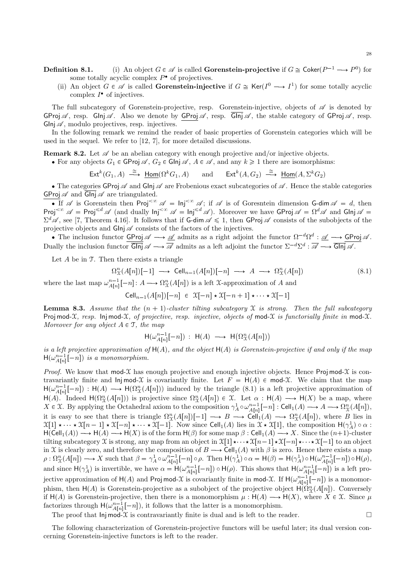- **Definition 8.1.** (i) An object  $G \in \mathcal{A}$  is called **Gorenstein-projective** if  $G \cong \text{Coker}(P^{-1} \longrightarrow P^0)$  for some totally acyclic complex  $P^{\bullet}$  of projectives.
	- (ii) An object  $G \in \mathscr{A}$  is called **Gorenstein-injective** if  $G \cong \text{Ker}(I^0 \longrightarrow I^1)$  for some totally acyclic complex  $I^{\bullet}$  of injectives.

The full subcategory of Gorenstein-projective, resp. Gorenstein-injective, objects of  $\mathscr A$  is denoted by GProj  $\mathscr A$ , resp. GInj  $\mathscr A$ . Also we denote by GProj  $\mathscr A$ , resp. GInj  $\mathscr A$ , the stable category of GProj  $\mathscr A$ , resp.  $GInj\mathscr{A}$ , modulo projectives, resp. injectives.

In the following remark we remind the reader of basic properties of Gorenstein categories which will be used in the sequel. We refer to [12, 7], for more detailed discussions.

**Remark 8.2.** Let  $\mathscr A$  be an abelian category with enough projective and/or injective objects.

- For any objects  $G_1 \in \mathsf{GProj} \mathscr{A}$ ,  $G_2 \in \mathsf{GInj}\mathscr{A}$ ,  $A \in \mathscr{A}$ , and any  $k \geq 1$  there are isomorphisms:
	- $\mathsf{Ext}^k(G_1, A) \stackrel{\cong}{\longrightarrow} \underline{\mathsf{Hom}}(\Omega^k G_1, A)$  and  $\mathsf{Ext}^k(A, G_2) \stackrel{\cong}{\longrightarrow} \underline{\mathsf{Hom}}(A, \Sigma^k G_2)$

• The categories GProj  $\mathscr A$  and Glnj  $\mathscr A$  are Frobenious exact subcategories of  $\mathscr A$ . Hence the stable categories GProj  $\mathscr A$  and  $\overline{\mathsf{GInj}} \mathscr A$  are triangulated.

If  $\mathscr A$  is Gorenstein then Proj<sup> $<\infty$ </sup>  $\mathscr A = \mathsf{Inj}^{<\infty}$  is of Goresntein dimension G-dim  $\mathscr A = d$ , then Proj<sup>< $\infty$ </sup>  $\mathscr{A}$  = Proj<sup>≤d</sup>  $\mathscr{A}$  (and dually  $\mathsf{Inj}^{<\infty}$   $\mathscr{A}$  =  $\mathsf{Inj}^{\le d}$   $\mathscr{A}$ ). Moreover we have GProj  $\mathscr{A}$  =  $\Omega$ <sup>d</sup> $\mathscr{A}$  and Glnj  $\mathscr{A}$  =  $\Sigma^d\mathscr{A}$ , see [7, Theorem 4.16]. It follows that if G-dim  $\mathscr{A} \leq 1$ , then GProj  $\mathscr{A}$  consists of the subobjects of the projective objects and  $G\ln j \mathscr{A}$  consists of the factors of the injectives.

• The inclusion functor  $\overline{\text{GProj}} \mathscr{A} \longrightarrow \underline{\mathscr{A}}$  admits as a right adjoint the functor  $\Omega^{-d}\Omega^d : \underline{\mathscr{A}} \longrightarrow \overline{\text{GProj}} \mathscr{A}$ . Dually the inclusion functor  $\overline{G\text{Inj}} \mathscr{A} \longrightarrow \overline{\mathscr{A}}$  admits as a left adjoint the functor  $\Sigma^{-d}\Sigma^{d} : \overline{\mathscr{A}} \longrightarrow \overline{G\text{Inj}} \mathscr{A}$ .

Let  $A$  be in  $T$ . Then there exists a triangle

$$
\Omega_X^n(A[n])[-1] \longrightarrow \text{Cell}_{n-1}(A[n])[-n] \longrightarrow A \longrightarrow \Omega_X^n(A[n])
$$
\n(8.1)

where the last map  $\omega_{A[n]}^{n-1}[-n]: A \longrightarrow \Omega_X^n(A[n])$  is a left X-approximation of A and

 $\operatorname{Cell}_{n-1}(A[n])[-n] \in \mathfrak{X}[-n] \star \mathfrak{X}[-n+1] \star \cdots \star \mathfrak{X}[-1]$ 

**Lemma 8.3.** Assume that the  $(n + 1)$ -cluster tilting subcategory X is strong. Then the full subcategory Proj mod-X, resp. Inj mod-X, of projective, resp. injective, objects of mod-X is functorially finite in mod-X. Moreover for any object  $A \in \mathcal{T}$ , the map

$$
\mathsf{H}(\omega_{A[n]}^{n-1}[-n]):\ \mathsf{H}(A)\ \longrightarrow\ \mathsf{H}\bigl(\Omega_{\mathfrak{X}}^n(A[n])\bigr)
$$

is a left projective approximation of  $H(A)$ , and the object  $H(A)$  is Gorenstein-projective if and only if the map  $H(\omega_{A[n]}^{n-1}[-n])$  is a monomorphism.

*Proof.* We know that mod-X has enough projective and enough injective objects. Hence Proj mod-X is contravariantly finite and lnjmod- $\mathfrak X$  is covariantly finite. Let  $F = H(A) \in \text{mod-}\mathfrak X$ . We claim that the map  $H(\omega_{A[n]}^{n-1}[-n]) : H(A) \longrightarrow H(\Omega_X^n(A[n]))$  induced by the triangle (8.1) is a left projective approximation of  $H(A)$ . Indeed  $H(\Omega_{\mathfrak{X}}^n(A[n]))$  is projective since  $\Omega_{\mathfrak{X}}^n(A[n]) \in \mathfrak{X}$ . Let  $\alpha : H(A) \longrightarrow H(X)$  be a map, where  $X \in \mathfrak{X}$ . By applying the Octahedral axiom to the composition  $\gamma_A^1 \circ \omega_{A[n]}^{n-1}[-n]$ : Cell<sub>1</sub> $(A) \longrightarrow A \longrightarrow \Omega_{\mathfrak{X}}^n(A[n]),$ it is easy to see that there is triangle  $\Omega_{\mathfrak{X}}^n(A[n])[-1] \longrightarrow B \longrightarrow \text{Cell}_1(A) \longrightarrow \Omega_{\mathfrak{X}}^n(A[n])$ , where B lies in  $\mathfrak{X}[1] \star \cdots \star \mathfrak{X}[n-1] \star \mathfrak{X}[-n] \star \cdots \star \mathfrak{X}[-1]$ . Now since Cell<sub>1</sub>(A) lies in  $\mathfrak{X} \star \mathfrak{X}[1]$ , the composition  $H(\gamma_A^1) \circ \alpha$ :  $H(Cell_1(A)) \longrightarrow H(A) \longrightarrow H(X)$  is of the form  $H(\beta)$  for some map  $\beta$  : Cell<sub>1</sub>(A)  $\longrightarrow X$ . Since the  $(n+1)$ -cluster tilting subcategory X is strong, any map from an object in  $\mathfrak{X}[1]\star\cdots\star \mathfrak{X}[n-1]\star \mathfrak{X}[-n]\star\cdots\star \mathfrak{X}[-1]$  to an object in X is clearly zero, and therefore the composition of  $B \longrightarrow \text{Cell}_1(A)$  with  $\beta$  is zero. Hence there exists a map  $\rho: \Omega^n_{\mathfrak{X}}(A[n]) \longrightarrow X$  such that  $\beta = \gamma^1_A \circ \omega^{n-1}_{A[n]}[-n] \circ \rho$ . Then  $H(\gamma^1_A) \circ \alpha = H(\beta) = H(\gamma^1_A) \circ H(\omega^{n-1}_{A[n]}[-n]) \circ H(\rho)$ , and since  $H(\gamma_A^1)$  is invertible, we have  $\alpha = H(\omega_{A[n]}^{n-1}[-n]) \circ H(\rho)$ . This shows that  $H(\omega_{A[n]}^{n-1}[-n])$  is a left projective approximation of  $H(A)$  and Proj mod-X is covariantly finite in mod-X. If  $H(\omega_{A[n]}^{n-1}[-n])$  is a monomorphism, then  $H(A)$  is Gorenstein-projective as a subobject of the projective object  $H(\Omega_{\mathcal{X}}^n(A[n])$ . Conversely if  $H(A)$  is Gorenstein-projective, then there is a monomorphism  $\mu : H(A) \longrightarrow H(X)$ , where  $X \in \mathcal{X}$ . Since  $\mu$ factorizes through  $H(\omega_{A[n]}^{n-1}[-n])$ , it follows that the latter is a monomorphism.

The proof that  $\text{Inj mod-}\mathcal{X}$  is contravariantly finite is dual and is left to the reader.

The following characterization of Gorenstein-projective functors will be useful later; its dual version concerning Gorenstein-injective functors is left to the reader.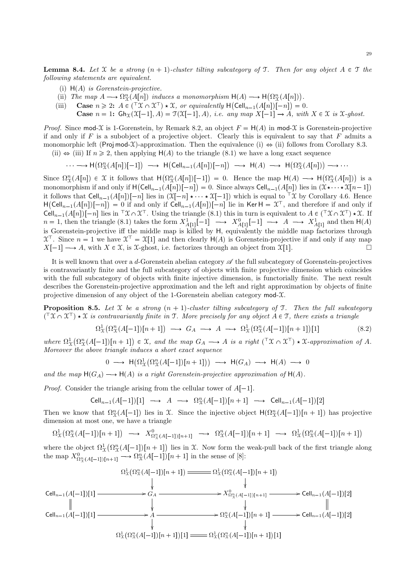**Lemma 8.4.** Let X be a strong  $(n + 1)$ -cluster tilting subcategory of T. Then for any object  $A \in \mathcal{T}$  the following statements are equivalent.

- (i)  $H(A)$  is Gorenstein-projective.
- (ii) The map  $A \longrightarrow \Omega^n_{\mathcal{X}}(A[n])$  induces a monomorphism  $H(A) \longrightarrow H(\Omega^n_{\mathcal{X}}(A[n]))$ .
- (iii) Case  $n \geqslant 2$ :  $A \in (\ulcorner \mathfrak{X} \cap \mathfrak{X}^{\top}) \star \mathfrak{X}$ , or equivalently  $H(\text{Cell}_{n-1}(A[n])[-n]) = 0$ .
	- **Case**  $n = 1$ :  $G_n(x[-1], A) = \mathcal{T}(x[-1], A)$ , *i.e. any map*  $X[-1] \rightarrow A$ , with  $X \in \mathcal{X}$  is  $\mathcal{X}\text{-}ghost$ .

*Proof.* Since mod-X is 1-Gorenstein, by Remark 8.2, an object  $F = H(A)$  in mod-X is Gorenstein-projective if and only if  $F$  is a subobject of a projective object. Clearly this is equivalent to say that  $F$  admits a monomorphic left (Proj mod-X)-approximation. Then the equivalence (i)  $\Leftrightarrow$  (ii) follows from Corollary 8.3.

(ii)  $\Leftrightarrow$  (iii) If  $n \geq 2$ , then applying  $H(A)$  to the triangle (8.1) we have a long exact sequence

$$
\cdots \longrightarrow H(\Omega_X^n(A[n])[-1]) \longrightarrow H(\text{Cell}_{n-1}(A[n])[-n]) \longrightarrow H(A) \longrightarrow H(\Omega_X^n(A[n])) \longrightarrow \cdots
$$

Since  $\Omega_{\mathcal{X}}^n(A[n]) \in \mathcal{X}$  it follows that  $H(\Omega_{\mathcal{X}}^n(A[n])[-1]) = 0$ . Hence the map  $H(A) \longrightarrow H(\Omega_{\mathcal{X}}^n(A[n]))$  is a monomorphism if and only if  $H(Cell_{n-1}(A[n])[-n]) = 0$ . Since always  $Cell_{n-1}(A[n])$  lies in  $(\mathfrak{X} \star \cdots \star \mathfrak{X}[n-1])$ it follows that  $\text{Cell}_{n-1}(A[n])[-n]$  lies in  $(\mathfrak{X}[-n] \star \cdots \star \mathfrak{X}[-1])$  which is equal to  $\ulcorner \mathfrak{X}$  by Corollary 4.6. Hence  $H(\text{Cell}_{n-1}(A[n])[-n]) = 0$  if and only if  $\text{Cell}_{n-1}(A[n])[-n]$  lie in Ker  $H = \mathfrak{X}^{\top}$ , and therefore if and only if Cell<sub>n-1</sub>(A[n])[-n] lies in  $\mathcal{X} \cap \mathcal{X}^{\top}$ . Using the triangle (8.1) this in turn is equivalent to  $A \in (\mathcal{X} \cap \mathcal{X}^{\top}) \star \mathcal{X}$ . If  $n = 1$ , then the triangle (8.1) takes the form  $X_{A[1]}^1[-1] \longrightarrow X_{A[1]}^0[-1] \longrightarrow A \longrightarrow X_{A[1]}^1$  and then  $H(A)$ is Gorenstein-projective iff the middle map is killed by H, equivalently the middle map factorizes through  $\mathfrak{X}^{\top}$ . Since  $n = 1$  we have  $\mathfrak{X}^{\top} = \mathfrak{X}[1]$  and then clearly  $H(A)$  is Gorenstein-projective if and only if any map  $X[-1] \longrightarrow A$ , with  $X \in \mathfrak{X}$ , is X-ghost, i.e. factorizes through an object from  $\mathfrak{X}[1]$ .

It is well known that over a d-Gorenstein abelian category  $\mathscr A$  the full subcategory of Gorenstein-projectives is contravariantly finite and the full subcategory of objects with finite projective dimension which coincides with the full subcategory of objects with finite injective dimension, is functorially finite. The next result describes the Gorenstein-projective approximation and the left and right approximation by objects of finite projective dimension of any object of the 1-Gorenstein abelian category  $\text{mod-}\mathcal{X}$ .

**Proposition 8.5.** Let X be a strong  $(n + 1)$ -cluster tilting subcategory of T. Then the full subcategory  $(\top X \cap X^{\top}) \star X$  is contravariantly finite in T. More precisely for any object  $A \in \top$ , there exists a triangle

$$
\Omega^1_{\mathcal{X}}(\Omega^n_{\mathcal{X}}(A[-1])[n+1]) \longrightarrow G_A \longrightarrow A \longrightarrow \Omega^1_{\mathcal{X}}(\Omega^n_{\mathcal{X}}(A[-1])[n+1])[1] \tag{8.2}
$$

where  $\Omega^1_{\mathcal{X}}(\Omega^n_{\mathcal{X}}(A[-1])[n+1]) \in \mathcal{X}$ , and the map  $G_A \longrightarrow A$  is a right  $({}^{\top}\mathcal{X} \cap \mathcal{X}^{\top}) \star \mathcal{X}$ -approximation of A. Moreover the above triangle induces a short exact sequence

$$
0 \longrightarrow \mathsf{H}(\Omega^1_X(\Omega^n_X(A[-1])[n+1])) \longrightarrow \mathsf{H}(G_A) \longrightarrow \mathsf{H}(A) \longrightarrow 0
$$

and the map  $H(G_A) \longrightarrow H(A)$  is a right Gorenstein-projective approximation of  $H(A)$ .

*Proof.* Consider the triangle arising from the cellular tower of  $A[-1]$ .

$$
\text{Cell}_{n-1}(A[-1])[1] \longrightarrow A \longrightarrow \Omega^n_{\mathfrak{X}}(A[-1])[n+1] \longrightarrow \text{Cell}_{n-1}(A[-1])[2]
$$

Then we know that  $\Omega_{\mathfrak{X}}^n(A[-1])$  lies in X. Since the injective object  $H(\Omega_{\mathfrak{X}}^n(A[-1])[n+1])$  has projective dimension at most one, we have a triangle

$$
\Omega^1_{\mathcal{X}}(\Omega^n_{\mathcal{X}}(A[-1])[n+1]) \longrightarrow X^0_{\Omega^n_{\mathcal{X}}(A[-1])[n+1]} \longrightarrow \Omega^n_{\mathcal{X}}(A[-1])[n+1] \longrightarrow \Omega^1_{\mathcal{X}}(\Omega^n_{\mathcal{X}}(A[-1])[n+1])
$$

where the object  $\Omega^1_{\mathfrak{X}}(\Omega^n_{\mathfrak{X}}(A[-1])[n+1])$  lies in X. Now form the weak-pull back of the first triangle along the map  $X^0_{\Omega^n_{\mathcal{X}}(A[-1])[n+1]} \longrightarrow \Omega^n_{\mathcal{X}}(A[-1])[n+1]$  in the sense of [8]:

$$
\Omega_{\mathfrak{X}}^{1}(\Omega_{\mathfrak{X}}^{n}(A[-1])[n+1]) = \Omega_{\mathfrak{X}}^{1}(\Omega_{\mathfrak{X}}^{n}(A[-1])[n+1])
$$
\n
$$
\downarrow \qquad \downarrow
$$
\n
$$
\text{Cell}_{n-1}(A[-1])[1] \longrightarrow G_{A} \longrightarrow X_{\Omega_{\mathfrak{X}}^{0}(A[-1])[n+1]}^{0} \longrightarrow \text{Cell}_{n-1}(A[-1])[2]
$$
\n
$$
\downarrow \qquad \qquad \downarrow \qquad \qquad \downarrow
$$
\n
$$
\text{Cell}_{n-1}(A[-1])[1] \longrightarrow A \longrightarrow \Omega_{\mathfrak{X}}^{n}(A[-1])[n+1] \longrightarrow \text{Cell}_{n-1}(A[-1])[2]
$$
\n
$$
\downarrow \qquad \qquad \downarrow
$$
\n
$$
\Omega_{\mathfrak{X}}^{1}(\Omega_{\mathfrak{X}}^{n}(A[-1])[n+1])[1] = \Omega_{\mathfrak{X}}^{1}(\Omega_{\mathfrak{X}}^{n}(A[-1])[n+1])[1]
$$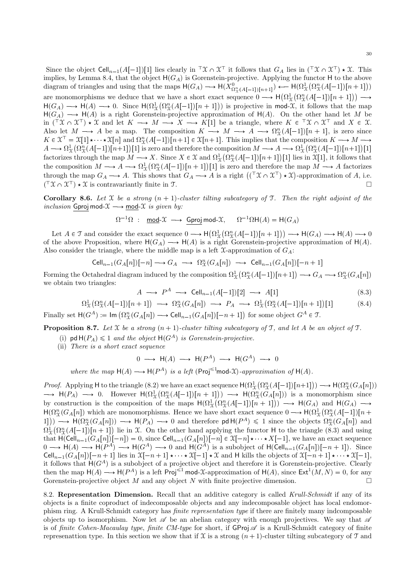Since the object  $\text{Cell}_{n-1}(A[-1])[1]$  lies clearly in  $\ulcorner \mathfrak{X} \cap \mathfrak{X} \urcorner$  it follows that  $G_A$  lies in  $(\ulcorner \mathfrak{X} \cap \mathfrak{X} \urcorner) \star \mathfrak{X}$ . This implies, by Lemma 8.4, that the object  $H(G_A)$  is Gorenstein-projective. Applying the functor H to the above diagram of triangles and using that the maps  $H(G_A) \longrightarrow H(\hat{X}_{\Omega^n_{\mathcal{X}}(A[-1])[n+1]}^0) \longleftarrow H(\Omega^1_{\mathcal{X}}(\Omega^n_{\mathcal{X}}(A[-1])[n+1]))$ are monomorphisms we deduce that we have a short exact sequence  $0 \longrightarrow \mathsf{H}(\Omega^1_X(\Omega^n_X(A[-1])[n+1])) \longrightarrow$  $H(G_A) \longrightarrow H(A) \longrightarrow 0$ . Since  $H(\Omega_X^n(A[-1])[n+1]))$  is projective in mod-X, it follows that the map  $H(G_A) \longrightarrow H(A)$  is a right Gorenstein-projective approximation of  $H(A)$ . On the other hand let M be in  $({}^{\top} \mathfrak{X} \cap \mathfrak{X}^{\top}) \star \mathfrak{X}$  and let  $K \longrightarrow M \longrightarrow X \longrightarrow K[1]$  be a triangle, where  $K \in {}^{\top} \mathfrak{X} \cap \mathfrak{X}^{\top}$  and  $X \in \mathfrak{X}$ . Also let  $M \longrightarrow A$  be a map. The composition  $K \longrightarrow M \longrightarrow A \longrightarrow \Omega_{\mathfrak{X}}^n(A[-1])[n+1]$ , is zero since  $K \in \mathfrak{X}^{\top} = \mathfrak{X}[1] \star \cdots \star \mathfrak{X}[n]$  and  $\Omega_{\mathfrak{X}}^{n}(A[-1])[n+1] \in \mathfrak{X}[n+1]$ . This implies that the composition  $K \longrightarrow M \longrightarrow$  $A \longrightarrow \Omega^1_{\mathcal{X}}(\Omega^n_{\mathcal{X}}(A[-1])[n+1])[1]$  is zero and therefore the composition  $M \longrightarrow A \longrightarrow \Omega^1_{\mathcal{X}}(\Omega^n_{\mathcal{X}}(A[-1])[n+1])[1]$ factorizes through the map  $M \longrightarrow X$ . Since  $X \in \mathfrak{X}$  and  $\Omega^1_{\mathfrak{X}}(\Omega^n_{\mathfrak{X}}(A[-1])[n+1])[1]$  lies in  $\mathfrak{X}[1]$ , it follows that the composition  $M \longrightarrow A \longrightarrow \Omega^1_{\mathfrak{X}}(\Omega^n_{\mathfrak{X}}(A[-1])[n+1])[1]$  is zero and therefore the map  $M \longrightarrow A$  factorizes through the map  $G_A \longrightarrow A$ . This shows that  $G_A \longrightarrow A$  is a right  $((\top \mathfrak{X} \cap \mathfrak{X}^{\top}) \star \mathfrak{X})$ -approximation of A, i.e.  $({}^{\top} \mathcal{X} \cap \mathcal{X}^{\top}) \star \mathcal{X}$  is contravariantly finite in T.  $\Box$ 

Corollary 8.6. Let X be a strong  $(n + 1)$ -cluster tilting subcategory of T. Then the right adjoint of the inclusion Gproj mod- $\mathfrak{X} \longrightarrow \underline{\text{mod}}\text{-}\mathfrak{X}$  is given by:

$$
\Omega^{-1}\Omega\ :\ \operatorname{\underline{mod}}\nolimits\mathcal X\ \longrightarrow\ \operatorname{\underline{Gproj}}\nolimits\operatorname{\mathrm{mod}}\nolimits\mathcal X,\ \ \Omega^{-1}\Omega\mathsf{H}(A)=\mathsf{H}(G_A)
$$

Let  $A \in \mathcal{T}$  and consider the exact sequence  $0 \longrightarrow H(\Omega^1_{\mathcal{X}}(\Omega^n_{\mathcal{X}}(A[-1])[n+1])) \longrightarrow H(G_A) \longrightarrow H(A) \longrightarrow 0$ of the above Proposition, where  $H(G_A) \longrightarrow H(A)$  is a right Gorenstein-projective approximation of  $H(A)$ . Also consider the triangle, where the middle map is a left  $\mathcal{X}$ -approximation of  $G_A$ :

$$
\text{Cell}_{n-1}(G_A[n])[-n] \longrightarrow G_A \longrightarrow \Omega_{\mathfrak{X}}^n(G_A[n]) \longrightarrow \text{Cell}_{n-1}(G_A[n])[-n+1]
$$

Forming the Octahedral diagram induced by the composition  $\Omega^1_{\mathfrak{X}}(\Omega_{\mathfrak{X}}^n(A[-1])[n+1]) \longrightarrow G_A \longrightarrow \Omega_{\mathfrak{X}}^n(G_A[n])$ we obtain two triangles:

$$
A \longrightarrow P^A \longrightarrow \text{Cell}_{n-1}(A[-1])[2] \longrightarrow A[1] \tag{8.3}
$$

 $\Omega^1_X(\Omega^n_X(A[-1])[n+1]) \longrightarrow \Omega^n_X(G_A[n]) \longrightarrow P_A \longrightarrow \Omega^1_X(\Omega^n_X(A[-1])[n+1])$  $(8.4)$ Finally set  $H(G^A) := \text{Im}(\Omega^n_{\mathcal{X}}(G_A[n]) \longrightarrow \text{Cell}_{n-1}(G_A[n])[-n+1])$  for some object  $G^A \in \mathcal{T}$ .

**Proposition 8.7.** Let X be a strong  $(n + 1)$ -cluster tilting subcategory of T, and let A be an object of T.

- (i) pd  $H(P_A) \leq 1$  and the object  $H(G^A)$  is Gorenstein-projective.
- (ii) There is a short exact sequence

 $0 \longrightarrow H(A) \longrightarrow H(P^A) \longrightarrow H(G^A) \longrightarrow 0$ 

where the map 
$$
H(A) \longrightarrow H(P^A)
$$
 is a left (Proj <sup>$\leq$</sup> mod- $\mathcal{X}$ )-approximation of  $H(A)$ .

Proof. Applying H to the triangle (8.2) we have an exact sequence  $H(\Omega_X^1(\Omega_X^n(A[-1])[n+1])) \longrightarrow H(\Omega_X^n(G_A[n]))$  $\longrightarrow$  H(P<sub>A</sub>)  $\longrightarrow$  0. However H( $\Omega_X^1(\Omega_X^n(A[-1])[n+1])) \longrightarrow$  H( $\Omega_X^n(G_A[n]))$  is a monomorphism since by construction is the composition of the maps  $H(\Omega_X^1(\Omega_X^n(A[-1])[n+1])) \longrightarrow H(G_A)$  and  $H(G_A) \longrightarrow$  $H(\Omega^n_{\mathfrak{X}}(G_A[n])$  which are monomorphisms. Hence we have short exact sequence  $0 \longrightarrow H(\Omega^n_{\mathfrak{X}}(A[-1])[n+1])$ 1])  $\rightarrow$   $H(\Omega^n_{\mathcal{X}}(G_A[n])) \rightarrow H(P_A) \rightarrow 0$  and therefore pd  $H(P^A) \leq 1$  since the objects  $\Omega^n_{\mathcal{X}}(G_A[n])$  and  $\Omega^1_{\mathfrak{X}}(\Omega_{\mathfrak{X}}^n(A[-1])[n+1])$  lie in X. On the other hand applying the functor H to the triangle (8.3) and using that  $H(Cell_{n-1}(G_A[n])[-n]) = 0$ , since  $Cell_{n-1}(G_A[n])[-n] \in \mathfrak{X}[-n] \star \cdots \star X[-1]$ , we have an exact sequence  $0 \longrightarrow H(A) \longrightarrow H(P^A) \longrightarrow H(G^A) \longrightarrow 0$  and  $H(G^A)$  is a subobject of  $H(\text{Cell}_{n-1}(G_A[n])[-n+1])$ . Since Cell<sub>n-1</sub> $(G_A[n])[-n+1]$  lies in  $\mathfrak{X}[-n+1] \star \cdots \star \mathfrak{X}[-1] \star \mathfrak{X}$  and H kills the objects of  $\mathfrak{X}[-n+1] \star \cdots \star \mathfrak{X}[-1]$ , it follows that  $H(G^A)$  is a subobject of a projective object and therefore it is Gorenstein-projective. Clearly then the map  $H(A) \longrightarrow H(P^A)$  is a left Proj<sup> $\leq 1$ </sup> mod-X-approximation of  $H(A)$ , since  $Ext^1(M, N) = 0$ , for any Gorenstein-projective object M and any object N with finite projective dimension.  $\Box$ 

8.2. Representation Dimension. Recall that an additive category is called Krull-Schmidt if any of its objects is a finite coproduct of indecomposable objects and any indecomposable object has local endomorphism ring. A Krull-Schmidt category has finite representation type if there are finitely many indcomposable objects up to isomorphism. Now let  $\mathscr A$  be an abelian category with enough projectives. We say that  $\mathscr A$ is of finite Cohen-Macaulay type, finite CM-type for short, if  $GProj \mathcal{A}$  is a Krull-Schmidt category of finite represenattion type. In this section we show that if X is a strong  $(n + 1)$ -cluster tilting subcategory of T and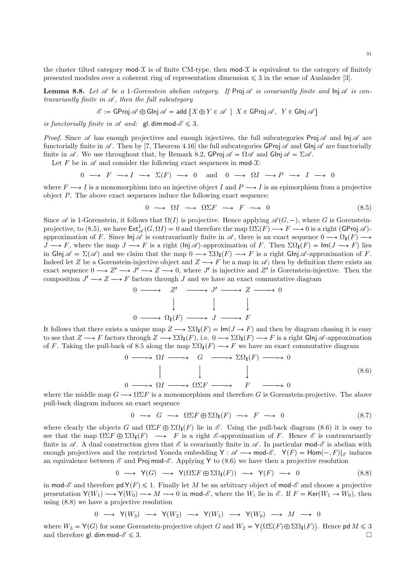the cluster tilted category mod- $\chi$  is of finite CM-type, then mod- $\chi$  is equivalent to the category of finitely presented modules over a coherent ring of representation dimension  $\leq 3$  in the sense of Auslander [3].

**Lemma 8.8.** Let  $\mathscr A$  be a 1-Gorenstein abelian category. If Proj  $\mathscr A$  is covariantly finite and  $\ln \mathscr A$  is contravariantly finite in  $\mathscr A$ , then the full subcategory

$$
\mathscr{E} := \mathsf{GProj}\ \mathscr{A} \oplus \mathsf{GInj}\ \mathscr{A} = \mathsf{add}\ \{X \oplus Y \in \mathscr{A} \mid X \in \mathsf{GProj}\ \mathscr{A}, \ Y \in \mathsf{GInj}\ \mathscr{A}\}
$$

is functorially finite in  $\mathscr A$  and:  $\mathsf{gl.dim}\,\mathsf{mod}\,\mathscr E\leqslant 3$ .

*Proof.* Since  $\mathscr A$  has enough projectives and enough injectives, the full subcategories Proj  $\mathscr A$  and  $\ln \mathscr A$  are functorially finite in  $\mathscr A$ . Then by [7, Theorem 4.16] the full subcategories GProj  $\mathscr A$  and Glnj  $\mathscr A$  are functorially finite in  $\mathscr A$ . We use throughout that, by Remark 8.2, GProj  $\mathscr A = \Omega \mathscr A$  and Glnj  $\mathscr A = \Sigma \mathscr A$ .

Let F be in  $\mathscr A$  and consider the following exact sequences in mod- $\mathfrak X$ :

$$
0 \longrightarrow F \longrightarrow I \longrightarrow \Sigma(F) \longrightarrow 0 \text{ and } 0 \longrightarrow \Omega I \longrightarrow P \longrightarrow I \longrightarrow 0
$$

where  $F \longrightarrow I$  is a monomorphism into an injective object I and  $P \longrightarrow I$  is an epimorphism from a projective object P. The above exact sequences induce the following exact sequence:

$$
0 \longrightarrow \Omega I \longrightarrow \Omega \Sigma F \longrightarrow F \longrightarrow 0 \tag{8.5}
$$

Since  $\mathscr A$  is 1-Gorenstein, it follows that  $\Omega(I)$  is projective. Hence applying  $\mathscr A(G, -)$ , where G is Gorensteinprojective, to (8.5), we have  $\mathsf{Ext}^1_{\mathscr{A}}(G,\Omega I)=0$  and therefore the map  $\Omega\Sigma(F)\longrightarrow F\longrightarrow 0$  is a right (GProj  $\mathscr{A}$ )approximation of F. Since  $\ln \mathscr{A}$  is contravariantly finite in  $\mathscr{A}$ , there is an exact sequence  $0 \longrightarrow \Omega_I(F) \longrightarrow$  $J \longrightarrow F$ , where the map  $J \longrightarrow F$  is a right (lnj  $\mathscr A$ )-approximation of F. Then  $\Sigma \Omega_{\mathbf{I}}(F) = \operatorname{Im}(J \longrightarrow F)$  lies in Glnj  $\mathscr{A} = \Sigma(\mathscr{A})$  and we claim that the map  $0 \longrightarrow \Sigma\Omega_{I}(F) \longrightarrow F$  is a right Glnj  $\mathscr{A}$ -approximation of F. Indeed let Z be a Gorenstein-injective object and  $Z \longrightarrow F$  be a map in  $\mathscr{A}$ ; then by definition there exists an exact sequence  $0 \longrightarrow Z' \longrightarrow J' \longrightarrow Z \longrightarrow 0$ , where J' is injective and Z' is Gorenstein-injective. Then the composition  $J' \longrightarrow Z \longrightarrow F$  factors through J and we have an exact commutative diagram

$$
0 \longrightarrow Z' \longrightarrow J' \longrightarrow Z \longrightarrow
$$
  

$$
\downarrow \qquad \qquad \downarrow \qquad \qquad \downarrow
$$
  

$$
0 \longrightarrow \Omega_{\mathbf{I}}(F) \longrightarrow J \longrightarrow F
$$

It follows that there exists a unique map  $Z \longrightarrow \Sigma \Omega_{\mathbf{I}}(F) = \mathsf{Im}(J \to F)$  and then by diagram chasing it is easy to see that  $Z \longrightarrow F$  factors through  $Z \longrightarrow \Sigma \Omega_{\mathbb{I}}(F)$ , i.e.  $0 \longrightarrow \Sigma \Omega_{\mathbb{I}}(F) \longrightarrow F$  is a right Glnj  $\mathscr{A}$ -approximation of F. Taking the pull-back of 8.5 along the map  $\Sigma \Omega_{\mathbf{I}}(F) \longrightarrow F$  we have an exact commutative diagram

$$
0 \longrightarrow \Omega I \longrightarrow G \longrightarrow \Sigma\Omega_{\mathbf{I}}(F) \longrightarrow 0
$$
  
\n
$$
\parallel \qquad \qquad \downarrow \qquad \qquad \downarrow \qquad (8.6)
$$
  
\n
$$
0 \longrightarrow \Omega I \longrightarrow \Omega \Sigma F \longrightarrow F \longrightarrow 0
$$

where the middle map  $G \longrightarrow \Omega \Sigma F$  is a monomorphism and therefore G is Gorenstein-projective. The above pull-back diagram induces an exact sequence

$$
0 \longrightarrow G \longrightarrow \Omega \Sigma F \oplus \Sigma \Omega_{\mathbf{I}}(F) \longrightarrow F \longrightarrow 0 \tag{8.7}
$$

where clearly the objects G and  $\Omega \Sigma F \oplus \Sigma \Omega_{\mathbb{I}}(F)$  lie in E. Using the pull-back diagram (8.6) it is easy to see that the map  $\Omega \Sigma F \oplus \Sigma \Omega_{\mathbf{I}}(F) \longrightarrow F$  is a right  $\mathscr E$ -approximation of F. Hence  $\mathscr E$  is contravariantly finite in  $\mathscr A$ . A dual construction gives that  $\mathscr E$  is covariantly finite in  $\mathscr A$ . In particular mod- $\mathscr E$  is abelian with enough projectives and the restricted Yoneda embedding  $Y : \mathscr{A} \longrightarrow \text{mod-} \mathscr{E}, Y(F) = \text{Hom}(-,F)|_{\mathscr{E}}$  induces an equivalence between  $\mathscr E$  and Proj mod- $\mathscr E$ . Applying Y to (8.6) we have then a projective resolution

$$
0 \longrightarrow Y(G) \longrightarrow Y(\Omega \Sigma F \oplus \Sigma \Omega_{\mathbf{I}}(F)) \longrightarrow Y(F) \longrightarrow 0
$$
\n(8.8)

in mod- $\mathscr E$  and therefore  $\mathsf{pd}\mathsf{Y}(F)\leqslant 1$ . Finally let M be an arbitrary object of mod- $\mathscr E$  and choose a projective presentation  $Y(W_1) \longrightarrow Y(W_0) \longrightarrow M \longrightarrow 0$  in mod-*E*, where the  $W_i$  lie in E. If  $F = \text{Ker}(W_1 \rightarrow W_0)$ , then using  $(8.8)$  we have a projective resolution

$$
0\;\longrightarrow\;{\sf Y}(W_3)\;\longrightarrow\;{\sf Y}(W_2)\;\longrightarrow\;{\sf Y}(W_1)\;\longrightarrow\;{\sf Y}(W_0)\;\longrightarrow\;M\;\longrightarrow\;0
$$

where  $W_3 = Y(G)$  for some Gorenstein-projective object G and  $W_2 = Y(\Omega \Sigma(F) \oplus \Sigma \Omega_{I}(F))$ . Hence pd  $M \le 3$ and therefore gl. dim mod- $\mathscr{E} \leq 3$ .  $\Box$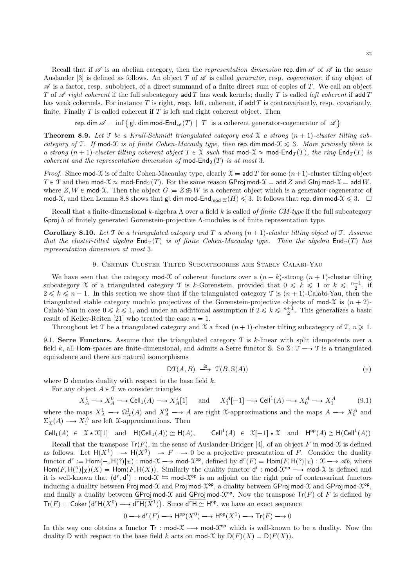Recall that if  $\mathscr A$  is an abelian category, then the *representation dimension* rep. dim  $\mathscr A$  of  $\mathscr A$  in the sense Auslander [3] is defined as follows. An object T of  $\mathscr A$  is called *generator*, resp. *cogenerator*, if any object of  $\mathscr A$  is a factor, resp. subobject, of a direct summand of a finite direct sum of copies of T. We call an object T of  $\mathscr A$  right coherent if the full subcategory add T has weak kernels; dually T is called left coherent if add T has weak cokernels. For instance T is right, resp. left, coherent, if add T is contravariantly, resp. covariantly, finite. Finally  $T$  is called coherent if  $T$  is left and right coherent object. Then

rep. dim  $\mathscr{A} = \inf \big\{ \text{ gl. dim mod-End}_{\mathscr{A}}(T) \,\mid\, T \text{ is a coherent generator-cogenerator of } \mathscr{A} \big\}$ 

**Theorem 8.9.** Let  $\mathcal T$  be a Krull-Schmidt triangulated category and  $\mathcal X$  a strong  $(n + 1)$ -cluster tilting subcategory of T. If mod-X is of finite Cohen-Macauly type, then rep. dim mod- $X \le 3$ . More precisely there is a strong  $(n + 1)$ -cluster tilting coherent object  $T \in \mathcal{X}$  such that mod- $\mathcal{X} \approx$  mod-End $\tau(T)$ , the ring End $\tau(T)$  is coherent and the representation dimension of mod- $\text{End}_{\mathfrak{T}}(T)$  is at most 3.

*Proof.* Since mod-X is of finite Cohen-Macaulay type, clearly  $X = \text{add } T$  for some  $(n+1)$ -cluster tilting object  $T \in \mathcal{T}$  and then mod- $\mathcal{X} \approx$  mod-End $\tau(T)$ . For the same reason GProj mod- $\mathcal{X} =$  add Z and Glnj mod- $\mathcal{X} =$  add W, where  $Z, W \in \text{mod-}\mathcal{X}$ . Then the object  $G := Z \oplus W$  is a coherent object which is a generator-cogenerator of mod-X, and then Lemma 8.8 shows that gl. dim mod-End<sub>mod-X</sub> $(H) \le 3$ . It follows that rep. dim mod- $X \le 3$ .  $\Box$ 

Recall that a finite-dimensional k-algebra  $\Lambda$  over a field k is called of finite CM-type if the full subcategory GprojΛ of finitely generated Gorenstein-projective Λ-modules is of finite representation type.

**Corollary 8.10.** Let T be a triangulated category and T a strong  $(n + 1)$ -cluster tilting object of T. Assume that the cluster-tilted algebra  $\text{End}_{\mathcal{T}}(T)$  is of finite Cohen-Macaulay type. Then the algebra  $\text{End}_{\mathcal{T}}(T)$  has representation dimension at most 3.

### 9. Certain Cluster Tilted Subcategories are Stably Calabi-Yau

We have seen that the category mod-X of coherent functors over a  $(n - k)$ -strong  $(n + 1)$ -cluster tilting subcategory X of a triangulated category T is k-Gorenstein, provided that  $0 \leq k \leq 1$  or  $k \leq \frac{n+1}{2}$ , if  $2 \leq k \leq n-1$ . In this section we show that if the triangulated category  $\mathcal{T}$  is  $(n+1)$ -Calabi-Yau, then the triangulated stable category modulo projectives of the Gorenstein-projective objects of mod-X is  $(n + 2)$ -Calabi-Yau in case  $0 \le k \le 1$ , and under an additional assumption if  $2 \le k \le \frac{n+1}{2}$ . This generalizes a basic result of Keller-Reiten [21] who treated the case  $n = 1$ .

Throughout let T be a triangulated category and X a fixed  $(n + 1)$ -cluster tilting subcategory of T,  $n \ge 1$ .

9.1. Serre Functors. Assume that the triangulated category  $\mathcal T$  is k-linear with split idempotents over a field k, all Hom-spaces are finite-dimensional, and admits a Serre functor S. So S:  $\mathcal{T} \longrightarrow \mathcal{T}$  is a triangulated equivalence and there are natural isomorphisms

$$
DT(A, B) \stackrel{\cong}{\longrightarrow} \mathcal{T}(B, \mathbb{S}(A))
$$
 (\*)

where  $D$  denotes duality with respect to the base field  $k$ .

For any object  $A \in \mathcal{T}$  we consider triangles

$$
X_A^1 \longrightarrow X_A^0 \longrightarrow \text{Cell}_1(A) \longrightarrow X_A^1[1] \quad \text{ and } \quad X_1^A[-1] \longrightarrow \text{Cell}^1(A) \longrightarrow X_0^A \longrightarrow X_1^A \tag{9.1}
$$

where the maps  $X_A^1 \longrightarrow \Omega^1_{\mathfrak{X}}(A)$  and  $X_A^0 \longrightarrow A$  are right X-approximations and the maps  $A \longrightarrow X_0^A$  and  $\Sigma^1_{\mathfrak{X}}(A) \longrightarrow X_1^A$  are left X-approximations. Then

$$
\mathsf{Cell}_1(A) \ \in \ \mathfrak{X} \star \mathfrak{X}[1] \quad \text{and} \quad \mathsf{H}(\mathsf{Cell}_1(A)) \cong \mathsf{H}(A), \qquad \mathsf{Cell}^1(A) \ \in \ \mathfrak{X}[-1] \star \mathfrak{X} \quad \text{and} \quad \mathsf{H}^{\mathsf{op}}(A) \cong \mathsf{H}(\mathsf{Cell}^1(A))
$$

Recall that the transpose  $Tr(F)$ , in the sense of Auslander-Bridger [4], of an object F in mod-X is defined as follows. Let  $H(X^1) \longrightarrow H(X^0) \longrightarrow F \longrightarrow 0$  be a projective presentation of F. Consider the duality functor  $d^r := \text{Hom}(-, H(?)|_{\mathcal{X}}) : \text{mod-}\mathcal{X} \longrightarrow \text{mod-}\mathcal{X}^{\text{op}},$  defined by  $d^r(F) = \text{Hom}(F, H(?)|_{\mathcal{X}}) : \mathcal{X} \longrightarrow \mathcal{A}b$ , where Hom $(F, H(?)|_{\mathcal{X}})(X) =$  Hom $(F, H(X))$ . Similarly the duality functor  $d^l : \text{mod-}\mathcal{X}$ <sup>op</sup>  $\longrightarrow$  mod- $\mathcal X$  is defined and it is well-known that  $(d^r, d^l)$ : mod- $\mathcal{X} \leftrightarrows$  mod- $\mathcal{X}^{op}$  is an adjoint on the right pair of contravariant functors inducing a duality between Proj mod- $\mathcal X$  and Proj mod- $\mathcal X^{\mathsf{op}},$  a duality between GProj mod- $\mathcal X$  and GProj mod- $\mathcal X^{\mathsf{op}},$ and finally a duality between  $GProj \mod \mathcal{X}$  and  $GProj \mod \mathcal{X}^{op}$ . Now the transpose  $Tr(F)$  of F is defined by  $Tr(F) = \text{Coker } (\mathsf{d}^r \mathsf{H}(X^0) \longrightarrow \mathsf{d}^r \mathsf{H}(X^1)).$  Since  $\mathsf{d}^r \mathsf{H} \cong \mathsf{H}^{\text{op}},$  we have an exact sequence

$$
0\longrightarrow \mathrm{d}^r(F)\longrightarrow \mathrm{H}^{\mathrm{op}}(X^0)\longrightarrow \mathrm{H}^{\mathrm{op}}(X^1)\longrightarrow \mathrm{Tr}(F)\longrightarrow 0
$$

In this way one obtains a functor  $\text{Tr} : \text{mod-}\mathcal{X} \longrightarrow \text{mod-}\mathcal{X}^{\text{op}}$  which is well-known to be a duality. Now the duality D with respect to the base field k acts on mod-X by  $D(F)(X) = D(F(X))$ .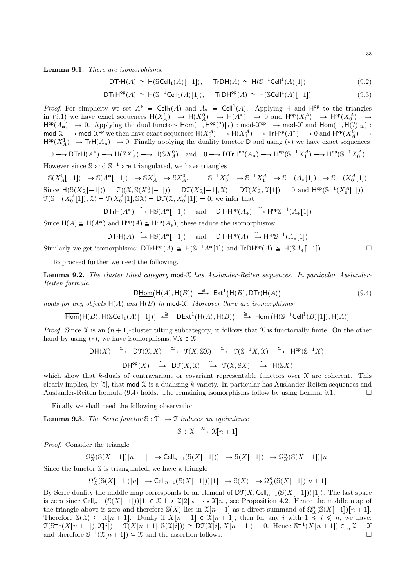Lemma 9.1. There are isomorphisms:

$$
DTrH(A) \cong H(SCell_1(A)[-1]), \quad TrDH(A) \cong H(S^{-1}Cell^1(A)[1])
$$
\n(9.2)

$$
\mathsf{DTrH}^{\mathsf{op}}(A) \cong \mathsf{H}(\mathbb{S}^{-1}\mathsf{Cell}_1(A)[1]), \quad \mathsf{Tr}\mathsf{DH}^{\mathsf{op}}(A) \cong \mathsf{H}(\mathsf{S}\mathsf{Cell}^1(A)[-1]) \tag{9.3}
$$

*Proof.* For simplicity we set  $A^* = \text{Cell}_1(A)$  and  $A_* = \text{Cell}^1(A)$ . Applying H and  $H^{\text{op}}$  to the triangles in (9.1) we have exact sequences  $H(X_A^1) \longrightarrow H(X_A^0) \longrightarrow H(A^*) \longrightarrow 0$  and  $H^{\text{op}}(X_A^A) \longrightarrow H^{\text{op}}(X_0^A) \longrightarrow$  $H^{\text{op}}(A_*) \longrightarrow 0$ . Applying the dual functors  $Hom(-, H^{\text{op}}(?)|_{\mathcal{X}})$ :  $mod-\mathcal{X}^{\text{op}} \longrightarrow mod-\mathcal{X}$  and  $Hom(-, H(?)|_{\mathcal{X}})$ :<br>  $mod-\mathcal{X} \longrightarrow mod-\mathcal{X}^{\text{op}}$  we then have exact sequences  $H(X_0^A) \longrightarrow H(X_1^A) \longrightarrow TH^{\text{op}}(A^*) \longrightarrow 0$  and  $H^{\text{op$  $H^{\text{op}}(X_A^1) \longrightarrow \text{Tr}H(A_*) \longrightarrow 0$ . Finally applying the duality functor D and using (\*) we have exact sequences

 $0\longrightarrow \mathsf{DTrH}(A^*)\longrightarrow \mathsf{H}(\mathbb{S} X_A^1)\longrightarrow \mathsf{H}(\mathbb{S} X_A^0) \quad \text{and}\quad 0\longrightarrow \mathsf{DTrH^{op}}(A_*)\longrightarrow \mathsf{H^{op}}(\mathbb{S}^{-1} X_1^A)\longrightarrow \mathsf{H^{op}}(\mathbb{S}^{-1} X_0^A)$ 

However since  $\mathbb S$  and  $\mathbb S^{-1}$  are triangulated, we have triangles

 $\mathbb{S}^{-1}X_0^A \longrightarrow \mathbb{S}^{-1}X_1^A \longrightarrow \mathbb{S}^{-1}(A_*[1]) \longrightarrow \mathbb{S}^{-1}(X_0^A[1])$  $\mathbb{S}(X_A^0[-1]) \longrightarrow \mathbb{S}(A^*[-1]) \longrightarrow \mathbb{S}X_A^1 \longrightarrow \mathbb{S}X_A^0,$ Since  $H(S(X_A^0[-1])) = \mathcal{T}((X, S(X_A^0[-1])) = D\mathcal{T}(X_A^0[-1], X) = D\mathcal{T}(X_A^0, X[1]) = 0$  and  $H^{op}(S^{-1}(X_0^A[1]), X) = \mathcal{T}(X_0^A[1], SX) = D\mathcal{T}(X, X_0^A[1]) = 0$ , we infer that

$$
\mathsf{DTrH}(A^*) \xrightarrow{\cong} \mathsf{HS}(A^*[-1]) \quad \text{ and } \quad \mathsf{DTrH}^{\mathsf{op}}(A_*) \xrightarrow{\cong} \mathsf{H}^{\mathsf{op}} \mathbb{S}^{-1}(A_*[1])
$$

Since  $H(A) \cong H(A^*)$  and  $H^{\text{op}}(A) \cong H^{\text{op}}(A_*)$ , these reduce the isomorphisms:

$$
\mathsf{DTrH}(A) \xrightarrow{\cong} \mathsf{HS}(A^*[-1]) \quad \text{and} \quad \mathsf{DTrH}^{\mathsf{op}}(A) \xrightarrow{\cong} \mathsf{H}^{\mathsf{op}}\mathbb{S}^{-1}(A_*[1])
$$
\nSimilarly we get isomorphisms:  $\mathsf{DTrH}^{\mathsf{op}}(A) \cong \mathsf{H}(\mathbb{S}^{-1}A^*[1])$  and  $\mathsf{Tr}\mathsf{DH}^{\mathsf{op}}(A) \cong \mathsf{H}(\mathbb{S}A_*[-1]).$ 

To proceed further we need the following.

**Lemma 9.2.** The cluster tilted category mod-X has Auslander-Reiten sequences. In particular Auslander-Reiten formula

$$
\text{DHom(H(A), H(B)) \stackrel{\cong}{\longrightarrow} \text{Ext}^1(\text{H}(B), \text{DTr}(\text{H}(A))
$$
\n(9.4)

holds for any objects  $H(A)$  and  $H(B)$  in mod-X. Moreover there are isomorphisms:

$$
\overline{\mathrm{Hom}}\big(\mathrm{H}(B),\mathrm{H}(\mathbb{S}\mathrm{Cell}_1(A)[-1])\big) \stackrel{\cong}{\longleftarrow} \mathrm{D}\mathrm{Ext}^1\big(\mathrm{H}(A),\mathrm{H}(B)\big) \stackrel{\cong}{\longrightarrow} \underline{\mathrm{Hom}}\left(\mathrm{H}(\mathbb{S}^{-1}\mathrm{Cell}^1(B)[1]),\mathrm{H}(A)\right)
$$

*Proof.* Since X is an  $(n + 1)$ -cluster tilting subcategory, it follows that X is functorially finite. On the other hand by using (\*), we have isomorphisms,  $\forall X \in \mathcal{X}$ :

$$
\begin{array}{ccccccccc}\n\text{DH}(X) & \xrightarrow{\cong} & \text{DT}(\mathfrak{X},X) & \xrightarrow{\cong} & \mathfrak{T}(X,\mathbb{S}\mathfrak{X}) & \xrightarrow{\cong} & \mathfrak{T}(\mathbb{S}^{-1}X,\mathfrak{X}) & \xrightarrow{\cong} & \text{H}^{\text{op}}(\mathbb{S}^{-1}X), \\
& & \text{DH}^{\text{op}}(X) & \xrightarrow{\cong} & \text{DT}(X,\mathfrak{X}) & \xrightarrow{\cong} & \mathfrak{T}(\mathfrak{X},\mathbb{S}X) & \xrightarrow{\cong} & \text{H}(\mathbb{S}X)\n\end{array}
$$

which show that k-duals of contravariant or covariant representable functors over  $\mathfrak X$  are coherent. This clearly implies, by [5], that  $mod-\mathcal{X}$  is a dualizing k-variety. In particular has Auslander-Reiten sequences and Auslander-Reiten formula (9.4) holds. The remaining isomorphisms follow by using Lemma 9.1.  $\Box$ 

Finally we shall need the following observation.

**Lemma 9.3.** The Serre functor  $\mathbb{S}: \mathcal{T} \longrightarrow \mathcal{T}$  induces an equivalence

$$
\mathbb{S}: \mathfrak{X} \stackrel{\approx}{\longrightarrow} \mathfrak{X}[n+1]
$$

*Proof.* Consider the triangle

$$
\Omega_X^n(\mathbb{S}(X[-1])[n-1] \longrightarrow \text{Cell}_{n-1}(\mathbb{S}(X[-1])) \longrightarrow \mathbb{S}(X[-1]) \longrightarrow \Omega_X^n(\mathbb{S}(X[-1])[n]
$$

Since the functor  $S$  is triangulated, we have a triangle

$$
\Omega_{\mathcal{X}}^n(\mathbb{S}(X[-1])[n] \longrightarrow \text{Cell}_{n-1}(\mathbb{S}(X[-1]))[1] \longrightarrow \mathbb{S}(X) \longrightarrow \Omega_{\mathcal{X}}^n(\mathbb{S}(X[-1])[n+1]
$$

By Serre duality the middle map corresponds to an element of  $DT(X, Cell_{n-1}(S(X[-1]))[1])$ . The last space is zero since  $\text{Cell}_{n-1}(\mathcal{S}(X[-1]))[1] \in \mathcal{X}[1] \star \mathcal{X}[2] \star \cdots \star \mathcal{X}[n]$ , see Proposition 4.2. Hence the middle map of the triangle above is zero and therefore  $\mathbb{S}(X)$  lies in  $\mathfrak{X}[n+1]$  as a direct summand of  $\Omega_{\Upsilon}^{n}(\mathbb{S}(X[-1])[n+1])$ . Therefore  $\mathbb{S}(\mathfrak{X}) \subseteq \mathfrak{X}[n+1]$ . Dually if  $X[n+1] \in \mathfrak{X}[n+1]$ , then for any i with  $1 \leq i \leq n$ , we have:  $\mathfrak{T}(\mathbb{S}^{-1}(X[n+1]), \mathfrak{X}[i]) = \mathfrak{T}(X[n+1], \mathfrak{S}(\mathfrak{X}[i])) \cong \mathsf{DT}(\mathfrak{X}[i], X[n+1]) = 0.$  Hence  $\mathbb{S}^{-1}(X[n+1]) \in \mathfrak{T}X = \mathfrak{X}$ and therefore  $\mathbb{S}^{-1}(\mathfrak{X}[n+1]) \subseteq \mathfrak{X}$  and the assertion follows.  $\Box$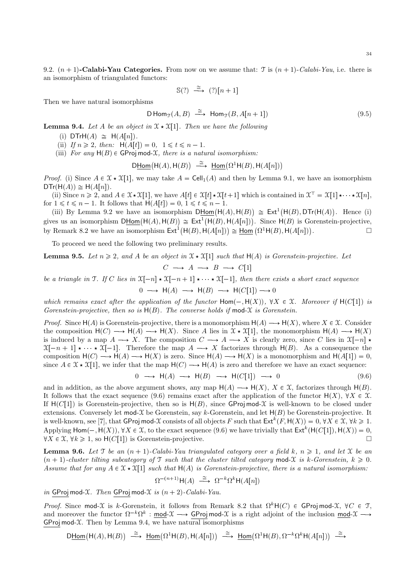9.2.  $(n + 1)$ -Calabi-Yau Categories. From now on we assume that: T is  $(n + 1)$ -Calabi-Yau, i.e. there is an isomorphism of triangulated functors:

$$
\mathbb{S}(?) \stackrel{\cong}{\longrightarrow} (?)[n+1]
$$

Then we have natural isomorphisms

$$
\mathsf{D}\operatorname{Hom}_{\mathcal{T}}(A,B) \stackrel{\cong}{\longrightarrow} \operatorname{Hom}_{\mathcal{T}}(B,A[n+1]) \tag{9.5}
$$

**Lemma 9.4.** Let A be an object in  $\mathfrak{X} \star \mathfrak{X}[1]$ . Then we have the following

- (i)  $DTrH(A) \cong H(A[n]).$
- (ii) If  $n \geq 2$ , then:  $H(A[t]) = 0$ ,  $1 \leq t \leq n 1$ .
- (iii) For any  $H(B) \in \mathsf{GProj} \mod X$ , there is a natural isomorphism:

$$
\mathsf{D}\underline{\mathsf{Hom}}\big(\mathsf{H}(A),\mathsf{H}(B)\big) \stackrel{\cong}{\longrightarrow} \underline{\mathsf{Hom}}\big(\Omega^1\mathsf{H}(B),\mathsf{H}(A[n])\big)
$$

*Proof.* (i) Since  $A \in \mathcal{X} \times \mathcal{X}[1]$ , we may take  $A = \text{Cell}_1(A)$  and then by Lemma 9.1, we have an isomorphism  $DTr(H(A)) \cong H(A[n]).$ 

(ii) Since  $n \geq 2$ , and  $A \in \mathcal{X} \times \mathcal{X}[1]$ , we have  $A[t] \in \mathcal{X}[t] \times \mathcal{X}[t+1]$  which is contained in  $\mathcal{X}^{\top} = \mathcal{X}[1] \times \cdots \times \mathcal{X}[n]$ , for  $1 \leq t \leq n-1$ . It follows that  $H(A[t]) = 0, 1 \leq t \leq n-1$ .

(iii) By Lemma 9.2 we have an isomorphism  $D\underline{\text{Hom}}(H(A), H(B)) \cong \text{Ext}^1(H(B), DTr(H(A)).$  Hence (i) gives us an isomorphism  $D\underline{\mathsf{Hom}}(\mathsf{H}(A),\mathsf{H}(B)) \cong \mathsf{Ext}^1(\mathsf{H}(B),\mathsf{H}(A[n]))$ . Since  $\mathsf{H}(B)$  is Gorenstein-projective, by Remark 8.2 we have an isomorphism  $\text{Ext}^1(\mathsf{H}(B), \mathsf{H}(A[n])) \cong \underline{\text{Hom}}(\Omega^1 \mathsf{H}(B), \mathsf{H}(A[n]))$ .  $\Box$ 

To proceed we need the following two preliminary results.

**Lemma 9.5.** Let  $n \geq 2$ , and A be an object in  $\mathcal{X} \star \mathcal{X}[1]$  such that  $H(A)$  is Gorenstein-projective. Let  $C \longrightarrow A \longrightarrow B \longrightarrow C[1]$ 

be a triangle in T. If C lies in  $\mathfrak{X}[-n] \star \mathfrak{X}[-n+1] \star \cdots \star \mathfrak{X}[-1]$ , then there exists a short exact sequence  $0 \longrightarrow H(A) \longrightarrow H(B) \longrightarrow H(C[1]) \longrightarrow 0$ 

which remains exact after the application of the functor  $Hom(-, H(X))$ ,  $\forall X \in \mathcal{X}$ . Moreover if  $H(C[1])$  is Gorenstein-projective, then so is  $H(B)$ . The converse holds if mod-X is Gorenstein.

*Proof.* Since  $H(A)$  is Gorenstein-projective, there is a monomorphism  $H(A) \longrightarrow H(X)$ , where  $X \in \mathcal{X}$ . Consider the composition  $H(C) \longrightarrow H(A) \longrightarrow H(X)$ . Since A lies in  $\mathfrak{X} \star \mathfrak{X}[1]$ , the monomorphism  $H(A) \longrightarrow H(X)$ is induced by a map  $A \longrightarrow X$ . The composition  $C \longrightarrow A \longrightarrow X$  is clearly zero, since C lies in  $\mathfrak{X}[-n] \star$  $X[-n+1] \star \cdots \star X[-1]$ . Therefore the map  $A \longrightarrow X$  factorizes through  $H(B)$ . As a consequence the composition  $H(C) \longrightarrow H(A) \longrightarrow H(X)$  is zero. Since  $H(A) \longrightarrow H(X)$  is a monomorphism and  $H(A[1]) = 0$ , since  $A \in \mathfrak{X} \star \mathfrak{X}[1]$ , we infer that the map  $H(C) \longrightarrow H(A)$  is zero and therefore we have an exact sequence:

 $0 \longrightarrow H(A) \longrightarrow H(B) \longrightarrow H(C[1]) \longrightarrow 0$  (9.6)

and in addition, as the above argument shows, any map  $H(A) \longrightarrow H(X)$ ,  $X \in \mathcal{X}$ , factorizes through  $H(B)$ . It follows that the exact sequence (9.6) remains exact after the application of the functor  $H(X)$ ,  $\forall X \in \mathcal{X}$ . If  $H(C[1])$  is Gorenstein-projective, then so is  $H(B)$ , since GProj mod-X is well-known to be closed under extensions. Conversely let mod-X be Gorenstein, say k-Gorenstein, and let  $H(B)$  be Gorenstein-projective. It is well-known, see [7], that GProj mod-X consists of all objects F such that  $\mathsf{Ext}^k(F, \mathsf{H}(X)) = 0, \forall X \in \mathfrak{X}, \forall k \geq 1.$ Applying  $\text{Hom}(-, \text{H}(X)), \forall X \in \mathcal{X}$ , to the exact sequence (9.6) we have trivially that  $\text{Ext}^k(\text{H}(C[1]), \text{H}(X)) = 0$ ,  $\forall X \in \mathcal{X}, \forall k \geq 1$ , so  $H(C[1])$  is Gorenstein-projective.

**Lemma 9.6.** Let T be an  $(n + 1)$ -Calabi-Yau triangulated category over a field k,  $n \ge 1$ , and let X be an  $(n+1)$ -cluster tilting subcategory of T such that the cluster tilted category mod-X is k-Gorenstein,  $k \geq 0$ . Assume that for any  $A \in \mathcal{X} \times \mathcal{X}[1]$  such that  $H(A)$  is Gorenstein-projective, there is a natural isomorphism:

$$
\Omega^{-(n+1)}\mathsf{H}(A) \stackrel{\cong}{\longrightarrow} \Omega^{-k}\Omega^{k}\mathsf{H}(A[n])
$$

in GProj mod-X. Then GProj mod-X is  $(n + 2)$ -Calabi-Yau.

Proof. Since mod-X is k-Gorenstein, it follows from Remark 8.2 that  $\Omega^k$ H(C)  $\in$  GProj mod-X,  $\forall C \in \mathcal{T}$ , and moreover the functor  $\Omega^{-k}\Omega^{k}$ : mod- $\mathfrak{X} \longrightarrow$  GProj mod- $\mathfrak{X}$  is a right adjoint of the inclusion mod- $\mathfrak{X} \longrightarrow$ GProj mod- $X$ . Then by Lemma 9.4, we have natural isomorphisms

$$
\text{D\underline{Hom}}\big(\mathsf{H}(A),\mathsf{H}(B)\big) \;\; \stackrel{\cong}{\longrightarrow} \;\; \underline{\mathsf{Hom}}\big(\Omega^1\mathsf{H}(B),\mathsf{H}(A[n])\big) \;\; \stackrel{\cong}{\longrightarrow} \;\; \underline{\mathsf{Hom}}\big(\Omega^1\mathsf{H}(B),\Omega^{-k}\Omega^k\mathsf{H}(A[n])\big) \;\; \stackrel{\cong}{\longrightarrow} \;\; \underline{\mathsf{Hom}}\big(\Omega^1\mathsf{H}(B),\Omega^{k+1}\Omega^k\mathsf{H}(A[n])\big) \;\; \stackrel{\cong}{\longrightarrow} \;\; \underline{\mathsf{Hom}}\big(\Omega^1\mathsf{H}(B),\Omega^{k+1}\Omega^k\mathsf{H}(A[n])\big) \;\; \stackrel{\cong}{\longrightarrow} \;\; \underline{\mathsf{Hom}}\big(\Omega^1\mathsf{H}(B),\Omega^{k+1}\Omega^k\mathsf{H}(A[n])\big) \;\; \stackrel{\cong}{\longrightarrow} \;\; \underline{\mathsf{Hom}}\big(\Omega^1\mathsf{H}(B),\Omega^{k+1}\Omega^k\mathsf{H}(A[n])\big) \;\; \stackrel{\cong}{\longrightarrow} \;\; \underline{\mathsf{Hom}}\big(\Omega^1\mathsf{H}(B),\Omega^{k+1}\Omega^k\mathsf{H}(A[n])\big) \;\; \stackrel{\cong}{\longrightarrow} \;\; \underline{\mathsf{Hom}}\big(\Omega^1\mathsf{H}(B),\Omega^{k+1}\Omega^k\mathsf{H}(A[n])\big) \;\; \stackrel{\cong}{\longrightarrow} \;\; \underline{\mathsf{Hom}}\big(\Omega^1\mathsf{H}(B),\Omega^{k+1}\Omega^k\mathsf{H}(A[n])\big) \;\; \stackrel{\cong}{\longrightarrow} \;\; \underline{\mathsf{Hom}}\big(\Omega^1\mathsf{H}(B),\Omega^{k+1}\Omega^k\mathsf{H}(A[n])\big) \;\; \stackrel{\cong}{\longrightarrow} \;\; \underline{\mathsf{Hom}}\big(\Omega^1\mathsf{H}(B),\Omega^{k+1}\Omega^k\mathsf{H}(A[n])\big) \;\; \stackrel{\cong}{\longrightarrow} \;\; \underline{\mathsf{Hom}}\big(\Omega^1\mathsf{H}(B),\Omega^{k+1}\Omega^k\mathsf{H}(A[n])\big) \;\; \stackrel{\cong}{\longrightarrow} \;\; \underline{\mathsf{
$$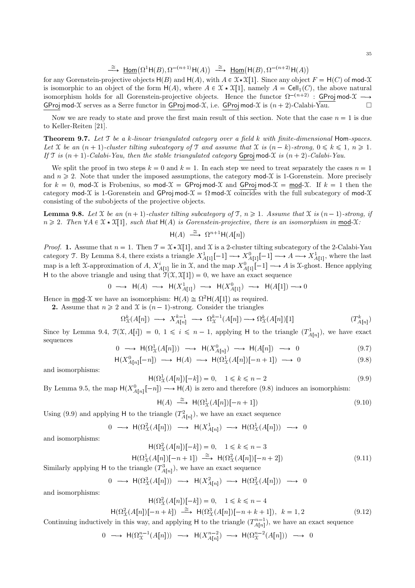$\stackrel{\cong}{\longrightarrow} \underline{\text{Hom}}(\Omega^1\mathsf{H}(B),\Omega^{-(n+1)}\mathsf{H}(A)) \stackrel{\cong}{\longrightarrow} \underline{\text{Hom}}(\mathsf{H}(B),\Omega^{-(n+2)}\mathsf{H}(A))$ 

for any Gorenstein-projective objects  $H(B)$  and  $H(A)$ , with  $A \in \mathfrak{X} \star \mathfrak{X}[1]$ . Since any object  $F = H(C)$  of mod-X is isomorphic to an object of the form  $H(A)$ , where  $A \in \mathcal{X} \star \mathcal{X}[1]$ , namely  $A = \text{Cell}_1(C)$ , the above natural isomorphism holds for all Gorenstein-projective objects. Hence the functor  $\Omega^{-(n+2)}$  : GProj mod-X  $\longrightarrow$ GProj mod-X serves as a Serre functor in GProj mod-X, i.e. GProj mod-X is  $(n + 2)$ -Calabi-Yau.

Now we are ready to state and prove the first main result of this section. Note that the case  $n = 1$  is due to Keller-Reiten [21].

**Theorem 9.7.** Let  $T$  be a k-linear triangulated category over a field k with finite-dimensional Hom-spaces. Let X be an  $(n + 1)$ -cluster tilting subcategory of T and assume that X is  $(n - k)$ -strong,  $0 \leq k \leq 1, n \geq 1$ . If  $\mathcal T$  is  $(n+1)$ -Calabi-Yau, then the stable triangulated category Gproj mod-X is  $(n+2)$ -Calabi-Yau.

We split the proof in two steps  $k = 0$  and  $k = 1$ . In each step we need to treat separately the cases  $n = 1$ and  $n \geq 2$ . Note that under the imposed assumptions, the category mod-X is 1-Gorenstein. More precisely for  $k = 0$ , mod-X is Frobenius, so mod- $\mathcal{X} = \text{GProj mod-}\mathcal{X}$  and  $\text{GProj mod-}\mathcal{X} = \text{mod-}\mathcal{X}$ . If  $k = 1$  then the category mod-X is 1-Gorenstein and GProj mod- $\mathcal{X} = \Omega$  mod-X coincides with the full subcategory of mod-X consisting of the subobjects of the projective objects.

**Lemma 9.8.** Let X be an  $(n + 1)$ -cluster tilting subcategory of T,  $n \ge 1$ . Assume that X is  $(n - 1)$ -strong, if  $n \geqslant 2$ . Then  $\forall A \in \mathcal{X} \star \mathcal{X}[1]$ , such that  $H(A)$  is Gorenstein-projective, there is an isomorphism in mod-X:

$$
\mathsf{H}(A) \stackrel{\cong}{\longrightarrow} \Omega^{n+1}\mathsf{H}(A[n])
$$

*Proof.* 1. Assume that  $n = 1$ . Then  $\mathcal{T} = \mathcal{X} \star \mathcal{X}[1]$ , and X is a 2-cluster tilting subcategory of the 2-Calabi-Yau category T. By Lemma 8.4, there exists a triangle  $X_{A[1]}^1[-1] \longrightarrow X_{A[1]}^0[-1] \longrightarrow A \longrightarrow X_{A[1]}^1$ , where the last map is a left X-approximation of A,  $X_{A[1]}^i$  lie in X, and the map  $X_{A[1]}^0[-1] \longrightarrow A$  is X-ghost. Hence applying H to the above triangle and using that  $\mathcal{T}(\mathcal{X}, \mathcal{X}[1]) = 0$ , we have an exact sequence

$$
0 \longrightarrow \mathsf{H}(A) \longrightarrow \mathsf{H}(X^1_{A[1]}) \longrightarrow \mathsf{H}(X^0_{A[1]}) \longrightarrow \mathsf{H}(A[1]) \longrightarrow 0
$$

Hence in <u>mod</u>- $\mathcal X$  we have an isomorphism:  $H(A) \cong \Omega^2 H(A[1])$  as required.

**2.** Assume that  $n \geq 2$  and X is  $(n-1)$ -strong. Consider the triangles

$$
\Omega^k_{\mathfrak{X}}(A[n]) \longrightarrow X^{k-1}_{A[n]} \longrightarrow \Omega^{k-1}_{\mathfrak{X}}(A[n]) \longrightarrow \Omega^k_{\mathfrak{X}}(A[n])[1] \tag{T^k_{A[n]}}
$$

Since by Lemma 9.4,  $\mathcal{T}(\mathcal{X}, A[i]) = 0, 1 \leq i \leq n-1$ , applying H to the triangle  $(T^1_{A[n]})$ , we have exact sequences

$$
0 \longrightarrow \mathsf{H}(\Omega^1_{\mathfrak{X}}(A[n])) \longrightarrow \mathsf{H}(X^0_{A[n]}) \longrightarrow \mathsf{H}(A[n]) \longrightarrow 0 \tag{9.7}
$$

$$
\mathsf{H}(X^0_{A[n]}[-n]) \longrightarrow \mathsf{H}(A) \longrightarrow \mathsf{H}(\Omega^1_{\mathcal{X}}(A[n])[-n+1]) \longrightarrow 0 \tag{9.8}
$$

and isomorphisms:

$$
H(\Omega_X^1(A[n])[-k]) = 0, \quad 1 \le k \le n-2
$$
\n(9.9)

By Lemma 9.5, the map  $H(X_{A[n]}^0[-n]) \longrightarrow H(A)$  is zero and therefore (9.8) induces an isomorphism:

$$
\mathsf{H}(A) \stackrel{\cong}{\longrightarrow} \mathsf{H}(\Omega^1_X(A[n])[-n+1]) \tag{9.10}
$$

Using (9.9) and applying H to the triangle  $(T_{A[n]}^2)$ , we have an exact sequence

$$
0 \longrightarrow \mathsf{H}(\Omega^2_{\mathfrak{X}}(A[n])) \longrightarrow \mathsf{H}(X^1_{A[n]}) \longrightarrow \mathsf{H}(\Omega^1_{\mathfrak{X}}(A[n])) \longrightarrow 0
$$

and isomorphisms:

$$
\mathsf{H}(\Omega^2_{\mathcal{X}}(A[n])[-k]) = 0, \quad 1 \le k \le n-3
$$

$$
\mathsf{H}(\Omega^1_{\mathcal{X}}(A[n])[-n+1]) \stackrel{\cong}{\longrightarrow} \mathsf{H}(\Omega^2_{\mathcal{X}}(A[n])[-n+2])
$$
(9.11)

Similarly applying H to the triangle  $(T^3_{A[n]}),$  we have an exact sequence

$$
0 \longrightarrow H(\Omega^3_{\mathfrak{X}}(A[n])) \longrightarrow H(X^2_{A[n]}) \longrightarrow H(\Omega^2_{\mathfrak{X}}(A[n])) \longrightarrow 0
$$

and isomorphisms:

$$
\mathsf{H}(\Omega^2_{\mathcal{X}}(A[n])[-k]) = 0, \quad 1 \leq k \leq n-4
$$

$$
\mathsf{H}(\Omega^2_{\mathcal{X}}(A[n])[-n+k]) \stackrel{\cong}{\longrightarrow} \mathsf{H}(\Omega^3_{\mathcal{X}}(A[n])[-n+k+1]), \quad k=1,2
$$
\n(9.12)

Continuing inductively in this way, and applying  $H$  to the triangle  $(T_{A[n]}^{n-1})$ , we have an exact sequence

$$
0 \longrightarrow \mathrm{H}(\Omega^{n-1}_\mathfrak{X}(A[n])) \longrightarrow \mathrm{H}(X^{n-2}_{A[n]}) \longrightarrow \mathrm{H}(\Omega^{n-2}_\mathfrak{X}(A[n])) \longrightarrow 0
$$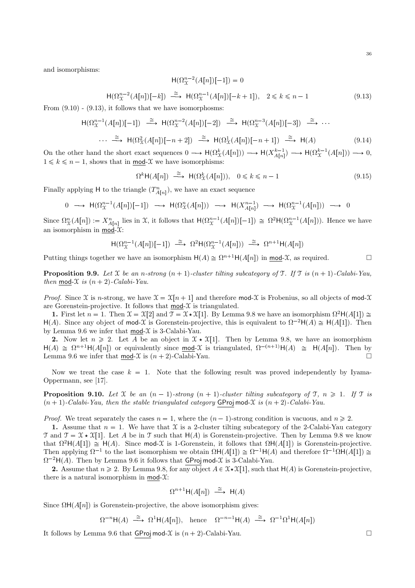and isomorphisms:

$$
\mathsf{H}(\Omega_X^{n-2}(A[n])[-1]) = 0
$$
\n
$$
\mathsf{H}(\Omega_X^{n-2}(A[n])[-k]) \xrightarrow{\cong} \mathsf{H}(\Omega_X^{n-1}(A[n])[-k+1]), \quad 2 \le k \le n-1
$$
\n(9.13)

From  $(9.10)$  -  $(9.13)$ , it follows that we have isomorphosms:

$$
\begin{array}{ccc}\n\mathsf{H}(\Omega_{\mathcal{X}}^{n-1}(A[n])[-1]) & \xrightarrow{\cong} \mathsf{H}(\Omega_{\mathcal{X}}^{n-2}(A[n])[-2]) & \xrightarrow{\cong} \mathsf{H}(\Omega_{\mathcal{X}}^{n-3}(A[n])[-3]) & \xrightarrow{\cong} \cdots \\
& \cdots \xrightarrow{\cong} \mathsf{H}(\Omega_{\mathcal{X}}^{2}(A[n])[-n+2]) & \xrightarrow{\cong} \mathsf{H}(\Omega_{\mathcal{X}}^{1}(A[n])[-n+1]) & \xrightarrow{\cong} \mathsf{H}(A)\n\end{array}\n\tag{9.14}
$$

On the other hand the short exact sequences  $0 \longrightarrow H(\Omega^k_{\mathcal{X}}(A[n])) \longrightarrow H(X^{k-1}_{A[n]}) \longrightarrow H(\Omega^{k-1}_{\mathcal{X}}(A[n])) \longrightarrow 0$ ,  $1 \leq k \leq n-1$ , shows that in mod-X we have isomorphisms:

$$
\Omega^k \mathsf{H}(A[n]) \stackrel{\cong}{\longrightarrow} \mathsf{H}(\Omega^k_{\mathfrak{X}}(A[n])), \quad 0 \le k \le n-1 \tag{9.15}
$$

Finally applying H to the triangle  $(T_{A[n]}^n)$ , we have an exact sequence

$$
0 \longrightarrow \mathrm{H}(\Omega^{n-1}_{\mathcal{X}}(A[n])[-1]) \longrightarrow \mathrm{H}(\Omega^{n}_{\mathcal{X}}(A[n])) \longrightarrow \mathrm{H}(X^{n-1}_{A[n]}) \longrightarrow \mathrm{H}(\Omega^{n-1}_{\mathcal{X}}(A[n])) \longrightarrow 0
$$

Since  $\Omega_{\mathcal{X}}^n(A[n]) := X_{A[n]}^n$  lies in X, it follows that  $H(\Omega_{\mathcal{X}}^{n-1}(A[n])[-1]) \cong \Omega^2 H(\Omega_{\mathcal{X}}^{n-1}(A[n]))$ . Hence we have an isomorphism in mod- $\mathfrak{X}$ :

$$
\mathsf{H}(\Omega^{n-1}_\mathcal{X}(A[n])[-1]) \xrightarrow{\simeq} \Omega^2 \mathsf{H}(\Omega^{n-1}_\mathcal{X}(A[n])) \xrightarrow{\simeq} \Omega^{n+1} \mathsf{H}(A[n])
$$

Putting things together we have an isomorphism  $H(A) \cong \Omega^{n+1}H(A[n])$  in <u>mod</u>-X, as required.  $\square$ 

**Proposition 9.9.** Let X be an n-strong  $(n + 1)$ -cluster tilting subcategory of T. If T is  $(n + 1)$ -Calabi-Yau, then mod- $\mathfrak X$  is  $(n + 2)$ -Calabi-Yau.

*Proof.* Since X is n-strong, we have  $\mathcal{X} = \mathcal{X}[n+1]$  and therefore mod-X is Frobenius, so all objects of mod-X are Gorenstein-projective. It follows that  $mod-\mathcal{X}$  is triangulated.

1. First let  $n = 1$ . Then  $\mathfrak{X} = \mathfrak{X}[2]$  and  $\mathfrak{I} = \mathfrak{X} \star \mathfrak{X}[1]$ . By Lemma 9.8 we have an isomorphism  $\Omega^2 \mathsf{H}(A[1]) \cong$ H(A). Since any object of mod-X is Gorenstein-projective, this is equivalent to  $\Omega^{-2}H(A) \cong H(A[1])$ . Then by Lemma 9.6 we infer that  $mod-\mathcal{X}$  is 3-Calabi-Yau.

2. Now let  $n \geq 2$ . Let A be an object in  $\mathfrak{X} \star \mathfrak{X}[1]$ . Then by Lemma 9.8, we have an isomorphism  $H(A) \cong \Omega^{n+1}H(A[n])$  or equivalently since mod-X is triangulated,  $\Omega^{-(n+1)}H(A) \cong H(A[n])$ . Then by Lemma 9.6 we infer that mod- $\mathfrak X$  is  $(n + 2)$ -Calabi-Yau.

Now we treat the case  $k = 1$ . Note that the following result was proved independently by Iyama-Oppermann, see [17].

**Proposition 9.10.** Let X be an  $(n - 1)$ -strong  $(n + 1)$ -cluster tilting subcategory of T,  $n \ge 1$ . If T is  $(n + 1)$ -Calabi-Yau, then the stable triangulated category GProj mod-X is  $(n + 2)$ -Calabi-Yau.

*Proof.* We treat separately the cases  $n = 1$ , where the  $(n - 1)$ -strong condition is vacuous, and  $n \ge 2$ .

1. Assume that  $n = 1$ . We have that X is a 2-cluster tilting subcategory of the 2-Calabi-Yau category  $\mathcal{T}$  and  $\mathcal{T} = \mathcal{X} \times \mathcal{X}[1]$ . Let A be in  $\mathcal{T}$  such that  $H(A)$  is Gorenstein-projective. Then by Lemma 9.8 we know that  $\Omega^2H(A[1]) \cong H(A)$ . Since mod-X is 1-Gorenstein, it follows that  $\Omega H(A[1])$  is Gorenstein-projective. Then applying  $\Omega^{-1}$  to the last isomorphism we obtain  $\Omega H(A[1]) \cong \Omega^{-1}H(A)$  and therefore  $\Omega^{-1}\Omega H(A[1]) \cong$  $\Omega^{-2}H(A)$ . Then by Lemma 9.6 it follows that  $\overline{GProj}$  mod-X is 3-Calabi-Yau.

**2.** Assume that  $n \ge 2$ . By Lemma 9.8, for any object  $A \in \mathcal{X} \times \mathcal{X}[1]$ , such that  $H(A)$  is Gorenstein-projective, there is a natural isomorphism in  $mod-\mathcal{X}$ :

$$
\Omega^{n+1}H(A[n]) \stackrel{\cong}{\longrightarrow} H(A)
$$

Since  $\Omega$ H $(A[n])$  is Gorenstein-projective, the above isomorphism gives:

$$
\Omega^{-n} \mathsf{H}(A) \stackrel{\cong}{\longrightarrow} \Omega^{1} \mathsf{H}(A[n]), \text{ hence } \Omega^{-n-1} \mathsf{H}(A) \stackrel{\cong}{\longrightarrow} \Omega^{-1} \Omega^{1} \mathsf{H}(A[n])
$$

It follows by Lemma 9.6 that GProj mod- $\mathcal X$  is  $(n + 2)$ -Calabi-Yau.  $\Box$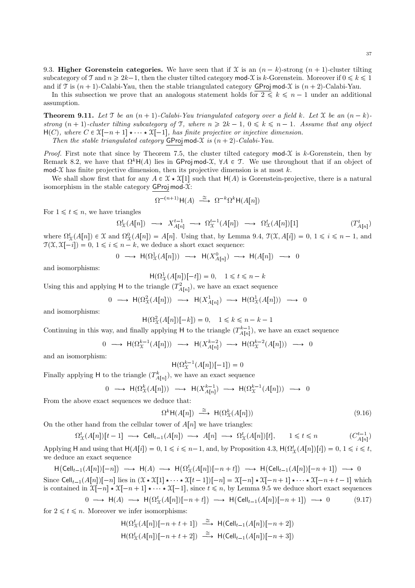9.3. Higher Gorenstein categories. We have seen that if X is an  $(n - k)$ -strong  $(n + 1)$ -cluster tilting subcategory of T and  $n \geq 2k-1$ , then the cluster tilted category mod-X is k-Gorenstein. Moreover if  $0 \leq k \leq 1$ and if T is  $(n + 1)$ -Calabi-Yau, then the stable triangulated category GProj mod-X is  $(n + 2)$ -Calabi-Yau.

In this subsection we prove that an analogous statement holds for  $2 \leq k \leq n-1$  under an additional assumption.

**Theorem 9.11.** Let T be an  $(n + 1)$ -Calabi-Yau triangulated category over a field k. Let X be an  $(n - k)$ strong  $(n + 1)$ -cluster tilting subcategory of T, where  $n \ge 2k - 1$ ,  $0 \le k \le n - 1$ . Assume that any object  $H(C)$ , where  $C \in \mathfrak{X}[-n+1] \star \cdots \star \mathfrak{X}[-1]$ , has finite projective or injective dimension. Then the stable triangulated category GProj mod- $\mathfrak X$  is  $(n + 2)$ -Calabi-Yau.

*Proof.* First note that since by Theorem 7.5, the cluster tilted category  $\text{mod-}\mathcal{X}$  is k-Gorenstein, then by Remark 8.2, we have that  $\Omega^k H(A)$  lies in GProj mod-X,  $\forall A \in \mathcal{T}$ . We use throughout that if an object of mod-X has finite projective dimension, then its projective dimension is at most  $k$ .

We shall show first that for any  $A \in \mathcal{X} \star \mathcal{X}[1]$  such that  $H(A)$  is Gorenstein-projective, there is a natural isomorphism in the stable category  $GProj mod-\mathcal{X}$ :

$$
\Omega^{-(n+1)}\mathsf{H}(A) \;\; \stackrel{\cong}{\longrightarrow} \;\; \Omega^{-k}\Omega^k\mathsf{H}(A[n])
$$

For  $1 \leq t \leq n$ , we have triangles

$$
\Omega^t_{\mathcal{X}}(A[n]) \longrightarrow X^{t-1}_{A[n]} \longrightarrow \Omega^{t-1}_{\mathcal{X}}(A[n]) \longrightarrow \Omega^t_{\mathcal{X}}(A[n])[1] \tag{T^t_{A[n]}}.
$$

where  $\Omega^t_{\mathcal{X}}(A[n]) \in \mathcal{X}$  and  $\Omega^0_{\mathcal{X}}(A[n]) = A[n]$ . Using that, by Lemma 9.4,  $\mathcal{T}(\mathcal{X}, A[i]) = 0, 1 \leq i \leq n - 1$ , and  $\mathcal{T}(\mathcal{X}, \mathcal{X}[-i]) = 0, 1 \leq i \leq n - k$ , we deduce a short exact sequence:

$$
0 \longrightarrow \mathsf{H}(\Omega^1_{\mathfrak{X}}(A[n])) \longrightarrow \mathsf{H}(X^0_{A[n]}) \longrightarrow \mathsf{H}(A[n]) \longrightarrow 0
$$

and isomorphisms:

 $H(\Omega_X^1(A[n])[-t]) = 0, \quad 1 \le t \le n - k$ 

Using this and applying H to the triangle  $(T_{A[n]}^2)$ , we have an exact sequence

$$
0 \longrightarrow \mathsf{H}(\Omega^2_{\mathfrak{X}}(A[n])) \longrightarrow \mathsf{H}(X^1_{A[n]}) \longrightarrow \mathsf{H}(\Omega^1_{\mathfrak{X}}(A[n])) \longrightarrow 0
$$

and isomorphisms:

$$
H(\Omega_X^2(A[n])[-k]) = 0, \quad 1 \le k \le n - k - 1
$$

Continuing in this way, and finally applying  $H$  to the triangle  $(T_{A[n]}^{k-1})$ , we have an exact sequence

$$
0 \longrightarrow \mathrm{H}(\Omega^{k-1}_\mathfrak{X}(A[n])) \longrightarrow \mathrm{H}(X^{k-2}_{A[n]}) \longrightarrow \mathrm{H}(\Omega^{k-2}_\mathfrak{X}(A[n])) \longrightarrow 0
$$

and an isomorphism:

$$
\mathsf{H}(\Omega^{k-1}_{\mathcal{X}}(A[n])[-1]) = 0
$$

Finally applying H to the triangle  $(T_{A[n]}^k)$ , we have an exact sequence

$$
0\;\;\longrightarrow\;\; \mathsf{H}(\Omega^k_{\mathfrak{X}}(A[n]))\;\;\longrightarrow\;\; \mathsf{H}(X^{k-1}_{A[n]})\;\;\longrightarrow\;\; \mathsf{H}(\Omega^{k-1}_{\mathfrak{X}}(A[n]))\;\;\longrightarrow\;\; 0
$$

From the above exact sequences we deduce that:

$$
\Omega^k \mathsf{H}(A[n]) \stackrel{\cong}{\longrightarrow} \mathsf{H}(\Omega^k_{\mathfrak{X}}(A[n])) \tag{9.16}
$$

On the other hand from the cellular tower of  $A[n]$  we have triangles:

$$
\Omega^t_{\mathcal{X}}(A[n])[t-1] \longrightarrow \operatorname{Cell}_{t-1}(A[n]) \longrightarrow A[n] \longrightarrow \Omega^t_{\mathcal{X}}(A[n])[t], \qquad 1 \leq t \leq n \tag{C_{A[n]}^{t-1}}
$$

Applying H and using that  $H(A[i]) = 0, 1 \leq i \leq n-1$ , and, by Proposition 4.3,  $H(\Omega^t_X(A[n])[i]) = 0, 1 \leq i \leq t$ , we deduce an exact sequence

 $H(\text{Cell}_{t-1}(A[n])[-n]) \longrightarrow H(A) \longrightarrow H(\Omega^t_X(A[n])[-n+t]) \longrightarrow H(\text{Cell}_{t-1}(A[n])[-n+1]) \longrightarrow 0$ Since  $\text{Cell}_{t-1}(A[n])[-n]$  lies in  $(\mathfrak{X} \star \mathfrak{X}[1] \star \cdots \star \mathfrak{X}[t-1])[-n] = \mathfrak{X}[-n] \star \mathfrak{X}[-n+1] \star \cdots \star \mathfrak{X}[-n+t-1]$  which is contained in  $\mathfrak{X}[-n] \star \mathfrak{X}[-n+1] \star \cdots \star \mathfrak{X}[-1]$ , since  $t \leq n$ , by Lemma 9.5 we deduce short exact sequences

$$
0 \longrightarrow \mathsf{H}(A) \longrightarrow \mathsf{H}(\Omega^t_{\mathcal{X}}(A[n])[-n+t]) \longrightarrow \mathsf{H}(\mathsf{Cell}_{t-1}(A[n])[-n+1]) \longrightarrow 0 \tag{9.17}
$$
  
2 <  $t \le n$  Moreover we infer isomorphisms:

for  $2 \leq t \leq n$ . Moreover we infer isomorphisms:

$$
\begin{aligned}\n\mathsf{H}(\Omega^t_X(A[n])[-n+t+1]) & \xrightarrow{\cong} \mathsf{H}(\mathsf{Cell}_{t-1}(A[n])[-n+2]) \\
\mathsf{H}(\Omega^t_X(A[n])[-n+t+2]) & \xrightarrow{\cong} \mathsf{H}(\mathsf{Cell}_{t-1}(A[n])[-n+3])\n\end{aligned}
$$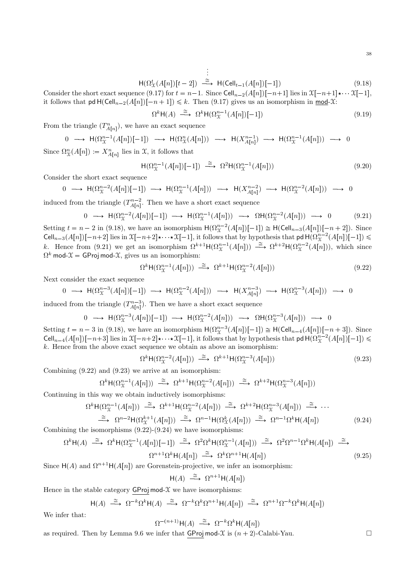$$
\vdots
$$
  
H( $\Omega^t_{\mathcal{X}}(A[n])[t-2]$ )  $\xrightarrow{\cong}$  H(Cell<sub>t-1</sub>(A[n])[-1]) \t(9.18)

Consider the short exact sequence (9.17) for  $t = n-1$ . Since Cell<sub>n-2</sub>(A[n])[-n+1] lies in  $\mathfrak{X}[-n+1] \star \cdots \mathfrak{X}[-1]$ , it follows that  $\mathsf{pd} H(\mathsf{Cell}_{n-2}(A[n])[-n+1]) \leq k$ . Then (9.17) gives us an isomorphism in mod-X:

$$
\Omega^k \mathsf{H}(A) \stackrel{\cong}{\longrightarrow} \Omega^k \mathsf{H}(\Omega^{n-1}_{\mathcal{X}}(A[n])[-1]) \tag{9.19}
$$

From the triangle  $(T_{A[n]}^n)$ , we have an exact sequence

$$
0 \longrightarrow H(\Omega_{\mathcal{X}}^{n-1}(A[n])[-1]) \longrightarrow H(\Omega_{\mathcal{X}}^{n}(A[n])) \longrightarrow H(X_{A[n]}^{n-1}) \longrightarrow H(\Omega_{\mathcal{X}}^{n-1}(A[n])) \longrightarrow 0
$$

Since  $\Omega_{\mathcal{X}}^n(A[n]) := X_{A[n]}^n$  lies in X, it follows that

$$
\mathsf{H}(\Omega^{n-1}_{\mathcal{X}}(A[n])[-1]) \stackrel{\cong}{\longrightarrow} \Omega^2 \mathsf{H}(\Omega^{n-1}_{\mathcal{X}}(A[n])) \tag{9.20}
$$

Consider the short exact sequence

0  $\longrightarrow$  H( $\Omega^{n-2}_\mathcal{X}(A[n])[-1]) \longrightarrow$  H( $\Omega^{n-1}_\mathcal{X}(A[n])$ )  $\longrightarrow$  H( $X^{n-2}_{A[n]}$ )  $\longrightarrow$  H( $\Omega^{n-2}_\mathcal{X}(A[n])$ )  $\longrightarrow$  0

induced from the triangle  $(T_{A[n]}^{n-2}$ . Then we have a short exact sequence

$$
0 \longrightarrow \mathsf{H}(\Omega_{\mathcal{X}}^{n-2}(A[n])[-1]) \longrightarrow \mathsf{H}(\Omega_{\mathcal{X}}^{n-1}(A[n])) \longrightarrow \Omega \mathsf{H}(\Omega_{\mathcal{X}}^{n-2}(A[n])) \longrightarrow 0 \tag{9.21}
$$

Setting  $t = n - 2$  in (9.18), we have an isomorphism  $H(\Omega_X^{n-2}(A[n])[-1]) \cong H(\text{Cell}_{n-3}(A[n])[-n+2])$ . Since Cell<sub>n-3</sub>(A[n])[-n+2] lies in  $\mathfrak{X}[-n+2] \star \cdots \star \mathfrak{X}[-1]$ , it follows that by hypothesis that pd  $H(\Omega^{n-2}_\mathfrak{X}(A[n])[-1]) \le$ k. Hence from (9.21) we get an isomorphism  $\Omega^{k+1}H(\Omega_{\mathcal{X}}^{n-1}(A[n])) \stackrel{\cong}{\longrightarrow} \Omega^{k+2}H(\Omega_{\mathcal{X}}^{n-2}(A[n]))$ , which since  $\Omega^k$  mod- $\mathfrak{X} = \mathsf{GProj}\,\mathsf{mod}\text{-}\mathfrak{X},$  gives us an isomorphism:

$$
\Omega^k \mathsf{H}(\Omega^{n-1}_{\mathcal{X}}(A[n])) \stackrel{\cong}{\longrightarrow} \Omega^{k+1} \mathsf{H}(\Omega^{n-2}_{\mathcal{X}}(A[n])) \tag{9.22}
$$

Next consider the exact sequence

$$
0 \longrightarrow \mathrm{H}(\Omega^{n-3}_\mathfrak{X}(A[n])[-1]) \longrightarrow \mathrm{H}(\Omega^{n-2}_\mathfrak{X}(A[n])) \longrightarrow \mathrm{H}(X^{n-3}_{A[n]}) \longrightarrow \mathrm{H}(\Omega^{n-3}_\mathfrak{X}(A[n])) \longrightarrow 0
$$

induced from the triangle  $(T_{A[n]}^{n-3})$ . Then we have a short exact sequence

$$
0 \longrightarrow H(\Omega^{n-3}_X(A[n])[-1]) \longrightarrow H(\Omega^{n-2}_X(A[n])) \longrightarrow \Omega H(\Omega^{n-3}_X(A[n])) \longrightarrow 0
$$

Setting  $t = n - 3$  in (9.18), we have an isomorphism  $H(\Omega_X^{n-3}(A[n])[-1]) \cong H(\text{Cell}_{n-4}(A[n])[-n+3])$ . Since Cell<sub>n-4</sub>(A[n])[-n+3] lies in  $\mathfrak{X}[-n+2] \star \cdots \star \mathfrak{X}[-1]$ , it follows that by hypothesis that pd  $H(\Omega^{n-2}_\mathfrak{X}(A[n])[-1]) \leq$  $k$ . Hence from the above exact sequence we obtain as above an isomorphism:

$$
\Omega^k \mathsf{H}(\Omega^{n-2}_\mathcal{X}(A[n])) \stackrel{\cong}{\longrightarrow} \Omega^{k+1} \mathsf{H}(\Omega^{n-3}_\mathcal{X}(A[n])) \tag{9.23}
$$

Combining (9.22) and (9.23) we arrive at an isomorphism:

$$
\Omega^k \mathsf{H}(\Omega^{n-1}_\mathcal{X}(A[n])) \xrightarrow{\simeq} \Omega^{k+1} \mathsf{H}(\Omega^{n-2}_\mathcal{X}(A[n])) \xrightarrow{\simeq} \Omega^{k+2} \mathsf{H}(\Omega^{n-3}_\mathcal{X}(A[n]))
$$

Continuing in this way we obtain inductively isomorphisms:

$$
\Omega^k H(\Omega^{n-1}_X(A[n])) \xrightarrow{\cong} \Omega^{k+1} H(\Omega^{n-2}_X(A[n])) \xrightarrow{\cong} \Omega^{k+2} H(\Omega^{n-3}_X(A[n])) \xrightarrow{\cong} \cdots
$$
  

$$
\xrightarrow{\cong} \Omega^{n-2} H(\Omega^{k+1}_X(A[n])) \xrightarrow{\cong} \Omega^{n-1} H(\Omega^k_X(A[n])) \xrightarrow{\cong} \Omega^{n-1} \Omega^k H(A[n])
$$
(9.24)

Combining the isomorphisms  $(9.22)-(9.24)$  we have isomorphisms:

$$
\Omega^k \mathsf{H}(A) \stackrel{\cong}{\longrightarrow} \Omega^k \mathsf{H}(\Omega^{n-1}_{\mathcal{X}}(A[n])[-1]) \stackrel{\cong}{\longrightarrow} \Omega^2 \Omega^k \mathsf{H}(\Omega^{n-1}_{\mathcal{X}}(A[n])) \stackrel{\cong}{\longrightarrow} \Omega^2 \Omega^{n-1} \Omega^k \mathsf{H}(A[n]) \stackrel{\cong}{\longrightarrow}
$$
  

$$
\Omega^{n+1} \Omega^k \mathsf{H}(A[n]) \stackrel{\cong}{\longrightarrow} \Omega^k \Omega^{n+1} \mathsf{H}(A[n]) \tag{9.25}
$$

Since  $H(A)$  and  $\Omega^{n+1}H(A[n])$  are Gorenstein-projective, we infer an isomorphism:

$$
\mathsf{H}(A) \stackrel{\cong}{\longrightarrow} \Omega^{n+1}\mathsf{H}(A[n])
$$

Hence in the stable category  $GProj mod-\mathcal{X}$  we have isomorphisms:

$$
\mathsf{H}(A) \stackrel{\cong}{\longrightarrow} \Omega^{-k}\Omega^{k}\mathsf{H}(A) \stackrel{\cong}{\longrightarrow} \Omega^{-k}\Omega^{k}\Omega^{n+1}\mathsf{H}(A[n]) \stackrel{\cong}{\longrightarrow} \Omega^{n+1}\Omega^{-k}\Omega^{k}\mathsf{H}(A[n])
$$

We infer that:

$$
\Omega^{-(n+1)}\mathsf{H}(A) \stackrel{\cong}{\longrightarrow} \Omega^{-k}\Omega^k\mathsf{H}(A[n])
$$

as required. Then by Lemma 9.6 we infer that  $\overline{\text{GProj}}$  mod- $\mathfrak{X}$  is  $(n + 2)$ -Calabi-Yau.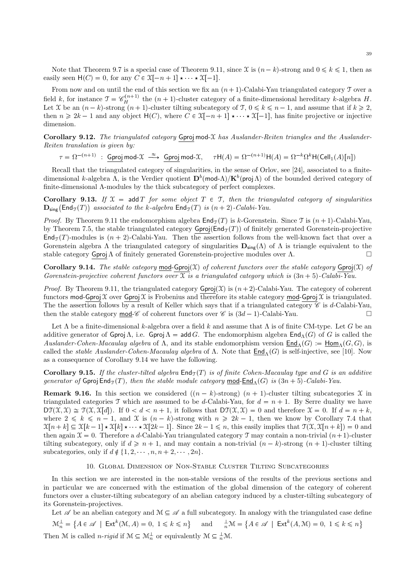Note that Theorem 9.7 is a special case of Theorem 9.11, since X is  $(n-k)$ -strong and  $0 \le k \le 1$ , then as easily seen  $H(C) = 0$ , for any  $C \in \mathfrak{X}[-n+1] \star \cdots \star \mathfrak{X}[-1]$ .

From now and on until the end of this section we fix an  $(n + 1)$ -Calabi-Yau triangulated category T over a field k, for instance  $\mathfrak{T} = \mathscr{C}_H^{(n+1)}$  the  $(n+1)$ -cluster category of a finite-dimensional hereditary k-algebra H. Let X be an  $(n - k)$ -strong  $(n + 1)$ -cluster tilting subcategory of  $T, 0 \leq k \leq n - 1$ , and assume that if  $k \geq 2$ , then  $n \geq 2k - 1$  and any object  $H(C)$ , where  $C \in \mathcal{X}[-n + 1] \star \cdots \star \mathcal{X}[-1]$ , has finite projective or injective dimension.

Corollary 9.12. The triangulated category Gproj mod- $\mathcal X$  has Auslander-Reiten triangles and the Auslander-Reiten translation is given by:

 $\tau = \Omega^{-(n+1)}$  : Gproj mod- $\mathfrak{X} \stackrel{\approx}{\longrightarrow}$  Gproj mod- $\mathfrak{X}, \quad \tau \mathsf{H}(A) = \Omega$  $p^{-(n+1)}$ H $(A) = \Omega^{-k}\Omega^{k}$ H $(Cell_1(A)[n])$ 

Recall that the triangulated category of singularities, in the sense of Orlov, see [24], associated to a finitedimensional k-algebra  $\Lambda$ , is the Verdier quotient  $\mathbf{D}^b(\mathsf{mod}\Lambda)/\mathbf{K}^b(\mathsf{proj}\Lambda)$  of the bounded derived category of finite-dimensional Λ-modules by the thick subcategory of perfect complexes.

Corollary 9.13. If  $\mathcal{X} = \text{add } T$  for some object  $T \in \mathcal{T}$ , then the triangulated category of singularities  $\mathbf{D}_{\mathsf{sing}}(\mathsf{End}_{\mathcal{T}}(T))$  associated to the k-algebra  $\mathsf{End}_{\mathcal{T}}(T)$  is  $(n+2)$ -Calabi-Yau.

*Proof.* By Theorem 9.11 the endomorphism algebra  $\text{End}_{\mathcal{T}}(T)$  is k-Gorenstein. Since T is  $(n + 1)$ -Calabi-Yau, by Theorem 7.5, the stable triangulated category  $Gproj(End_T(T))$  of finitely generated Gorenstein-projective  $\text{End}_{\mathcal{T}}(T)$ -modules is  $(n + 2)$ -Calabi-Yau. Then the assertion follows from the well-known fact that over a Gorenstein algebra  $\Lambda$  the triangulated category of singularities  $\mathbf{D}_{sing}(\Lambda)$  of  $\Lambda$  is triangle equivalent to the stable category Gproj  $\Lambda$  of finitely generated Gorenstein-projective modules over  $\Lambda$ . stable category  $Gproj \Lambda$  of finitely generated Gorenstein-projective modules over  $\Lambda$ .

Corollary 9.14. The stable category mod-Gproj $(\mathfrak{X})$  of coherent functors over the stable category Gproj $(\mathfrak{X})$  of Gorenstein-projective coherent functors over  $\mathfrak X$  is a triangulated category which is  $(3n + 5)$ -Calabi-Yau.

*Proof.* By Theorem 9.11, the triangulated category  $Gproj(X)$  is  $(n+2)$ -Calabi-Yau. The category of coherent functors mod-Gproj  $\mathfrak X$  over Gproj  $\mathfrak X$  is Frobenius and therefore its stable category mod-Gproj  $\mathfrak X$  is triangulated. The the assertion follows by a result of Keller which says that if a triangulated category  $\mathscr C$  is d-Calabi-Yau, then the stable category mod-C of coherent functors over  $\mathcal{C}$  is  $(3d - 1)$ -Calabi-Yau.

Let  $\Lambda$  be a finite-dimensional k-algebra over a field k and assume that  $\Lambda$  is of finite CM-type. Let G be an additive generator of GprojΛ, i.e. GprojΛ = add G. The endomorphism algebra  $\text{End}_{\Lambda}(G)$  of G is called the Auslander-Cohen-Macaulay algebra of  $\Lambda$ , and its stable endomorphism version  $\text{End}_{\Lambda}(G) := \text{Hom}_{\Lambda}(G, G)$ , is called the *stable Auslander-Cohen-Macaulay algebra* of  $\Lambda$ . Note that  $\underline{End}_{\Lambda}(G)$  is self-injective, see [10]. Now as a consequence of Corollary 9.14 we have the following.

**Corollary 9.15.** If the cluster-tilted algebra  $\text{End}_{\mathcal{T}}(T)$  is of finite Cohen-Macaulay type and G is an additive generator of Gproj End<sub>T</sub> $(T)$ , then the stable module category mod-End<sub>Λ</sub> $(G)$  is  $(3n + 5)$ -Calabi-Yau.

**Remark 9.16.** In this section we considered  $((n - k)$ -strong)  $(n + 1)$ -cluster tilting subcategories X in triangulated categories T which are assumed to be d-Calabi-Yau, for  $d = n + 1$ . By Serre duality we have  $DT(\mathfrak{X}, \mathfrak{X}) \cong \mathfrak{T}(\mathfrak{X}, \mathfrak{X}[d])$ . If  $0 < d < n + 1$ , it follows that  $DT(\mathfrak{X}, \mathfrak{X}) = 0$  and therefore  $\mathfrak{X} = 0$ . If  $d = n + k$ , where  $2 \leq k \leq n-1$ , and X is  $(n-k)$ -strong with  $n \geq 2k-1$ , then we know by Corollary 7.4 that  $\mathfrak{X}[n+k] \subseteq \mathfrak{X}[k-1] \star \mathfrak{X}[k] \star \cdots \star \mathfrak{X}[2k-1]$ . Since  $2k-1 \leq n$ , this easily implies that  $\mathfrak{X}(\mathfrak{X}, \mathfrak{X}[n+k]) = 0$  and then again  $\mathcal{X} = 0$ . Therefore a d-Calabi-Yau triangulated category  $\mathcal{T}$  may contain a non-trivial  $(n+1)$ -cluster tilting subcategory, only if  $d \geq n + 1$ , and may contain a non-trivial  $(n - k)$ -strong  $(n + 1)$ -cluster tilting subcategories, only if  $d \notin \{1, 2, \dots, n, n + 2, \dots, 2n\}.$ 

### 10. Global Dimension of Non-Stable Cluster Tilting Subcategories

In this section we are interested in the non-stable versions of the results of the previous sections and in particular we are concerned with the estimation of the global dimension of the category of coherent functors over a cluster-tilting subcategory of an abelian category induced by a cluster-tilting subcategory of its Gorenstein-projectives.

Let  $\mathscr A$  be an abelian category and  $\mathcal M \subseteq \mathscr A$  a full subcategory. In analogy with the triangulated case define

 $\mathcal{M}_n^{\perp} = \{ A \in \mathcal{A} \mid \text{Ext}^k(\mathcal{M}, A) = 0, 1 \leq k \leq n \}$  and  $\frac{1}{n}\mathcal{M} = \{ A \in \mathcal{A} \mid \text{Ext}^k(A, \mathcal{M}) = 0, 1 \leq k \leq n \}$ Then M is called *n*-rigid if  $\mathcal{M} \subseteq \mathcal{M}_n^{\perp}$  or equivalently  $\mathcal{M} \subseteq \frac{1}{n}\mathcal{M}$ .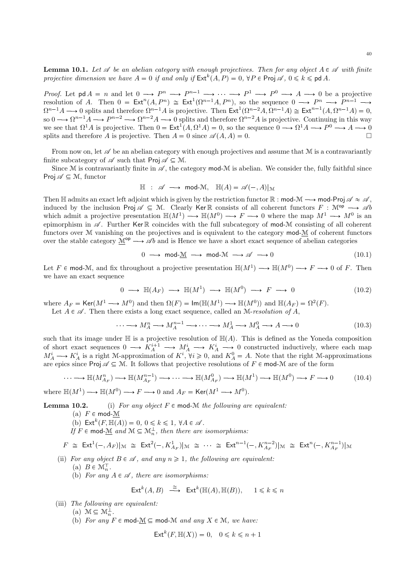**Lemma 10.1.** Let  $\mathscr A$  be an abelian category with enough projectives. Then for any object  $A \in \mathscr A$  with finite projective dimension we have  $A = 0$  if and only if  $\mathsf{Ext}^k(A, P) = 0$ ,  $\forall P \in \mathsf{Proj} \mathscr{A}, 0 \leq k \leq \mathsf{pd} A$ .

*Proof.* Let  $\mathsf{pd}\,A = n$  and let  $0 \longrightarrow P^n \longrightarrow P^{n-1} \longrightarrow \cdots \longrightarrow P^1 \longrightarrow P^0 \longrightarrow A \longrightarrow 0$  be a projective resolution of A. Then  $0 = \text{Ext}^n(A, P^n) \cong \text{Ext}^1(\Omega^{n-1}A, P^n)$ , so the sequence  $0 \longrightarrow P^n \longrightarrow P^{n-1} \longrightarrow$  $\Omega^{n-1}A \longrightarrow 0$  splits and therefore  $\Omega^{n-1}A$  is projective. Then  $\text{Ext}^1(\Omega^{n-2}A, \Omega^{n-1}A) \cong \text{Ext}^{n-1}(A, \Omega^{n-1}A) = 0$ , so  $0 \longrightarrow \Omega^{n-1}A \longrightarrow P^{n-2} \longrightarrow \Omega^{n-2}A \longrightarrow 0$  splits and therefore  $\Omega^{n-2}A$  is projective. Continuing in this way we see that  $\Omega^1 A$  is projective. Then  $0 = \text{Ext}^1(A, \Omega^1 A) = 0$ , so the sequence  $0 \longrightarrow \Omega^1 A \longrightarrow P^0 \longrightarrow A \longrightarrow 0$ splits and therefore A is projective. Then  $A = 0$  since  $\mathscr{A}(A, A) = 0$ .

From now on, let  $\mathscr A$  be an abelian category with enough projectives and assume that  $\mathcal M$  is a contravariantly finite subcategory of  $\mathscr A$  such that Proj  $\mathscr A \subseteq \mathcal M$ .

Since M is contravariantly finite in  $\mathscr A$ , the category mod-M is abelian. We consider the, fully faithful since Proj  $\mathscr{A} \subseteq \mathcal{M}$ , functor

$$
\mathbb{H} : \mathscr{A} \longrightarrow \text{mod-}\mathcal{M}, \quad \mathbb{H}(A) = \mathscr{A}(-,A)|_{\mathcal{M}}
$$

Then H admits an exact left adjoint which is given by the restriction functor  $\mathbb{R}$  : mod- $\mathcal{M} \longrightarrow \text{mod-Proj} \mathscr{A} \approx \mathscr{A}$ , induced by the inclusion Proj  $\mathscr{A} \subseteq \mathcal{M}$ . Clearly Ker R consists of all coherent functors  $F : \mathcal{M}^{op} \longrightarrow \mathscr{A}b$ which admit a projective presentation  $\mathbb{H}(M^1) \longrightarrow \mathbb{H}(M^0) \longrightarrow F \longrightarrow 0$  where the map  $M^1 \longrightarrow M^0$  is an epimorphism in  $\mathscr A$ . Further Ker R coincides with the full subcategory of mod-M consisting of all coherent functors over M vanishing on the projectives and is equivalent to the category mod-M of coherent functors over the stable category  $\mathcal{M}^{\mathsf{op}} \longrightarrow \mathscr{A}b$  and is Hence we have a short exact sequence of abelian categories

$$
0 \longrightarrow \text{mod-}\underline{\mathcal{M}} \longrightarrow \text{mod-}\mathcal{M} \longrightarrow \mathscr{A} \longrightarrow 0 \tag{10.1}
$$

Let  $F \in \text{mod-}M$ , and fix throughout a projective presentation  $\mathbb{H}(M^1) \longrightarrow \mathbb{H}(M^0) \longrightarrow F \longrightarrow 0$  of F. Then we have an exact sequence

$$
0 \longrightarrow \mathbb{H}(A_F) \longrightarrow \mathbb{H}(M^1) \longrightarrow \mathbb{H}(M^0) \longrightarrow F \longrightarrow 0
$$
 (10.2)

where  $A_F = \text{Ker}(M^1 \longrightarrow M^0)$  and then  $\Omega(F) = \text{Im}(\mathbb{H}(M^1) \longrightarrow \mathbb{H}(M^0))$  and  $\mathbb{H}(A_F) = \Omega^2(F)$ .

Let  $A \in \mathcal{A}$ . Then there exists a long exact sequence, called an M-resolution of A,

$$
\cdots \longrightarrow M_A^n \longrightarrow M_A^{n-1} \longrightarrow \cdots \longrightarrow M_A^1 \longrightarrow M_A^0 \longrightarrow A \longrightarrow 0
$$
 (10.3)

such that its image under  $\mathbb{H}$  is a projective resolution of  $\mathbb{H}(A)$ . This is defined as the Yoneda composition of short exact sequences  $0 \longrightarrow K_A^{i+1} \longrightarrow M_A^i \longrightarrow K_A^i \longrightarrow 0$  constructed inductively, where each map  $M_A^i \longrightarrow K_A^i$  is a right M-approximation of  $K^i$ ,  $\forall i \geq 0$ , and  $K_A^0 = A$ . Note that the right M-approximations are epics since Proj  $\mathscr{A} \subseteq \mathcal{M}$ . It follows that projective resolutions of  $F \in \text{mod-}M$  are of the form

$$
\cdots \longrightarrow \mathbb{H}(M_{A_F}^n) \longrightarrow \mathbb{H}(M_{A_F}^{n-1}) \longrightarrow \cdots \longrightarrow \mathbb{H}(M_{A_F}^0) \longrightarrow \mathbb{H}(M^1) \longrightarrow \mathbb{H}(M^0) \longrightarrow F \longrightarrow 0
$$
 (10.4)

where  $\mathbb{H}(M^1) \longrightarrow \mathbb{H}(M^0) \longrightarrow F \longrightarrow 0$  and  $A_F = \text{Ker}(M^1 \longrightarrow M^0)$ .

**Lemma 10.2.** (i) For any object  $F \in \text{mod-M}$  the following are equivalent:

(a)  $F \in \text{mod-}\mathcal{M}$ 

(b)  $\mathsf{Ext}^k(F, \mathbb{H}(A)) = 0, 0 \leq k \leq 1, \forall A \in \mathcal{A}$ .

If  $F \in \text{mod-}\underline{\mathcal{M}}$  and  $\mathcal{M} \subseteq \mathcal{M}_n^{\perp}$ , then there are isomorphisms:

$$
F \cong \text{Ext}^1(-, A_F)|_{\mathcal{M}} \cong \text{Ext}^2(-, K_{A_F}^1)|_{\mathcal{M}} \cong \cdots \cong \text{Ext}^{n-1}(-, K_{A_F}^{n-2})|_{\mathcal{M}} \cong \text{Ext}^n(-, K_{A_F}^{n-1})|_{\mathcal{M}}
$$

- (ii) For any object  $B \in \mathscr{A}$ , and any  $n \geq 1$ , the following are equivalent:
	- (a)  $B \in \mathcal{M}_n^{\mathsf{T}}$ .
	- (b) For any  $A \in \mathcal{A}$ , there are isomorphisms:

$$
\mathsf{Ext}^k(A, B) \stackrel{\cong}{\longrightarrow} \mathsf{Ext}^k(\mathbb{H}(A), \mathbb{H}(B)), \quad 1 \leq k \leq n
$$

(iii) The following are equivalent:

(a)  $\mathcal{M} \subseteq \mathcal{M}_n^{\perp}$ .

(b) For any  $F \in \text{mod-}M \subseteq \text{mod-}M$  and any  $X \in \mathcal{M}$ , we have:

$$
\operatorname{Ext}^k(F, \mathbb{H}(X)) = 0, \quad 0 \le k \le n+1
$$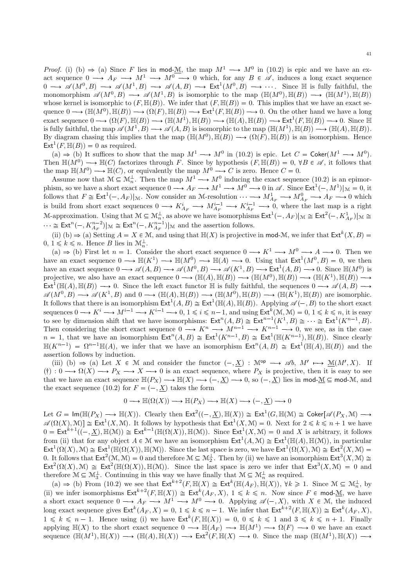*Proof.* (i) (b)  $\Rightarrow$  (a) Since F lies in mod-M, the map  $M^1 \rightarrow M^0$  in (10.2) is epic and we have an exact sequence  $0 \longrightarrow A_F \longrightarrow M^1 \longrightarrow M^0 \longrightarrow 0$  which, for any  $B \in \mathscr{A}$ , induces a long exact sequence  $0 \longrightarrow \mathscr{A}(M^0, B) \longrightarrow \mathscr{A}(M^1, B) \longrightarrow \mathscr{A}(A, B) \longrightarrow \text{Ext}^1(M^0, B) \longrightarrow \dots$  Since  $\mathbb H$  is fully faithful, the monomorphism  $\mathscr{A}(M^0, B) \longrightarrow \mathscr{A}(M^1, B)$  is isomorphic to the map  $(\mathbb{H}(M^0), \mathbb{H}(B)) \longrightarrow (\mathbb{H}(M^1), \mathbb{H}(B))$ whose kernel is isomorphic to  $(F,\mathbb{H}(B))$ . We infer that  $(F,\mathbb{H}(B))=0$ . This implies that we have an exact sequence  $0 \longrightarrow (\mathbb{H}(M^0), \mathbb{H}(B)) \longrightarrow (\Omega(F), \mathbb{H}(B)) \longrightarrow \text{Ext}^1(F, \mathbb{H}(B)) \longrightarrow 0$ . On the other hand we have a long exact sequence  $0 \longrightarrow (\Omega(F), \mathbb{H}(B)) \longrightarrow (\mathbb{H}(M^1), \mathbb{H}(B)) \longrightarrow (\mathbb{H}(A), \mathbb{H}(B)) \longrightarrow \text{Ext}^1(F, \mathbb{H}(B)) \longrightarrow 0$ . Since  $\mathbb{H}$ is fully faithful, the map  $\mathscr{A}(M^1, B) \longrightarrow \mathscr{A}(A, B)$  is isomorphic to the map  $(\mathbb{H}(M^1), \mathbb{H}(B)) \longrightarrow (\mathbb{H}(A), \mathbb{H}(B)).$ By diagram chasing this implies that the map  $(\mathbb{H}(M^0), \mathbb{H}(B)) \longrightarrow (\Omega(F), \mathbb{H}(B))$  is an isomorphism. Hence  $\text{Ext}^1(F,\mathbb{H}(B))=0$  as required.

(a)  $\Rightarrow$  (b) It suffices to show that the map  $M^1 \longrightarrow M^0$  in (10.2) is epic. Let  $C = \text{Coker}(M^1 \longrightarrow M^0)$ . Then  $\mathbb{H}(M^0) \longrightarrow \mathbb{H}(C)$  factorizes through F. Since by hypothesis  $(F, \mathbb{H}(B)) = 0$ ,  $\forall B \in \mathscr{A}$ , it follows that the map  $\mathbb{H}(M^0) \longrightarrow \mathbb{H}(C)$ , or equivalently the map  $M^0 \longrightarrow C$  is zero. Hence  $C = 0$ .

the map  $\mathbb{H}(M^+) \to \mathbb{H}(C)$ , or equivalently the map  $M \to C$  is zero. Hence  $C = 0$ .<br>
Assume now that  $\mathcal{M} \subseteq \mathcal{M}_n^{\perp}$ . Then the map  $M^1 \to M^0$  inducing the exact sequence (10.2) is an epimor-<br>
phism, so we have a s  $\cdots \cong \text{Ext}^n(-, K^{n-2}_{A_F})|_{\mathcal{M}} \cong \text{Ext}^n(-, K^{n-1}_{A_F})|_{\mathcal{M}}$  and the assertion follows.

(ii) (b)  $\Rightarrow$  (a) Setting  $A = X \in \mathcal{M}$ , and using that  $\mathbb{H}(X)$  is projective in mod-M, we infer that  $\mathsf{Ext}^{k}(X, B)$  $0, 1 \leq k \leq n$ . Hence B lies in  $\mathcal{M}_n^{\perp}$ .

(a)  $\Rightarrow$  (b) First let  $n = 1$ . Consider the short exact sequence  $0 \rightarrow K^1 \rightarrow M^0 \rightarrow A \rightarrow 0$ . Then we have an exact sequence  $0 \longrightarrow \mathbb{H}(K^1) \longrightarrow \mathbb{H}(M^0) \longrightarrow \mathbb{H}(A) \longrightarrow 0$ . Using that  $\mathsf{Ext}^1(M^0, B) = 0$ , we then have an exact sequence  $0 \longrightarrow \mathscr{A}(A, B) \longrightarrow \mathscr{A}(M^0, B) \longrightarrow \mathscr{A}(K^1, B) \longrightarrow \text{Ext}^1(A, B) \longrightarrow 0$ . Since  $\mathbb{H}(M^0)$  is projective, we also have an exact sequence  $0 \longrightarrow (\mathbb{H}(A), \mathbb{H}(B)) \longrightarrow (\mathbb{H}(M^0), \mathbb{H}(B)) \longrightarrow (\mathbb{H}(K^1), \mathbb{H}(B)) \longrightarrow$  $\text{Ext}^1(\mathbb{H}(A), \mathbb{H}(B)) \longrightarrow 0$ . Since the left exact functor  $\mathbb H$  is fully faithful, the sequences  $0 \longrightarrow \mathscr{A}(A, B) \longrightarrow$  $\mathscr{A}(M^0, B) \longrightarrow \mathscr{A}(K^1, B)$  and  $0 \longrightarrow (\mathbb{H}(A), \mathbb{H}(B)) \longrightarrow (\mathbb{H}(M^0), \mathbb{H}(B)) \longrightarrow (\mathbb{H}(K^1), \mathbb{H}(B))$  are isomorphic. It follows that there is an isomorphism  $\text{Ext}^1(A, B) \cong \text{Ext}^1(\mathbb{H}(A), \mathbb{H}(B))$ . Applying  $\mathscr{A}(-, B)$  to the short exact sequences  $0 \longrightarrow K^i \longrightarrow M^{i-1} \longrightarrow K^{i-1} \longrightarrow 0, 1 \leq i \leq n-1$ , and using  $\mathsf{Ext}^k(\mathcal{M}, \mathcal{M}) = 0, 1 \leq k \leq n$ , it is easy to see by dimension shift that we have isomorphisms:  $\text{Ext}^n(A, B) \cong \text{Ext}^{n-1}(K^1, B) \cong \cdots \cong \text{Ext}^n(K^{n-1}, B)$ .<br>Then considering the short exact sequence  $0 \longrightarrow K^n \longrightarrow M^{n-1} \longrightarrow K^{n-1} \longrightarrow 0$ , we see, as in the case  $n = 1$ , that we  $\mathbb{H}(K^{n-1}) = \Omega^{n-1}\mathbb{H}(A)$ , we infer that we have an isomorphism  $\mathsf{Ext}^n(A, B) \cong \mathsf{Ext}^1(\mathbb{H}(A), \mathbb{H}(B))$  and the assertion follows by induction.

(iii) (b)  $\Rightarrow$  (a) Let X  $\in$  M and consider the functor  $(-, \underline{X})$  :  $\mathcal{M}^{\mathsf{op}} \longrightarrow \mathcal{A}b$ ,  $M' \longmapsto \underline{\mathcal{M}}(M', X)$ . If  $(\dagger): 0 \longrightarrow \Omega(X) \longrightarrow P_X \longrightarrow X \longrightarrow 0$  is an exact sequence, where  $P_X$  is projective, then it is easy to see that we have an exact sequence  $\mathbb{H}(P_X) \longrightarrow \mathbb{H}(X) \longrightarrow (-,\underline{X}) \longrightarrow 0$ , so  $(-,\underline{X})$  lies in mod- $\underline{\mathcal{M}} \subseteq \text{mod-}\mathcal{M}$ , and the exact sequence (10.2) for  $F = (-, \underline{X})$  takes the form

$$
0 \longrightarrow \mathbb{H}(\Omega(X)) \longrightarrow \mathbb{H}(P_X) \longrightarrow \mathbb{H}(X) \longrightarrow (-,\underline{X}) \longrightarrow 0
$$

Let  $G = \text{Im}(\mathbb{H}(P_X) \longrightarrow \mathbb{H}(X))$ . Clearly then  $\text{Ext}^2((-, \underline{X}), \mathbb{H}(X)) \cong \text{Ext}^1(G, \mathbb{H}(\mathcal{M}) \cong \text{Coker}[\mathscr{A}(P_X, \mathcal{M}) \longrightarrow$  $\mathscr{A}(\Omega(X), \mathcal{M}) \cong \operatorname{Ext}^1(X, \mathcal{M}).$  It follows by hypothesis that  $\operatorname{Ext}^1(X, \mathcal{M}) = 0$ . Next for  $2 \le k \le n + 1$  we have  $0 = \text{Ext}^{k+1}((-, \underline{X}), \mathbb{H}(\mathcal{M})) \cong \text{Ext}^{k-1}(\mathbb{H}(\Omega(X)), \mathbb{H}(\mathcal{M})).$  Since  $\text{Ext}^{1}(X, \mathcal{M}) = 0$  and X is arbitrary, it follows from (ii) that for any object  $A \in \mathcal{M}$  we have an isomorphism  $\mathsf{Ext}^1(A,\mathcal{M}) \cong \mathsf{Ext}^1(\mathbb{H}(A),\mathbb{H}(\mathcal{M}))$ , in particular  $\text{Ext}^1(\Omega(X), \mathcal{M}) \cong \text{Ext}^1(\mathbb{H}(\Omega(X)), \mathbb{H}(\mathcal{M}))$ . Since the last space is zero, we have  $\text{Ext}^1(\Omega(X), \mathcal{M}) \cong \text{Ext}^2(X, \mathcal{M}) =$ 0. It follows that  $\mathsf{Ext}^2(\mathcal{M}, \mathcal{M}) = 0$  and therefore  $\mathcal{M} \subseteq \mathcal{M}^{\perp}_2$ . Then by (ii) we have an isomorphism  $\mathsf{Ext}^3(X, \mathcal{M}) \cong$  $Ext^2(\Omega(X), \mathcal{M}) \cong Ext^2(\mathbb{H}(\Omega(X)), \mathbb{H}(\mathcal{M}))$ . Since the last space is zero we infer that  $Ext^3(X, \mathcal{M}) = 0$  and therefore  $\mathcal{M} \subseteq \mathcal{M}_3^{\perp}$ . Continuing in this way we have finally that  $\mathcal{M} \subseteq \mathcal{M}_n^{\perp}$  as required.

(a)  $\Rightarrow$  (b) From (10.2) we see that  $\mathsf{Ext}^{k+2}(F,\mathbb{H}(X)) \cong \mathsf{Ext}^k(\mathbb{H}(A_F),\mathbb{H}(X)), \forall k \geq 1$ . Since  $\mathcal{M} \subseteq \mathcal{M}_n^{\perp}$ , by (ii) we infer isomorphisms  $\text{Ext}^{k+2}(F, \mathbb{H}(X)) \cong \text{Ext}^{k}(A_F, X), 1 \leq k \leq n$ . Now since  $F \in \text{mod-M}$ , we have<br>a short exact sequence  $0 \longrightarrow A_F \longrightarrow M^1 \longrightarrow M^0 \longrightarrow 0$ . Applying  $\mathscr{A}(-, X)$ , with  $X \in \mathcal{M}$ , the induced<br>long exact se  $1 \leq k \leq n-1$ . Hence using (i) we have  $\mathsf{Ext}^k(F,\mathbb{H}(X)) = 0, 0 \leq k \leq 1$  and  $3 \leq k \leq n+1$ . Finally applying  $\mathbb{H}(X)$  to the short exact sequence  $0 \longrightarrow \mathbb{H}(A_F) \longrightarrow \mathbb{H}(M^1) \longrightarrow \Omega(F) \longrightarrow 0$  we have an exact sequence  $(\mathbb{H}(M^1), \mathbb{H}(X)) \longrightarrow (\mathbb{H}(A), \mathbb{H}(X)) \longrightarrow \text{Ext}^2(F, \mathbb{H}(X) \longrightarrow 0$ . Since the map  $(\mathbb{H}(M^1), \mathbb{H}(X)) \longrightarrow$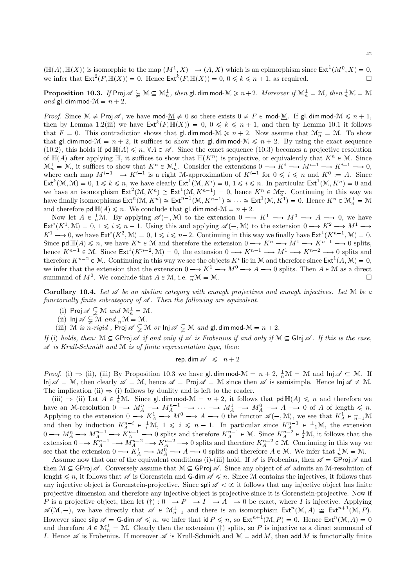$(\mathbb{H}(A), \mathbb{H}(X))$  is isomorphic to the map  $(M^1, X) \longrightarrow (A, X)$  which is an epimorphism since  $\mathsf{Ext}^1(M^0, X) = 0$ , we infer that  $\text{Ext}^2(F, \mathbb{H}(X)) = 0$ . Hence  $\text{Ext}^k(F, \mathbb{H}(X)) = 0, 0 \leq k \leq n + 1$ , as required.

 $\bf{Proposition~10.3.}$  If  $\rm{Proj} \mathscr{A} \subsetneqq M \subseteq \mathcal{M}_n^{\perp},$  then  $\rm{gl.\,dim}$  mod- $\mathcal{M} \geq n+2.$   $\emph{Moreover if } \mathcal{M}_n^{\perp} = \mathcal{M},$  then  $_n^{\perp} \mathcal{M} = \mathcal{M}$ and gl. dim mod- $\mathcal{M} = n + 2$ .

*Proof.* Since  $\mathcal{M} \neq \text{Proj } \mathcal{A}$ , we have mod- $\underline{\mathcal{M}} \neq 0$  so there exists  $0 \neq F \in \text{mod-}\mathcal{M}$ . If gl. dim mod- $\mathcal{M} \leq n + 1$ , then by Lemma 1.2(iii) we have  $\text{Ext}^k(F, \mathbb{H}(X)) = 0, 0 \leq k \leq n + 1$ , and then by Lemma 10.1 it follows that  $F = 0$ . This contradiction shows that gl. dim mod- $\mathcal{M} \geq n + 2$ . Now assume that  $\mathcal{M}_n^{\perp} = \mathcal{M}$ . To show that gl. dim mod- $\mathcal{M} = n + 2$ , it suffices to show that gl. dim mod- $\mathcal{M} \leq n + 2$ . By using the exact sequence (10.2), this holds if  $\text{pd }\mathbb{H}(A)\leq n$ ,  $\forall A \in \mathscr{A}$ . Since the exact sequence (10.3) becomes a projective resolution of  $\mathbb{H}(A)$  after applying  $\mathbb{H}$ , it suffices to show that  $\mathbb{H}(K^n)$  is projective, or equivalently that  $K^n \in \mathcal{M}$ . Since  $\mathcal{M}_n^{\perp} = \mathcal{M}$ , it suffices to show that  $K^n \in \mathcal{M}_n^{\perp}$ . Consider the extensions  $0 \longrightarrow K^i \longrightarrow M^{i-1} \longrightarrow K^{i-1} \longrightarrow 0$ , where each map  $M^{i-1} \longrightarrow K^{i-1}$  is a right M-approximation of  $K^{i-1}$  for  $0 \leq i \leq n$  and  $K^0 := A$ . Since  $\text{Ext}^k(\mathcal{M}, \mathcal{M}) = 0, 1 \leq k \leq n$ , we have clearly  $\text{Ext}^1(\mathcal{M}, K^i) = 0, 1 \leq i \leq n$ . In particular  $\text{Ext}^1(\mathcal{M}, K^n) = 0$  and we have an isomorphism  $\text{Ext}^2(\mathcal{M}, K^n) \cong \text{Ext}^1(\mathcal{M}, K^{n-1}) = 0$ , hence  $K^n \in \mathcal{M}_2^{\perp}$ . Continuing in this way we have finally isomorphisms  $\text{Ext}^n(\mathcal{M}, K^n) \cong \text{Ext}^{n-1}(\mathcal{M}, K^{n-1}) \cong \cdots \cong \text{Ext}^1(\mathcal{M}, K^1) = 0$ . Hence  $K^n \in \mathcal{M}_n^{\perp} = \mathcal{M}$ and therefore  $\mathsf{pd} \, \mathbb{H}(A) \leq n$ . We conclude that gl. dim mod- $\mathcal{M} = n + 2$ .

Now let  $A \in \frac{1}{n}\mathcal{M}$ . By applying  $\mathscr{A}(-, \mathcal{M})$  to the extension  $0 \longrightarrow K^1 \longrightarrow M^0 \longrightarrow A \longrightarrow 0$ , we have  $\text{Ext}^i(K^1, \mathcal{M}) = 0, 1 \leq i \leq n-1.$  Using this and applying  $\mathscr{A}(-, \mathcal{M})$  to the extension  $0 \longrightarrow K^2 \longrightarrow M^1 \longrightarrow$  $K^1 \longrightarrow 0$ , we have  $\mathsf{Ext}^i(K^2,\mathcal{M}) = 0, 1 \leq i \leq n-2$ . Continuing in this way we finally have  $\mathsf{Ext}^1(K^{n-1},\mathcal{M}) = 0$ . Since  $\mathsf{pd} \,\mathbb{H}(A) \leq n$ , we have  $K^n \in \mathcal{M}$  and therefore the extension  $0 \longrightarrow K^n \longrightarrow M^1 \longrightarrow K^{n-1} \longrightarrow 0$  splits, hence  $K^{n-1} \in \mathcal{M}$ . Since  $\mathsf{Ext}^1(K^{n-2}, \mathcal{M}) = 0$ , the extension  $0 \longrightarrow K^{n-1} \longrightarrow M^1 \longrightarrow K^{n-2} \longrightarrow 0$  splits and therefore  $K^{n-2} \in \mathcal{M}$ . Continuing in this way we see the objects  $K^i$  lie in M and therefore since  $\mathsf{Ext}^1(A, \mathcal{M}) = 0$ , we infer that the extension that the extension  $0 \to K^1 \to M^0 \to A \to 0$  splits. Then  $A \in \mathcal{M}$  as a direct summand of  $M^0$ . We conclude that  $A \in \mathcal{M}$  i.e.  $\perp \mathcal{M} = \mathcal{M}$ summand of  $M^0$ . We conclude that  $A \in \mathcal{M}$ , i.e.  $\frac{1}{n}\mathcal{M} = \mathcal{M}$ .

**Corollary 10.4.** Let  $\mathscr A$  be an abelian category with enough projectives and enough injectives. Let  $\mathscr M$  be a functorially finite subcategory of  $\mathscr A$ . Then the following are equivalent.

- (i) Proj  $\mathscr{A}_{\leq} \subsetneq \mathcal{M}$  and  $\mathcal{M}_{n}^{\perp} = \mathcal{M}$ .
- (ii)  $\text{Inj } \mathscr{A} \subsetneq \mathcal{M}$  and  $\frac{1}{n} \mathcal{M} = \mathcal{M}.$

(iii) M is n-rigid, Proj  $\mathscr{A} \subsetneq M$  or  $\ln \mathscr{A} \subsetneq M$  and  $\mathsf{gl.}\dim \mathsf{mod}\ M = n+2$ .

If (i) holds, then:  $M \subseteq \text{GProj } \mathscr{A}$  if and only if  $\mathscr{A}$  is Frobenius if and only if  $M \subseteq \text{GInj } \mathscr{A}$ . If this is the case,  $\mathscr A$  is Krull-Schmidt and  $\mathscr M$  is of finite representation type, then:

$$
\mathsf{rep.dim}\,\mathscr{A}\;\;\leqslant\;\;n+2
$$

*Proof.* (i)  $\Rightarrow$  (ii), (iii) By Proposition 10.3 we have gl. dim mod- $\mathcal{M} = n + 2$ ,  $\frac{1}{n}\mathcal{M} = \mathcal{M}$  and  $\ln j \mathscr{A} \subseteq \mathcal{M}$ . If  $\text{Inj }\mathscr{A} = \mathcal{M}, \text{ then clearly } \mathscr{A} = \mathcal{M}, \text{ hence } \mathscr{A} = \text{Proj } \mathscr{A} = \mathcal{M} \text{ since then } \mathscr{A} \text{ is semisimple. Hence } \text{Inj }\mathscr{A} \neq \mathcal{M}.$ The implication (ii)  $\Rightarrow$  (i) follows by duality and is left to the reader.

(iii)  $\Rightarrow$  (ii) Let  $A \in \frac{1}{n}\mathcal{M}$ . Since gl. dim mod- $\mathcal{M} = n + 2$ , it follows that  $pd \mathbb{H}(A) \leq n$  and therefore we have an M-resolution  $0 \longrightarrow M_A^n \longrightarrow M_A^{n-1} \longrightarrow \cdots \longrightarrow M_A^1 \longrightarrow M_A^0 \longrightarrow A \longrightarrow 0$  of A of length  $\leq n$ . Applying to the extension  $0 \longrightarrow K_A^1 \longrightarrow M^0 \longrightarrow A \longrightarrow 0$  the functor  $\mathscr{A}(-, \mathcal{M})$ , we see that  $K_A^1 \in \frac{1}{n-1}\mathcal{M}$ and then by induction  $K_A^{n-i} \in \frac{1}{i}\mathcal{M}, 1 \leq i \leq n-1$ . In particular since  $K_A^{n-1} \in \frac{1}{i}\mathcal{M}$ , the extension  $0 \longrightarrow M_A^n \longrightarrow M_A^{n-1} \longrightarrow K_A^{n-1} \longrightarrow 0$  splits and therefore  $K_A^{n-1} \in \mathcal{M}$ . Since  $K_A^{n-2} \in \frac{1}{2}\mathcal{M}$ , it follows that the extension  $0 \longrightarrow K_A^{n-1} \longrightarrow M_A^{n-2} \longrightarrow K_A^{n-2} \longrightarrow 0$  splits and therefore  $K_A^{n-2} \in \mathcal{M}$ . Continuing in this way we see that the extension  $0 \longrightarrow K_A^1 \longrightarrow M_A^0 \longrightarrow A \longrightarrow 0$  splits and therefore  $A \in \mathcal{M}$ . We infer that  $\frac{1}{n}\mathcal{M} = \mathcal{M}$ .

Assume now that one of the equivalent conditions (i)-(iii) hold. If  $\mathscr A$  is Frobenius, then  $\mathscr A = \mathsf{GProj}\ \mathscr A$  and then  $\mathcal{M} \subseteq$  GProj  $\mathcal{A}$ . Conversely assume that  $\mathcal{M} \subseteq$  GProj  $\mathcal{A}$ . Since any object of  $\mathcal{A}$  admits an M-resolution of lenght  $\leq n$ , it follows that  $\mathscr A$  is Gorenstein and G-dim  $\mathscr A \leq n$ . Since M contains the injectives, it follows that any injective object is Gorenstein-projective. Since spli  $\mathscr{A} < \infty$  it follows that any injective object has finite projective dimension and therefore any injective object is projective since it is Gorenstein-projective. Now if P is a projective object, then let  $(\dagger): 0 \longrightarrow P \longrightarrow I \longrightarrow A \longrightarrow 0$  be exact, where I is injective. Applying  $\mathscr{A}(\mathcal{M}, -)$ , we have directly that  $\mathscr{A} \in \mathcal{M}_{n-1}^{\perp}$  and there is an isomorphism  $\mathsf{Ext}^n(\mathcal{M}, A) \cong \mathsf{Ext}^{n+1}(\mathcal{M}, P)$ . However since  $\text{silp } \mathscr{A} = \text{G-dim } \mathscr{A} \leq n$ , we infer that  $\text{id } P \leq n$ , so  $\text{Ext}^{n+1}(\mathcal{M}, P) = 0$ . Hence  $\text{Ext}^{n}(\mathcal{M}, A) = 0$ and therefore  $A \in \mathcal{M}_n^{\perp} = \mathcal{M}$ . Clearly then the extension (†) splits, so P is injective as a direct summand of I. Hence  $\mathscr A$  is Frobenius. If moreover  $\mathscr A$  is Krull-Schmidt and  $\mathcal M =$  add  $M$ , then add  $M$  is functorially finite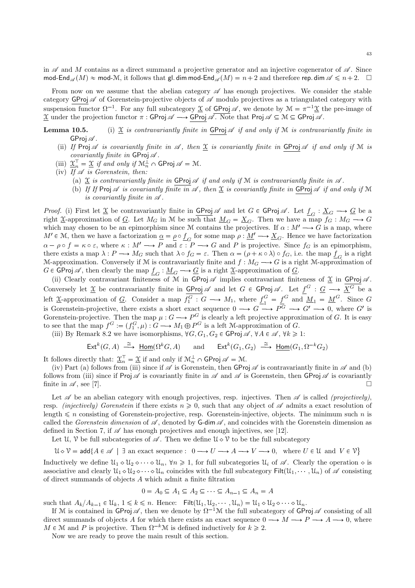in  $\mathscr A$  and M contains as a direct summand a projective generator and an injective cogenerator of  $\mathscr A$ . Since  $mod\text{-End}_{\mathscr{A}}(M)\approx \text{mod-}\mathcal{M}$ , it follows that gl. dim mod-End $\mathscr{A}(M)=n+2$  and therefore rep. dim  $\mathscr{A}\leq n+2$ .

From now on we assume that the abelian category  $\mathscr A$  has enough projectives. We consider the stable category GProj  $\mathscr A$  of Gorenstein-projective objects of  $\mathscr A$  modulo projectives as a triangulated category with suspension functor  $\Omega^{-1}$ . For any full subcategory  $\underline{\mathfrak{X}}$  of  $\underline{\mathsf{GProj}}\mathscr{A}$ , we denote by  $\mathfrak{M} = \pi^{-1}\underline{\mathfrak{X}}$  the pre-image of  $\underline{\mathfrak{X}}$  under the projection functor  $\pi$ : GProj  $\mathscr{A} \longrightarrow$  GProj  $\overline{\mathscr{A}}$ . Note that Proj  $\mathscr{A} \subseteq M \subseteq G$ Proj  $\overline{\mathscr{A}}$ .

- **Lemma 10.5.** (i)  $\underline{\mathfrak{X}}$  is contravariantly finite in GProj  $\mathcal A$  if and only if  $M$  is contravariantly finite in GProj $\mathscr A$ .
	- (ii) If Proj A is covariantly finite in A, then  $\underline{\mathfrak{X}}$  is covariantly finite in GProj A if and only if M is covariantly finite in  $GProj \mathcal{A}$ .
	- (iii)  $\underline{\mathfrak{X}}_n^{\perp} = \underline{\mathfrak{X}}$  if and only if  $\mathfrak{M}_n^{\perp} \cap \mathsf{GProj} \mathscr{A} = \mathfrak{M}.$

(iv) If  $\mathscr A$  is Gorenstein, then:

- (a) X is contravariantly finite in GProj  $\mathscr A$  if and only if M is contravariantly finite in  $\mathscr A$ .
- (b) If If Proj  $\mathscr A$  is covariantly finite in  $\mathscr A$ , then  $\underline{\mathfrak X}$  is covariantly finite in GProj  $\mathscr A$  if and only if M is covariantly finite in  $\mathscr A$ .

*Proof.* (i) First let  $\underline{\mathfrak{X}}$  be contravariantly finite in  $\underline{\mathsf{GProj}}$  of and let  $G \in \mathsf{GProj}$   $\mathscr{A}$ . Let  $\underline{f}_G : \underline{X}_G \longrightarrow \underline{G}$  be a right  $\underline{\mathfrak{X}}$ -approximation of G. Let  $M_G$  in M be such that  $\underline{M}_G = \underline{X}_G$ . Then we have a map  $f_G : M_G \longrightarrow G$ which may chosen to be an epimorphism since M contains the projectives. If  $\alpha : M' \longrightarrow G$  is a map, where  $M' \in \mathcal{M}$ , then we have a factorization  $\underline{\alpha} = \underline{\rho} \circ \underline{f}_G$  for some map  $\rho : \underline{M'} \longrightarrow \underline{X}_G$ . Hence we have factorization  $\alpha - \rho \circ f = \kappa \circ \varepsilon$ , where  $\kappa : M' \longrightarrow P$  and  $\varepsilon : P \longrightarrow G$  and P is projective. Since  $f_G$  is an epimorphism, there exists a map  $\lambda : P \longrightarrow M_G$  such that  $\lambda \circ f_G = \varepsilon$ . Then  $\alpha = (\rho + \kappa \circ \lambda) \circ f_G$ , i.e. the map  $\underline{f}_G$  is a right M-approximation. Conversely if M is contravariantly finite and  $f : M_G \longrightarrow G$  is a right M-approximation of  $G \in \mathsf{GProj} \mathscr{A}$ , then clearly the map  $\underline{f}_G : \underline{M}_G \longrightarrow \underline{G}$  is a right  $\underline{\mathfrak{X}}$ -approximation of  $\underline{G}$ .

(ii) Clearly contravariant finiteness of M in GProj  $\mathscr A$  implies contravariant finiteness of  $\underline{\mathfrak X}$  in GProj  $\mathscr A$ . Conversely let  $\underline{\mathfrak{X}}$  be contravariantly finite in  $\underline{\mathsf{GProj}}\mathscr{A}$  and let  $G \in \mathsf{GProj}\mathscr{A}$ . Let  $\underline{f}^G : \underline{G} \longrightarrow \underline{X}^G$  be a left  $\underline{\mathfrak{X}}$ -approximation of  $\underline{G}$ . Consider a map  $f_1^G : G \longrightarrow M_1$ , where  $\underline{f}_1^G$  $\frac{G}{1} = \underline{f}^G$  and  $\underline{M}_1 = \underline{M}^G$ . Since G is Gorenstein-projective, there exists a short exact sequence  $0 \longrightarrow G \longrightarrow P^G \longrightarrow G' \longrightarrow 0$ , where G' is Gorenstein-projective. Then the map  $\mu : G \longrightarrow P^G$  is clearly a left projective approximation of G. It is easy to see that the map  $f^G := (f_1^G, \mu) : G \longrightarrow M_1 \oplus P^G$  is a left M-approximation of G.

(iii) By Remark 8.2 we have isomorphisms,  $\forall G, G_1, G_2 \in \mathsf{GProj} \mathscr{A}, \forall A \in \mathscr{A}, \forall k \geq 1$ :

$$
\mathsf{Ext}^k(G, A) \xrightarrow{\cong} \underline{\mathsf{Hom}}(\Omega^k G, A) \quad \text{and} \quad \mathsf{Ext}^k(G_1, G_2) \xrightarrow{\cong} \underline{\mathsf{Hom}}(G_1, \Omega^{-k} G_2)
$$

It follows directly that:  $\underline{\mathfrak{X}}_n^{\perp} = \underline{\mathfrak{X}}$  if and only if  $\mathfrak{M}_n^{\perp} \cap \mathsf{GProj} \mathscr{A} = \mathfrak{M}$ .

(iv) Part (a) follows from (iii) since if  $\mathscr A$  is Gorenstein, then GProj  $\mathscr A$  is contravariantly finite in  $\mathscr A$  and (b) follows from (iii) since if Proj  $\mathscr A$  is covariantly finite in  $\mathscr A$  and  $\mathscr A$  is Gorenstein, then GProj  $\mathscr A$  is covariantly finite in  $\mathscr A$ , see [7].

Let  $\mathscr A$  be an abelian category with enough projectives, resp. injectives. Then  $\mathscr A$  is called (projectively), resp. *(injectively)* Gorenstein if there exists  $n \geq 0$ , such that any object of  $\mathscr A$  admits a exact resolution of length  $\leq n$  consisting of Gorenstein-projective, resp. Gorenstein-injective, objects. The minimum such n is called the Gorenstein dimension of  $\mathscr A$ , denoted by G-dim  $\mathscr A$ , and coincides with the Gorenstein dimension as defined in Section 7, if  $\mathscr A$  has enough projectives and enough injectives, see [12].

Let  $\mathcal{U}, \mathcal{V}$  be full subcategories of  $\mathscr{A}$ . Then we define  $\mathcal{U} \diamond \mathcal{V}$  to be the full subcategory

 $\mathcal{U} \diamond \mathcal{V} = \mathsf{add}\{A \in \mathscr{A} \mid \exists \text{ an exact sequence} : 0 \longrightarrow U \longrightarrow A \longrightarrow V \longrightarrow 0, \text{ where } U \in \mathcal{U} \text{ and } V \in \mathcal{V}\}\$ 

Inductively we define  $\mathcal{U}_1 \circ \mathcal{U}_2 \circ \cdots \circ \mathcal{U}_n$ ,  $\forall n \geq 1$ , for full subcategories  $\mathcal{U}_i$  of  $\mathcal{A}$ . Clearly the operation  $\circ$  is associative and clearly  $\mathcal{U}_1 \circ \mathcal{U}_2 \circ \cdots \circ \mathcal{U}_n$  coincides with the full subcategory  $\text{Filt}(\mathcal{U}_1, \cdots, \mathcal{U}_n)$  of  $\mathscr A$  consisting of direct summands of objects A which admit a finite filtration

$$
0 = A_0 \subseteq A_1 \subseteq A_2 \subseteq \cdots \subseteq A_{n-1} \subseteq A_n = A
$$

such that  $A_k/A_{k-1} \in \mathcal{U}_k$ ,  $1 \leq k \leq n$ . Hence: Filt $(\mathcal{U}_1, \mathcal{U}_2, \dots, \mathcal{U}_n) = \mathcal{U}_1 \circ \mathcal{U}_2 \circ \dots \circ \mathcal{U}_n$ .

If M is contained in GProj  $\mathscr A$ , then we denote by  $\Omega^{-1}M$  the full subcategory of GProj  $\mathscr A$  consisting of all direct summands of objects A for which there exists an exact sequence  $0 \longrightarrow M \longrightarrow P \longrightarrow A \longrightarrow 0$ , where  $M \in \mathcal{M}$  and P is projective. Then  $\Omega^{-k}\mathcal{M}$  is defined inductively for  $k \geq 2$ .

Now we are ready to prove the main result of this section.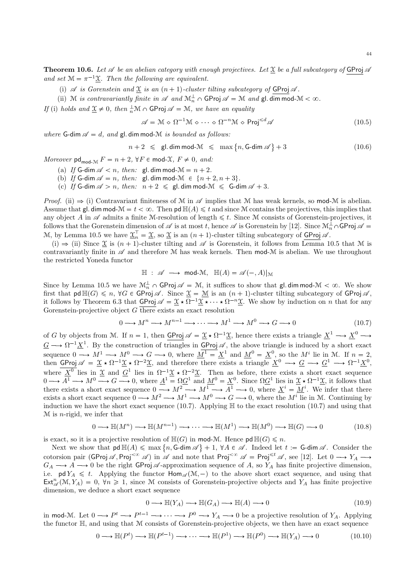**Theorem 10.6.** Let  $\mathscr A$  be an abelian category with enough projectives. Let  $\underline{\mathfrak X}$  be a full subcategory of GProj  $\mathscr A$ and set  $\mathcal{M} = \pi^{-1} \underline{\mathcal{X}}$ . Then the following are equivalent.

(i)  $\mathscr A$  is Gorenstein and  $\underline{\mathfrak X}$  is an  $(n + 1)$ -cluster tilting subcategory of GProj  $\mathscr A$ .

(ii) M is contravariantly finite in  $\mathscr A$  and  $\mathcal M_n^{\perp} \cap \mathsf{GProj} \mathscr A = \mathcal M$  and  $\mathsf{gl.dim} \operatorname{mod-} \mathcal M < \infty$ .

If (i) holds and  $\underline{\mathfrak{X}} \neq 0$ , then  $\frac{1}{n}\mathfrak{M} \cap \mathsf{GProj} \mathscr{A} = \mathfrak{M}$ , we have an equality

$$
\mathscr{A} = \mathcal{M} \diamond \Omega^{-1} \mathcal{M} \diamond \cdots \diamond \Omega^{-n} \mathcal{M} \diamond \mathsf{Proj}^{\leq d} \mathscr{A}
$$
(10.5)

where G-dim  $\mathscr{A} = d$ , and gl. dim mod-M is bounded as follows:

$$
n+2 \leq \text{gl.dim mod-M} \leq \max\left\{n, \text{G-dim }\mathscr{A}\right\}+3 \tag{10.6}
$$

Moreover  $\mathsf{pd}_{\mathsf{mod-}\mathfrak{M}} F = n + 2$ ,  $\forall F \in \mathsf{mod-}\mathfrak{X}, F \neq 0$ , and:

- (a) If G-dim  $\mathcal{A} < n$ , then: gl. dim mod- $\mathcal{M} = n + 2$ .
- (b) If G-dim  $\mathscr{A} = n$ , then: gl. dim mod-M  $\in \{n + 2, n + 3\}.$
- (c) If G-dim  $\mathscr{A} > n$ , then:  $n + 2 \leq$  gl. dim mod- $\mathscr{M} \leq$  G-dim  $\mathscr{A} + 3$ .

*Proof.* (ii)  $\Rightarrow$  (i) Contravariant finiteness of M in  $\mathscr A$  implies that M has weak kernels, so mod-M is abelian. Assume that gl. dim mod- $\mathcal{M} = t < \infty$ . Then pd  $\mathbb{H}(A) \leq t$  and since M contains the projectives, this implies that any object A in  $\mathscr A$  admits a finite M-resolution of length  $\leq t$ . Since M consists of Gorenstein-projectives, it follows that the Gorenstein dimension of  $\mathscr A$  is at most t, hence  $\mathscr A$  is Gorenstein by [12]. Since  $\mathcal M_n^{\perp} \cap \mathsf{GProj} \mathscr A =$ M, by Lemma 10.5 we have  $\underline{\mathfrak{X}}_n = \underline{\mathfrak{X}}$ , so  $\underline{\mathfrak{X}}$  is an  $(n+1)$ -cluster tilting subcategory of  $\underline{\text{GProj}} \mathscr{A}$ .

(i)  $\Rightarrow$  (ii) Since  $\underline{\mathfrak{X}}$  is  $(n+1)$ -cluster tilting and  $\mathscr A$  is Gorenstein, it follows from Lemma 10.5 that M is contravariantly finite in  $\mathscr A$  and therefore M has weak kernels. Then mod-M is abelian. We use throughout the restricted Yoneda functor

$$
\mathbb{H} : \mathscr{A} \longrightarrow \text{mod-}\mathcal{M}, \ \mathbb{H}(A) = \mathscr{A}(-,A)|_{\mathcal{M}}
$$

Since by Lemma 10.5 we have  $\mathcal{M}_{n}^{\perp} \cap GProj \mathscr{A} = \mathcal{M}$ , it suffices to show that gl. dim mod- $\mathcal{M} < \infty$ . We show first that  $\mathsf{pd}\,\mathbb H(G)\leqslant n$ ,  $\forall G\in\mathsf{GProj}\,\mathscr A$ . Since  $\underline{\mathfrak X}=\underline{\mathfrak M}$  is an  $(n+1)$ -cluster tilting subcategory of  $\mathsf{GProj}\,\mathscr A$ , it follows by Theorem 6.3 that  $\overline{\text{GProj}} \mathscr{A} = \underline{\mathscr{X}} \star \Omega^{-1} \underline{\mathscr{X}} \star \cdots \star \Omega^{-n} \underline{\mathscr{X}}$ . We show by induction on *n* that for any Gorenstein-projective object  $G$  there exists an exact resolution

$$
0 \longrightarrow M^{n} \longrightarrow M^{n-1} \longrightarrow \cdots \longrightarrow M^{1} \longrightarrow M^{0} \longrightarrow G \longrightarrow 0
$$
\n
$$
(10.7)
$$

of G by objects from M. If  $n = 1$ , then  $\overline{GProj} \mathscr{A} = \underline{\mathfrak{X}} \star \Omega^{-1} \underline{\mathfrak{X}}$ , hence there exists a triangle  $\underline{X}^1 \longrightarrow \underline{X}^0 \longrightarrow$  $\underline{G} \longrightarrow \Omega^{-1} \underline{X}^{1}$ . By the construction of triangles in  $\underline{GProj} \mathscr{A}$ , the above triangle is induced by a short exact sequence  $0 \longrightarrow M^1 \longrightarrow M^0 \longrightarrow G \longrightarrow 0$ , where  $M^1 = X^1$  and  $M^0 = X^0$ , so the  $M^i$  lie in M. If  $n = 2$ , then  $\frac{\text{GProj}}{\mathscr{A}} = \underline{\mathscr{X}} \star \Omega^{-1} \underline{\mathscr{X}} \star \Omega^{-2} \underline{\mathscr{X}}$ , and therefore there exists a triangle  $\underline{X}^0 \longrightarrow \underline{G} \longrightarrow \underline{G}^1 \longrightarrow \Omega^{-1} \underline{X}^0$ , where  $\underline{X}^0$  lies in  $\underline{X}$  and  $\underline{G}^1$  lies in  $\Omega^{-1}\underline{\mathfrak{X}} \star \Omega^{-2}\underline{\mathfrak{X}}$ . Then as before, there exists a short exact sequence  $0 \longrightarrow A^1 \longrightarrow M^0 \longrightarrow G \longrightarrow 0$ , where  $\underline{A}^1 = \Omega \underline{G}^1$  and  $\underline{M}^0 = \underline{X}^0$ . Since  $\Omega \underline{G}^1$  lies in  $\underline{\mathfrak{X}} \star \Omega^{-1} \underline{\mathfrak{X}}$ , it follows that there exists a short exact sequence  $0 \longrightarrow M^2 \longrightarrow M^1 \longrightarrow A^1 \longrightarrow 0$ , where  $\underline{X}^i = \underline{M}^i$ . We infer that there exists a short exact sequence  $0 \longrightarrow M^2 \longrightarrow M^1 \longrightarrow M^0 \longrightarrow G \longrightarrow 0$ , where the  $M^i$  lie in M. Continuing by induction we have the short exact sequence (10.7). Applying  $\mathbb H$  to the exact resolution (10.7) and using that  $M$  is *n*-rigid, we infer that

$$
0 \longrightarrow \mathbb{H}(M^n) \longrightarrow \mathbb{H}(M^{n-1}) \longrightarrow \cdots \longrightarrow \mathbb{H}(M^1) \longrightarrow \mathbb{H}(M^0) \longrightarrow \mathbb{H}(G) \longrightarrow 0
$$
 (10.8)

is exact, so it is a projective resolution of  $\mathbb{H}(G)$  in mod-M. Hence  $\mathsf{pd}\,\mathbb{H}(G)\leq n$ .

Next we show that  $\mathsf{pd}\,\mathbb{H}(A) \leqslant \max\{n,\mathsf{G-dim}\,\mathscr{A}\}+1, \ \forall A \in \mathscr{A}$ . Indeed let  $t := \mathsf{G-dim}\,\mathscr{A}$ . Consider the cotorsion pair  $(\mathsf{GProj} \mathscr{A}, \mathsf{Proj}^{\leq \infty} \mathscr{A})$  in  $\mathscr{A}$  and note that  $\mathsf{Proj}^{\leq \infty} \mathscr{A} = \mathsf{Proj}^{\leq t} \mathscr{A}$ , see [12]. Let  $0 \longrightarrow Y_A \longrightarrow$  $G_A \longrightarrow A \longrightarrow 0$  be the right GProj A-approximation sequence of A, so  $Y_A$  has finite projective dimension, i.e. pd  $Y_A \leq t$ . Applying the functor  $\text{Hom}_{\mathscr{A}}(\mathcal{M}, -)$  to the above short exact sequence, and using that  $\text{Ext}_{\mathscr{A}}^{n}(\mathcal{M}, Y_A) = 0, \forall n \geq 1$ , since M consists of Gorenstein-projective objects and  $Y_A$  has finite projective dimension, we deduce a short exact sequence

$$
0 \longrightarrow \mathbb{H}(Y_A) \longrightarrow \mathbb{H}(G_A) \longrightarrow \mathbb{H}(A) \longrightarrow 0
$$
\n
$$
(10.9)
$$

in mod-M. Let  $0 \to P^t \to P^{t-1} \to \cdots \to P^0 \to Y_A \to 0$  be a projective resolution of  $Y_A$ . Applying the functor H, and using that M consists of Gorenstein-projective objects, we then have an exact sequence

$$
0 \longrightarrow \mathbb{H}(P^t) \longrightarrow \mathbb{H}(P^{t-1}) \longrightarrow \cdots \longrightarrow \mathbb{H}(P^1) \longrightarrow \mathbb{H}(P^0) \longrightarrow \mathbb{H}(Y_A) \longrightarrow 0
$$
\n(10.10)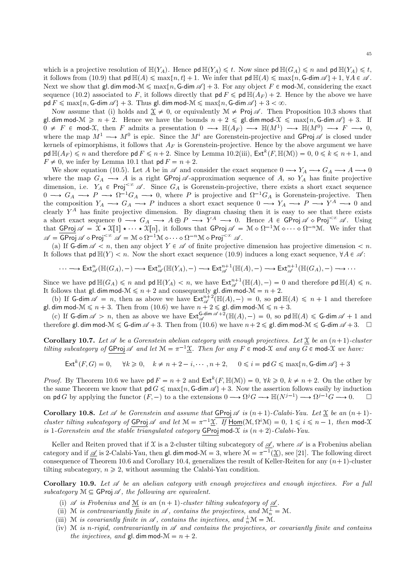which is a projective resolution of  $\mathbb{H}(Y_A)$ . Hence pd  $\mathbb{H}(Y_A) \leq t$ . Now since pd  $\mathbb{H}(G_A) \leq n$  and pd  $\mathbb{H}(Y_A) \leq t$ , it follows from (10.9) that  $\mathsf{pd} \mathbb{H}(A) \leq \max\{n, t\} + 1$ . We infer that  $\mathsf{pd} \mathbb{H}(A) \leq \max\{n, \mathsf{G-dim} \mathscr{A}\} + 1, \forall A \in \mathscr{A}$ . Next we show that gl. dim mod- $\mathcal{M} \leq \max\{n, G\text{-dim }\mathscr{A}\}+3$ . For any object  $F \in \text{mod-}\mathcal{M}$ , considering the exact sequence (10.2) associated to F, it follows directly that  $\mathsf{pd}\, F \leq \mathsf{pd}\, \mathbb{H}(A_F) + 2$ . Hence by the above we have  $p d F \nleq \max\{n, G\text{-dim }\mathscr{A}\} + 3$ . Thus gl. dim mod- $\mathscr{M} \leq \max\{n, G\text{-dim }\mathscr{A}\} + 3 < \infty$ .

Now assume that (i) holds and  $\mathcal{X} \neq 0$ , or equivalently  $\mathcal{M} \neq \text{Proj } \mathscr{A}$ . Then Proposition 10.3 shows that gl. dim mod- $\mathcal{M} \geq n + 2$ . Hence we have the bounds  $n + 2 \leq \text{gl. dim mod-}\mathcal{X} \leq \max\{n, \text{G-dim }\mathscr{A}\} + 3$ . If  $0 \neq F \in \text{mod-}\mathfrak{X}$ , then F admits a presentation  $0 \longrightarrow \mathbb{H}(A_F) \longrightarrow \mathbb{H}(M^1) \longrightarrow \mathbb{H}(M^0) \longrightarrow F \longrightarrow 0$ , where the map  $M^1 \longrightarrow M^0$  is epic. Since the  $M^i$  are Gorenstein-projective and GProj  $\mathscr A$  is closed under kernels of epimorphisms, it follows that  $A_F$  is Gorenstein-projective. Hence by the above argument we have  $\text{pd }\mathbb{H}(A_F) \leqslant n$  and therefore  $\text{pd } F \leqslant n+2$ . Since by Lemma 10.2(iii),  $\text{Ext}^k(F, \mathbb{H}(\mathcal{M})) = 0, 0 \leqslant k \leqslant n+1$ , and  $F \neq 0$ , we infer by Lemma 10.1 that  $\mathsf{pd}\, F = n + 2$ .

We show equation (10.5). Let A be in  $\mathscr A$  and consider the exact sequence  $0 \longrightarrow Y_A \longrightarrow G_A \longrightarrow A \longrightarrow 0$ where the map  $G_A \longrightarrow A$  is a right GProj  $\mathscr A$ -approximation sequence of A, so  $Y_A$  has finite projective dimension, i.e.  $Y_A \in \text{Proj}^{<\infty} \mathscr{A}$ . Since  $G_A$  is Gorenstein-projective, there exists a short exact sequence  $0 \longrightarrow G_A \longrightarrow P \longrightarrow \Omega^{-1}G_A \longrightarrow 0$ , where P is projective and  $\Omega^{-1}G_A$  is Gorenstein-projective. Then the composition  $Y_A \longrightarrow G_A \longrightarrow P$  induces a short exact sequence  $0 \longrightarrow Y_A \longrightarrow P \longrightarrow Y^A \longrightarrow 0$  and clearly  $Y^A$  has finite projective dimension. By diagram chasing then it is easy to see that there exists a short exact sequence  $0 \longrightarrow G_A \longrightarrow A \oplus P \longrightarrow Y^A \longrightarrow 0$ . Hence  $A \in \mathsf{GProj} \mathscr{A} \circ \mathsf{Proj}^{\ltq\infty} \mathscr{A}$ . Using that  $\overline{\text{GProj}}\mathscr{A} = \mathfrak{X} \star \mathfrak{X}[1] \star \cdots \star \mathfrak{X}[n]$ , it follows that  $\text{GProj}\mathscr{A} = \mathfrak{M} \diamond \Omega^{-1}\mathfrak{M} \diamond \cdots \diamond \Omega^{-n}\mathfrak{M}$ . We infer that  $\mathscr{A} = \mathsf{GProj}^{\ltimes \infty} \mathscr{A} = \mathbb{M} \diamond \Omega^{-1} \mathbb{M} \diamond \cdots \diamond \Omega^{-n} \mathbb{M} \diamond \mathsf{Proj}^{\ltimes \infty} \mathscr{A}.$ 

(a) If G-dim  $\mathscr{A} \leq n$ , then any object  $Y \in \mathscr{A}$  of finite projective dimension has projective dimension  $\leq n$ . It follows that  $\text{pd }\mathbb{H}(Y) < n$ . Now the short exact sequence (10.9) induces a long exact sequence,  $\forall A \in \mathscr{A}$ :

$$
\cdots \longrightarrow \text{Ext}_{\mathscr{A}}^{n}(\mathbb{H}(G_{A}), -) \longrightarrow \text{Ext}_{\mathscr{A}}^{n}(\mathbb{H}(Y_{A}), -) \longrightarrow \text{Ext}_{\mathscr{A}}^{n+1}(\mathbb{H}(A), -) \longrightarrow \text{Ext}_{\mathscr{A}}^{n+1}(\mathbb{H}(G_{A}), -) \longrightarrow \cdots
$$

Since we have  $\mathsf{pd}\,\mathbb{H}(G_A)\leqslant n$  and  $\mathsf{pd}\,\mathbb{H}(Y_A)< n$ , we have  $\mathsf{Ext}^{n+1}_{\mathscr{A}}(\mathbb{H}(A), -)=0$  and therefore  $\mathsf{pd}\,\mathbb{H}(A)\leqslant n$ . It follows that gl. dim mod- $M \le n + 2$  and consequently gl. dim mod- $M = n + 2$ .

(b) If G-dim  $\mathscr{A} = n$ , then as above we have  $\text{Ext}_{\mathscr{A}}^{n+2}(\mathbb{H}(A), -) = 0$ , so pd  $\mathbb{H}(A) \leq n+1$  and therefore gl. dim mod- $\mathcal{M} \leq n + 3$ . Then from (10.6) we have  $n + 2 \leq g$ l. dim mod- $\mathcal{M} \leq n + 3$ .

(c) If G-dim  $\mathscr{A} > n$ , then as above we have  $\text{Ext}_{\mathscr{A}}^{\text{G-dim }\mathscr{A}+2}(\mathbb{H}(A), -) = 0$ , so pd  $\mathbb{H}(A) \leq \text{G-dim }\mathscr{A}+1$  and therefore gl. dim mod- $\mathcal{M} \leqslant G$ -dim  $\mathscr{A} + 3$ . Then from  $(10.6)$  we have  $n+2 \leqslant g$ l. dim mod- $\mathcal{M} \leqslant G$ -dim  $\mathscr{A} + 3$ .  $\Box$ 

**Corollary 10.7.** Let  $\mathscr A$  be a Gorenstein abelian category with enough projectives. Let  $\mathscr X$  be an  $(n+1)$ -cluster tilting subcategory of  $GProj \mathcal{A}$  and let  $\mathcal{M} = \pi^{-1} \underline{\mathcal{X}}$ . Then for any  $F \in \text{mod-}\mathcal{X}$  and any  $G \in \text{mod-}\mathcal{X}$  we have:

$$
\operatorname{Ext}^k(F,G)=0,\quad \ \forall k\geqslant 0,\quad k\neq n+2-i,\cdots,n+2,\quad \ 0\leqslant i=\operatorname{pd} G\leqslant \max\{n,\operatorname{G-dim}\mathscr{A}\}+3
$$

*Proof.* By Theorem 10.6 we have  $\mathsf{pd}\, F = n + 2$  and  $\mathsf{Ext}^k(F, \mathbb{H}(\mathcal{M})) = 0$ ,  $\forall k \geq 0, k \neq n + 2$ . On the other by the same Theorem we know that  $\mathsf{pd} G \leq \max\{n, \mathsf{G-dim} \mathscr{A}\}+3$ . Now the assertion follows easily by induction<br>on  $\mathsf{nd} G$  by applying the functor  $(F-)$  to a the extensions  $0 \longrightarrow \Omega^j G \longrightarrow \mathbb{H}(N^{j-1}) \longrightarrow \Omega^{j-1} G \longrightarrow 0$ on pd G by applying the functor  $(F, -)$  to a the extensions  $0 \longrightarrow \Omega^{j}G \longrightarrow \mathbb{H}(N^{j-1}) \longrightarrow \Omega^{j-1}G \longrightarrow 0.$   $\Box$ 

Corollary 10.8. Let  $\mathscr A$  be Gorenstein and assume that GProj  $\mathscr A$  is  $(n+1)$ -Calabi-Yau. Let  $\underline{\mathfrak X}$  be an  $(n+1)$ cluster tilting subcategory of  $GProj \mathcal{A}$  and let  $\mathcal{M} = \pi^{-1} \underline{\mathcal{X}}$ . If  $Hom(\mathcal{M}, \Omega^i \mathcal{M}) = 0, 1 \leq i \leq n-1$ , then mod- $\mathcal{X}$ is 1-Gorenstein and the stable triangulated category GProj mod- $\mathfrak X$  is  $(n + 2)$ -Calabi-Yau.

Keller and Reiten proved that if X is a 2-cluster tilting subcategory of  $\mathscr A$ , where  $\mathscr A$  is a Frobenius abelian category and if  $\mathcal{A}$  is 2-Calabi-Yau, then gl. dim mod- $\mathcal{M} = 3$ , where  $\mathcal{M} = \pi^{-1}(\underline{\mathcal{X}})$ , see [21]. The following direct consequence of Theorem 10.6 and Corollary 10.4, generalizes the result of Keller-Reiten for any  $(n+1)$ -cluster tilting subcategory,  $n \geq 2$ , without assuming the Calabi-Yau condition.

Corollary 10.9. Let  $\mathscr A$  be an abelian category with enough projectives and enough injectives. For a full subcategory  $\mathcal{M} \subseteq \mathsf{GProj} \mathscr{A}$ , the following are equivalent.

- (i)  $\mathscr A$  is Frobenius and  $\underline{\mathcal M}$  is an  $(n + 1)$ -cluster tilting subcategory of  $\underline{\mathscr A}$ .
- (ii) M is contravariantly finite in  $\mathscr A$ , contains the projectives, and  $\mathcal M_n^{\perp} = \mathcal M$ .
- (iii) M is covariantly finite in  $\mathscr A$ , contains the injectives, and  $\frac{1}{n}\mathcal M = \mathcal M$ .
- (iv) M is n-rigid, contravariantly in  $\mathscr A$  and contains the projectives, or covariantly finite and contains the injectives, and gl. dim mod- $\mathcal{M} = n + 2$ .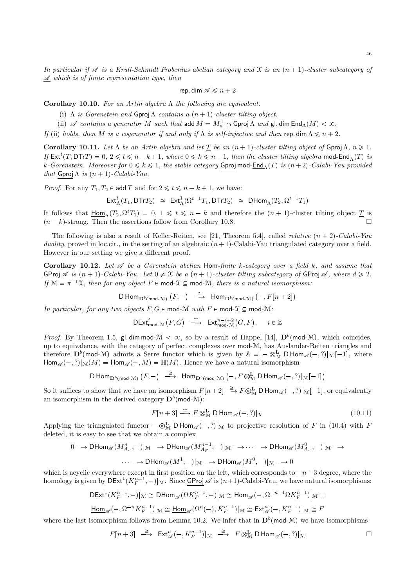46

In particular if  $\mathscr A$  is a Krull-Schmidt Frobenius abelian category and X is an  $(n + 1)$ -cluster subcategory of  $\mathscr A$  which is of finite representation type, then

$$
\mathsf{rep.dim}\,\mathscr{A}\leqslant n+2
$$

Corollary 10.10. For an Artin algebra  $\Lambda$  the following are equivalent.

- (i)  $\Lambda$  is Gorenstein and Gproj $\Lambda$  contains a  $(n + 1)$ -cluster tilting object.
- (ii)  $\mathscr A$  contains a generator M such that add  $M = M_n^{\perp} \cap \mathsf{Gproj}\,\Lambda$  and  $\mathsf{gl.dim}\,\mathsf{End}_{\Lambda}(M) < \infty$ .

If (ii) holds, then M is a cogenerator if and only if  $\Lambda$  is self-injective and then rep. dim  $\Lambda \leq n + 2$ .

Corollary 10.11. Let  $\Lambda$  be an Artin algebra and let  $\underline{T}$  be an  $(n + 1)$ -cluster tilting object of Gproj $\Lambda$ ,  $n \geq 1$ . If  $\text{Ext}^t(T, \text{DTr}) = 0, 2 \leq t \leq n - k + 1$ , where  $0 \leq k \leq n - 1$ , then the cluster tilting algebra mod- $\text{End}_{\Lambda}(T)$  is k-Gorenstein. Moreover for  $0 \leq k \leq 1$ , the stable category Gproj mod-End<sub>Λ</sub>(T) is  $(n+2)$ -Calabi-Yau provided that Gproj  $\Lambda$  is  $(n + 1)$ -Calabi-Yau.

*Proof.* For any  $T_1, T_2 \in \text{add } T$  and for  $2 \leq t \leq n - k + 1$ , we have:

$$
\mathsf{Ext}^t_\Lambda(T_1, \mathsf{DTr} T_2) \cong \mathsf{Ext}^1_\Lambda(\Omega^{t-1} T_1, \mathsf{DTr} T_2) \cong \mathsf{D}\underline{\mathsf{Hom}}_\Lambda(T_2, \Omega^{t-1} T_1)
$$

It follows that  $\underline{\text{Hom}}_{\Lambda}(T_2, \Omega^t T_1) = 0, 1 \leq t \leq n-k$  and therefore the  $(n + 1)$ -cluster tilting object  $\underline{T}$  is  $(n-k)$ -strong. Then the assertions follow from Corollary 10.8.  $\Box$ 

The following is also a result of Keller-Reiten, see [21, Theorem 5.4], called *relative*  $(n + 2)$ -Calabi-Yau duality, proved in loc.cit., in the setting of an algebraic  $(n+1)$ -Calabi-Yau triangulated category over a field. However in our setting we give a different proof.

Corollary 10.12. Let  $\mathscr A$  be a Gorenstein abelian Hom-finite k-category over a field k, and assume that GProj  $\mathscr A$  is  $(n + 1)$ -Calabi-Yau. Let  $0 \neq \mathfrak X$  be a  $(n + 1)$ -cluster tilting subcategory of GProj  $\mathscr A$ , where  $d \geq 2$ . If  $M = \pi^{-1}X$ , then for any object  $F \in \text{mod-}X \subseteq \text{mod-}X$ , there is a natural isomorphism:

$$
\mathsf{D}\operatorname{Hom}\nolimits_{\mathbf{D}^b(\operatorname{mod}-\mathcal{M})}(F,-) \ \stackrel{\cong}{\longrightarrow}\ \operatorname{Hom}\nolimits_{\mathbf{D}^b(\operatorname{mod}-\mathcal{M})} \big(-, F[n+2]\big)
$$

In particular, for any two objects  $F, G \in \text{mod-} \mathcal{M}$  with  $F \in \text{mod-} \mathcal{X} \subseteq \text{mod-} \mathcal{M}$ :

$$
\mathsf{DExt}^i_{\mathsf{mod}\text{-}\mathcal{M}}\big(F,G\big) \stackrel{\cong}{\longrightarrow} \mathsf{Ext}^{n-i+2}_{\mathsf{mod}\text{-}\mathcal{M}}\big(G,F\big), \quad i \in \mathbb{Z}
$$

*Proof.* By Theorem 1.5, gl. dim mod- $\mathcal{M} < \infty$ , so by a result of Happel [14],  $\mathbf{D}^b(\text{mod-}\mathcal{M})$ , which coincides, up to equivalence, with the category of perfect complexes over mod-M, has Auslander-Reiten triangles and therefore  $\mathbf{D}^b(\text{mod-}M)$  admits a Serre functor which is given by  $\mathcal{S} = -\otimes^{\mathbf{L}}_M \mathsf{D} \mathsf{Hom}_{\mathscr{A}}(-,?)|_M[-1]$ , where  $\operatorname{Hom}_{\mathscr{A}}(-,?)|_{\mathcal{M}}(M) = \operatorname{Hom}_{\mathscr{A}}(-, M) = \mathbb{H}(M)$ . Hence we have a natural isomorphism

$$
\mathsf{D}\operatorname{Hom}\nolimits_{\mathbf{D}^b(\operatorname{mod}-\mathcal{M})}(F,-) \hspace{.25in} \xrightarrow{\hspace{.25in} \cong \hspace{.25in}} \operatorname{Hom}\nolimits_{\mathbf{D}^b(\operatorname{mod}-\mathcal{M})} \left(-, F \otimes^{\mathbf{L}}_\mathcal{M} \mathsf{D} \operatorname{Hom}\nolimits_{\mathscr{A}}(-,?)|_{\mathcal{M}}[-1] \right)
$$

So it suffices to show that we have an isomorphism  $F[n+2] \stackrel{\cong}{\longrightarrow} F \otimes^{\mathbf{L}}_{\mathcal{M}} \mathsf{D} \mathsf{Hom}_{\mathscr{A}}(-,?)|_{\mathcal{M}}[-1]$ , or equivalently an isomorphism in the derived category  $\mathbf{D}^b(\mathsf{mod}\text{-}\mathcal{M})$ :

$$
F[n+3] \stackrel{\cong}{\longrightarrow} F \otimes_M^{\mathbf{L}} \mathsf{D} \operatorname{Hom}_{\mathscr{A}}(-,?)|_{\mathcal{M}}
$$
\n(10.11)

Applying the triangulated functor  $-\otimes_M^{\mathbf{L}} D \text{Hom}_{\mathscr{A}}(-,?)|_{\mathcal{M}}$  to projective resolution of F in (10.4) with F deleted, it is easy to see that we obtain a complex

$$
0 \longrightarrow \text{DHom}_{\mathscr{A}}(M^n_{A_F},-)|_{\mathcal{M}} \longrightarrow \text{DHom}_{\mathscr{A}}(M^{n-1}_{A_F},-)|_{\mathcal{M}} \longrightarrow \cdots \longrightarrow \text{DHom}_{\mathscr{A}}(M^0_{A_F},-)|_{\mathcal{M}} \longrightarrow
$$

$$
\cdots \longrightarrow \text{DHom}_{\mathscr{A}}(M^1,-)|_{\mathcal{M}} \longrightarrow \text{DHom}_{\mathscr{A}}(M^0,-)|_{\mathcal{M}} \longrightarrow 0
$$

which is acyclic everywhere except in first position on the left, which corresponds to  $-n-3$  degree, where the homology is given by  $\mathsf{DExt}^1(K_F^{n-1},-)_{\mathcal{M}}$ . Since  $\mathsf{GProj} \mathscr{A}$  is  $(n+1)$ -Calabi-Yau, we have natural isomorphisms:

$$
\mathsf{DExt}^1(K_F^{n-1},-)|_{\mathcal{M}}\cong \mathsf{D}\underline{\mathsf{Hom}}_{\mathscr{A}}(\Omega K_F^{n-1},-)|_{\mathcal{M}}\cong \underline{\mathsf{Hom}}_{\mathscr{A}}(-,\Omega^{-n-1}\Omega K_F^{n-1})|_{\mathcal{M}}=
$$

$$
\underline{\mathsf{Hom}}_{\mathscr{A}}(-, \Omega^{-n}K_{F}^{n-1})|_{\mathcal{M}} \cong \underline{\mathsf{Hom}}_{\mathscr{A}}(\Omega^{n}(-), K_{F}^{n-1})|_{\mathcal{M}} \cong \mathsf{Ext}^{n}_{\mathscr{A}}(-, K_{F}^{n-1})|_{\mathcal{M}} \cong F
$$

where the last isomorphism follows from Lemma 10.2. We infer that in  $\mathbf{D}^b(\text{mod-}M)$  we have isomorphisms

$$
F[n+3] \stackrel{\cong}{\longrightarrow} \operatorname{Ext}_{\mathscr{A}}^n(-,K_F^{n-1})|_{\mathcal{M}} \stackrel{\cong}{\longrightarrow} F \otimes^{\mathbf{L}}_{\mathcal{M}} \mathsf{D}\operatorname{Hom}_{\mathscr{A}}(-,?)|_{\mathcal{M}}
$$